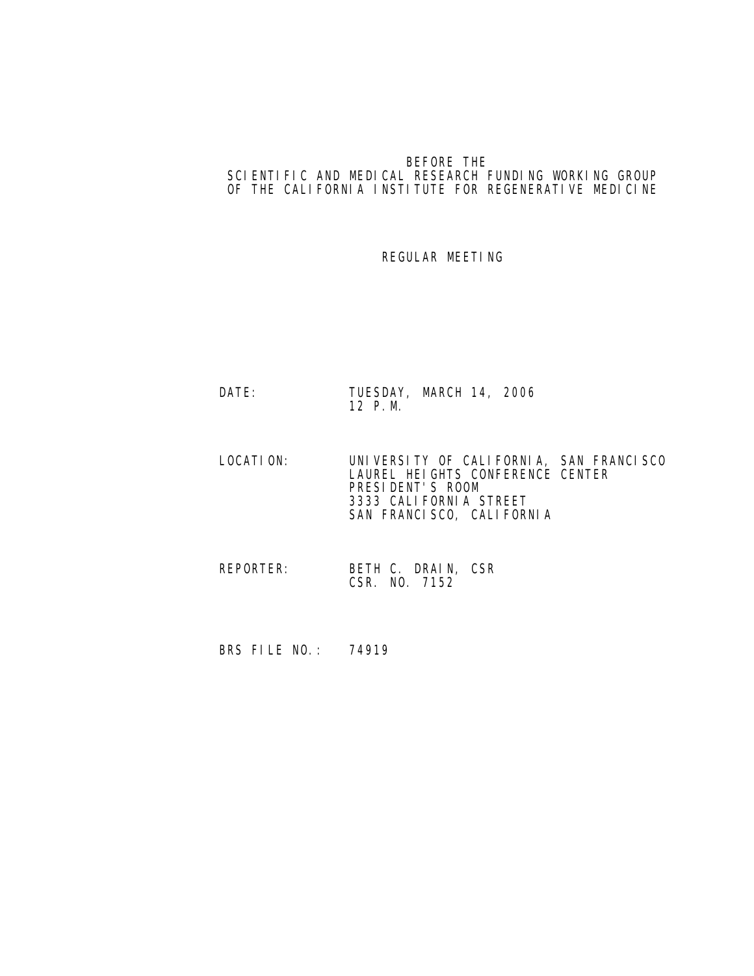## BEFORE THE SCIENTIFIC AND MEDICAL RESEARCH FUNDING WORKING GROUP OF THE CALIFORNIA INSTITUTE FOR REGENERATIVE MEDICINE

## REGULAR MEETING

- DATE: TUESDAY, MARCH 14, 2006 12 P.M.
- LOCATION: UNIVERSITY OF CALIFORNIA, SAN FRANCISCO LAUREL HEIGHTS CONFERENCE CENTER **PRESIDENT'S ROOM**  3333 CALIFORNIA STREET SAN FRANCISCO, CALIFORNIA
	- REPORTER: BETH C. DRAIN, CSR CSR. NO. 7152
	- BRS FILE NO.: 74919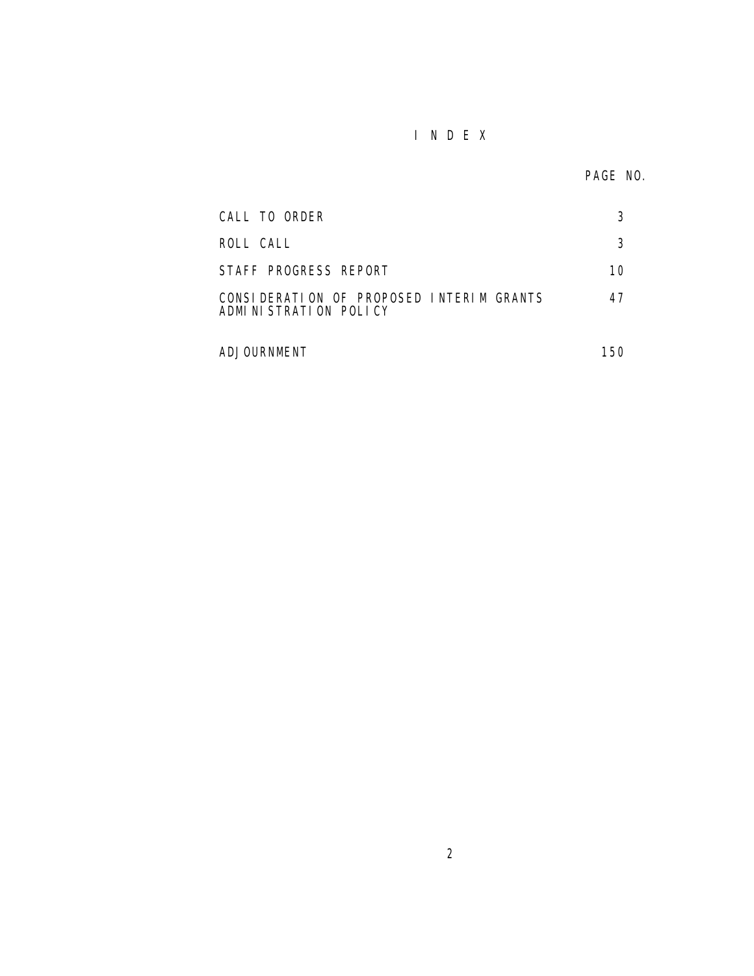## I N D E X

| CALL TO ORDER                                                     | 3   |
|-------------------------------------------------------------------|-----|
| ROLL CALL                                                         | 3   |
| STAFF PROGRESS REPORT                                             | 10  |
| CONSIDERATION OF PROPOSED INTERIM GRANTS<br>ADMINISTRATION POLICY | 47  |
| ADJOURNMENT                                                       | 150 |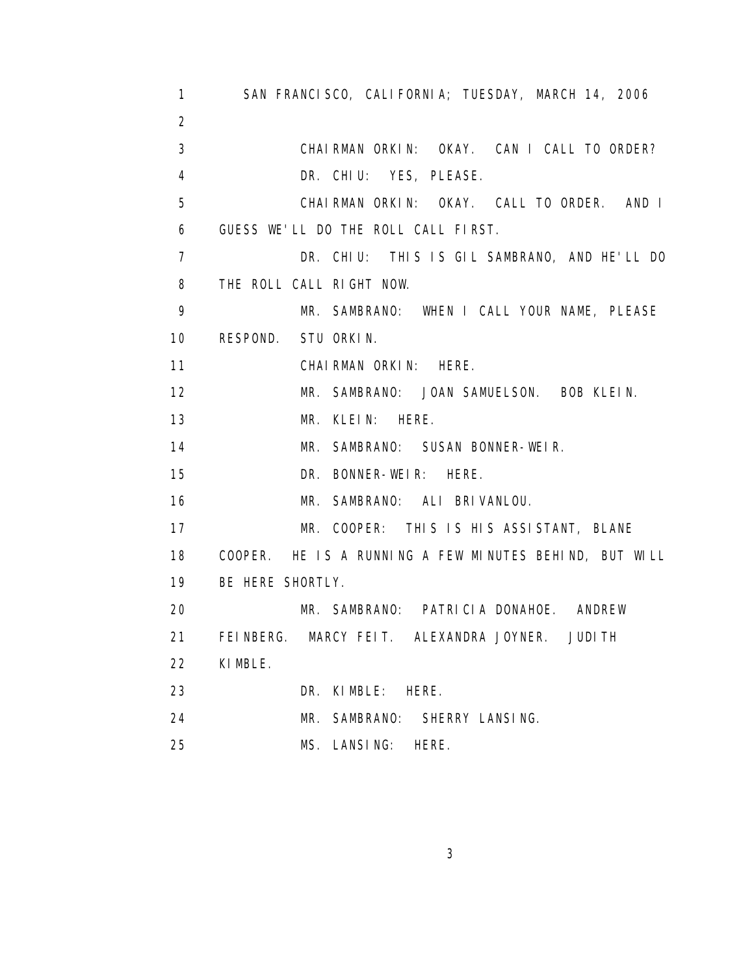| $\mathbf{1}$      | SAN FRANCISCO, CALIFORNIA; TUESDAY, MARCH 14, 2006     |
|-------------------|--------------------------------------------------------|
| $\overline{2}$    |                                                        |
| 3                 | CHAIRMAN ORKIN: OKAY. CAN I CALL TO ORDER?             |
| 4                 | DR. CHIU: YES, PLEASE.                                 |
| 5                 | CHAIRMAN ORKIN: OKAY. CALL TO ORDER. AND I             |
| 6                 | GUESS WE'LL DO THE ROLL CALL FIRST.                    |
| $\overline{7}$    | DR. CHIU: THIS IS GIL SAMBRANO, AND HE'LL DO           |
| 8                 | THE ROLL CALL RIGHT NOW.                               |
| 9                 | MR. SAMBRANO: WHEN I CALL YOUR NAME, PLEASE            |
| 10                | RESPOND. STU ORKIN.                                    |
| 11                | CHAIRMAN ORKIN: HERE.                                  |
| $12 \overline{ }$ | MR. SAMBRANO: JOAN SAMUELSON. BOB KLEIN.               |
| 13                | MR. KLEIN: HERE.                                       |
| 14                | MR. SAMBRANO: SUSAN BONNER-WEIR.                       |
| 15                | DR. BONNER-WEIR: HERE.                                 |
| 16                | MR. SAMBRANO: ALI BRIVANLOU.                           |
| 17                | MR. COOPER: THIS IS HIS ASSISTANT, BLANE               |
| 18                | COOPER. HE IS A RUNNING A FEW MINUTES BEHIND, BUT WILL |
| 19                | BE HERE SHORTLY.                                       |
| 20                | MR. SAMBRANO: PATRICIA DONAHOE. ANDREW                 |
| 21                | FEINBERG. MARCY FEIT. ALEXANDRA JOYNER. JUDITH         |
| 22                | KI MBLE.                                               |
| 23                | DR. KIMBLE:<br>HERE.                                   |
| 24                | MR. SAMBRANO:<br>SHERRY LANSING.                       |
| 25                | MS. LANSING:<br>HERE.                                  |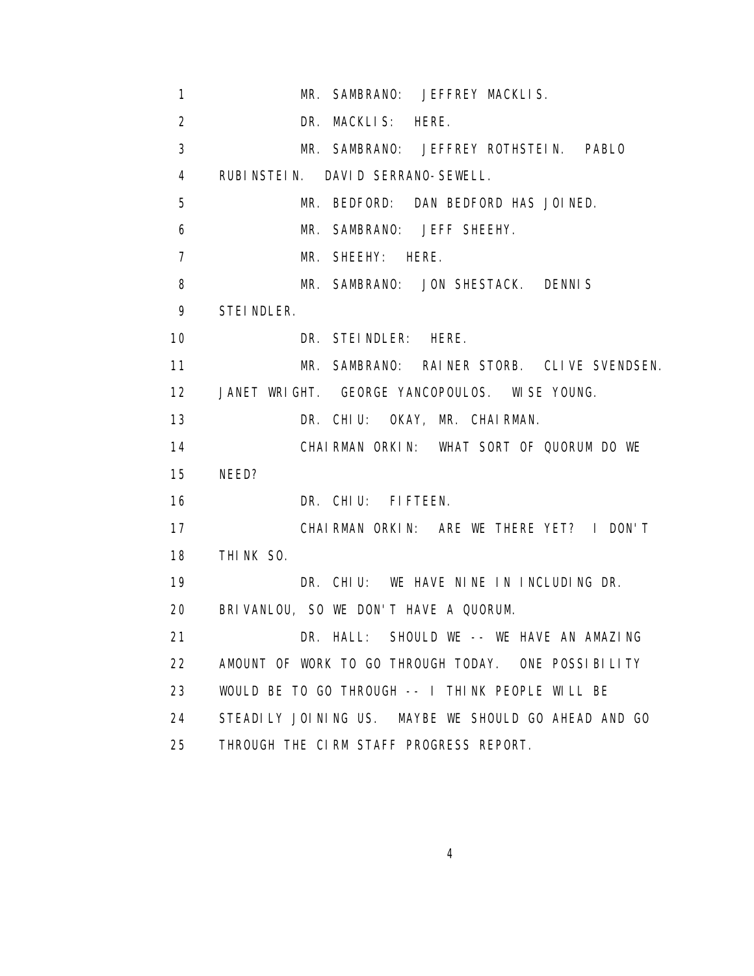| $\mathbf{1}$   | MR. SAMBRANO: JEFFREY MACKLIS.                       |
|----------------|------------------------------------------------------|
| $\overline{2}$ | DR. MACKLIS: HERE.                                   |
| 3              | MR. SAMBRANO: JEFFREY ROTHSTEIN. PABLO               |
| $\overline{4}$ | RUBINSTEIN. DAVID SERRANO-SEWELL.                    |
| 5              | MR. BEDFORD: DAN BEDFORD HAS JOINED.                 |
| 6              | MR. SAMBRANO: JEFF SHEEHY.                           |
| $\overline{7}$ | MR. SHEEHY: HERE.                                    |
| 8              | MR. SAMBRANO: JON SHESTACK. DENNIS                   |
| 9              | STEI NDLER.                                          |
| 10             | DR. STEINDLER: HERE.                                 |
| 11             | MR. SAMBRANO: RAINER STORB. CLIVE SVENDSEN.          |
| 12             | JANET WRIGHT. GEORGE YANCOPOULOS. WISE YOUNG.        |
| 13             | DR. CHIU: OKAY, MR. CHAIRMAN.                        |
| 14             | CHAIRMAN ORKIN: WHAT SORT OF QUORUM DO WE            |
| 15             | NEED?                                                |
| 16             | DR. CHIU: FIFTEEN.                                   |
| 17             | CHAIRMAN ORKIN: ARE WE THERE YET? I DON'T            |
| 18             | THINK SO.                                            |
| 19             | DR. CHIU: WE HAVE NINE IN INCLUDING DR.              |
| 20             | BRIVANLOU, SO WE DON'T HAVE A QUORUM.                |
| 21             | DR. HALL: SHOULD WE -- WE HAVE AN AMAZING            |
| 22             | AMOUNT OF WORK TO GO THROUGH TODAY. ONE POSSIBILITY  |
| 23             | WOULD BE TO GO THROUGH -- I THINK PEOPLE WILL BE     |
| 24             | STEADILY JOINING US. MAYBE WE SHOULD GO AHEAD AND GO |
| 25             | THROUGH THE CIRM STAFF PROGRESS REPORT.              |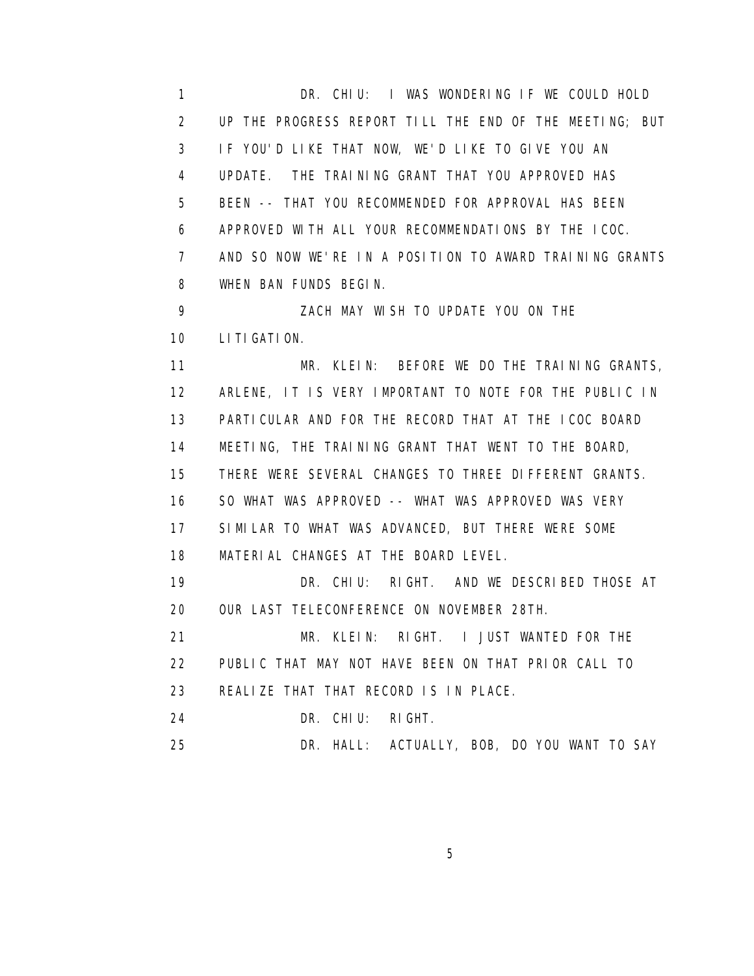1 DR. CHIU: I WAS WONDERING IF WE COULD HOLD 2 UP THE PROGRESS REPORT TILL THE END OF THE MEETING; BUT 3 IF YOU'D LIKE THAT NOW, WE'D LIKE TO GIVE YOU AN 4 UPDATE. THE TRAINING GRANT THAT YOU APPROVED HAS 5 BEEN -- THAT YOU RECOMMENDED FOR APPROVAL HAS BEEN 6 APPROVED WITH ALL YOUR RECOMMENDATIONS BY THE ICOC. 7 AND SO NOW WE'RE IN A POSITION TO AWARD TRAINING GRANTS 8 WHEN BAN FUNDS BEGIN. 9 ZACH MAY WISH TO UPDATE YOU ON THE 10 LITIGATION. 11 MR. KLEIN: BEFORE WE DO THE TRAINING GRANTS, 12 ARLENE, IT IS VERY IMPORTANT TO NOTE FOR THE PUBLIC IN 13 PARTICULAR AND FOR THE RECORD THAT AT THE ICOC BOARD 14 MEETING, THE TRAINING GRANT THAT WENT TO THE BOARD, 15 THERE WERE SEVERAL CHANGES TO THREE DIFFERENT GRANTS. 16 SO WHAT WAS APPROVED -- WHAT WAS APPROVED WAS VERY 17 SIMILAR TO WHAT WAS ADVANCED, BUT THERE WERE SOME 18 MATERIAL CHANGES AT THE BOARD LEVEL. 19 DR. CHIU: RIGHT. AND WE DESCRIBED THOSE AT 20 OUR LAST TELECONFERENCE ON NOVEMBER 28TH. 21 MR. KLEIN: RIGHT. I JUST WANTED FOR THE 22 PUBLIC THAT MAY NOT HAVE BEEN ON THAT PRIOR CALL TO 23 REALIZE THAT THAT RECORD IS IN PLACE. 24 DR. CHIU: RIGHT. 25 DR. HALL: ACTUALLY, BOB, DO YOU WANT TO SAY

 $\sim$  5  $\sim$  5  $\sim$  5  $\sim$  5  $\sim$  5  $\sim$  5  $\sim$  5  $\sim$  5  $\sim$  5  $\sim$  5  $\sim$  5  $\sim$  5  $\sim$  5  $\sim$  5  $\sim$  5  $\sim$  5  $\sim$  5  $\sim$  5  $\sim$  5  $\sim$  5  $\sim$  5  $\sim$  5  $\sim$  5  $\sim$  5  $\sim$  5  $\sim$  5  $\sim$  5  $\sim$  5  $\sim$  5  $\sim$  5  $\sim$  5  $\sim$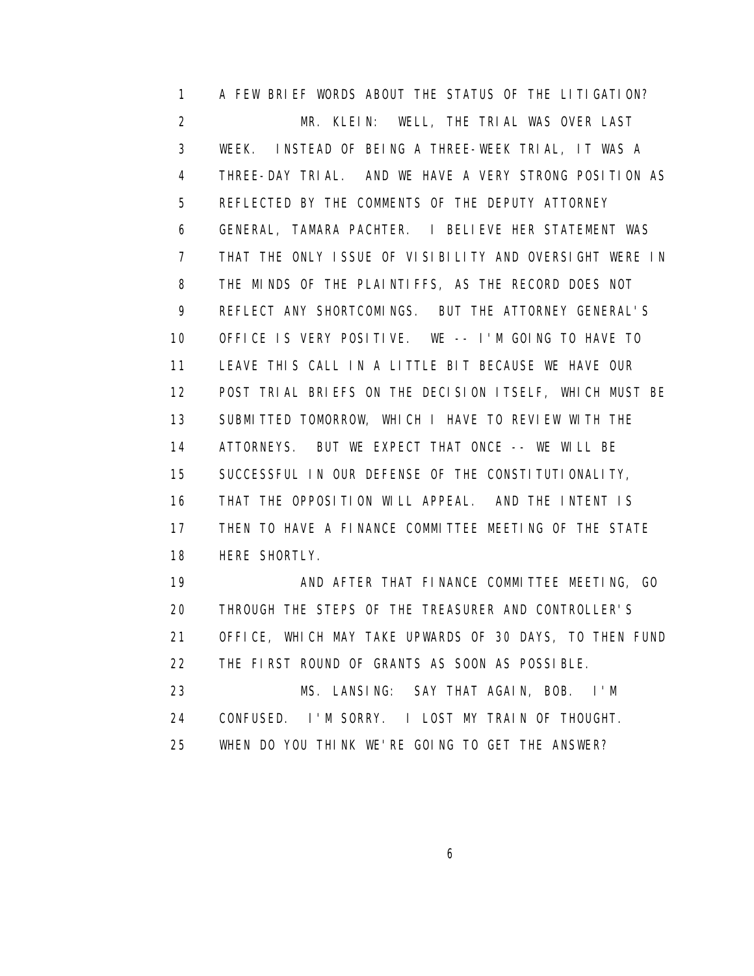1 A FEW BRIEF WORDS ABOUT THE STATUS OF THE LITIGATION? 2 MR. KLEIN: WELL, THE TRIAL WAS OVER LAST 3 WEEK. INSTEAD OF BEING A THREE-WEEK TRIAL, IT WAS A 4 THREE-DAY TRIAL. AND WE HAVE A VERY STRONG POSITION AS 5 REFLECTED BY THE COMMENTS OF THE DEPUTY ATTORNEY 6 GENERAL, TAMARA PACHTER. I BELIEVE HER STATEMENT WAS 7 THAT THE ONLY ISSUE OF VISIBILITY AND OVERSIGHT WERE IN 8 THE MINDS OF THE PLAINTIFFS, AS THE RECORD DOES NOT 9 REFLECT ANY SHORTCOMINGS. BUT THE ATTORNEY GENERAL'S 10 OFFICE IS VERY POSITIVE. WE -- I'M GOING TO HAVE TO 11 LEAVE THIS CALL IN A LITTLE BIT BECAUSE WE HAVE OUR 12 POST TRIAL BRIEFS ON THE DECISION ITSELF, WHICH MUST BE 13 SUBMITTED TOMORROW, WHICH I HAVE TO REVIEW WITH THE 14 ATTORNEYS. BUT WE EXPECT THAT ONCE -- WE WILL BE 15 SUCCESSFUL IN OUR DEFENSE OF THE CONSTITUTIONALITY, 16 THAT THE OPPOSITION WILL APPEAL. AND THE INTENT IS 17 THEN TO HAVE A FINANCE COMMITTEE MEETING OF THE STATE 18 HERE SHORTLY. 19 AND AFTER THAT FINANCE COMMITTEE MEETING, GO

 20 THROUGH THE STEPS OF THE TREASURER AND CONTROLLER'S 21 OFFICE, WHICH MAY TAKE UPWARDS OF 30 DAYS, TO THEN FUND 22 THE FIRST ROUND OF GRANTS AS SOON AS POSSIBLE. 23 MS. LANSING: SAY THAT AGAIN, BOB. I'M 24 CONFUSED. I'M SORRY. I LOST MY TRAIN OF THOUGHT. 25 WHEN DO YOU THINK WE'RE GOING TO GET THE ANSWER?

 $\sim$  6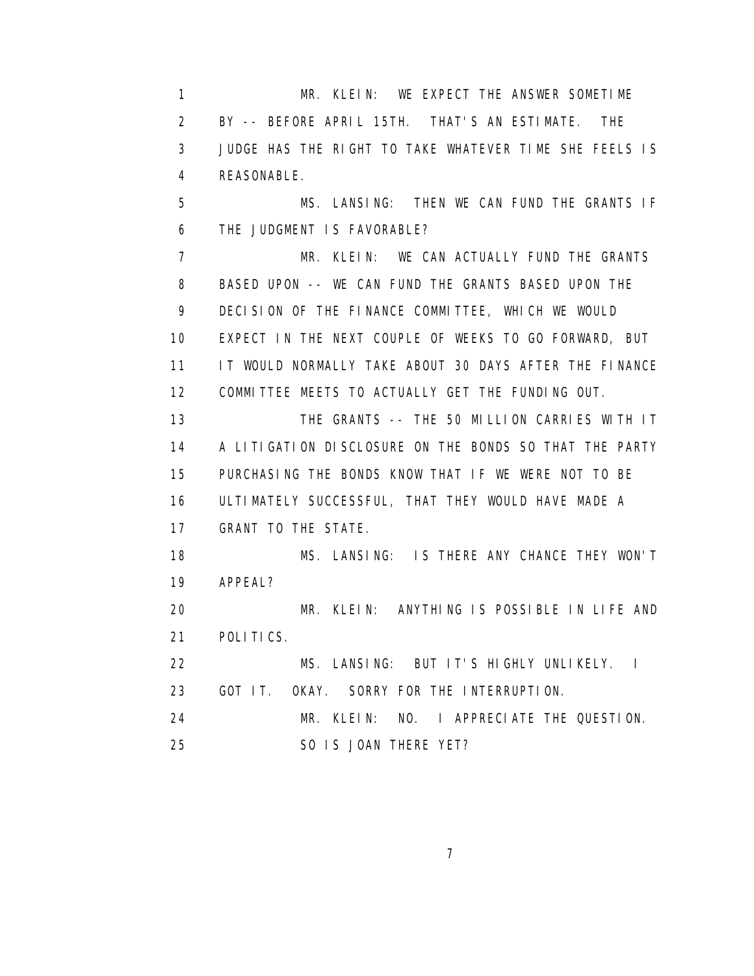1 MR. KLEIN: WE EXPECT THE ANSWER SOMETIME 2 BY -- BEFORE APRIL 15TH. THAT'S AN ESTIMATE. THE 3 JUDGE HAS THE RIGHT TO TAKE WHATEVER TIME SHE FEELS IS 4 REASONABLE. 5 MS. LANSING: THEN WE CAN FUND THE GRANTS IF 6 THE JUDGMENT IS FAVORABLE? 7 MR. KLEIN: WE CAN ACTUALLY FUND THE GRANTS 8 BASED UPON -- WE CAN FUND THE GRANTS BASED UPON THE 9 DECISION OF THE FINANCE COMMITTEE, WHICH WE WOULD 10 EXPECT IN THE NEXT COUPLE OF WEEKS TO GO FORWARD, BUT 11 IT WOULD NORMALLY TAKE ABOUT 30 DAYS AFTER THE FINANCE 12 COMMITTEE MEETS TO ACTUALLY GET THE FUNDING OUT. 13 THE GRANTS -- THE 50 MILLION CARRIES WITH IT 14 A LITIGATION DISCLOSURE ON THE BONDS SO THAT THE PARTY 15 PURCHASING THE BONDS KNOW THAT IF WE WERE NOT TO BE 16 ULTIMATELY SUCCESSFUL, THAT THEY WOULD HAVE MADE A 17 GRANT TO THE STATE. 18 MS. LANSING: IS THERE ANY CHANCE THEY WON'T 19 APPEAL? 20 MR. KLEIN: ANYTHING IS POSSIBLE IN LIFE AND 21 POLITICS. 22 MS. LANSING: BUT IT'S HIGHLY UNLIKELY. I 23 GOT IT. OKAY. SORRY FOR THE INTERRUPTION. 24 MR. KLEIN: NO. I APPRECIATE THE QUESTION. 25 SO IS JOAN THERE YET?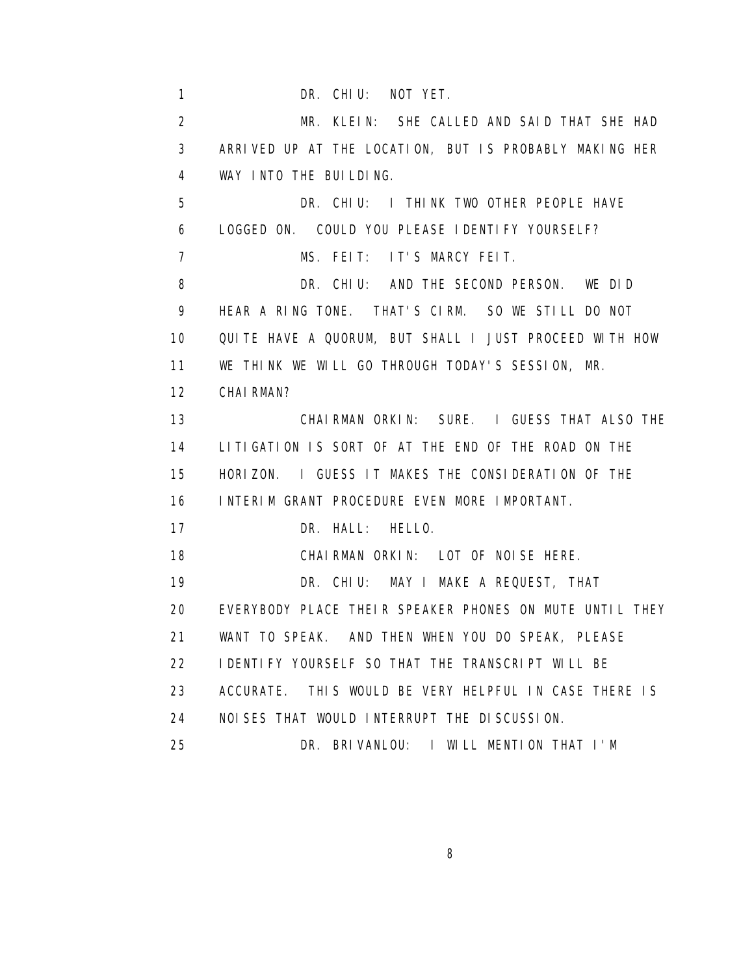1 DR. CHIU: NOT YET. 2 MR. KLEIN: SHE CALLED AND SAID THAT SHE HAD 3 ARRIVED UP AT THE LOCATION, BUT IS PROBABLY MAKING HER 4 WAY INTO THE BUILDING. 5 DR. CHIU: I THINK TWO OTHER PEOPLE HAVE 6 LOGGED ON. COULD YOU PLEASE IDENTIFY YOURSELF? 7 MS. FEIT: IT'S MARCY FEIT. 8 DR. CHIU: AND THE SECOND PERSON. WE DID 9 HEAR A RING TONE. THAT'S CIRM. SO WE STILL DO NOT 10 QUITE HAVE A QUORUM, BUT SHALL I JUST PROCEED WITH HOW 11 WE THINK WE WILL GO THROUGH TODAY'S SESSION, MR. 12 CHAIRMAN? 13 CHAIRMAN ORKIN: SURE. I GUESS THAT ALSO THE 14 LITIGATION IS SORT OF AT THE END OF THE ROAD ON THE 15 HORIZON. I GUESS IT MAKES THE CONSIDERATION OF THE 16 INTERIM GRANT PROCEDURE EVEN MORE IMPORTANT. 17 DR. HALL: HELLO. 18 CHAIRMAN ORKIN: LOT OF NOISE HERE. 19 DR. CHIU: MAY I MAKE A REQUEST, THAT 20 EVERYBODY PLACE THEIR SPEAKER PHONES ON MUTE UNTIL THEY 21 WANT TO SPEAK. AND THEN WHEN YOU DO SPEAK, PLEASE 22 **I DENTIFY YOURSELF SO THAT THE TRANSCRIPT WILL BE**  23 ACCURATE. THIS WOULD BE VERY HELPFUL IN CASE THERE IS 24 NOISES THAT WOULD INTERRUPT THE DISCUSSION. 25 DR. BRIVANLOU: I WILL MENTION THAT I'M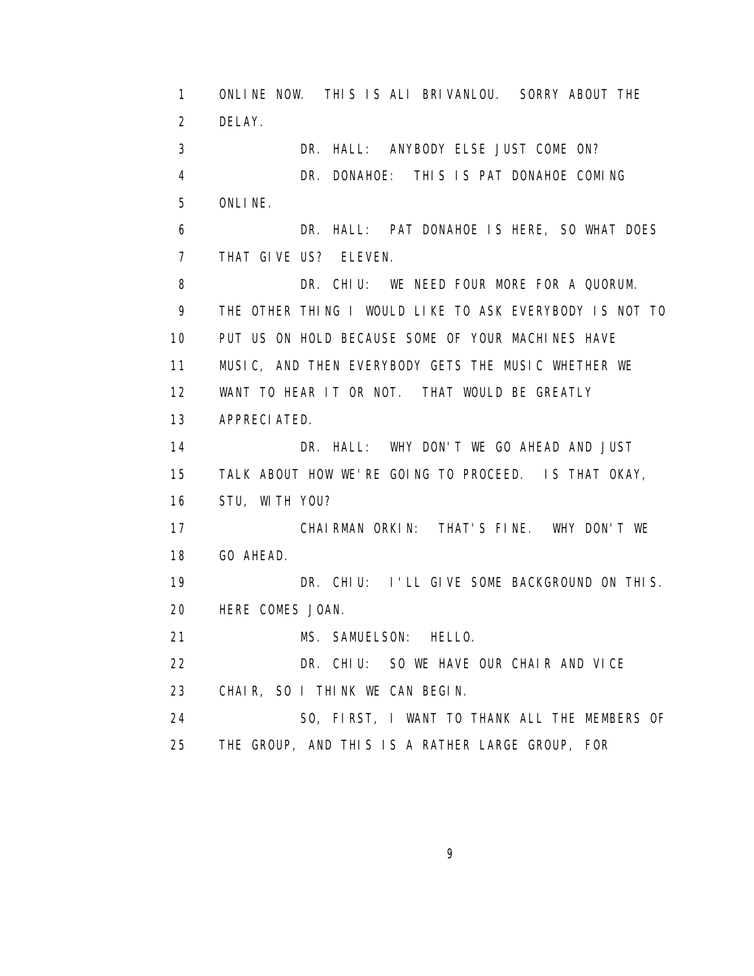1 ONLINE NOW. THIS IS ALI BRIVANLOU. SORRY ABOUT THE 2 DELAY. 3 DR. HALL: ANYBODY ELSE JUST COME ON? 4 DR. DONAHOE: THIS IS PAT DONAHOE COMING 5 ONLINE. 6 DR. HALL: PAT DONAHOE IS HERE, SO WHAT DOES 7 THAT GIVE US? ELEVEN. 8 DR. CHIU: WE NEED FOUR MORE FOR A QUORUM. 9 THE OTHER THING I WOULD LIKE TO ASK EVERYBODY IS NOT TO 10 PUT US ON HOLD BECAUSE SOME OF YOUR MACHINES HAVE 11 MUSIC, AND THEN EVERYBODY GETS THE MUSIC WHETHER WE 12 WANT TO HEAR IT OR NOT. THAT WOULD BE GREATLY 13 APPRECIATED. 14 DR. HALL: WHY DON'T WE GO AHEAD AND JUST 15 TALK ABOUT HOW WE'RE GOING TO PROCEED. IS THAT OKAY, 16 STU, WITH YOU? 17 CHAIRMAN ORKIN: THAT'S FINE. WHY DON'T WE 18 GO AHEAD. 19 DR. CHIU: I'LL GIVE SOME BACKGROUND ON THIS. 20 HERE COMES JOAN. 21 MS. SAMUELSON: HELLO. 22 DR. CHIU: SO WE HAVE OUR CHAIR AND VICE 23 CHAIR, SO I THINK WE CAN BEGIN. 24 SO, FIRST, I WANT TO THANK ALL THE MEMBERS OF 25 THE GROUP, AND THIS IS A RATHER LARGE GROUP, FOR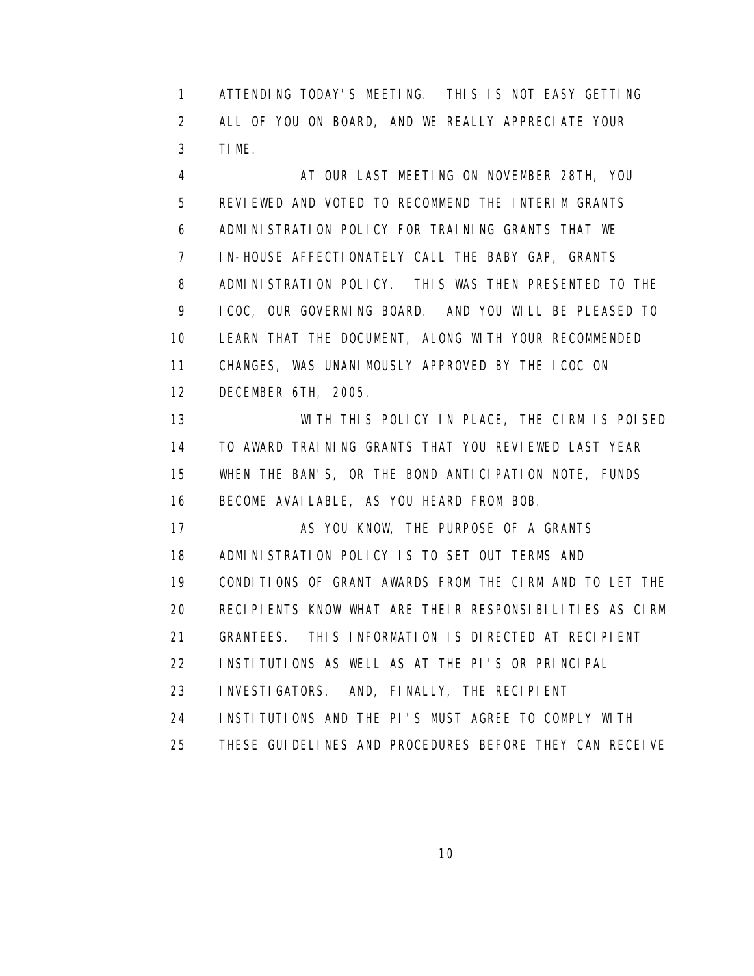1 ATTENDING TODAY'S MEETING. THIS IS NOT EASY GETTING 2 ALL OF YOU ON BOARD, AND WE REALLY APPRECIATE YOUR 3 TIME.

4 AT OUR LAST MEETING ON NOVEMBER 28TH, YOU 5 REVIEWED AND VOTED TO RECOMMEND THE INTERIM GRANTS 6 ADMINISTRATION POLICY FOR TRAINING GRANTS THAT WE 7 IN-HOUSE AFFECTIONATELY CALL THE BABY GAP, GRANTS 8 ADMINISTRATION POLICY. THIS WAS THEN PRESENTED TO THE 9 ICOC, OUR GOVERNING BOARD. AND YOU WILL BE PLEASED TO 10 LEARN THAT THE DOCUMENT, ALONG WITH YOUR RECOMMENDED 11 CHANGES, WAS UNANIMOUSLY APPROVED BY THE ICOC ON 12 DECEMBER 6TH, 2005.

 13 WITH THIS POLICY IN PLACE, THE CIRM IS POISED 14 TO AWARD TRAINING GRANTS THAT YOU REVIEWED LAST YEAR 15 WHEN THE BAN'S, OR THE BOND ANTICIPATION NOTE, FUNDS 16 BECOME AVAILABLE, AS YOU HEARD FROM BOB.

17 AS YOU KNOW, THE PURPOSE OF A GRANTS 18 ADMINISTRATION POLICY IS TO SET OUT TERMS AND 19 CONDITIONS OF GRANT AWARDS FROM THE CIRM AND TO LET THE 20 RECIPIENTS KNOW WHAT ARE THEIR RESPONSIBILITIES AS CIRM 21 GRANTEES. THIS INFORMATION IS DIRECTED AT RECIPIENT 22 INSTITUTIONS AS WELL AS AT THE PI'S OR PRINCIPAL 23 INVESTIGATORS. AND, FINALLY, THE RECIPIENT 24 INSTITUTIONS AND THE PI'S MUST AGREE TO COMPLY WITH

25 THESE GUIDELINES AND PROCEDURES BEFORE THEY CAN RECEIVE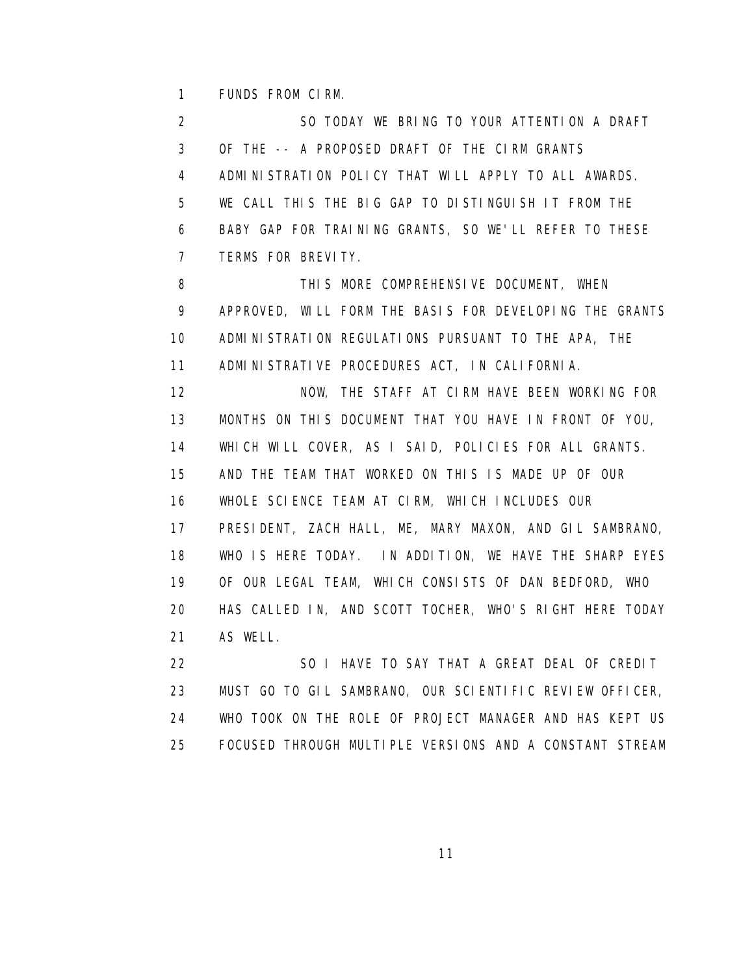1 FUNDS FROM CIRM.

 2 SO TODAY WE BRING TO YOUR ATTENTION A DRAFT 3 OF THE -- A PROPOSED DRAFT OF THE CIRM GRANTS 4 ADMINISTRATION POLICY THAT WILL APPLY TO ALL AWARDS. 5 WE CALL THIS THE BIG GAP TO DISTINGUISH IT FROM THE 6 BABY GAP FOR TRAINING GRANTS, SO WE'LL REFER TO THESE 7 TERMS FOR BREVITY.

8 THIS MORE COMPREHENSIVE DOCUMENT, WHEN 9 APPROVED, WILL FORM THE BASIS FOR DEVELOPING THE GRANTS 10 ADMINISTRATION REGULATIONS PURSUANT TO THE APA, THE 11 ADMINISTRATIVE PROCEDURES ACT, IN CALIFORNIA. 12 NOW, THE STAFF AT CIRM HAVE BEEN WORKING FOR 13 MONTHS ON THIS DOCUMENT THAT YOU HAVE IN FRONT OF YOU, 14 WHICH WILL COVER, AS I SAID, POLICIES FOR ALL GRANTS. 15 AND THE TEAM THAT WORKED ON THIS IS MADE UP OF OUR 16 WHOLE SCIENCE TEAM AT CIRM, WHICH INCLUDES OUR 17 PRESIDENT, ZACH HALL, ME, MARY MAXON, AND GIL SAMBRANO, 18 WHO IS HERE TODAY. IN ADDITION, WE HAVE THE SHARP EYES 19 OF OUR LEGAL TEAM, WHICH CONSISTS OF DAN BEDFORD, WHO 20 HAS CALLED IN, AND SCOTT TOCHER, WHO'S RIGHT HERE TODAY 21 AS WELL.

 22 SO I HAVE TO SAY THAT A GREAT DEAL OF CREDIT 23 MUST GO TO GIL SAMBRANO, OUR SCIENTIFIC REVIEW OFFICER, 24 WHO TOOK ON THE ROLE OF PROJECT MANAGER AND HAS KEPT US 25 FOCUSED THROUGH MULTIPLE VERSIONS AND A CONSTANT STREAM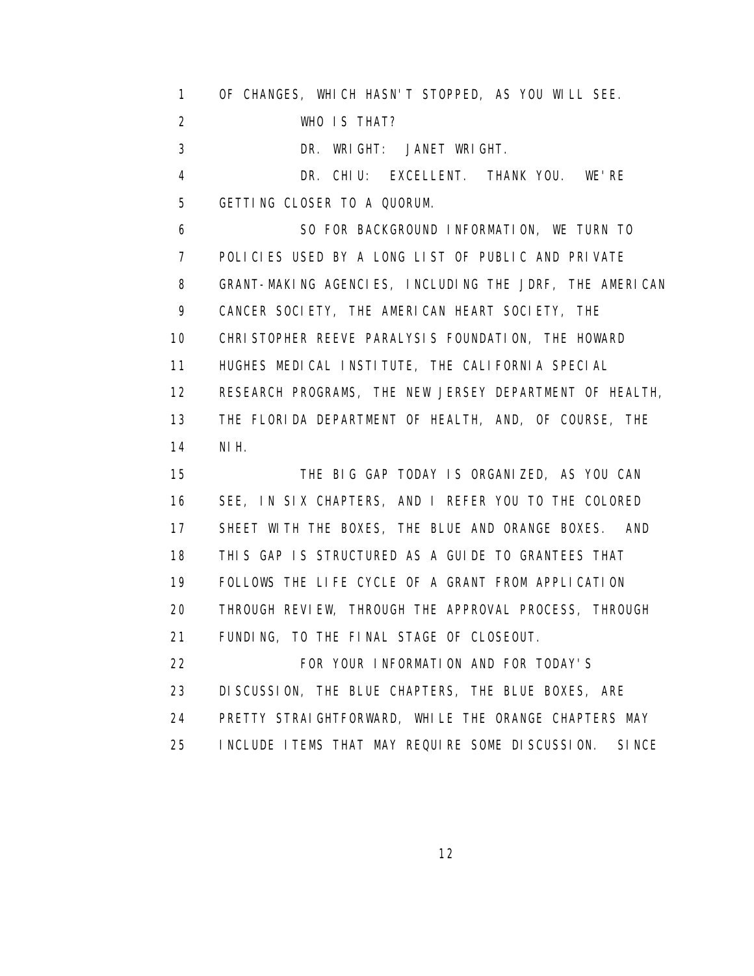1 OF CHANGES, WHICH HASN'T STOPPED, AS YOU WILL SEE. 2 WHO IS THAT? 3 DR. WRIGHT: JANET WRIGHT. 4 DR. CHIU: EXCELLENT. THANK YOU. WE'RE 5 GETTING CLOSER TO A QUORUM. 6 SO FOR BACKGROUND INFORMATION, WE TURN TO 7 POLICIES USED BY A LONG LIST OF PUBLIC AND PRIVATE 8 GRANT-MAKING AGENCIES, INCLUDING THE JDRF, THE AMERICAN 9 CANCER SOCIETY, THE AMERICAN HEART SOCIETY, THE 10 CHRISTOPHER REEVE PARALYSIS FOUNDATION, THE HOWARD 11 HUGHES MEDICAL INSTITUTE, THE CALIFORNIA SPECIAL 12 RESEARCH PROGRAMS, THE NEW JERSEY DEPARTMENT OF HEALTH, 13 THE FLORIDA DEPARTMENT OF HEALTH, AND, OF COURSE, THE 14 NIH. 15 THE BIG GAP TODAY IS ORGANIZED, AS YOU CAN 16 SEE, IN SIX CHAPTERS, AND I REFER YOU TO THE COLORED 17 SHEET WITH THE BOXES, THE BLUE AND ORANGE BOXES. AND 18 THIS GAP IS STRUCTURED AS A GUIDE TO GRANTEES THAT 19 FOLLOWS THE LIFE CYCLE OF A GRANT FROM APPLICATION 20 THROUGH REVIEW, THROUGH THE APPROVAL PROCESS, THROUGH 21 FUNDING, TO THE FINAL STAGE OF CLOSEOUT. 22 FOR YOUR INFORMATION AND FOR TODAY'S 23 DISCUSSION, THE BLUE CHAPTERS, THE BLUE BOXES, ARE 24 PRETTY STRAIGHTFORWARD, WHILE THE ORANGE CHAPTERS MAY 25 INCLUDE ITEMS THAT MAY REQUIRE SOME DISCUSSION. SINCE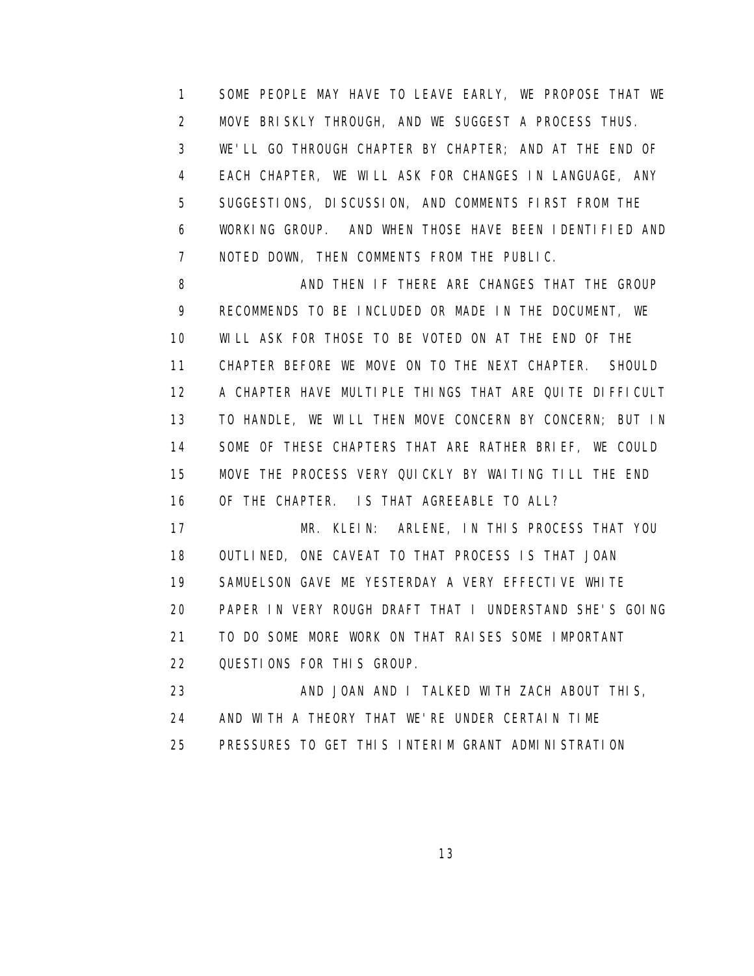1 SOME PEOPLE MAY HAVE TO LEAVE EARLY, WE PROPOSE THAT WE 2 MOVE BRISKLY THROUGH, AND WE SUGGEST A PROCESS THUS. 3 WE'LL GO THROUGH CHAPTER BY CHAPTER; AND AT THE END OF 4 EACH CHAPTER, WE WILL ASK FOR CHANGES IN LANGUAGE, ANY 5 SUGGESTIONS, DISCUSSION, AND COMMENTS FIRST FROM THE 6 WORKING GROUP. AND WHEN THOSE HAVE BEEN IDENTIFIED AND 7 NOTED DOWN, THEN COMMENTS FROM THE PUBLIC.

8 AND THEN IF THERE ARE CHANGES THAT THE GROUP 9 RECOMMENDS TO BE INCLUDED OR MADE IN THE DOCUMENT, WE 10 WILL ASK FOR THOSE TO BE VOTED ON AT THE END OF THE 11 CHAPTER BEFORE WE MOVE ON TO THE NEXT CHAPTER. SHOULD 12 A CHAPTER HAVE MULTIPLE THINGS THAT ARE QUITE DIFFICULT 13 TO HANDLE, WE WILL THEN MOVE CONCERN BY CONCERN; BUT IN 14 SOME OF THESE CHAPTERS THAT ARE RATHER BRIEF, WE COULD 15 MOVE THE PROCESS VERY QUICKLY BY WAITING TILL THE END 16 OF THE CHAPTER. IS THAT AGREEABLE TO ALL?

 17 MR. KLEIN: ARLENE, IN THIS PROCESS THAT YOU 18 OUTLINED, ONE CAVEAT TO THAT PROCESS IS THAT JOAN 19 SAMUELSON GAVE ME YESTERDAY A VERY EFFECTIVE WHITE 20 PAPER IN VERY ROUGH DRAFT THAT I UNDERSTAND SHE'S GOING 21 TO DO SOME MORE WORK ON THAT RAISES SOME IMPORTANT 22 QUESTIONS FOR THIS GROUP.

 23 AND JOAN AND I TALKED WITH ZACH ABOUT THIS, 24 AND WITH A THEORY THAT WE'RE UNDER CERTAIN TIME 25 PRESSURES TO GET THIS INTERIM GRANT ADMINISTRATION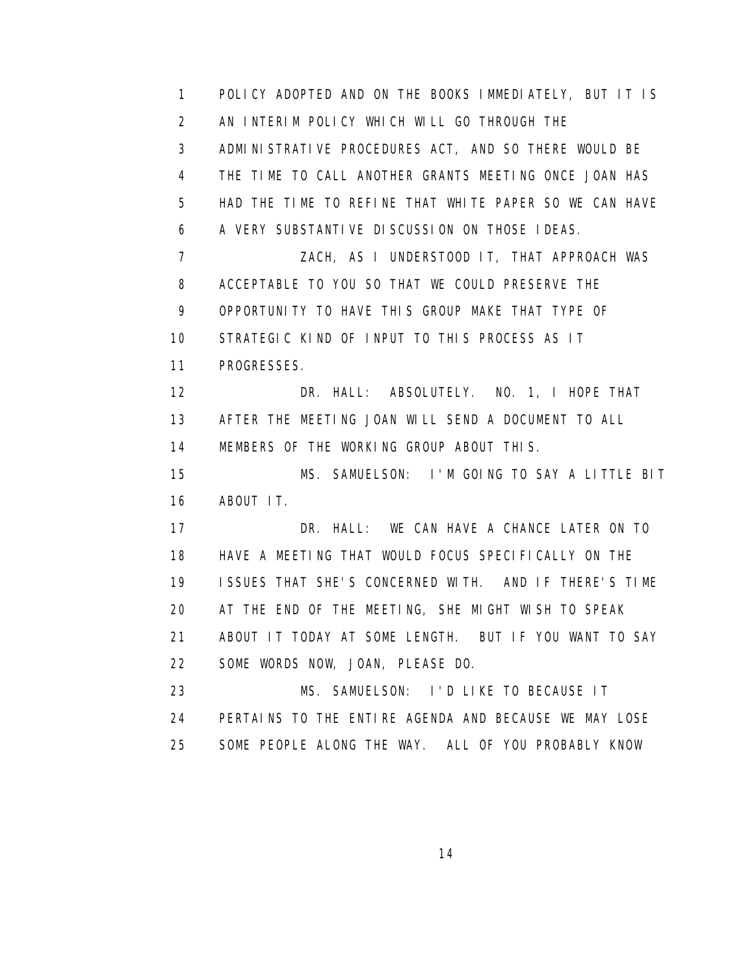1 POLICY ADOPTED AND ON THE BOOKS IMMEDIATELY, BUT IT IS 2 AN INTERIM POLICY WHICH WILL GO THROUGH THE 3 ADMINISTRATIVE PROCEDURES ACT, AND SO THERE WOULD BE 4 THE TIME TO CALL ANOTHER GRANTS MEETING ONCE JOAN HAS 5 HAD THE TIME TO REFINE THAT WHITE PAPER SO WE CAN HAVE 6 A VERY SUBSTANTIVE DISCUSSION ON THOSE IDEAS. 7 ZACH, AS I UNDERSTOOD IT, THAT APPROACH WAS 8 ACCEPTABLE TO YOU SO THAT WE COULD PRESERVE THE 9 OPPORTUNITY TO HAVE THIS GROUP MAKE THAT TYPE OF 10 STRATEGIC KIND OF INPUT TO THIS PROCESS AS IT 11 PROGRESSES. 12 DR. HALL: ABSOLUTELY. NO. 1, I HOPE THAT 13 AFTER THE MEETING JOAN WILL SEND A DOCUMENT TO ALL 14 MEMBERS OF THE WORKING GROUP ABOUT THIS. 15 MS. SAMUELSON: I'M GOING TO SAY A LITTLE BIT 16 ABOUT IT. 17 DR. HALL: WE CAN HAVE A CHANCE LATER ON TO 18 HAVE A MEETING THAT WOULD FOCUS SPECIFICALLY ON THE 19 ISSUES THAT SHE'S CONCERNED WITH. AND IF THERE'S TIME 20 AT THE END OF THE MEETING, SHE MIGHT WISH TO SPEAK 21 ABOUT IT TODAY AT SOME LENGTH. BUT IF YOU WANT TO SAY 22 SOME WORDS NOW, JOAN, PLEASE DO. 23 MS. SAMUELSON: I'D LIKE TO BECAUSE IT 24 PERTAINS TO THE ENTIRE AGENDA AND BECAUSE WE MAY LOSE 25 SOME PEOPLE ALONG THE WAY. ALL OF YOU PROBABLY KNOW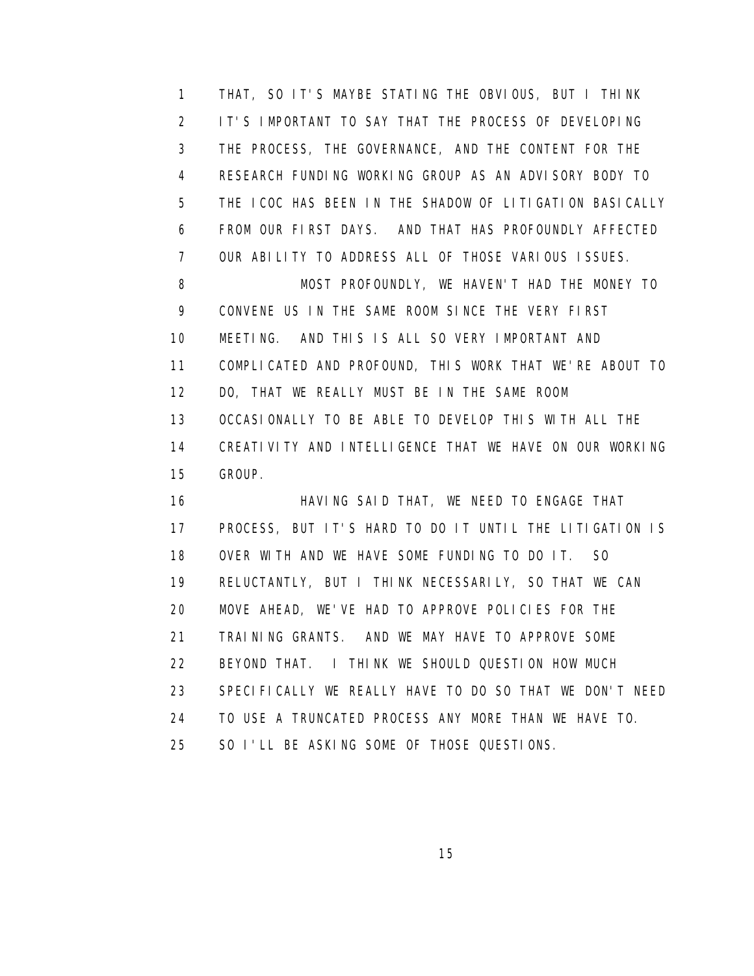1 THAT, SO IT'S MAYBE STATING THE OBVIOUS, BUT I THINK 2 IT'S IMPORTANT TO SAY THAT THE PROCESS OF DEVELOPING 3 THE PROCESS, THE GOVERNANCE, AND THE CONTENT FOR THE 4 RESEARCH FUNDING WORKING GROUP AS AN ADVISORY BODY TO 5 THE ICOC HAS BEEN IN THE SHADOW OF LITIGATION BASICALLY 6 FROM OUR FIRST DAYS. AND THAT HAS PROFOUNDLY AFFECTED 7 OUR ABILITY TO ADDRESS ALL OF THOSE VARIOUS ISSUES. 8 MOST PROFOUNDLY, WE HAVEN'T HAD THE MONEY TO 9 CONVENE US IN THE SAME ROOM SINCE THE VERY FIRST 10 MEETING. AND THIS IS ALL SO VERY IMPORTANT AND 11 COMPLICATED AND PROFOUND, THIS WORK THAT WE'RE ABOUT TO 12 DO, THAT WE REALLY MUST BE IN THE SAME ROOM 13 OCCASIONALLY TO BE ABLE TO DEVELOP THIS WITH ALL THE 14 CREATIVITY AND INTELLIGENCE THAT WE HAVE ON OUR WORKING 15 GROUP.

 16 HAVING SAID THAT, WE NEED TO ENGAGE THAT 17 PROCESS, BUT IT'S HARD TO DO IT UNTIL THE LITIGATION IS 18 OVER WITH AND WE HAVE SOME FUNDING TO DO IT. SO 19 RELUCTANTLY, BUT I THINK NECESSARILY, SO THAT WE CAN 20 MOVE AHEAD, WE'VE HAD TO APPROVE POLICIES FOR THE 21 TRAINING GRANTS. AND WE MAY HAVE TO APPROVE SOME 22 BEYOND THAT. I THINK WE SHOULD QUESTION HOW MUCH 23 SPECIFICALLY WE REALLY HAVE TO DO SO THAT WE DON'T NEED 24 TO USE A TRUNCATED PROCESS ANY MORE THAN WE HAVE TO. 25 SO I'LL BE ASKING SOME OF THOSE QUESTIONS.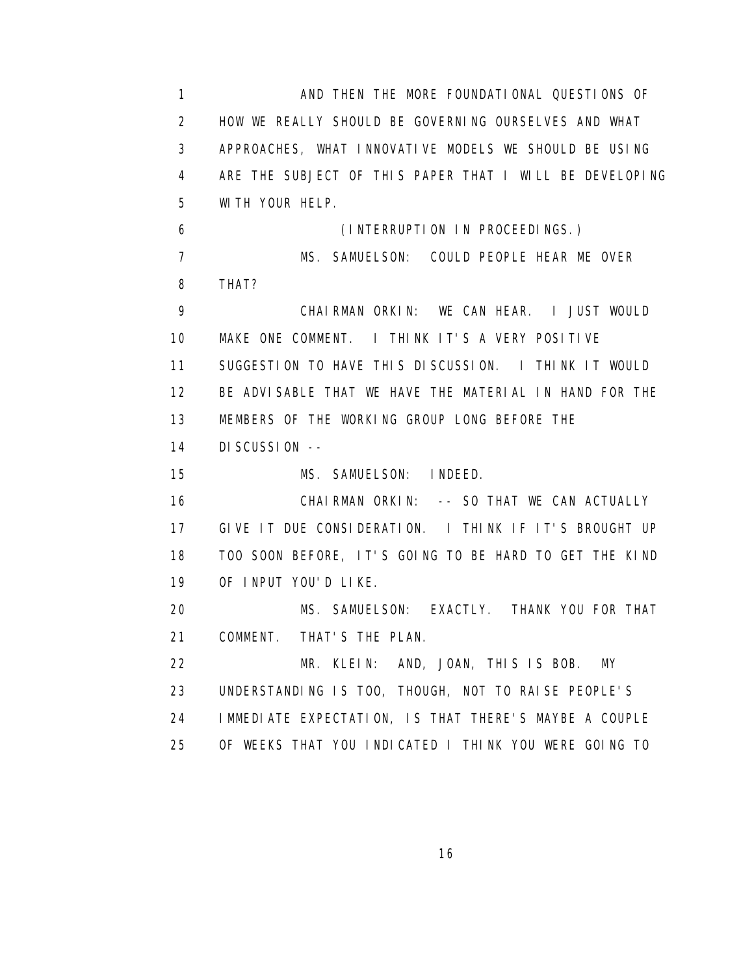1 AND THEN THE MORE FOUNDATIONAL QUESTIONS OF 2 HOW WE REALLY SHOULD BE GOVERNING OURSELVES AND WHAT 3 APPROACHES, WHAT INNOVATIVE MODELS WE SHOULD BE USING 4 ARE THE SUBJECT OF THIS PAPER THAT I WILL BE DEVELOPING 5 WITH YOUR HELP. 6 (INTERRUPTION IN PROCEEDINGS.) 7 MS. SAMUELSON: COULD PEOPLE HEAR ME OVER 8 THAT? 9 CHAIRMAN ORKIN: WE CAN HEAR. I JUST WOULD 10 MAKE ONE COMMENT. I THINK IT'S A VERY POSITIVE 11 SUGGESTION TO HAVE THIS DISCUSSION. I THINK IT WOULD 12 BE ADVISABLE THAT WE HAVE THE MATERIAL IN HAND FOR THE 13 MEMBERS OF THE WORKING GROUP LONG BEFORE THE 14 DISCUSSION -- 15 MS. SAMUELSON: INDEED. 16 CHAIRMAN ORKIN: -- SO THAT WE CAN ACTUALLY 17 GIVE IT DUE CONSIDERATION. I THINK IF IT'S BROUGHT UP 18 TOO SOON BEFORE, IT'S GOING TO BE HARD TO GET THE KIND 19 OF INPUT YOU'D LIKE. 20 MS. SAMUELSON: EXACTLY. THANK YOU FOR THAT 21 COMMENT. THAT'S THE PLAN. 22 MR. KLEIN: AND, JOAN, THIS IS BOB. MY 23 UNDERSTANDING IS TOO, THOUGH, NOT TO RAISE PEOPLE'S 24 IMMEDIATE EXPECTATION, IS THAT THERE'S MAYBE A COUPLE 25 OF WEEKS THAT YOU INDICATED I THINK YOU WERE GOING TO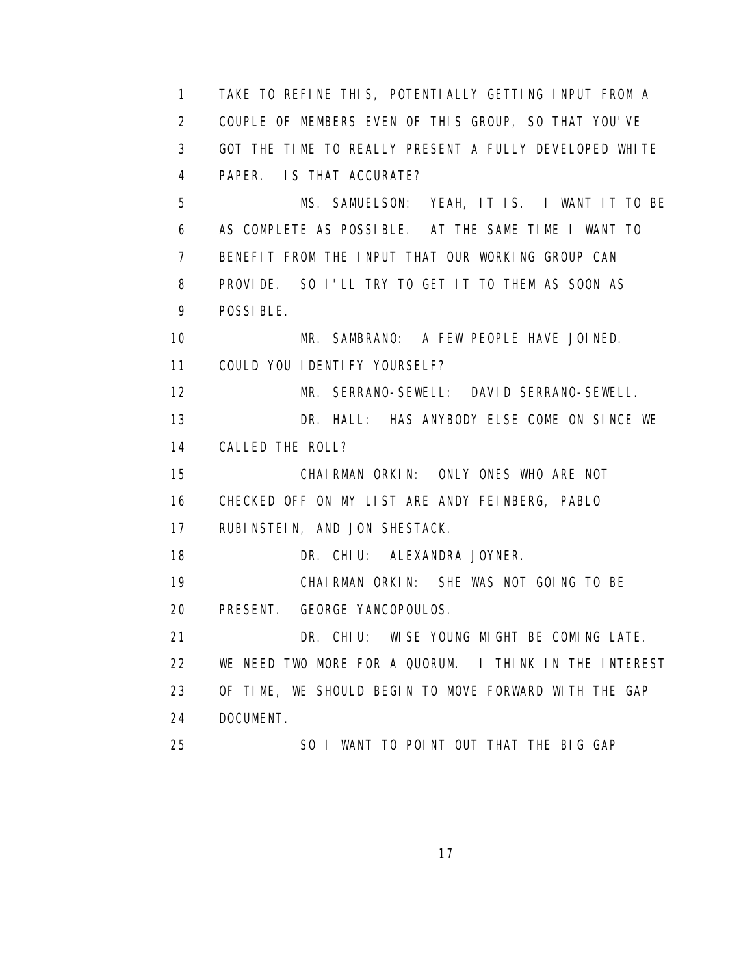1 TAKE TO REFINE THIS, POTENTIALLY GETTING INPUT FROM A 2 COUPLE OF MEMBERS EVEN OF THIS GROUP, SO THAT YOU'VE 3 GOT THE TIME TO REALLY PRESENT A FULLY DEVELOPED WHITE 4 PAPER. IS THAT ACCURATE? 5 MS. SAMUELSON: YEAH, IT IS. I WANT IT TO BE 6 AS COMPLETE AS POSSIBLE. AT THE SAME TIME I WANT TO 7 BENEFIT FROM THE INPUT THAT OUR WORKING GROUP CAN 8 PROVIDE. SO I'LL TRY TO GET IT TO THEM AS SOON AS 9 POSSIBLE. 10 MR. SAMBRANO: A FEW PEOPLE HAVE JOINED. 11 COULD YOU IDENTIFY YOURSELF? 12 MR. SERRANO-SEWELL: DAVID SERRANO-SEWELL. 13 DR. HALL: HAS ANYBODY ELSE COME ON SINCE WE 14 CALLED THE ROLL? 15 CHAIRMAN ORKIN: ONLY ONES WHO ARE NOT 16 CHECKED OFF ON MY LIST ARE ANDY FEINBERG, PABLO 17 RUBINSTEIN, AND JON SHESTACK. 18 DR. CHIU: ALEXANDRA JOYNER. 19 CHAIRMAN ORKIN: SHE WAS NOT GOING TO BE 20 PRESENT. GEORGE YANCOPOULOS. 21 DR. CHIU: WISE YOUNG MIGHT BE COMING LATE. 22 WE NEED TWO MORE FOR A QUORUM. I THINK IN THE INTEREST 23 OF TIME, WE SHOULD BEGIN TO MOVE FORWARD WITH THE GAP 24 DOCUMENT. 25 SO I WANT TO POINT OUT THAT THE BIG GAP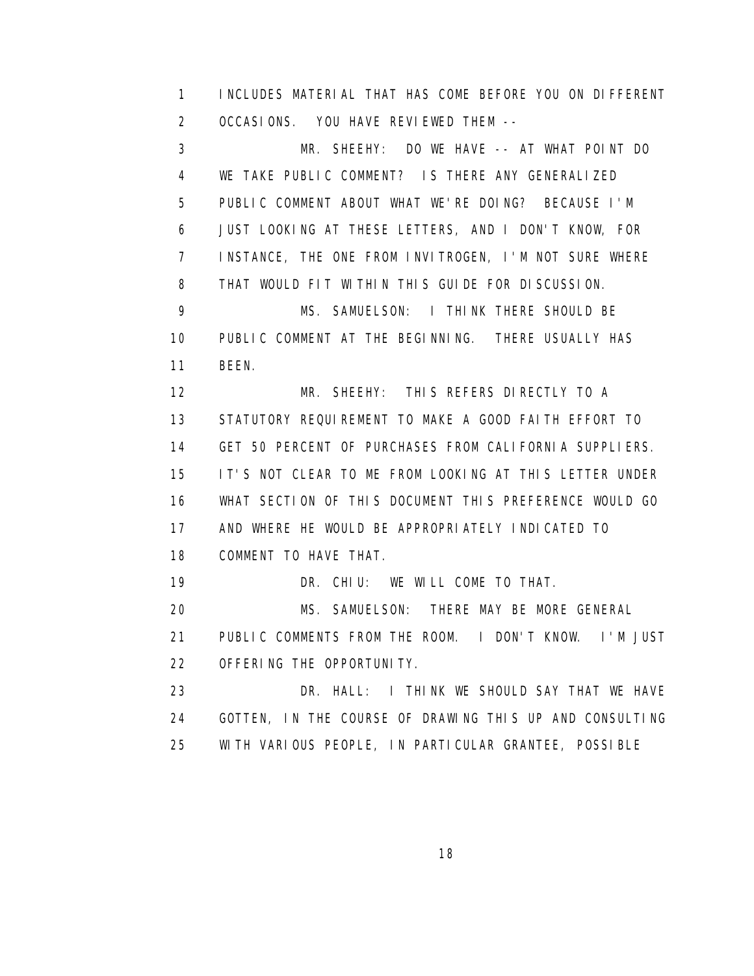1 INCLUDES MATERIAL THAT HAS COME BEFORE YOU ON DIFFERENT 2 OCCASIONS. YOU HAVE REVIEWED THEM --

 3 MR. SHEEHY: DO WE HAVE -- AT WHAT POINT DO 4 WE TAKE PUBLIC COMMENT? IS THERE ANY GENERALIZED 5 PUBLIC COMMENT ABOUT WHAT WE'RE DOING? BECAUSE I'M 6 JUST LOOKING AT THESE LETTERS, AND I DON'T KNOW, FOR 7 INSTANCE, THE ONE FROM INVITROGEN, I'M NOT SURE WHERE 8 THAT WOULD FIT WITHIN THIS GUIDE FOR DISCUSSION. 9 MS. SAMUELSON: I THINK THERE SHOULD BE 10 PUBLIC COMMENT AT THE BEGINNING. THERE USUALLY HAS 11 BEEN. 12 MR. SHEEHY: THIS REFERS DIRECTLY TO A 13 STATUTORY REQUIREMENT TO MAKE A GOOD FAITH EFFORT TO 14 GET 50 PERCENT OF PURCHASES FROM CALIFORNIA SUPPLIERS. 15 IT'S NOT CLEAR TO ME FROM LOOKING AT THIS LETTER UNDER 16 WHAT SECTION OF THIS DOCUMENT THIS PREFERENCE WOULD GO 17 AND WHERE HE WOULD BE APPROPRIATELY INDICATED TO 18 COMMENT TO HAVE THAT. 19 DR. CHIU: WE WILL COME TO THAT. 20 MS. SAMUELSON: THERE MAY BE MORE GENERAL 21 PUBLIC COMMENTS FROM THE ROOM. I DON'T KNOW. I'M JUST 22 OFFERING THE OPPORTUNITY. 23 DR. HALL: I THINK WE SHOULD SAY THAT WE HAVE 24 GOTTEN, IN THE COURSE OF DRAWING THIS UP AND CONSULTING

25 WITH VARIOUS PEOPLE, IN PARTICULAR GRANTEE, POSSIBLE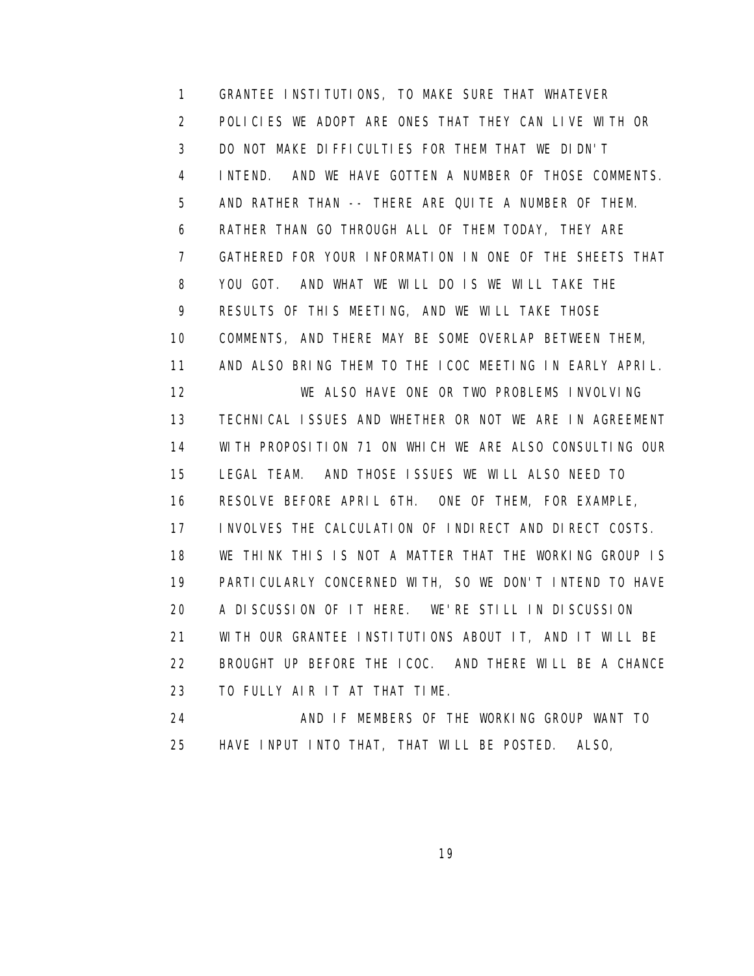1 GRANTEE INSTITUTIONS, TO MAKE SURE THAT WHATEVER 2 POLICIES WE ADOPT ARE ONES THAT THEY CAN LIVE WITH OR 3 DO NOT MAKE DIFFICULTIES FOR THEM THAT WE DIDN'T 4 INTEND. AND WE HAVE GOTTEN A NUMBER OF THOSE COMMENTS. 5 AND RATHER THAN -- THERE ARE QUITE A NUMBER OF THEM. 6 RATHER THAN GO THROUGH ALL OF THEM TODAY, THEY ARE 7 GATHERED FOR YOUR INFORMATION IN ONE OF THE SHEETS THAT 8 YOU GOT. AND WHAT WE WILL DO IS WE WILL TAKE THE 9 RESULTS OF THIS MEETING, AND WE WILL TAKE THOSE 10 COMMENTS, AND THERE MAY BE SOME OVERLAP BETWEEN THEM, 11 AND ALSO BRING THEM TO THE ICOC MEETING IN EARLY APRIL. 12 WE ALSO HAVE ONE OR TWO PROBLEMS INVOLVING 13 TECHNICAL ISSUES AND WHETHER OR NOT WE ARE IN AGREEMENT 14 WITH PROPOSITION 71 ON WHICH WE ARE ALSO CONSULTING OUR 15 LEGAL TEAM. AND THOSE ISSUES WE WILL ALSO NEED TO 16 RESOLVE BEFORE APRIL 6TH. ONE OF THEM, FOR EXAMPLE, 17 INVOLVES THE CALCULATION OF INDIRECT AND DIRECT COSTS. 18 WE THINK THIS IS NOT A MATTER THAT THE WORKING GROUP IS 19 PARTICULARLY CONCERNED WITH, SO WE DON'T INTEND TO HAVE 20 A DISCUSSION OF IT HERE. WE'RE STILL IN DISCUSSION 21 WITH OUR GRANTEE INSTITUTIONS ABOUT IT, AND IT WILL BE 22 BROUGHT UP BEFORE THE ICOC. AND THERE WILL BE A CHANCE 23 TO FULLY AIR IT AT THAT TIME. 24 AND IF MEMBERS OF THE WORKING GROUP WANT TO

25 HAVE INPUT INTO THAT, THAT WILL BE POSTED. ALSO,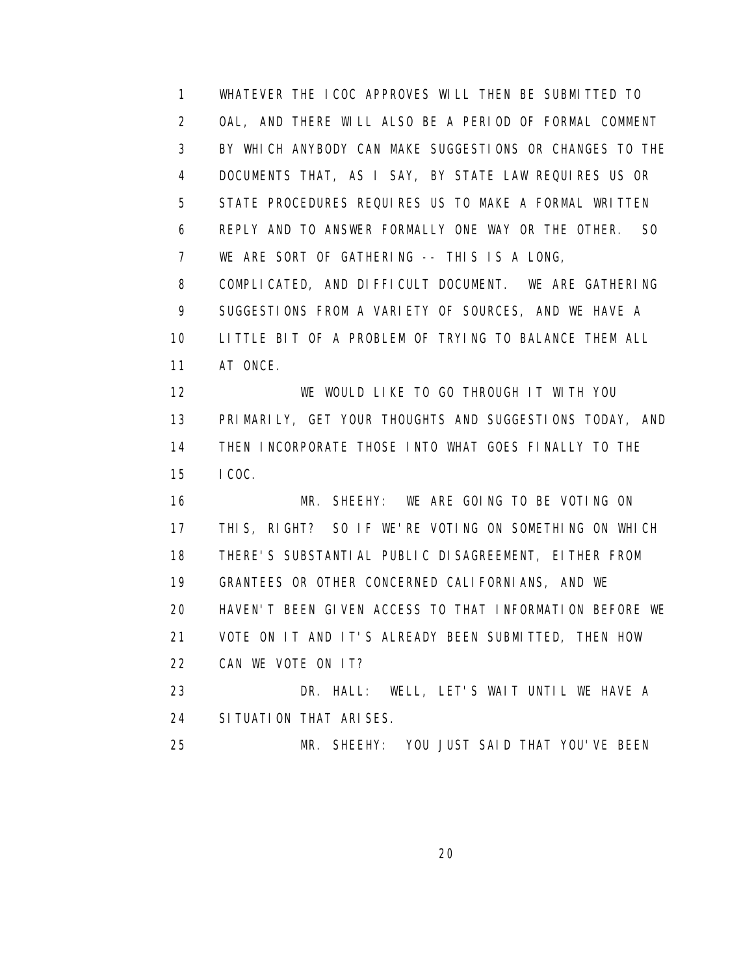1 WHATEVER THE ICOC APPROVES WILL THEN BE SUBMITTED TO 2 OAL, AND THERE WILL ALSO BE A PERIOD OF FORMAL COMMENT 3 BY WHICH ANYBODY CAN MAKE SUGGESTIONS OR CHANGES TO THE 4 DOCUMENTS THAT, AS I SAY, BY STATE LAW REQUIRES US OR 5 STATE PROCEDURES REQUIRES US TO MAKE A FORMAL WRITTEN 6 REPLY AND TO ANSWER FORMALLY ONE WAY OR THE OTHER. SO 7 WE ARE SORT OF GATHERING -- THIS IS A LONG, 8 COMPLICATED, AND DIFFICULT DOCUMENT. WE ARE GATHERING 9 SUGGESTIONS FROM A VARIETY OF SOURCES, AND WE HAVE A 10 LITTLE BIT OF A PROBLEM OF TRYING TO BALANCE THEM ALL 11 AT ONCE. 12 WE WOULD LIKE TO GO THROUGH IT WITH YOU 13 PRIMARILY, GET YOUR THOUGHTS AND SUGGESTIONS TODAY, AND 14 THEN INCORPORATE THOSE INTO WHAT GOES FINALLY TO THE 15 ICOC. 16 MR. SHEEHY: WE ARE GOING TO BE VOTING ON 17 THIS, RIGHT? SO IF WE'RE VOTING ON SOMETHING ON WHICH 18 THERE'S SUBSTANTIAL PUBLIC DISAGREEMENT, EITHER FROM 19 GRANTEES OR OTHER CONCERNED CALIFORNIANS, AND WE 20 HAVEN'T BEEN GIVEN ACCESS TO THAT INFORMATION BEFORE WE 21 VOTE ON IT AND IT'S ALREADY BEEN SUBMITTED, THEN HOW 22 CAN WE VOTE ON IT? 23 DR. HALL: WELL, LET'S WAIT UNTIL WE HAVE A 24 SITUATION THAT ARISES.

25 MR. SHEEHY: YOU JUST SAID THAT YOU'VE BEEN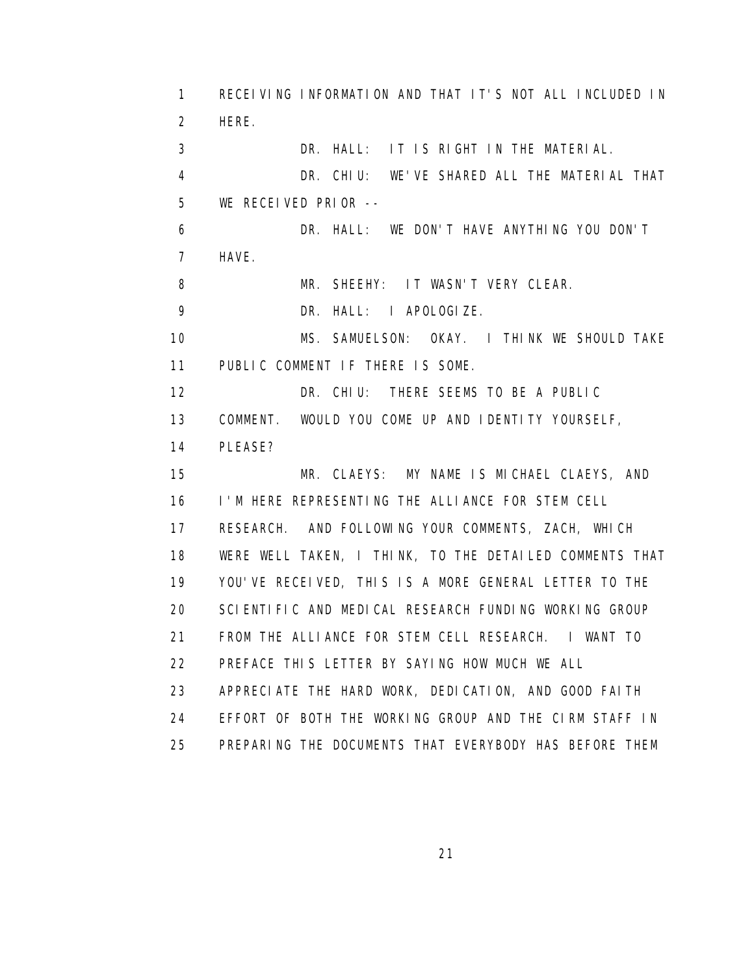1 RECEIVING INFORMATION AND THAT IT'S NOT ALL INCLUDED IN 2 HERE. 3 DR. HALL: IT IS RIGHT IN THE MATERIAL. 4 DR. CHIU: WE'VE SHARED ALL THE MATERIAL THAT 5 WE RECEIVED PRIOR -- 6 DR. HALL: WE DON'T HAVE ANYTHING YOU DON'T 7 HAVE. 8 MR. SHEEHY: IT WASN'T VERY CLEAR. 9 DR. HALL: I APOLOGIZE. 10 MS. SAMUELSON: OKAY. I THINK WE SHOULD TAKE 11 PUBLIC COMMENT IF THERE IS SOME. 12 DR. CHIU: THERE SEEMS TO BE A PUBLIC 13 COMMENT. WOULD YOU COME UP AND IDENTITY YOURSELF, 14 PLEASE? 15 MR. CLAEYS: MY NAME IS MICHAEL CLAEYS, AND 16 I'M HERE REPRESENTING THE ALLIANCE FOR STEM CELL 17 RESEARCH. AND FOLLOWING YOUR COMMENTS, ZACH, WHICH 18 WERE WELL TAKEN, I THINK, TO THE DETAILED COMMENTS THAT 19 YOU'VE RECEIVED, THIS IS A MORE GENERAL LETTER TO THE 20 SCIENTIFIC AND MEDICAL RESEARCH FUNDING WORKING GROUP 21 FROM THE ALLIANCE FOR STEM CELL RESEARCH. I WANT TO 22 PREFACE THIS LETTER BY SAYING HOW MUCH WE ALL 23 APPRECIATE THE HARD WORK, DEDICATION, AND GOOD FAITH 24 EFFORT OF BOTH THE WORKING GROUP AND THE CIRM STAFF IN 25 PREPARING THE DOCUMENTS THAT EVERYBODY HAS BEFORE THEM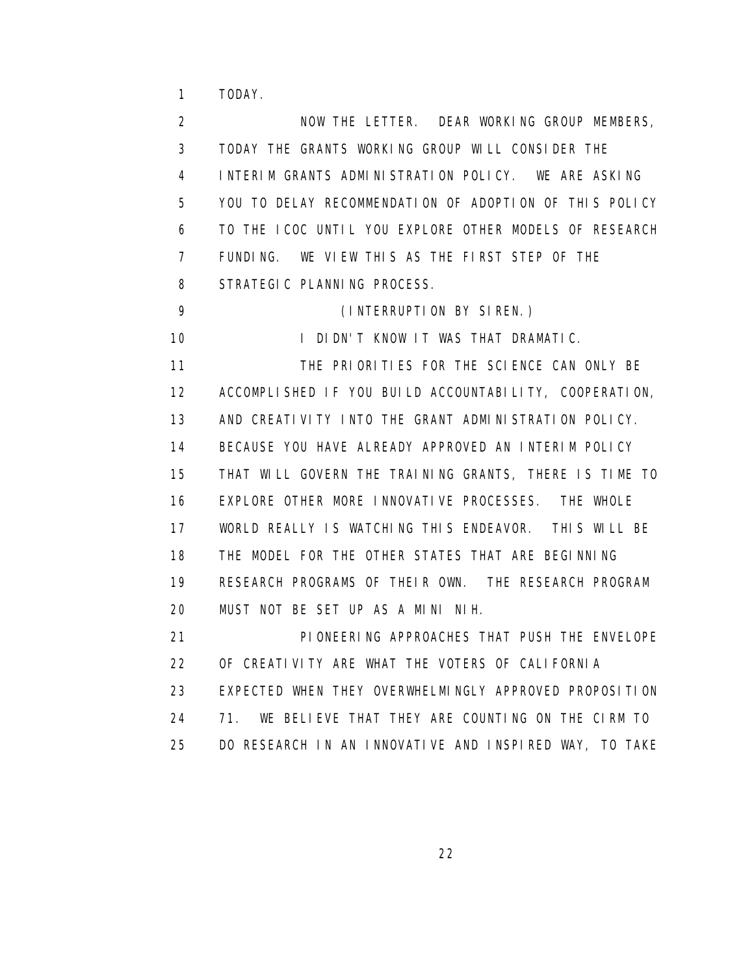1 TODAY.

 2 NOW THE LETTER. DEAR WORKING GROUP MEMBERS, 3 TODAY THE GRANTS WORKING GROUP WILL CONSIDER THE 4 INTERIM GRANTS ADMINISTRATION POLICY. WE ARE ASKING 5 YOU TO DELAY RECOMMENDATION OF ADOPTION OF THIS POLICY 6 TO THE ICOC UNTIL YOU EXPLORE OTHER MODELS OF RESEARCH 7 FUNDING. WE VIEW THIS AS THE FIRST STEP OF THE 8 STRATEGIC PLANNING PROCESS. 9 (INTERRUPTION BY SIREN.) 10 I DIDN'T KNOW IT WAS THAT DRAMATIC. 11 THE PRIORITIES FOR THE SCIENCE CAN ONLY BE 12 ACCOMPLISHED IF YOU BUILD ACCOUNTABILITY, COOPERATION, 13 AND CREATIVITY INTO THE GRANT ADMINISTRATION POLICY. 14 BECAUSE YOU HAVE ALREADY APPROVED AN INTERIM POLICY 15 THAT WILL GOVERN THE TRAINING GRANTS, THERE IS TIME TO 16 EXPLORE OTHER MORE INNOVATIVE PROCESSES. THE WHOLE 17 WORLD REALLY IS WATCHING THIS ENDEAVOR. THIS WILL BE 18 THE MODEL FOR THE OTHER STATES THAT ARE BEGINNING 19 RESEARCH PROGRAMS OF THEIR OWN. THE RESEARCH PROGRAM 20 MUST NOT BE SET UP AS A MINI NIH. 21 PIONEERING APPROACHES THAT PUSH THE ENVELOPE 22 OF CREATIVITY ARE WHAT THE VOTERS OF CALIFORNIA 23 EXPECTED WHEN THEY OVERWHELMINGLY APPROVED PROPOSITION 24 71. WE BELIEVE THAT THEY ARE COUNTING ON THE CIRM TO

<u>22</u>

25 DO RESEARCH IN AN INNOVATIVE AND INSPIRED WAY, TO TAKE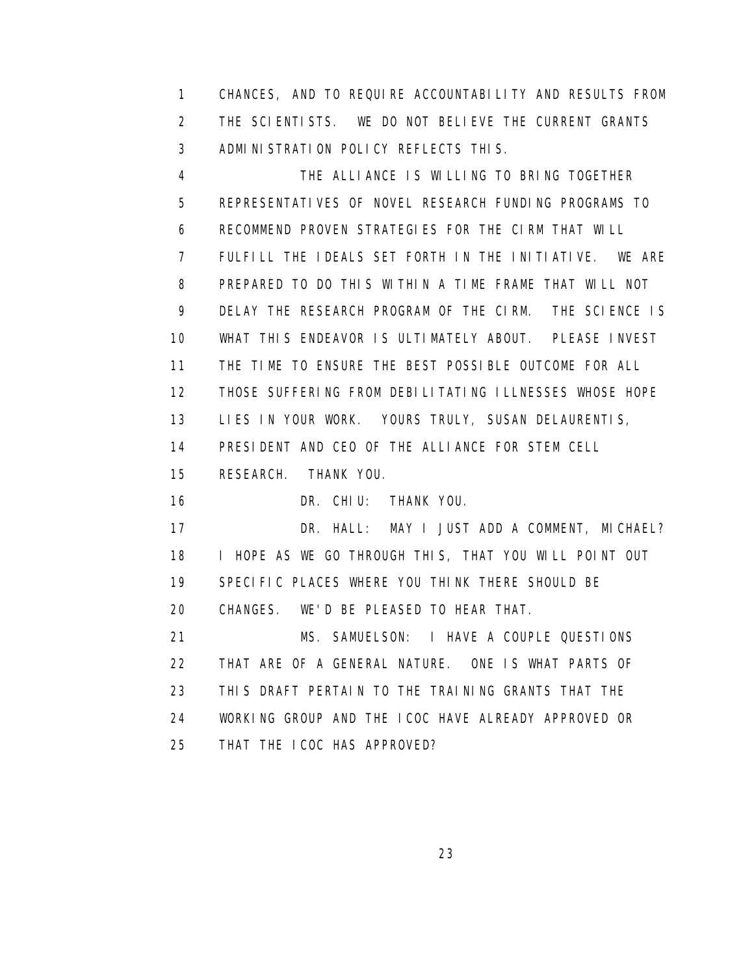1 CHANCES, AND TO REQUIRE ACCOUNTABILITY AND RESULTS FROM 2 THE SCIENTISTS. WE DO NOT BELIEVE THE CURRENT GRANTS 3 ADMINISTRATION POLICY REFLECTS THIS.

 4 THE ALLIANCE IS WILLING TO BRING TOGETHER 5 REPRESENTATIVES OF NOVEL RESEARCH FUNDING PROGRAMS TO 6 RECOMMEND PROVEN STRATEGIES FOR THE CIRM THAT WILL 7 FULFILL THE IDEALS SET FORTH IN THE INITIATIVE. WE ARE 8 PREPARED TO DO THIS WITHIN A TIME FRAME THAT WILL NOT 9 DELAY THE RESEARCH PROGRAM OF THE CIRM. THE SCIENCE IS 10 WHAT THIS ENDEAVOR IS ULTIMATELY ABOUT. PLEASE INVEST 11 THE TIME TO ENSURE THE BEST POSSIBLE OUTCOME FOR ALL 12 THOSE SUFFERING FROM DEBILITATING ILLNESSES WHOSE HOPE 13 LIES IN YOUR WORK. YOURS TRULY, SUSAN DELAURENTIS, 14 PRESIDENT AND CEO OF THE ALLIANCE FOR STEM CELL 15 RESEARCH. THANK YOU. 16 DR. CHIU: THANK YOU. 17 DR. HALL: MAY I JUST ADD A COMMENT, MICHAEL? 18 I HOPE AS WE GO THROUGH THIS, THAT YOU WILL POINT OUT 19 SPECIFIC PLACES WHERE YOU THINK THERE SHOULD BE 20 CHANGES. WE'D BE PLEASED TO HEAR THAT. 21 MS. SAMUELSON: I HAVE A COUPLE QUESTIONS 22 THAT ARE OF A GENERAL NATURE. ONE IS WHAT PARTS OF

23 THIS DRAFT PERTAIN TO THE TRAINING GRANTS THAT THE

 24 WORKING GROUP AND THE ICOC HAVE ALREADY APPROVED OR 25 THAT THE ICOC HAS APPROVED?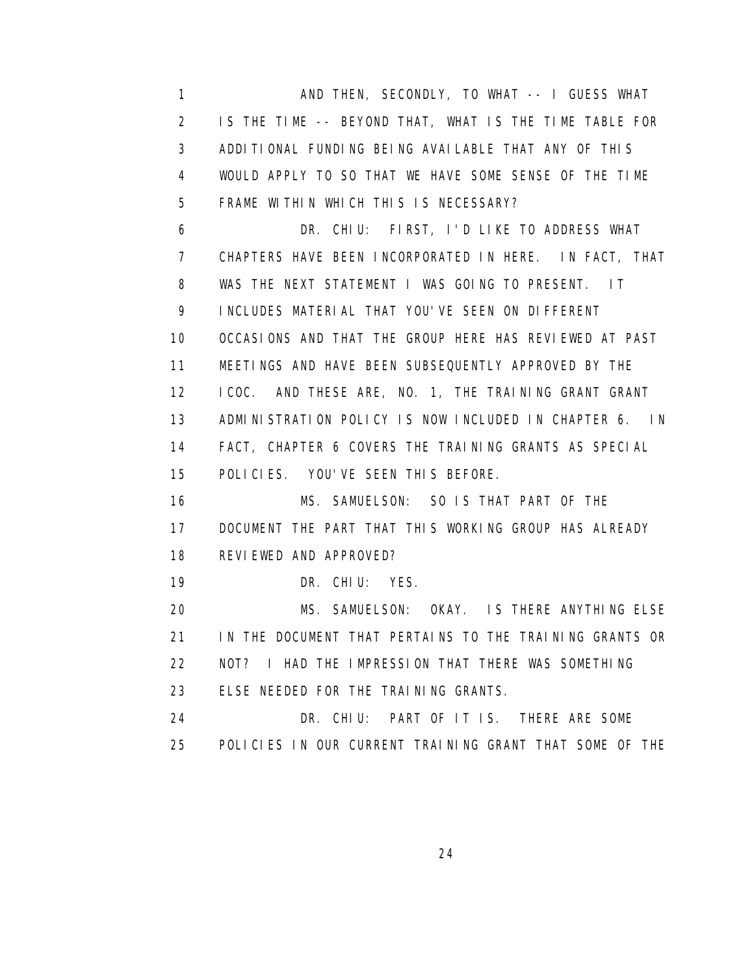1 AND THEN, SECONDLY, TO WHAT -- I GUESS WHAT 2 IS THE TIME -- BEYOND THAT, WHAT IS THE TIME TABLE FOR 3 ADDITIONAL FUNDING BEING AVAILABLE THAT ANY OF THIS 4 WOULD APPLY TO SO THAT WE HAVE SOME SENSE OF THE TIME 5 FRAME WITHIN WHICH THIS IS NECESSARY? 6 DR. CHIU: FIRST, I'D LIKE TO ADDRESS WHAT 7 CHAPTERS HAVE BEEN INCORPORATED IN HERE. IN FACT, THAT 8 WAS THE NEXT STATEMENT I WAS GOING TO PRESENT. IT 9 INCLUDES MATERIAL THAT YOU'VE SEEN ON DIFFERENT 10 OCCASIONS AND THAT THE GROUP HERE HAS REVIEWED AT PAST 11 MEETINGS AND HAVE BEEN SUBSEQUENTLY APPROVED BY THE 12 ICOC. AND THESE ARE, NO. 1, THE TRAINING GRANT GRANT 13 ADMINISTRATION POLICY IS NOW INCLUDED IN CHAPTER 6. IN 14 FACT, CHAPTER 6 COVERS THE TRAINING GRANTS AS SPECIAL 15 POLICIES. YOU'VE SEEN THIS BEFORE. 16 MS. SAMUELSON: SO IS THAT PART OF THE 17 DOCUMENT THE PART THAT THIS WORKING GROUP HAS ALREADY 18 REVIEWED AND APPROVED? 19 DR. CHIU: YES. 20 MS. SAMUELSON: OKAY. IS THERE ANYTHING ELSE 21 IN THE DOCUMENT THAT PERTAINS TO THE TRAINING GRANTS OR 22 NOT? I HAD THE IMPRESSION THAT THERE WAS SOMETHING 23 ELSE NEEDED FOR THE TRAINING GRANTS. 24 DR. CHIU: PART OF IT IS. THERE ARE SOME 25 POLICIES IN OUR CURRENT TRAINING GRANT THAT SOME OF THE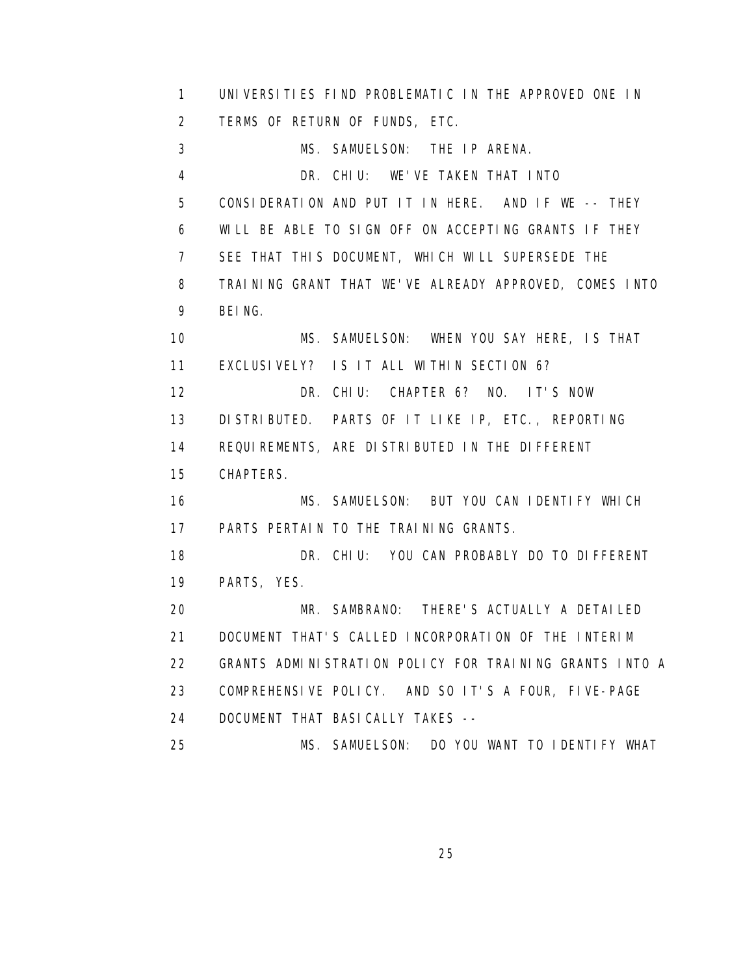1 UNIVERSITIES FIND PROBLEMATIC IN THE APPROVED ONE IN 2 TERMS OF RETURN OF FUNDS, ETC. 3 MS. SAMUELSON: THE IP ARENA. 4 DR. CHIU: WE'VE TAKEN THAT INTO 5 CONSIDERATION AND PUT IT IN HERE. AND IF WE -- THEY 6 WILL BE ABLE TO SIGN OFF ON ACCEPTING GRANTS IF THEY 7 SEE THAT THIS DOCUMENT, WHICH WILL SUPERSEDE THE 8 TRAINING GRANT THAT WE'VE ALREADY APPROVED, COMES INTO 9 BEING. 10 MS. SAMUELSON: WHEN YOU SAY HERE, IS THAT 11 EXCLUSIVELY? IS IT ALL WITHIN SECTION 6? 12 DR. CHIU: CHAPTER 6? NO. IT'S NOW 13 DISTRIBUTED. PARTS OF IT LIKE IP, ETC., REPORTING 14 REQUIREMENTS, ARE DISTRIBUTED IN THE DIFFERENT 15 CHAPTERS. 16 MS. SAMUELSON: BUT YOU CAN IDENTIFY WHICH 17 PARTS PERTAIN TO THE TRAINING GRANTS. 18 DR. CHIU: YOU CAN PROBABLY DO TO DIFFERENT 19 PARTS, YES. 20 MR. SAMBRANO: THERE'S ACTUALLY A DETAILED 21 DOCUMENT THAT'S CALLED INCORPORATION OF THE INTERIM 22 GRANTS ADMINISTRATION POLICY FOR TRAINING GRANTS INTO A 23 COMPREHENSIVE POLICY. AND SO IT'S A FOUR, FIVE-PAGE 24 DOCUMENT THAT BASICALLY TAKES -- 25 MS. SAMUELSON: DO YOU WANT TO IDENTIFY WHAT

<u>25 and 25 and 26 and 26 and 26 and 26 and 26 and 26 and 26 and 26 and 26 and 26 and 26 and 26 and 26 and 26 and 26 and 26 and 26 and 26 and 26 and 26 and 26 and 26 and 27 and 27 and 27 and 27 and 27 and 27 and 27 and 27 a</u>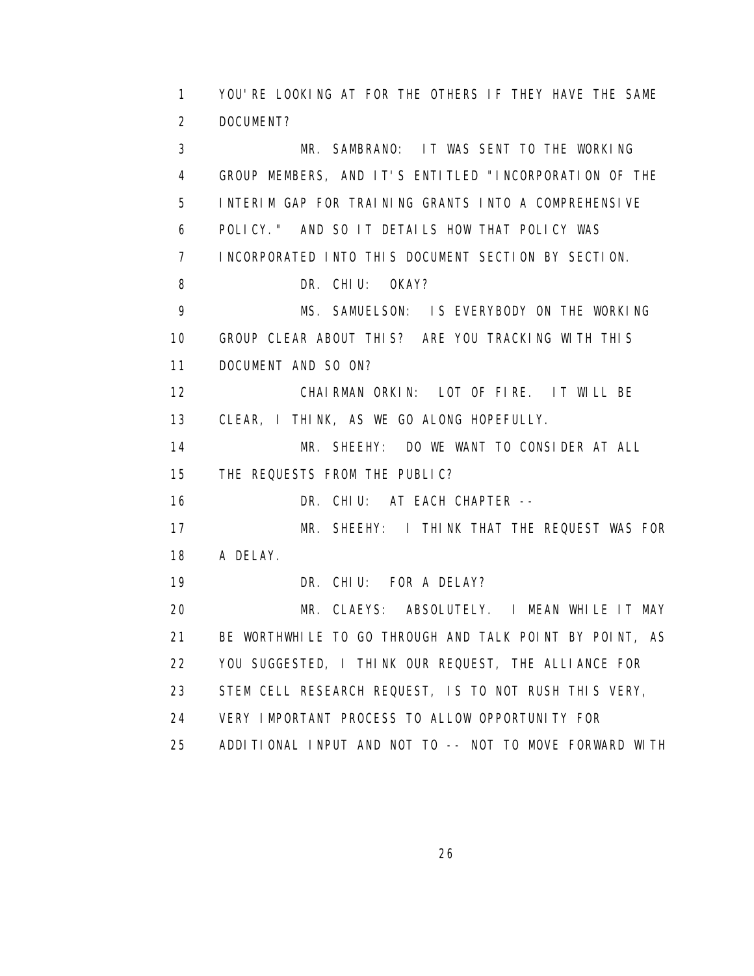1 YOU'RE LOOKING AT FOR THE OTHERS IF THEY HAVE THE SAME 2 DOCUMENT? 3 MR. SAMBRANO: IT WAS SENT TO THE WORKING 4 GROUP MEMBERS, AND IT'S ENTITLED "INCORPORATION OF THE 5 INTERIM GAP FOR TRAINING GRANTS INTO A COMPREHENSIVE 6 POLICY." AND SO IT DETAILS HOW THAT POLICY WAS 7 INCORPORATED INTO THIS DOCUMENT SECTION BY SECTION. 8 DR. CHIU: OKAY? 9 MS. SAMUELSON: IS EVERYBODY ON THE WORKING 10 GROUP CLEAR ABOUT THIS? ARE YOU TRACKING WITH THIS 11 DOCUMENT AND SO ON? 12 CHAIRMAN ORKIN: LOT OF FIRE. IT WILL BE 13 CLEAR, I THINK, AS WE GO ALONG HOPEFULLY. 14 MR. SHEEHY: DO WE WANT TO CONSIDER AT ALL 15 THE REQUESTS FROM THE PUBLIC? 16 DR. CHIU: AT EACH CHAPTER -- 17 MR. SHEEHY: I THINK THAT THE REQUEST WAS FOR 18 A DELAY. 19 DR. CHIU: FOR A DELAY? 20 MR. CLAEYS: ABSOLUTELY. I MEAN WHILE IT MAY 21 BE WORTHWHILE TO GO THROUGH AND TALK POINT BY POINT, AS 22 YOU SUGGESTED, I THINK OUR REQUEST, THE ALLIANCE FOR 23 STEM CELL RESEARCH REQUEST, IS TO NOT RUSH THIS VERY, 24 VERY IMPORTANT PROCESS TO ALLOW OPPORTUNITY FOR 25 ADDITIONAL INPUT AND NOT TO -- NOT TO MOVE FORWARD WITH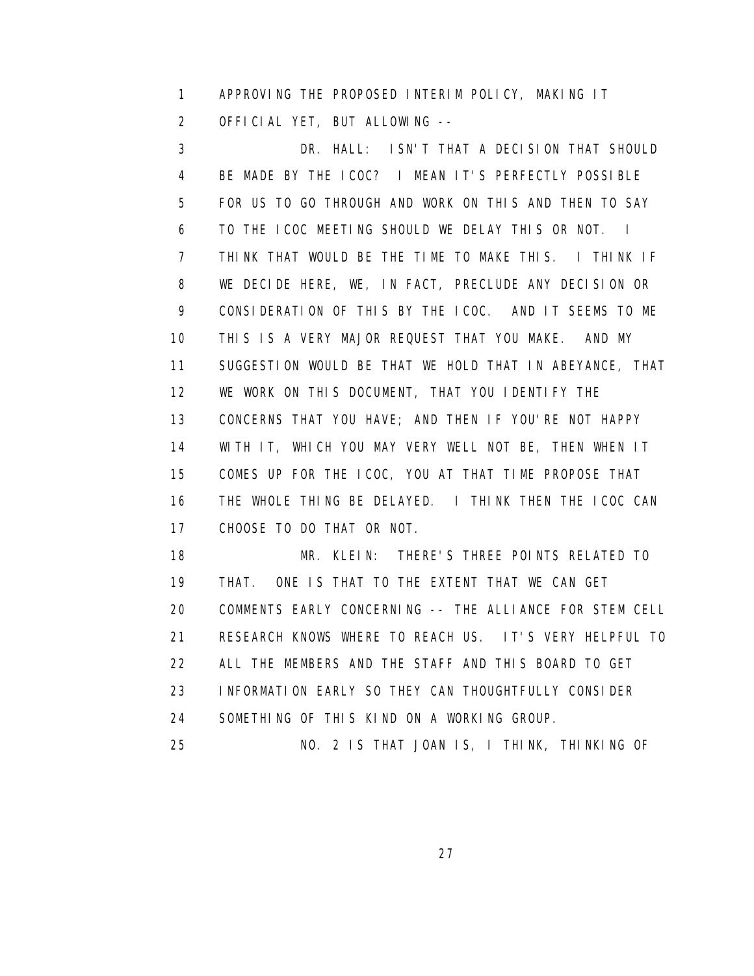1 APPROVING THE PROPOSED INTERIM POLICY, MAKING IT 2 OFFICIAL YET, BUT ALLOWING --

 3 DR. HALL: ISN'T THAT A DECISION THAT SHOULD 4 BE MADE BY THE ICOC? I MEAN IT'S PERFECTLY POSSIBLE 5 FOR US TO GO THROUGH AND WORK ON THIS AND THEN TO SAY 6 TO THE ICOC MEETING SHOULD WE DELAY THIS OR NOT. I 7 THINK THAT WOULD BE THE TIME TO MAKE THIS. I THINK IF 8 WE DECIDE HERE, WE, IN FACT, PRECLUDE ANY DECISION OR 9 CONSIDERATION OF THIS BY THE ICOC. AND IT SEEMS TO ME 10 THIS IS A VERY MAJOR REQUEST THAT YOU MAKE. AND MY 11 SUGGESTION WOULD BE THAT WE HOLD THAT IN ABEYANCE, THAT 12 WE WORK ON THIS DOCUMENT, THAT YOU IDENTIFY THE 13 CONCERNS THAT YOU HAVE; AND THEN IF YOU'RE NOT HAPPY 14 WITH IT, WHICH YOU MAY VERY WELL NOT BE, THEN WHEN IT 15 COMES UP FOR THE ICOC, YOU AT THAT TIME PROPOSE THAT 16 THE WHOLE THING BE DELAYED. I THINK THEN THE ICOC CAN 17 CHOOSE TO DO THAT OR NOT.

 18 MR. KLEIN: THERE'S THREE POINTS RELATED TO 19 THAT. ONE IS THAT TO THE EXTENT THAT WE CAN GET 20 COMMENTS EARLY CONCERNING -- THE ALLIANCE FOR STEM CELL 21 RESEARCH KNOWS WHERE TO REACH US. IT'S VERY HELPFUL TO 22 ALL THE MEMBERS AND THE STAFF AND THIS BOARD TO GET 23 INFORMATION EARLY SO THEY CAN THOUGHTFULLY CONSIDER 24 SOMETHING OF THIS KIND ON A WORKING GROUP.

25 NO. 2 IS THAT JOAN IS, I THINK, THINKING OF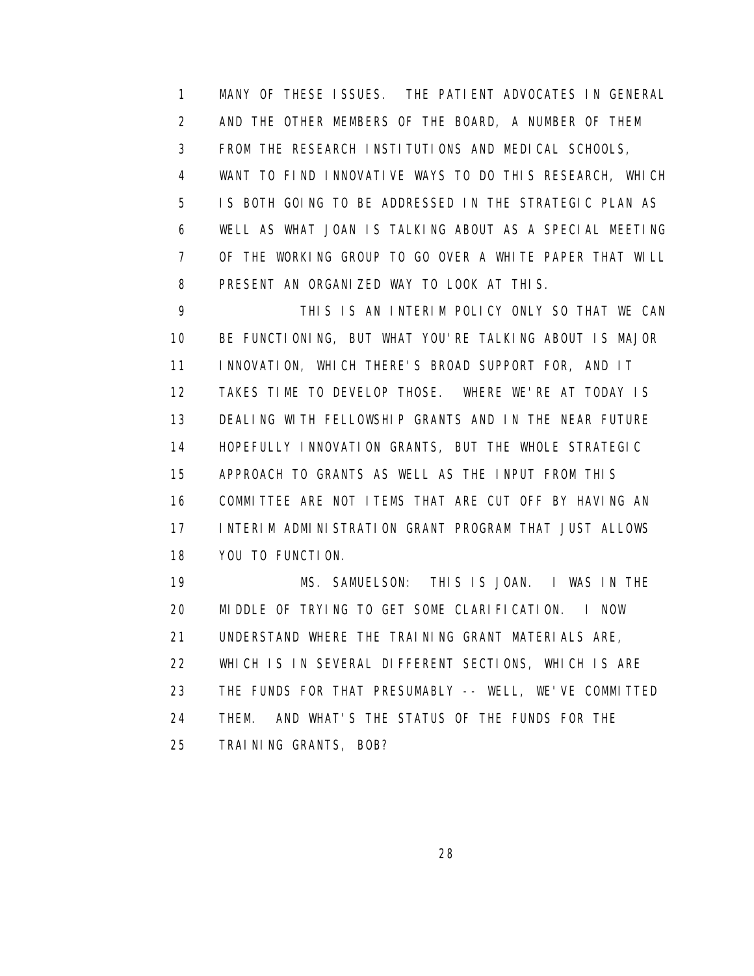1 MANY OF THESE ISSUES. THE PATIENT ADVOCATES IN GENERAL 2 AND THE OTHER MEMBERS OF THE BOARD, A NUMBER OF THEM 3 FROM THE RESEARCH INSTITUTIONS AND MEDICAL SCHOOLS, 4 WANT TO FIND INNOVATIVE WAYS TO DO THIS RESEARCH, WHICH 5 IS BOTH GOING TO BE ADDRESSED IN THE STRATEGIC PLAN AS 6 WELL AS WHAT JOAN IS TALKING ABOUT AS A SPECIAL MEETING 7 OF THE WORKING GROUP TO GO OVER A WHITE PAPER THAT WILL 8 PRESENT AN ORGANIZED WAY TO LOOK AT THIS.

 9 THIS IS AN INTERIM POLICY ONLY SO THAT WE CAN 10 BE FUNCTIONING, BUT WHAT YOU'RE TALKING ABOUT IS MAJOR 11 INNOVATION, WHICH THERE'S BROAD SUPPORT FOR, AND IT 12 TAKES TIME TO DEVELOP THOSE. WHERE WE'RE AT TODAY IS 13 DEALING WITH FELLOWSHIP GRANTS AND IN THE NEAR FUTURE 14 HOPEFULLY INNOVATION GRANTS, BUT THE WHOLE STRATEGIC 15 APPROACH TO GRANTS AS WELL AS THE INPUT FROM THIS 16 COMMITTEE ARE NOT ITEMS THAT ARE CUT OFF BY HAVING AN 17 INTERIM ADMINISTRATION GRANT PROGRAM THAT JUST ALLOWS 18 YOU TO FUNCTION.

 19 MS. SAMUELSON: THIS IS JOAN. I WAS IN THE 20 MIDDLE OF TRYING TO GET SOME CLARIFICATION. I NOW 21 UNDERSTAND WHERE THE TRAINING GRANT MATERIALS ARE, 22 WHICH IS IN SEVERAL DIFFERENT SECTIONS, WHICH IS ARE 23 THE FUNDS FOR THAT PRESUMABLY -- WELL, WE'VE COMMITTED 24 THEM. AND WHAT'S THE STATUS OF THE FUNDS FOR THE 25 TRAINING GRANTS, BOB?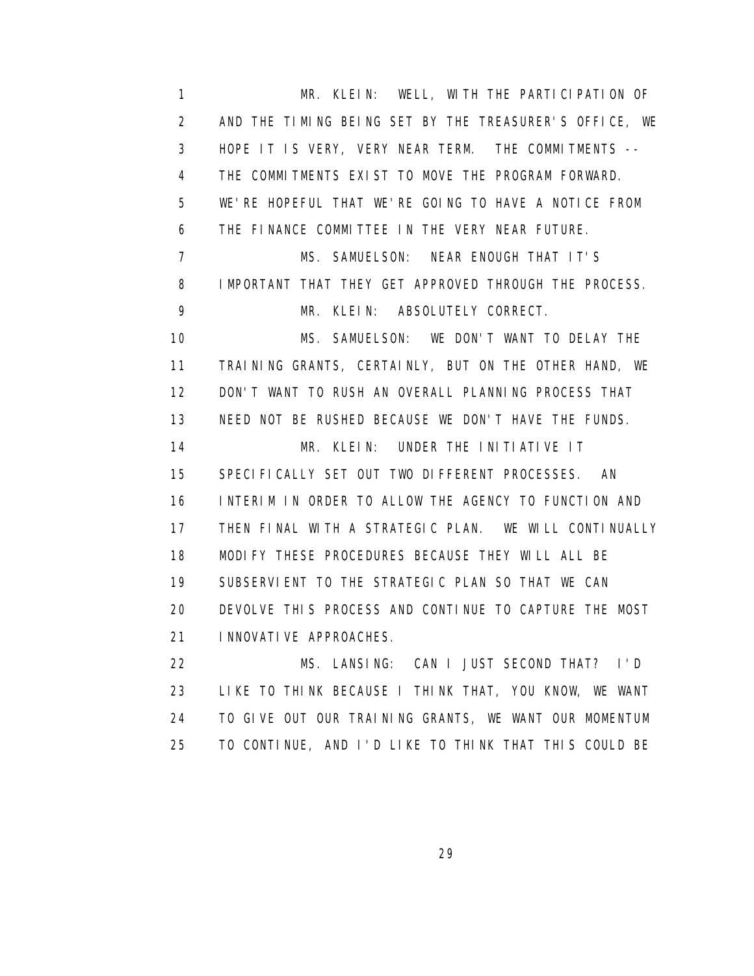1 MR. KLEIN: WELL, WITH THE PARTICIPATION OF 2 AND THE TIMING BEING SET BY THE TREASURER'S OFFICE, WE 3 HOPE IT IS VERY, VERY NEAR TERM. THE COMMITMENTS -- 4 THE COMMITMENTS EXIST TO MOVE THE PROGRAM FORWARD. 5 WE'RE HOPEFUL THAT WE'RE GOING TO HAVE A NOTICE FROM 6 THE FINANCE COMMITTEE IN THE VERY NEAR FUTURE. 7 MS. SAMUELSON: NEAR ENOUGH THAT IT'S 8 IMPORTANT THAT THEY GET APPROVED THROUGH THE PROCESS. 9 MR. KLEIN: ABSOLUTELY CORRECT. 10 MS. SAMUELSON: WE DON'T WANT TO DELAY THE 11 TRAINING GRANTS, CERTAINLY, BUT ON THE OTHER HAND, WE 12 DON'T WANT TO RUSH AN OVERALL PLANNING PROCESS THAT 13 NEED NOT BE RUSHED BECAUSE WE DON'T HAVE THE FUNDS. 14 MR. KLEIN: UNDER THE INITIATIVE IT 15 SPECIFICALLY SET OUT TWO DIFFERENT PROCESSES. AN 16 INTERIM IN ORDER TO ALLOW THE AGENCY TO FUNCTION AND 17 THEN FINAL WITH A STRATEGIC PLAN. WE WILL CONTINUALLY 18 MODIFY THESE PROCEDURES BECAUSE THEY WILL ALL BE 19 SUBSERVIENT TO THE STRATEGIC PLAN SO THAT WE CAN 20 DEVOLVE THIS PROCESS AND CONTINUE TO CAPTURE THE MOST 21 INNOVATIVE APPROACHES. 22 MS. LANSING: CAN I JUST SECOND THAT? I'D 23 LIKE TO THINK BECAUSE I THINK THAT, YOU KNOW, WE WANT

 24 TO GIVE OUT OUR TRAINING GRANTS, WE WANT OUR MOMENTUM 25 TO CONTINUE, AND I'D LIKE TO THINK THAT THIS COULD BE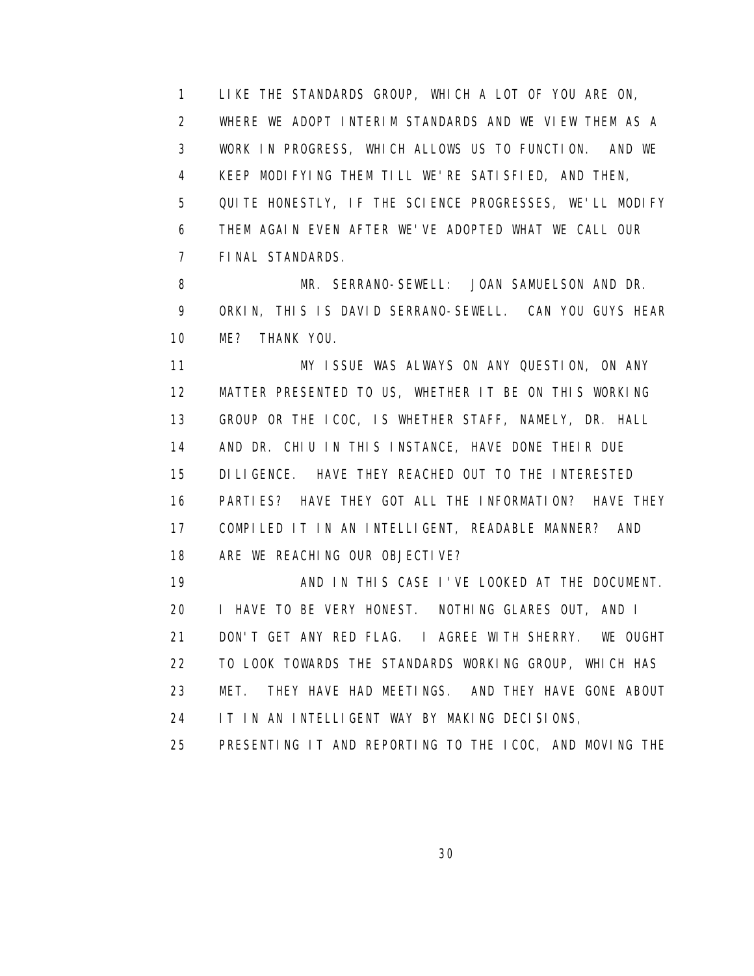1 LIKE THE STANDARDS GROUP, WHICH A LOT OF YOU ARE ON, 2 WHERE WE ADOPT INTERIM STANDARDS AND WE VIEW THEM AS A 3 WORK IN PROGRESS, WHICH ALLOWS US TO FUNCTION. AND WE 4 KEEP MODIFYING THEM TILL WE'RE SATISFIED, AND THEN, 5 QUITE HONESTLY, IF THE SCIENCE PROGRESSES, WE'LL MODIFY 6 THEM AGAIN EVEN AFTER WE'VE ADOPTED WHAT WE CALL OUR 7 FINAL STANDARDS.

8 MR. SERRANO-SEWELL: JOAN SAMUELSON AND DR. 9 ORKIN, THIS IS DAVID SERRANO-SEWELL. CAN YOU GUYS HEAR 10 ME? THANK YOU.

 11 MY ISSUE WAS ALWAYS ON ANY QUESTION, ON ANY 12 MATTER PRESENTED TO US, WHETHER IT BE ON THIS WORKING 13 GROUP OR THE ICOC, IS WHETHER STAFF, NAMELY, DR. HALL 14 AND DR. CHIU IN THIS INSTANCE, HAVE DONE THEIR DUE 15 DILIGENCE. HAVE THEY REACHED OUT TO THE INTERESTED 16 PARTIES? HAVE THEY GOT ALL THE INFORMATION? HAVE THEY 17 COMPILED IT IN AN INTELLIGENT, READABLE MANNER? AND 18 ARE WE REACHING OUR OBJECTIVE?

 19 AND IN THIS CASE I'VE LOOKED AT THE DOCUMENT. 20 I HAVE TO BE VERY HONEST. NOTHING GLARES OUT, AND I 21 DON'T GET ANY RED FLAG. I AGREE WITH SHERRY. WE OUGHT 22 TO LOOK TOWARDS THE STANDARDS WORKING GROUP, WHICH HAS 23 MET. THEY HAVE HAD MEETINGS. AND THEY HAVE GONE ABOUT 24 IT IN AN INTELLIGENT WAY BY MAKING DECISIONS,

25 PRESENTING IT AND REPORTING TO THE ICOC, AND MOVING THE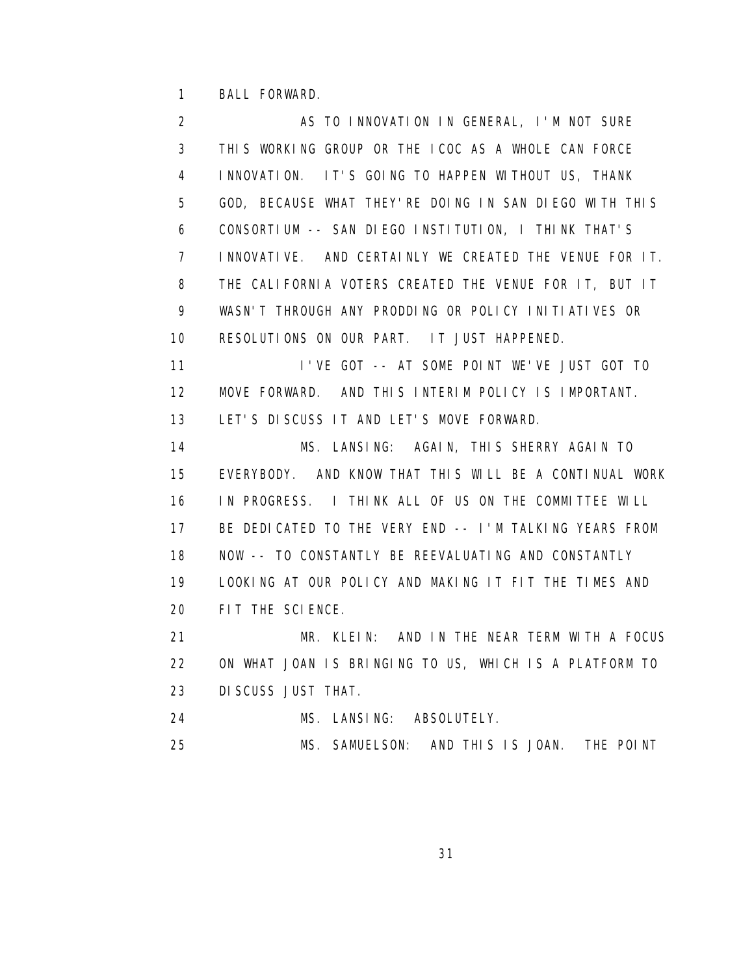1 BALL FORWARD.

2 AS TO INNOVATION IN GENERAL, I'M NOT SURE 3 THIS WORKING GROUP OR THE ICOC AS A WHOLE CAN FORCE 4 INNOVATION. IT'S GOING TO HAPPEN WITHOUT US, THANK 5 GOD, BECAUSE WHAT THEY'RE DOING IN SAN DIEGO WITH THIS 6 CONSORTIUM -- SAN DIEGO INSTITUTION, I THINK THAT'S 7 INNOVATIVE. AND CERTAINLY WE CREATED THE VENUE FOR IT. 8 THE CALIFORNIA VOTERS CREATED THE VENUE FOR IT, BUT IT 9 WASN'T THROUGH ANY PRODDING OR POLICY INITIATIVES OR 10 RESOLUTIONS ON OUR PART. IT JUST HAPPENED. 11 I'VE GOT -- AT SOME POINT WE'VE JUST GOT TO 12 MOVE FORWARD. AND THIS INTERIM POLICY IS IMPORTANT. 13 LET'S DISCUSS IT AND LET'S MOVE FORWARD. 14 MS. LANSING: AGAIN, THIS SHERRY AGAIN TO 15 EVERYBODY. AND KNOW THAT THIS WILL BE A CONTINUAL WORK 16 IN PROGRESS. I THINK ALL OF US ON THE COMMITTEE WILL 17 BE DEDICATED TO THE VERY END -- I'M TALKING YEARS FROM 18 NOW -- TO CONSTANTLY BE REEVALUATING AND CONSTANTLY 19 LOOKING AT OUR POLICY AND MAKING IT FIT THE TIMES AND 20 FIT THE SCIENCE. 21 MR. KLEIN: AND IN THE NEAR TERM WITH A FOCUS 22 ON WHAT JOAN IS BRINGING TO US, WHICH IS A PLATFORM TO 23 DISCUSS JUST THAT. 24 MS. LANSING: ABSOLUTELY.

25 MS. SAMUELSON: AND THIS IS JOAN. THE POINT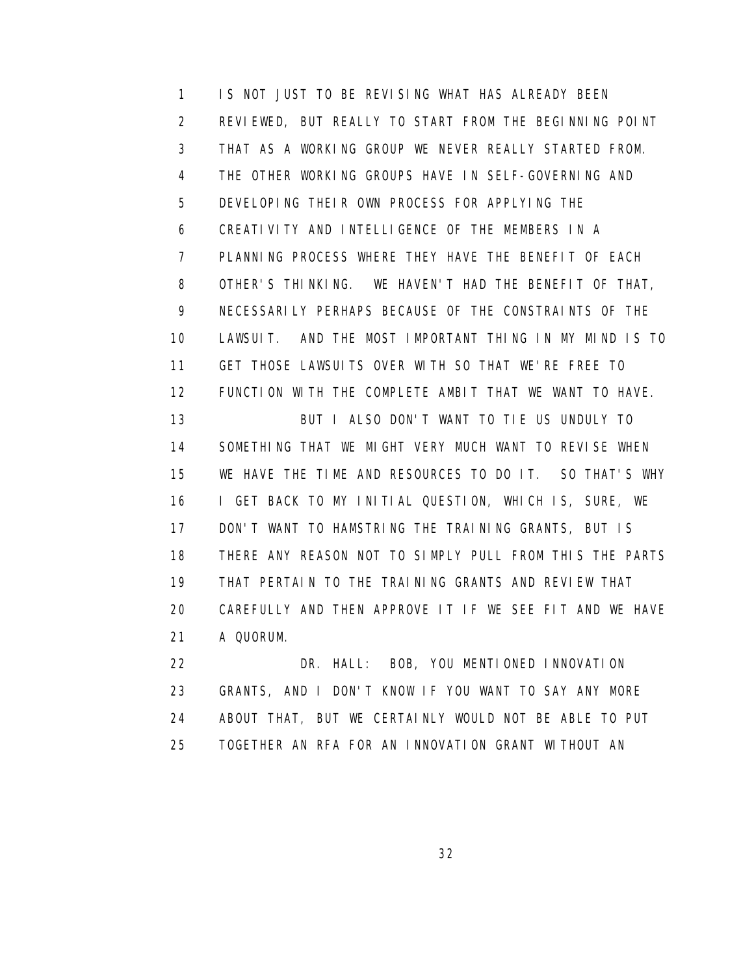1 IS NOT JUST TO BE REVISING WHAT HAS ALREADY BEEN 2 REVIEWED, BUT REALLY TO START FROM THE BEGINNING POINT 3 THAT AS A WORKING GROUP WE NEVER REALLY STARTED FROM. 4 THE OTHER WORKING GROUPS HAVE IN SELF-GOVERNING AND 5 DEVELOPING THEIR OWN PROCESS FOR APPLYING THE 6 CREATIVITY AND INTELLIGENCE OF THE MEMBERS IN A 7 PLANNING PROCESS WHERE THEY HAVE THE BENEFIT OF EACH 8 OTHER'S THINKING. WE HAVEN'T HAD THE BENEFIT OF THAT, 9 NECESSARILY PERHAPS BECAUSE OF THE CONSTRAINTS OF THE 10 LAWSUIT. AND THE MOST IMPORTANT THING IN MY MIND IS TO 11 GET THOSE LAWSUITS OVER WITH SO THAT WE'RE FREE TO 12 FUNCTION WITH THE COMPLETE AMBIT THAT WE WANT TO HAVE. 13 BUT I ALSO DON'T WANT TO TIE US UNDULY TO 14 SOMETHING THAT WE MIGHT VERY MUCH WANT TO REVISE WHEN 15 WE HAVE THE TIME AND RESOURCES TO DO IT. SO THAT'S WHY 16 I GET BACK TO MY INITIAL QUESTION, WHICH IS, SURE, WE 17 DON'T WANT TO HAMSTRING THE TRAINING GRANTS, BUT IS 18 THERE ANY REASON NOT TO SIMPLY PULL FROM THIS THE PARTS 19 THAT PERTAIN TO THE TRAINING GRANTS AND REVIEW THAT 20 CAREFULLY AND THEN APPROVE IT IF WE SEE FIT AND WE HAVE 21 A QUORUM.

 22 DR. HALL: BOB, YOU MENTIONED INNOVATION 23 GRANTS, AND I DON'T KNOW IF YOU WANT TO SAY ANY MORE 24 ABOUT THAT, BUT WE CERTAINLY WOULD NOT BE ABLE TO PUT 25 TOGETHER AN RFA FOR AN INNOVATION GRANT WITHOUT AN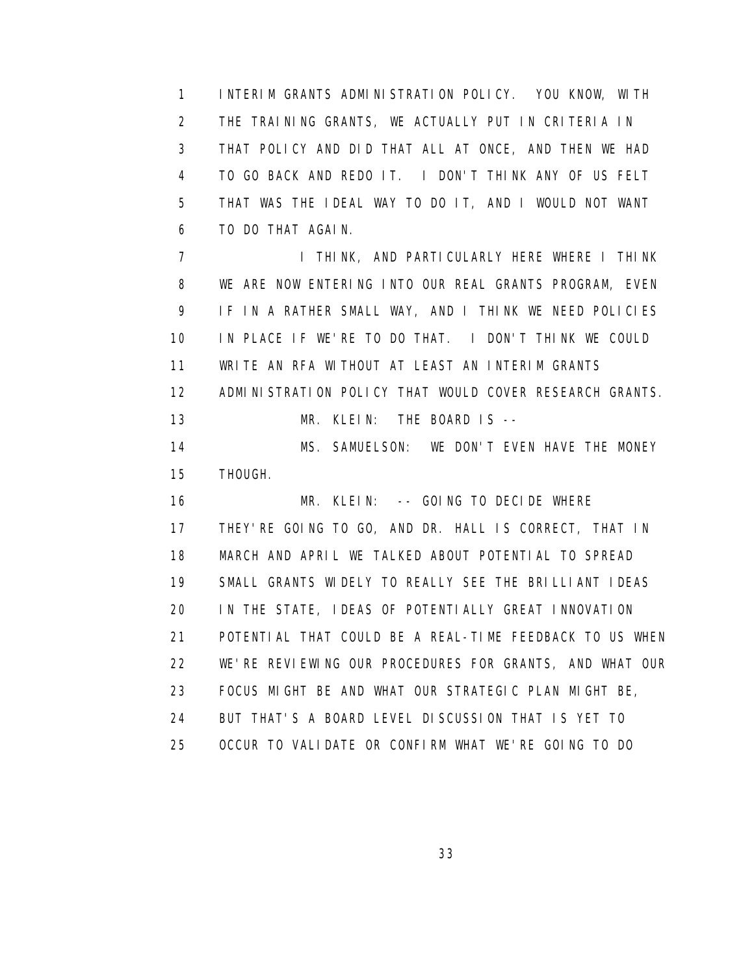1 INTERIM GRANTS ADMINISTRATION POLICY. YOU KNOW, WITH 2 THE TRAINING GRANTS, WE ACTUALLY PUT IN CRITERIA IN 3 THAT POLICY AND DID THAT ALL AT ONCE, AND THEN WE HAD 4 TO GO BACK AND REDO IT. I DON'T THINK ANY OF US FELT 5 THAT WAS THE IDEAL WAY TO DO IT, AND I WOULD NOT WANT 6 TO DO THAT AGAIN.

7 I THINK, AND PARTICULARLY HERE WHERE I THINK 8 WE ARE NOW ENTERING INTO OUR REAL GRANTS PROGRAM, EVEN 9 IF IN A RATHER SMALL WAY, AND I THINK WE NEED POLICIES 10 IN PLACE IF WE'RE TO DO THAT. I DON'T THINK WE COULD 11 WRITE AN RFA WITHOUT AT LEAST AN INTERIM GRANTS 12 ADMINISTRATION POLICY THAT WOULD COVER RESEARCH GRANTS. 13 MR. KLEIN: THE BOARD IS --

 14 MS. SAMUELSON: WE DON'T EVEN HAVE THE MONEY 15 THOUGH.

16 MR. KLEIN: -- GOING TO DECIDE WHERE 17 THEY'RE GOING TO GO, AND DR. HALL IS CORRECT, THAT IN 18 MARCH AND APRIL WE TALKED ABOUT POTENTIAL TO SPREAD 19 SMALL GRANTS WIDELY TO REALLY SEE THE BRILLIANT IDEAS 20 IN THE STATE, IDEAS OF POTENTIALLY GREAT INNOVATION 21 POTENTIAL THAT COULD BE A REAL-TIME FEEDBACK TO US WHEN 22 WE'RE REVIEWING OUR PROCEDURES FOR GRANTS, AND WHAT OUR 23 FOCUS MIGHT BE AND WHAT OUR STRATEGIC PLAN MIGHT BE, 24 BUT THAT'S A BOARD LEVEL DISCUSSION THAT IS YET TO 25 OCCUR TO VALIDATE OR CONFIRM WHAT WE'RE GOING TO DO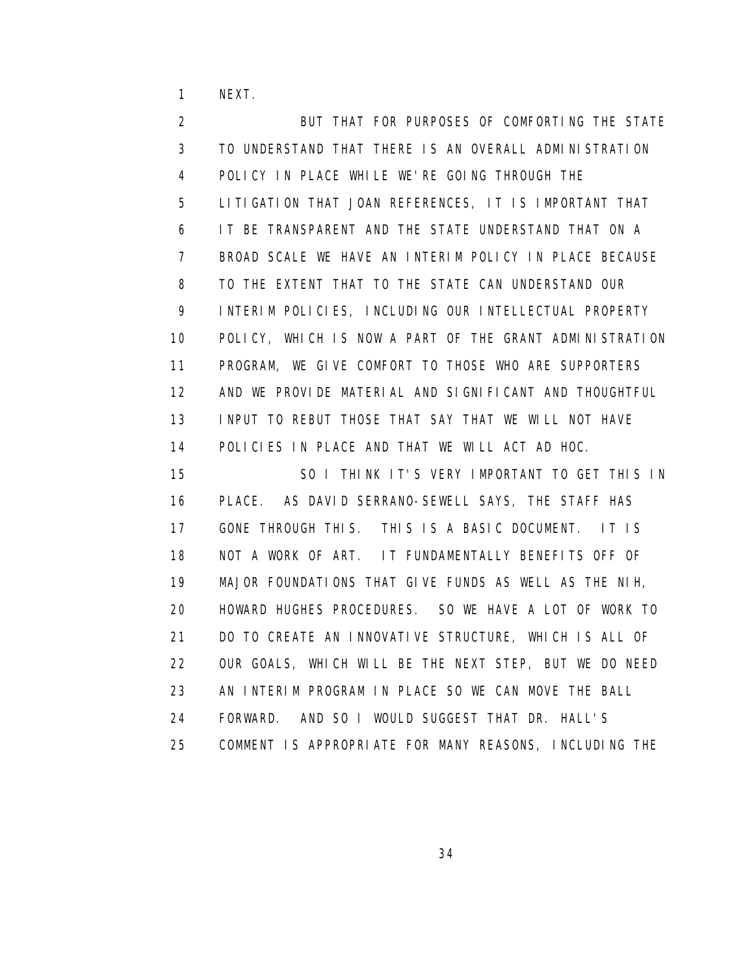1 NEXT.

 2 BUT THAT FOR PURPOSES OF COMFORTING THE STATE 3 TO UNDERSTAND THAT THERE IS AN OVERALL ADMINISTRATION 4 POLICY IN PLACE WHILE WE'RE GOING THROUGH THE 5 LITIGATION THAT JOAN REFERENCES, IT IS IMPORTANT THAT 6 IT BE TRANSPARENT AND THE STATE UNDERSTAND THAT ON A 7 BROAD SCALE WE HAVE AN INTERIM POLICY IN PLACE BECAUSE 8 TO THE EXTENT THAT TO THE STATE CAN UNDERSTAND OUR 9 INTERIM POLICIES, INCLUDING OUR INTELLECTUAL PROPERTY 10 POLICY, WHICH IS NOW A PART OF THE GRANT ADMINISTRATION 11 PROGRAM, WE GIVE COMFORT TO THOSE WHO ARE SUPPORTERS 12 AND WE PROVIDE MATERIAL AND SIGNIFICANT AND THOUGHTFUL 13 INPUT TO REBUT THOSE THAT SAY THAT WE WILL NOT HAVE 14 POLICIES IN PLACE AND THAT WE WILL ACT AD HOC. 15 SO I THINK IT'S VERY IMPORTANT TO GET THIS IN 16 PLACE. AS DAVID SERRANO-SEWELL SAYS, THE STAFF HAS 17 GONE THROUGH THIS. THIS IS A BASIC DOCUMENT. IT IS 18 NOT A WORK OF ART. IT FUNDAMENTALLY BENEFITS OFF OF 19 MAJOR FOUNDATIONS THAT GIVE FUNDS AS WELL AS THE NIH, 20 HOWARD HUGHES PROCEDURES. SO WE HAVE A LOT OF WORK TO 21 DO TO CREATE AN INNOVATIVE STRUCTURE, WHICH IS ALL OF 22 OUR GOALS, WHICH WILL BE THE NEXT STEP, BUT WE DO NEED 23 AN INTERIM PROGRAM IN PLACE SO WE CAN MOVE THE BALL 24 FORWARD. AND SO I WOULD SUGGEST THAT DR. HALL'S 25 COMMENT IS APPROPRIATE FOR MANY REASONS, INCLUDING THE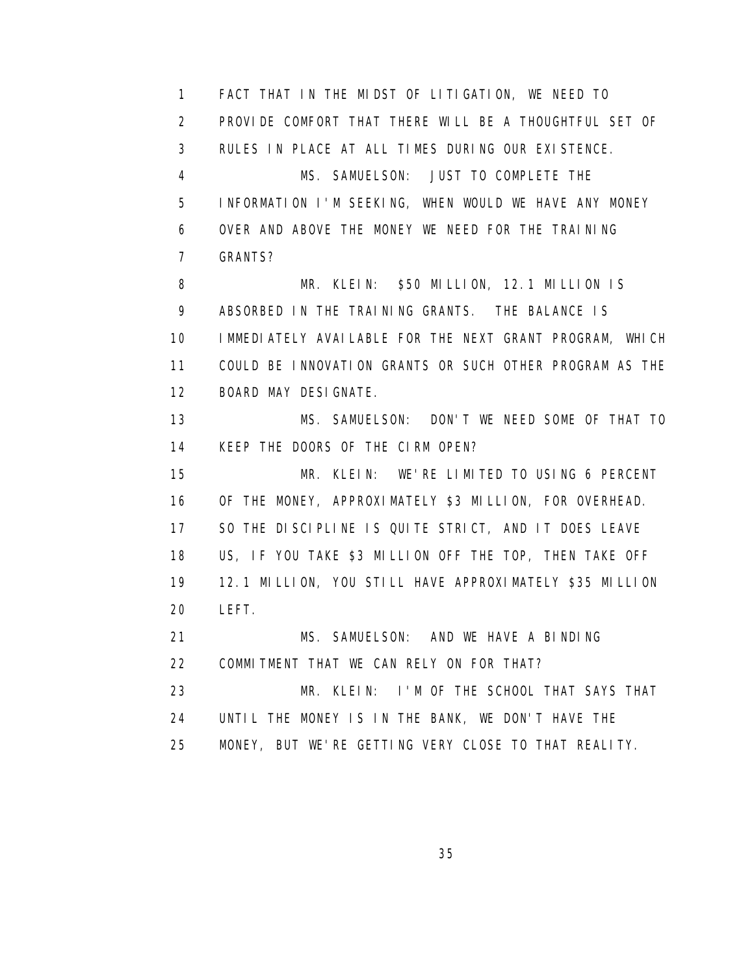1 FACT THAT IN THE MIDST OF LITIGATION, WE NEED TO 2 PROVIDE COMFORT THAT THERE WILL BE A THOUGHTFUL SET OF 3 RULES IN PLACE AT ALL TIMES DURING OUR EXISTENCE. 4 MS. SAMUELSON: JUST TO COMPLETE THE 5 INFORMATION I'M SEEKING, WHEN WOULD WE HAVE ANY MONEY 6 OVER AND ABOVE THE MONEY WE NEED FOR THE TRAINING 7 GRANTS? 8 MR. KLEIN: \$50 MILLION, 12.1 MILLION IS 9 ABSORBED IN THE TRAINING GRANTS. THE BALANCE IS 10 IMMEDIATELY AVAILABLE FOR THE NEXT GRANT PROGRAM, WHICH 11 COULD BE INNOVATION GRANTS OR SUCH OTHER PROGRAM AS THE 12 BOARD MAY DESIGNATE. 13 MS. SAMUELSON: DON'T WE NEED SOME OF THAT TO 14 KEEP THE DOORS OF THE CIRM OPEN? 15 MR. KLEIN: WE'RE LIMITED TO USING 6 PERCENT 16 OF THE MONEY, APPROXIMATELY \$3 MILLION, FOR OVERHEAD. 17 SO THE DISCIPLINE IS QUITE STRICT, AND IT DOES LEAVE 18 US, IF YOU TAKE \$3 MILLION OFF THE TOP, THEN TAKE OFF 19 12.1 MILLION, YOU STILL HAVE APPROXIMATELY \$35 MILLION 20 LEFT. 21 MS. SAMUELSON: AND WE HAVE A BINDING 22 COMMITMENT THAT WE CAN RELY ON FOR THAT? 23 MR. KLEIN: I'M OF THE SCHOOL THAT SAYS THAT 24 UNTIL THE MONEY IS IN THE BANK, WE DON'T HAVE THE 25 MONEY, BUT WE'RE GETTING VERY CLOSE TO THAT REALITY.

<u>35 and 2012 and 2013 and 2014 and 2014 and 2014 and 2014 and 2014 and 2014 and 2014 and 2014 and 2014 and 201</u>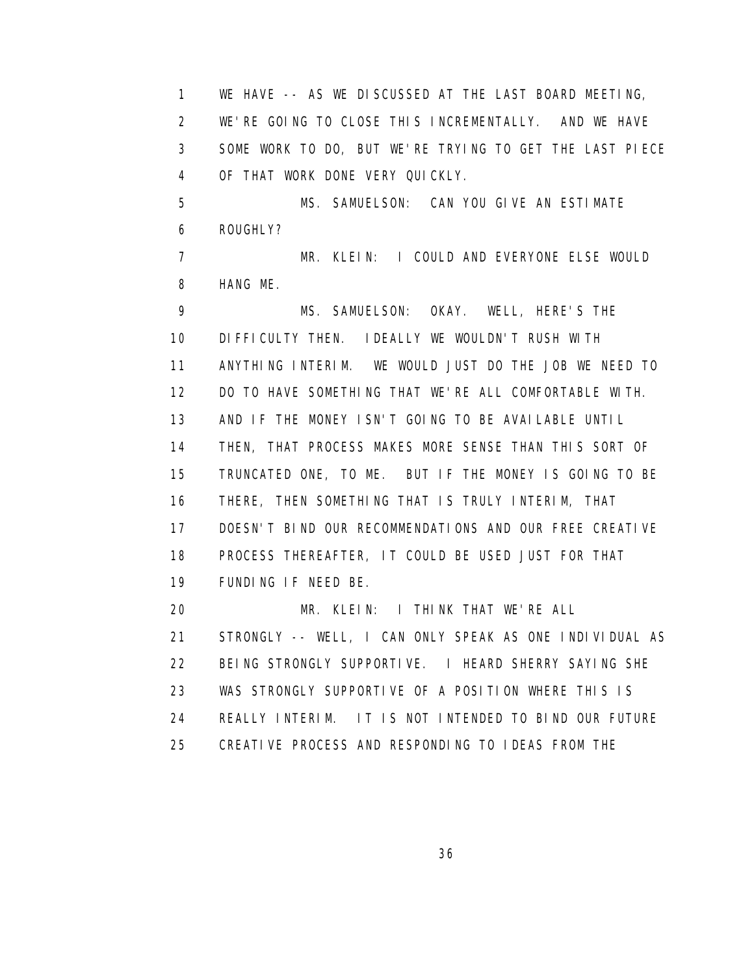1 WE HAVE -- AS WE DISCUSSED AT THE LAST BOARD MEETING, 2 WE'RE GOING TO CLOSE THIS INCREMENTALLY. AND WE HAVE 3 SOME WORK TO DO, BUT WE'RE TRYING TO GET THE LAST PIECE 4 OF THAT WORK DONE VERY QUICKLY. 5 MS. SAMUELSON: CAN YOU GIVE AN ESTIMATE 6 ROUGHLY? 7 MR. KLEIN: I COULD AND EVERYONE ELSE WOULD 8 HANG ME. 9 MS. SAMUELSON: OKAY. WELL, HERE'S THE 10 DIFFICULTY THEN. IDEALLY WE WOULDN'T RUSH WITH 11 ANYTHING INTERIM. WE WOULD JUST DO THE JOB WE NEED TO 12 DO TO HAVE SOMETHING THAT WE'RE ALL COMFORTABLE WITH. 13 AND IF THE MONEY ISN'T GOING TO BE AVAILABLE UNTIL 14 THEN, THAT PROCESS MAKES MORE SENSE THAN THIS SORT OF 15 TRUNCATED ONE, TO ME. BUT IF THE MONEY IS GOING TO BE 16 THERE, THEN SOMETHING THAT IS TRULY INTERIM, THAT 17 DOESN'T BIND OUR RECOMMENDATIONS AND OUR FREE CREATIVE 18 PROCESS THEREAFTER, IT COULD BE USED JUST FOR THAT 19 FUNDING IF NEED BE. 20 MR. KLEIN: I THINK THAT WE'RE ALL 21 STRONGLY -- WELL, I CAN ONLY SPEAK AS ONE INDIVIDUAL AS 22 BEING STRONGLY SUPPORTIVE. I HEARD SHERRY SAYING SHE 23 WAS STRONGLY SUPPORTIVE OF A POSITION WHERE THIS IS 24 REALLY INTERIM. IT IS NOT INTENDED TO BIND OUR FUTURE 25 CREATIVE PROCESS AND RESPONDING TO IDEAS FROM THE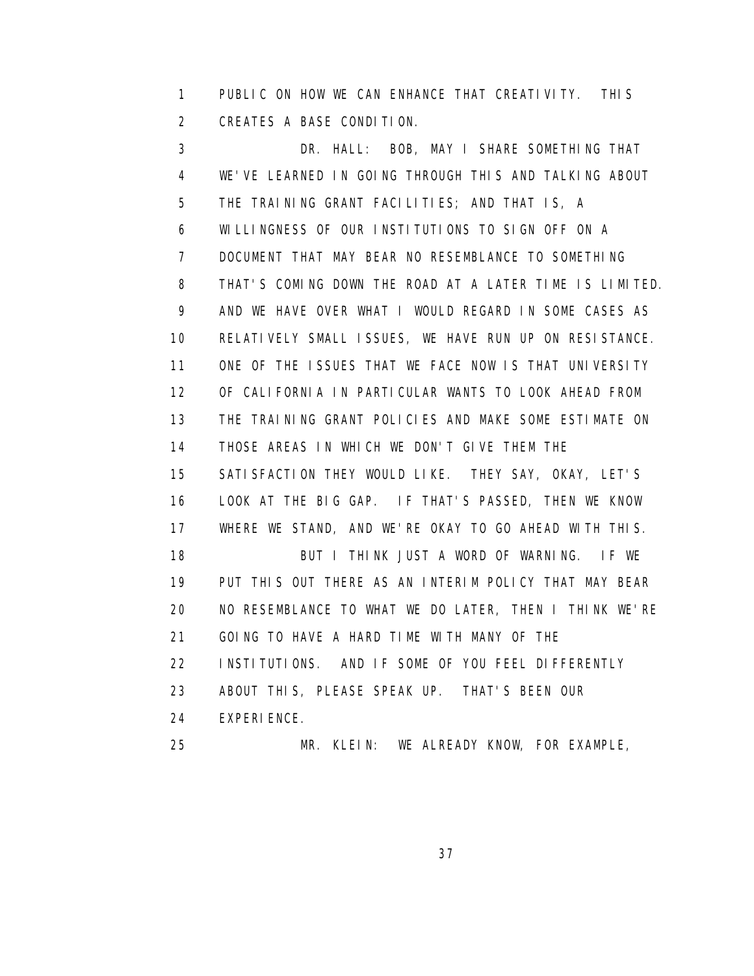1 PUBLIC ON HOW WE CAN ENHANCE THAT CREATIVITY. THIS 2 CREATES A BASE CONDITION.

 3 DR. HALL: BOB, MAY I SHARE SOMETHING THAT 4 WE'VE LEARNED IN GOING THROUGH THIS AND TALKING ABOUT 5 THE TRAINING GRANT FACILITIES; AND THAT IS, A 6 WILLINGNESS OF OUR INSTITUTIONS TO SIGN OFF ON A 7 DOCUMENT THAT MAY BEAR NO RESEMBLANCE TO SOMETHING 8 THAT'S COMING DOWN THE ROAD AT A LATER TIME IS LIMITED. 9 AND WE HAVE OVER WHAT I WOULD REGARD IN SOME CASES AS 10 RELATIVELY SMALL ISSUES, WE HAVE RUN UP ON RESISTANCE. 11 ONE OF THE ISSUES THAT WE FACE NOW IS THAT UNIVERSITY 12 OF CALIFORNIA IN PARTICULAR WANTS TO LOOK AHEAD FROM 13 THE TRAINING GRANT POLICIES AND MAKE SOME ESTIMATE ON 14 THOSE AREAS IN WHICH WE DON'T GIVE THEM THE 15 SATISFACTION THEY WOULD LIKE. THEY SAY, OKAY, LET'S 16 LOOK AT THE BIG GAP. IF THAT'S PASSED, THEN WE KNOW 17 WHERE WE STAND, AND WE'RE OKAY TO GO AHEAD WITH THIS. 18 BUT I THINK JUST A WORD OF WARNING. IF WE 19 PUT THIS OUT THERE AS AN INTERIM POLICY THAT MAY BEAR 20 NO RESEMBLANCE TO WHAT WE DO LATER, THEN I THINK WE'RE 21 GOING TO HAVE A HARD TIME WITH MANY OF THE 22 INSTITUTIONS. AND IF SOME OF YOU FEEL DIFFERENTLY 23 ABOUT THIS, PLEASE SPEAK UP. THAT'S BEEN OUR 24 EXPERIENCE. 25 MR. KLEIN: WE ALREADY KNOW, FOR EXAMPLE,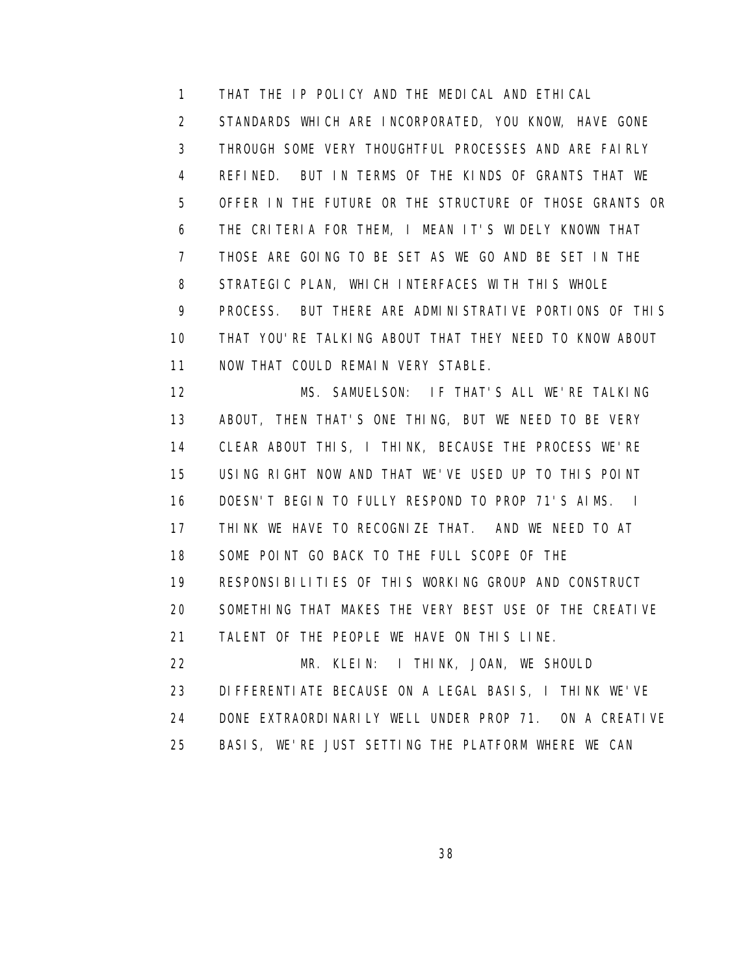1 THAT THE IP POLICY AND THE MEDICAL AND ETHICAL 2 STANDARDS WHICH ARE INCORPORATED, YOU KNOW, HAVE GONE 3 THROUGH SOME VERY THOUGHTFUL PROCESSES AND ARE FAIRLY 4 REFINED. BUT IN TERMS OF THE KINDS OF GRANTS THAT WE 5 OFFER IN THE FUTURE OR THE STRUCTURE OF THOSE GRANTS OR 6 THE CRITERIA FOR THEM, I MEAN IT'S WIDELY KNOWN THAT 7 THOSE ARE GOING TO BE SET AS WE GO AND BE SET IN THE 8 STRATEGIC PLAN, WHICH INTERFACES WITH THIS WHOLE 9 PROCESS. BUT THERE ARE ADMINISTRATIVE PORTIONS OF THIS 10 THAT YOU'RE TALKING ABOUT THAT THEY NEED TO KNOW ABOUT 11 NOW THAT COULD REMAIN VERY STABLE.

 12 MS. SAMUELSON: IF THAT'S ALL WE'RE TALKING 13 ABOUT, THEN THAT'S ONE THING, BUT WE NEED TO BE VERY 14 CLEAR ABOUT THIS, I THINK, BECAUSE THE PROCESS WE'RE 15 USING RIGHT NOW AND THAT WE'VE USED UP TO THIS POINT 16 DOESN'T BEGIN TO FULLY RESPOND TO PROP 71'S AIMS. I 17 THINK WE HAVE TO RECOGNIZE THAT. AND WE NEED TO AT 18 SOME POINT GO BACK TO THE FULL SCOPE OF THE 19 RESPONSIBILITIES OF THIS WORKING GROUP AND CONSTRUCT 20 SOMETHING THAT MAKES THE VERY BEST USE OF THE CREATIVE 21 TALENT OF THE PEOPLE WE HAVE ON THIS LINE. 22 MR. KLEIN: I THINK, JOAN, WE SHOULD 23 DIFFERENTIATE BECAUSE ON A LEGAL BASIS, I THINK WE'VE

24 DONE EXTRAORDINARILY WELL UNDER PROP 71. ON A CREATIVE

25 BASIS, WE'RE JUST SETTING THE PLATFORM WHERE WE CAN

<u>38 and 2012 and 2013 and 2014 and 2014 and 2014 and 2014 and 2014 and 2014 and 2014 and 2014 and 2014 and 201</u>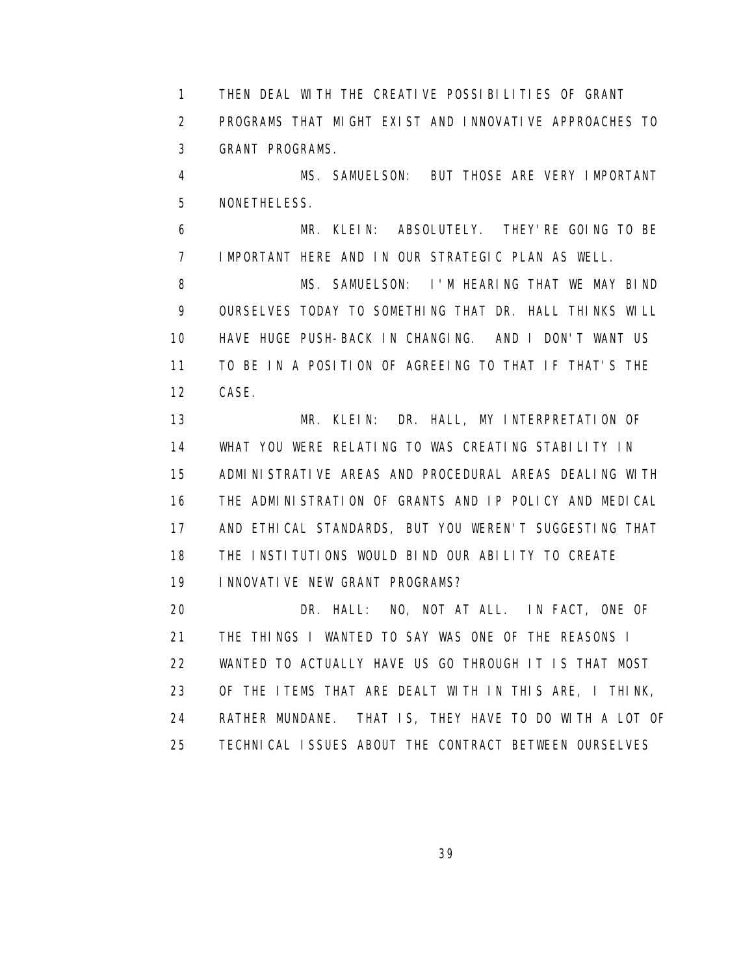1 THEN DEAL WITH THE CREATIVE POSSIBILITIES OF GRANT 2 PROGRAMS THAT MIGHT EXIST AND INNOVATIVE APPROACHES TO 3 GRANT PROGRAMS.

 4 MS. SAMUELSON: BUT THOSE ARE VERY IMPORTANT 5 NONETHELESS.

 6 MR. KLEIN: ABSOLUTELY. THEY'RE GOING TO BE 7 IMPORTANT HERE AND IN OUR STRATEGIC PLAN AS WELL.

8 MS. SAMUELSON: I'M HEARING THAT WE MAY BIND 9 OURSELVES TODAY TO SOMETHING THAT DR. HALL THINKS WILL 10 HAVE HUGE PUSH-BACK IN CHANGING. AND I DON'T WANT US 11 TO BE IN A POSITION OF AGREEING TO THAT IF THAT'S THE 12 CASE.

 13 MR. KLEIN: DR. HALL, MY INTERPRETATION OF 14 WHAT YOU WERE RELATING TO WAS CREATING STABILITY IN 15 ADMINISTRATIVE AREAS AND PROCEDURAL AREAS DEALING WITH 16 THE ADMINISTRATION OF GRANTS AND IP POLICY AND MEDICAL 17 AND ETHICAL STANDARDS, BUT YOU WEREN'T SUGGESTING THAT 18 THE INSTITUTIONS WOULD BIND OUR ABILITY TO CREATE 19 INNOVATIVE NEW GRANT PROGRAMS?

 20 DR. HALL: NO, NOT AT ALL. IN FACT, ONE OF 21 THE THINGS I WANTED TO SAY WAS ONE OF THE REASONS I 22 WANTED TO ACTUALLY HAVE US GO THROUGH IT IS THAT MOST 23 OF THE ITEMS THAT ARE DEALT WITH IN THIS ARE, I THINK, 24 RATHER MUNDANE. THAT IS, THEY HAVE TO DO WITH A LOT OF 25 TECHNICAL ISSUES ABOUT THE CONTRACT BETWEEN OURSELVES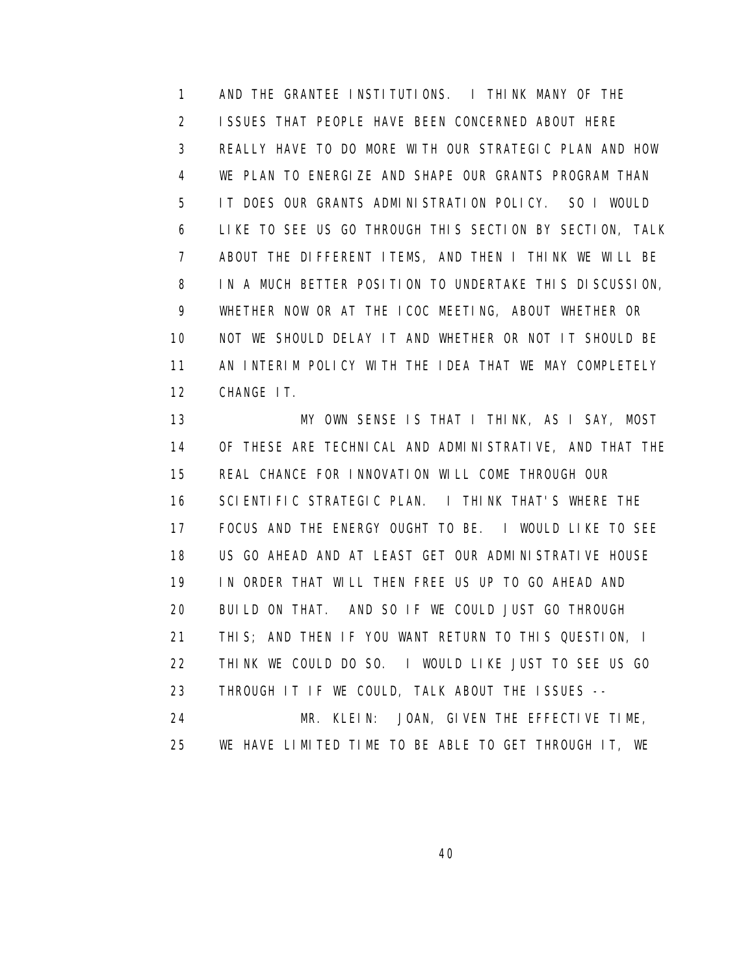1 AND THE GRANTEE INSTITUTIONS. I THINK MANY OF THE 2 ISSUES THAT PEOPLE HAVE BEEN CONCERNED ABOUT HERE 3 REALLY HAVE TO DO MORE WITH OUR STRATEGIC PLAN AND HOW 4 WE PLAN TO ENERGIZE AND SHAPE OUR GRANTS PROGRAM THAN 5 IT DOES OUR GRANTS ADMINISTRATION POLICY. SO I WOULD 6 LIKE TO SEE US GO THROUGH THIS SECTION BY SECTION, TALK 7 ABOUT THE DIFFERENT ITEMS, AND THEN I THINK WE WILL BE 8 IN A MUCH BETTER POSITION TO UNDERTAKE THIS DISCUSSION, 9 WHETHER NOW OR AT THE ICOC MEETING, ABOUT WHETHER OR 10 NOT WE SHOULD DELAY IT AND WHETHER OR NOT IT SHOULD BE 11 AN INTERIM POLICY WITH THE IDEA THAT WE MAY COMPLETELY 12 CHANGE IT.

 13 MY OWN SENSE IS THAT I THINK, AS I SAY, MOST 14 OF THESE ARE TECHNICAL AND ADMINISTRATIVE, AND THAT THE 15 REAL CHANCE FOR INNOVATION WILL COME THROUGH OUR 16 SCIENTIFIC STRATEGIC PLAN. I THINK THAT'S WHERE THE 17 FOCUS AND THE ENERGY OUGHT TO BE. I WOULD LIKE TO SEE 18 US GO AHEAD AND AT LEAST GET OUR ADMINISTRATIVE HOUSE 19 IN ORDER THAT WILL THEN FREE US UP TO GO AHEAD AND 20 BUILD ON THAT. AND SO IF WE COULD JUST GO THROUGH 21 THIS; AND THEN IF YOU WANT RETURN TO THIS QUESTION, I 22 THINK WE COULD DO SO. I WOULD LIKE JUST TO SEE US GO 23 THROUGH IT IF WE COULD, TALK ABOUT THE ISSUES -- 24 MR. KLEIN: JOAN, GIVEN THE EFFECTIVE TIME, 25 WE HAVE LIMITED TIME TO BE ABLE TO GET THROUGH IT, WE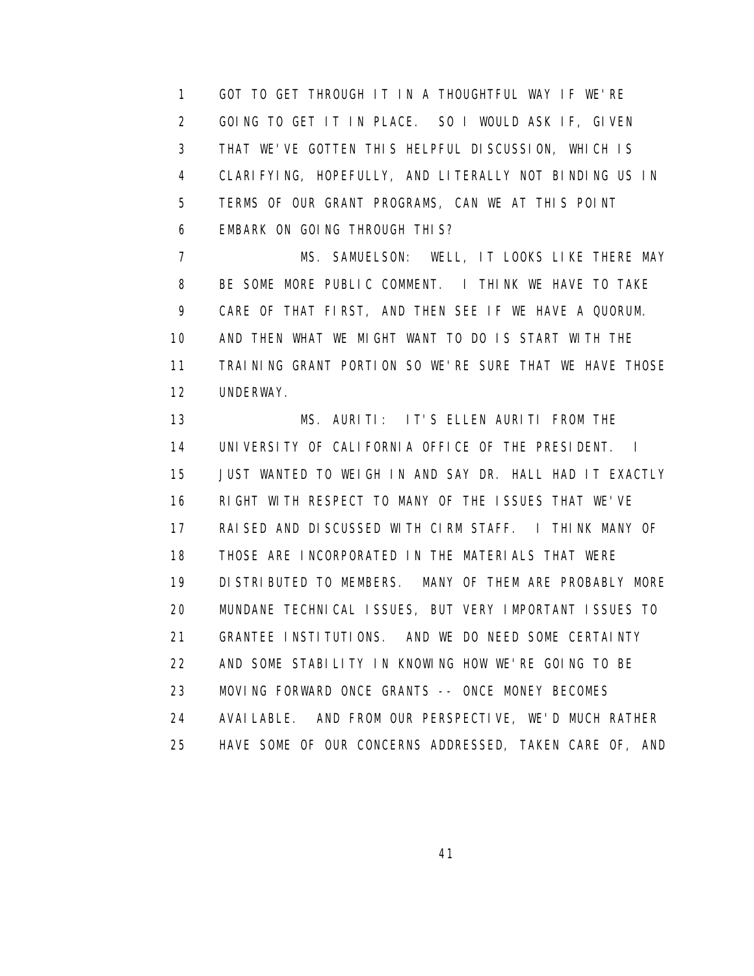1 GOT TO GET THROUGH IT IN A THOUGHTFUL WAY IF WE'RE 2 GOING TO GET IT IN PLACE. SO I WOULD ASK IF, GIVEN 3 THAT WE'VE GOTTEN THIS HELPFUL DISCUSSION, WHICH IS 4 CLARIFYING, HOPEFULLY, AND LITERALLY NOT BINDING US IN 5 TERMS OF OUR GRANT PROGRAMS, CAN WE AT THIS POINT 6 EMBARK ON GOING THROUGH THIS?

7 MS. SAMUELSON: WELL, IT LOOKS LIKE THERE MAY 8 BE SOME MORE PUBLIC COMMENT. I THINK WE HAVE TO TAKE 9 CARE OF THAT FIRST, AND THEN SEE IF WE HAVE A QUORUM. 10 AND THEN WHAT WE MIGHT WANT TO DO IS START WITH THE 11 TRAINING GRANT PORTION SO WE'RE SURE THAT WE HAVE THOSE 12 UNDERWAY.

 13 MS. AURITI: IT'S ELLEN AURITI FROM THE 14 UNIVERSITY OF CALIFORNIA OFFICE OF THE PRESIDENT. I 15 JUST WANTED TO WEIGH IN AND SAY DR. HALL HAD IT EXACTLY 16 RIGHT WITH RESPECT TO MANY OF THE ISSUES THAT WE'VE 17 RAISED AND DISCUSSED WITH CIRM STAFF. I THINK MANY OF 18 THOSE ARE INCORPORATED IN THE MATERIALS THAT WERE 19 DISTRIBUTED TO MEMBERS. MANY OF THEM ARE PROBABLY MORE 20 MUNDANE TECHNICAL ISSUES, BUT VERY IMPORTANT ISSUES TO 21 GRANTEE INSTITUTIONS. AND WE DO NEED SOME CERTAINTY 22 AND SOME STABILITY IN KNOWING HOW WE'RE GOING TO BE 23 MOVING FORWARD ONCE GRANTS -- ONCE MONEY BECOMES 24 AVAILABLE. AND FROM OUR PERSPECTIVE, WE'D MUCH RATHER 25 HAVE SOME OF OUR CONCERNS ADDRESSED, TAKEN CARE OF, AND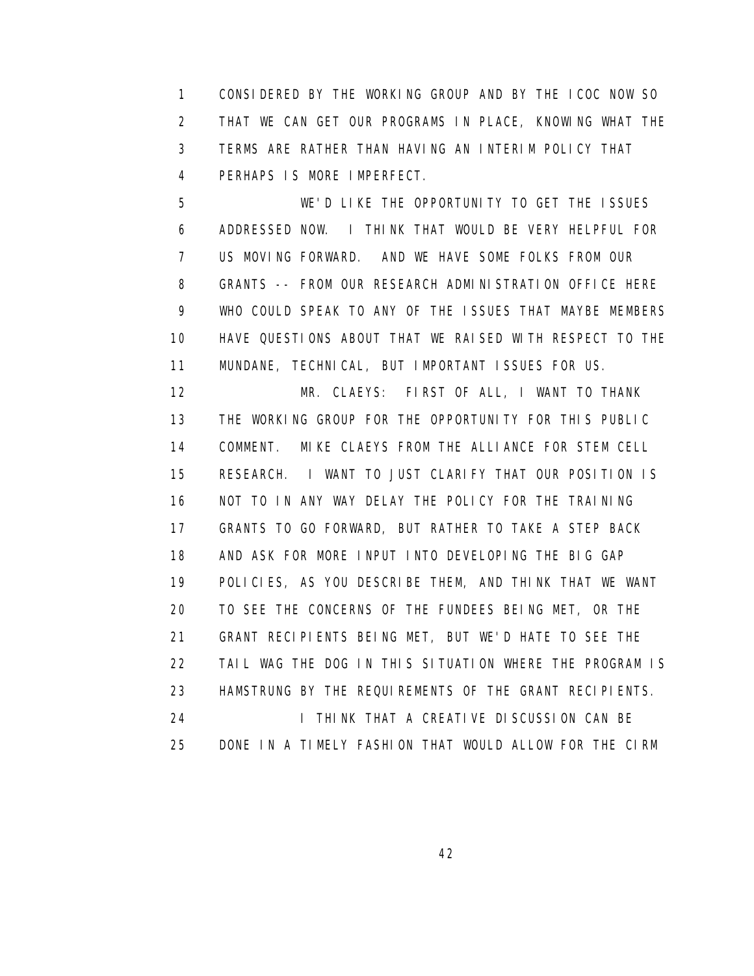1 CONSIDERED BY THE WORKING GROUP AND BY THE ICOC NOW SO 2 THAT WE CAN GET OUR PROGRAMS IN PLACE, KNOWING WHAT THE 3 TERMS ARE RATHER THAN HAVING AN INTERIM POLICY THAT 4 PERHAPS IS MORE IMPERFECT.

 5 WE'D LIKE THE OPPORTUNITY TO GET THE ISSUES 6 ADDRESSED NOW. I THINK THAT WOULD BE VERY HELPFUL FOR 7 US MOVING FORWARD. AND WE HAVE SOME FOLKS FROM OUR 8 GRANTS -- FROM OUR RESEARCH ADMINISTRATION OFFICE HERE 9 WHO COULD SPEAK TO ANY OF THE ISSUES THAT MAYBE MEMBERS 10 HAVE QUESTIONS ABOUT THAT WE RAISED WITH RESPECT TO THE 11 MUNDANE, TECHNICAL, BUT IMPORTANT ISSUES FOR US.

 12 MR. CLAEYS: FIRST OF ALL, I WANT TO THANK 13 THE WORKING GROUP FOR THE OPPORTUNITY FOR THIS PUBLIC 14 COMMENT. MIKE CLAEYS FROM THE ALLIANCE FOR STEM CELL 15 RESEARCH. I WANT TO JUST CLARIFY THAT OUR POSITION IS 16 NOT TO IN ANY WAY DELAY THE POLICY FOR THE TRAINING 17 GRANTS TO GO FORWARD, BUT RATHER TO TAKE A STEP BACK 18 AND ASK FOR MORE INPUT INTO DEVELOPING THE BIG GAP 19 POLICIES, AS YOU DESCRIBE THEM, AND THINK THAT WE WANT 20 TO SEE THE CONCERNS OF THE FUNDEES BEING MET, OR THE 21 GRANT RECIPIENTS BEING MET, BUT WE'D HATE TO SEE THE 22 TAIL WAG THE DOG IN THIS SITUATION WHERE THE PROGRAM IS 23 HAMSTRUNG BY THE REQUIREMENTS OF THE GRANT RECIPIENTS. 24 **I THINK THAT A CREATIVE DISCUSSION CAN BE** 25 DONE IN A TIMELY FASHION THAT WOULD ALLOW FOR THE CIRM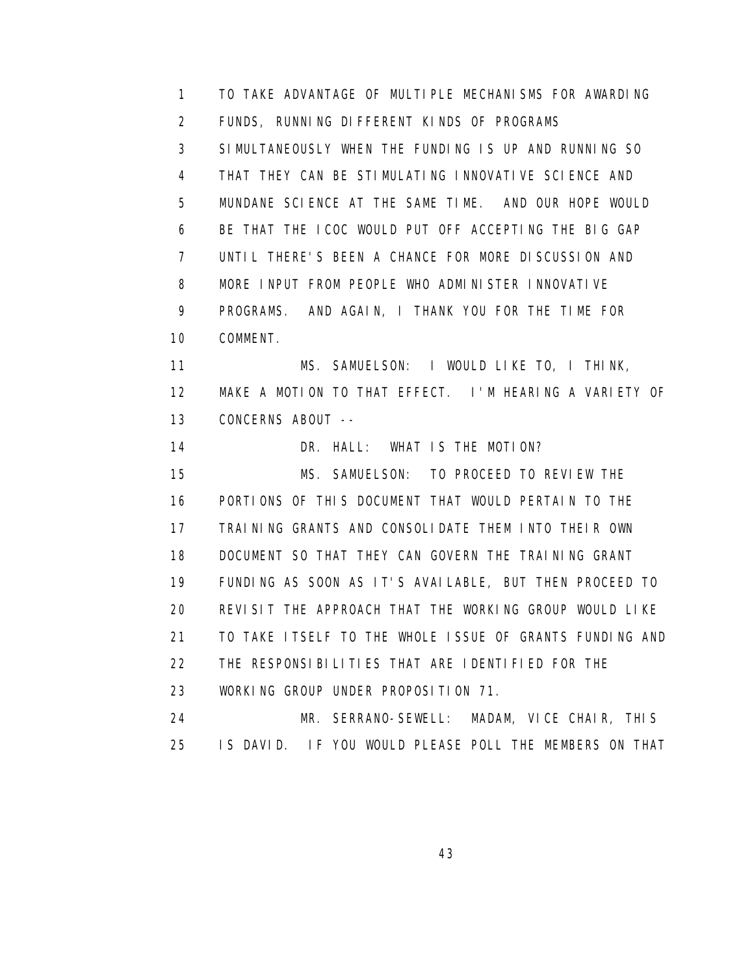1 TO TAKE ADVANTAGE OF MULTIPLE MECHANISMS FOR AWARDING 2 FUNDS, RUNNING DIFFERENT KINDS OF PROGRAMS 3 SIMULTANEOUSLY WHEN THE FUNDING IS UP AND RUNNING SO 4 THAT THEY CAN BE STIMULATING INNOVATIVE SCIENCE AND 5 MUNDANE SCIENCE AT THE SAME TIME. AND OUR HOPE WOULD 6 BE THAT THE ICOC WOULD PUT OFF ACCEPTING THE BIG GAP 7 UNTIL THERE'S BEEN A CHANCE FOR MORE DISCUSSION AND 8 MORE INPUT FROM PEOPLE WHO ADMINISTER INNOVATIVE 9 PROGRAMS. AND AGAIN, I THANK YOU FOR THE TIME FOR 10 COMMENT. 11 MS. SAMUELSON: I WOULD LIKE TO, I THINK, 12 MAKE A MOTION TO THAT EFFECT. I'M HEARING A VARIETY OF 13 CONCERNS ABOUT -- 14 DR. HALL: WHAT IS THE MOTION? 15 MS. SAMUELSON: TO PROCEED TO REVIEW THE 16 PORTIONS OF THIS DOCUMENT THAT WOULD PERTAIN TO THE 17 TRAINING GRANTS AND CONSOLIDATE THEM INTO THEIR OWN 18 DOCUMENT SO THAT THEY CAN GOVERN THE TRAINING GRANT 19 FUNDING AS SOON AS IT'S AVAILABLE, BUT THEN PROCEED TO 20 REVISIT THE APPROACH THAT THE WORKING GROUP WOULD LIKE 21 TO TAKE ITSELF TO THE WHOLE ISSUE OF GRANTS FUNDING AND 22 THE RESPONSIBILITIES THAT ARE IDENTIFIED FOR THE 23 WORKING GROUP UNDER PROPOSITION 71. 24 MR. SERRANO-SEWELL: MADAM, VICE CHAIR, THIS 25 IS DAVID. IF YOU WOULD PLEASE POLL THE MEMBERS ON THAT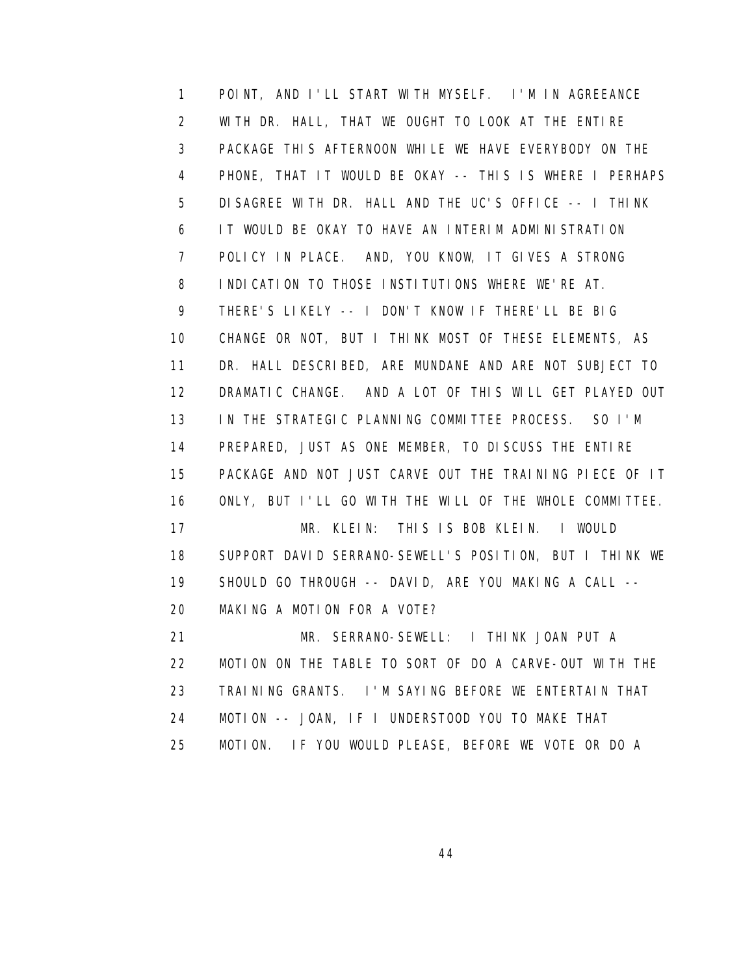1 POINT, AND I'LL START WITH MYSELF. I'M IN AGREEANCE 2 WITH DR. HALL, THAT WE OUGHT TO LOOK AT THE ENTIRE 3 PACKAGE THIS AFTERNOON WHILE WE HAVE EVERYBODY ON THE 4 PHONE, THAT IT WOULD BE OKAY -- THIS IS WHERE I PERHAPS 5 DISAGREE WITH DR. HALL AND THE UC'S OFFICE -- I THINK 6 IT WOULD BE OKAY TO HAVE AN INTERIM ADMINISTRATION 7 POLICY IN PLACE. AND, YOU KNOW, IT GIVES A STRONG 8 INDICATION TO THOSE INSTITUTIONS WHERE WE'RE AT. 9 THERE'S LIKELY -- I DON'T KNOW IF THERE'LL BE BIG 10 CHANGE OR NOT, BUT I THINK MOST OF THESE ELEMENTS, AS 11 DR. HALL DESCRIBED, ARE MUNDANE AND ARE NOT SUBJECT TO 12 DRAMATIC CHANGE. AND A LOT OF THIS WILL GET PLAYED OUT 13 IN THE STRATEGIC PLANNING COMMITTEE PROCESS. SO I'M 14 PREPARED, JUST AS ONE MEMBER, TO DISCUSS THE ENTIRE 15 PACKAGE AND NOT JUST CARVE OUT THE TRAINING PIECE OF IT 16 ONLY, BUT I'LL GO WITH THE WILL OF THE WHOLE COMMITTEE. 17 MR. KLEIN: THIS IS BOB KLEIN. I WOULD 18 SUPPORT DAVID SERRANO-SEWELL'S POSITION, BUT I THINK WE 19 SHOULD GO THROUGH -- DAVID, ARE YOU MAKING A CALL -- 20 MAKING A MOTION FOR A VOTE? 21 MR. SERRANO-SEWELL: I THINK JOAN PUT A 22 MOTION ON THE TABLE TO SORT OF DO A CARVE-OUT WITH THE 23 TRAINING GRANTS. I'M SAYING BEFORE WE ENTERTAIN THAT 24 MOTION -- JOAN, IF I UNDERSTOOD YOU TO MAKE THAT

25 MOTION. IF YOU WOULD PLEASE, BEFORE WE VOTE OR DO A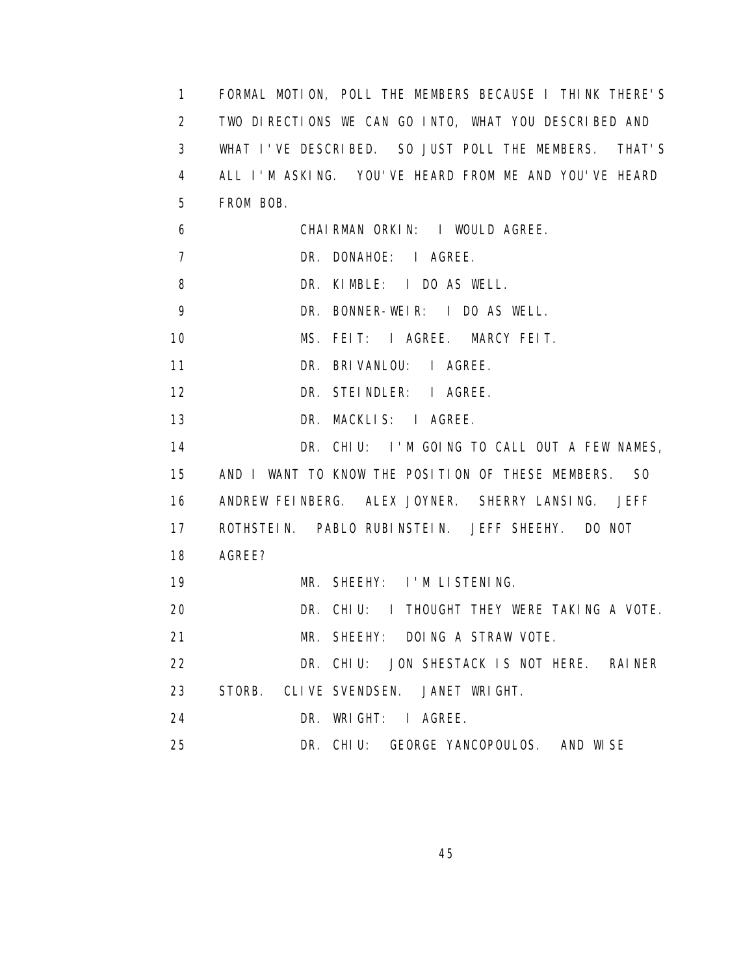1 FORMAL MOTION, POLL THE MEMBERS BECAUSE I THINK THERE'S 2 TWO DIRECTIONS WE CAN GO INTO, WHAT YOU DESCRIBED AND 3 WHAT I'VE DESCRIBED. SO JUST POLL THE MEMBERS. THAT'S 4 ALL I'M ASKING. YOU'VE HEARD FROM ME AND YOU'VE HEARD 5 FROM BOB. 6 CHAIRMAN ORKIN: I WOULD AGREE. 7 DR. DONAHOE: I AGREE. 8 DR. KIMBLE: I DO AS WELL. 9 DR. BONNER-WEIR: I DO AS WELL. 10 MS. FEIT: I AGREE. MARCY FEIT. 11 DR. BRIVANLOU: I AGREE. 12 DR. STEINDLER: I AGREE. 13 DR. MACKLIS: I AGREE. 14 DR. CHIU: I'M GOING TO CALL OUT A FEW NAMES, 15 AND I WANT TO KNOW THE POSITION OF THESE MEMBERS. SO 16 ANDREW FEINBERG. ALEX JOYNER. SHERRY LANSING. JEFF 17 ROTHSTEIN. PABLO RUBINSTEIN. JEFF SHEEHY. DO NOT 18 AGREE? 19 MR. SHEEHY: I'M LISTENING. 20 DR. CHIU: I THOUGHT THEY WERE TAKING A VOTE. 21 MR. SHEEHY: DOING A STRAW VOTE. 22 DR. CHIU: JON SHESTACK IS NOT HERE. RAINER 23 STORB. CLIVE SVENDSEN. JANET WRIGHT. 24 DR. WRIGHT: I AGREE. 25 DR. CHIU: GEORGE YANCOPOULOS. AND WISE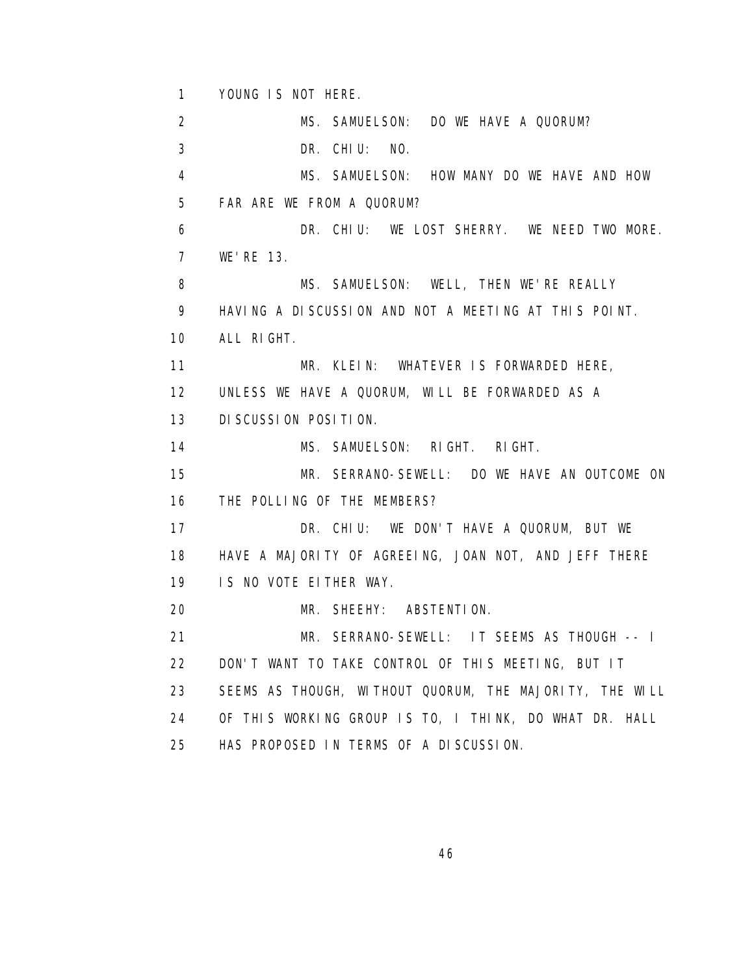1 YOUNG IS NOT HERE.

 2 MS. SAMUELSON: DO WE HAVE A QUORUM? 3 DR. CHIU: NO. 4 MS. SAMUELSON: HOW MANY DO WE HAVE AND HOW 5 FAR ARE WE FROM A QUORUM? 6 DR. CHIU: WE LOST SHERRY. WE NEED TWO MORE. 7 WE'RE 13. 8 MS. SAMUELSON: WELL, THEN WE'RE REALLY 9 HAVING A DISCUSSION AND NOT A MEETING AT THIS POINT. 10 ALL RIGHT. 11 MR. KLEIN: WHATEVER IS FORWARDED HERE, 12 UNLESS WE HAVE A QUORUM, WILL BE FORWARDED AS A 13 DISCUSSION POSITION. 14 MS. SAMUELSON: RIGHT. RIGHT. 15 MR. SERRANO-SEWELL: DO WE HAVE AN OUTCOME ON 16 THE POLLING OF THE MEMBERS? 17 DR. CHIU: WE DON'T HAVE A QUORUM, BUT WE 18 HAVE A MAJORITY OF AGREEING, JOAN NOT, AND JEFF THERE 19 IS NO VOTE EITHER WAY. 20 MR. SHEEHY: ABSTENTION. 21 MR. SERRANO-SEWELL: IT SEEMS AS THOUGH -- I 22 DON'T WANT TO TAKE CONTROL OF THIS MEETING, BUT IT 23 SEEMS AS THOUGH, WITHOUT QUORUM, THE MAJORITY, THE WILL 24 OF THIS WORKING GROUP IS TO, I THINK, DO WHAT DR. HALL 25 HAS PROPOSED IN TERMS OF A DISCUSSION.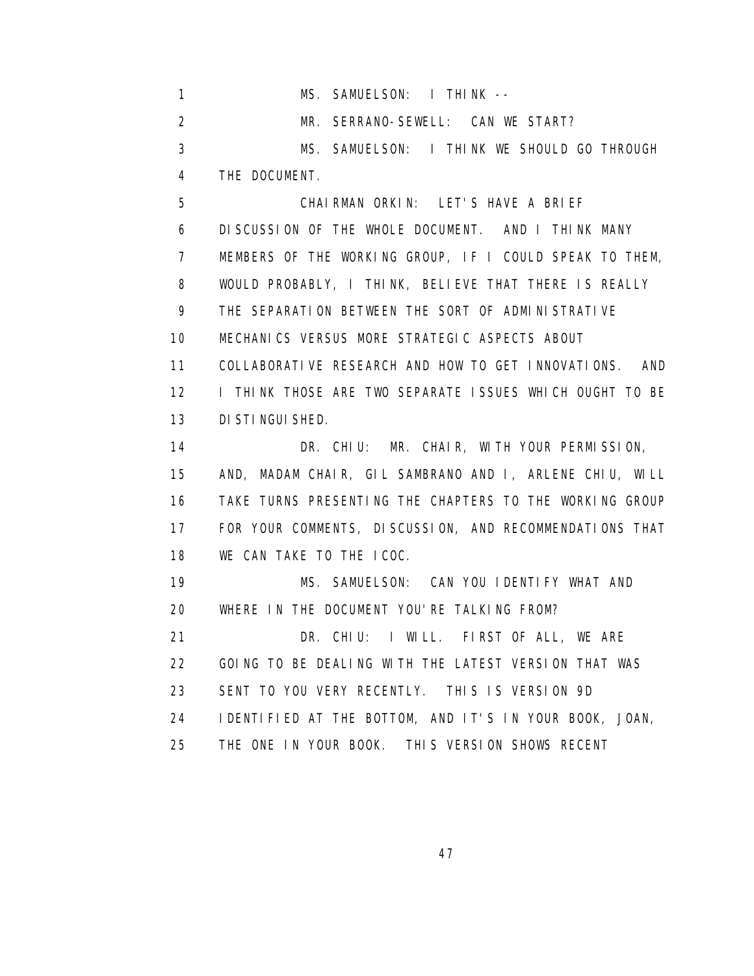1 MS. SAMUELSON: I THINK -- 2 MR. SERRANO-SEWELL: CAN WE START? 3 MS. SAMUELSON: I THINK WE SHOULD GO THROUGH 4 THE DOCUMENT. 5 CHAIRMAN ORKIN: LET'S HAVE A BRIEF 6 DISCUSSION OF THE WHOLE DOCUMENT. AND I THINK MANY 7 MEMBERS OF THE WORKING GROUP, IF I COULD SPEAK TO THEM, 8 WOULD PROBABLY, I THINK, BELIEVE THAT THERE IS REALLY 9 THE SEPARATION BETWEEN THE SORT OF ADMINISTRATIVE 10 MECHANICS VERSUS MORE STRATEGIC ASPECTS ABOUT 11 COLLABORATIVE RESEARCH AND HOW TO GET INNOVATIONS. AND 12 I THINK THOSE ARE TWO SEPARATE ISSUES WHICH OUGHT TO BE 13 DISTINGUISHED. 14 DR. CHIU: MR. CHAIR, WITH YOUR PERMISSION, 15 AND, MADAM CHAIR, GIL SAMBRANO AND I, ARLENE CHIU, WILL 16 TAKE TURNS PRESENTING THE CHAPTERS TO THE WORKING GROUP 17 FOR YOUR COMMENTS, DISCUSSION, AND RECOMMENDATIONS THAT 18 WE CAN TAKE TO THE ICOC. 19 MS. SAMUELSON: CAN YOU IDENTIFY WHAT AND

20 WHERE IN THE DOCUMENT YOU'RE TALKING FROM?

 21 DR. CHIU: I WILL. FIRST OF ALL, WE ARE 22 GOING TO BE DEALING WITH THE LATEST VERSION THAT WAS

23 SENT TO YOU VERY RECENTLY. THIS IS VERSION 9D

24 IDENTIFIED AT THE BOTTOM, AND IT'S IN YOUR BOOK, JOAN,

25 THE ONE IN YOUR BOOK. THIS VERSION SHOWS RECENT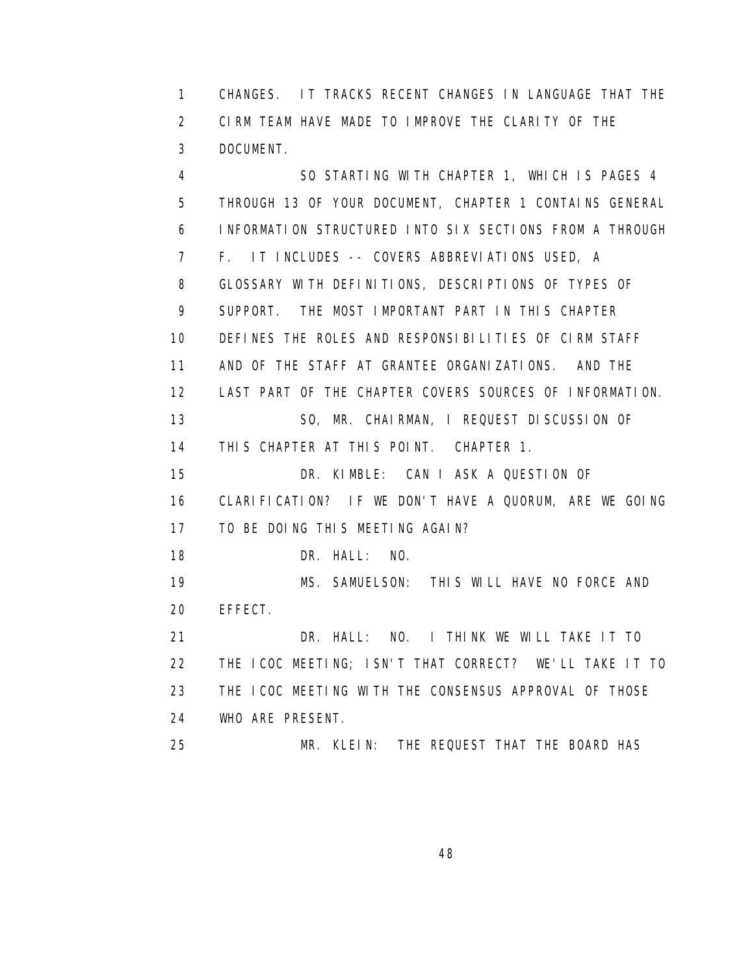1 CHANGES. IT TRACKS RECENT CHANGES IN LANGUAGE THAT THE 2 CIRM TEAM HAVE MADE TO IMPROVE THE CLARITY OF THE 3 DOCUMENT.

 4 SO STARTING WITH CHAPTER 1, WHICH IS PAGES 4 5 THROUGH 13 OF YOUR DOCUMENT, CHAPTER 1 CONTAINS GENERAL 6 INFORMATION STRUCTURED INTO SIX SECTIONS FROM A THROUGH 7 F. IT INCLUDES -- COVERS ABBREVIATIONS USED, A 8 GLOSSARY WITH DEFINITIONS, DESCRIPTIONS OF TYPES OF 9 SUPPORT. THE MOST IMPORTANT PART IN THIS CHAPTER 10 DEFINES THE ROLES AND RESPONSIBILITIES OF CIRM STAFF 11 AND OF THE STAFF AT GRANTEE ORGANIZATIONS. AND THE 12 LAST PART OF THE CHAPTER COVERS SOURCES OF INFORMATION. 13 SO, MR. CHAIRMAN, I REQUEST DISCUSSION OF 14 THIS CHAPTER AT THIS POINT. CHAPTER 1. 15 DR. KIMBLE: CAN I ASK A QUESTION OF 16 CLARIFICATION? IF WE DON'T HAVE A QUORUM, ARE WE GOING 17 TO BE DOING THIS MEETING AGAIN? 18 DR. HALL: NO. 19 MS. SAMUELSON: THIS WILL HAVE NO FORCE AND 20 EFFECT. 21 DR. HALL: NO. I THINK WE WILL TAKE IT TO 22 THE ICOC MEETING; ISN'T THAT CORRECT? WE'LL TAKE IT TO 23 THE ICOC MEETING WITH THE CONSENSUS APPROVAL OF THOSE 24 WHO ARE PRESENT. 25 MR. KLEIN: THE REQUEST THAT THE BOARD HAS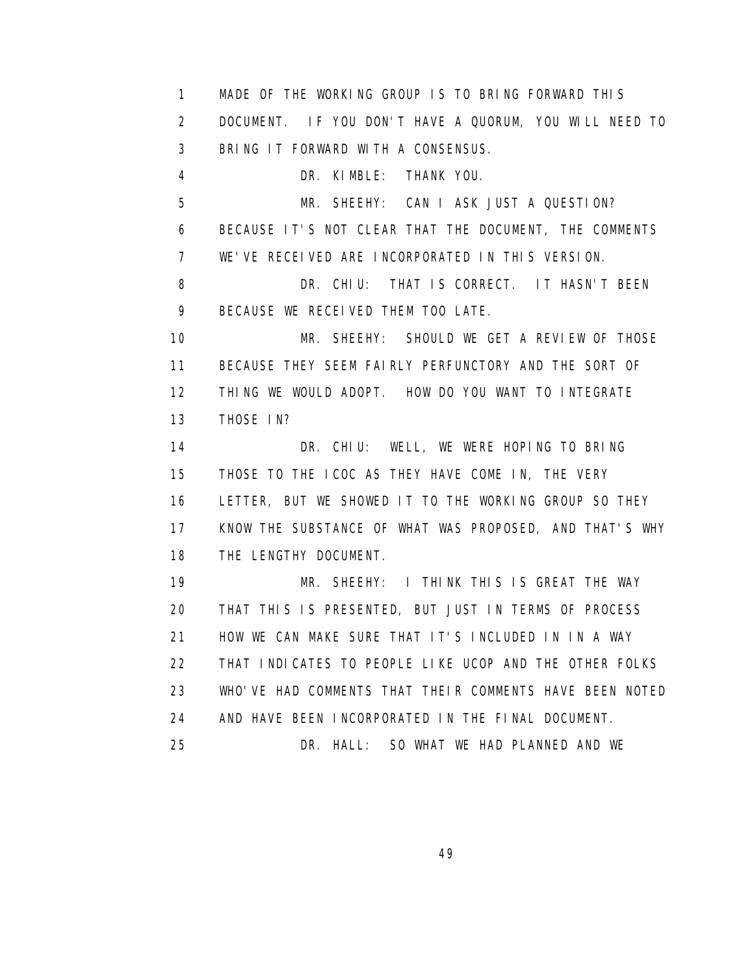1 MADE OF THE WORKING GROUP IS TO BRING FORWARD THIS 2 DOCUMENT. IF YOU DON'T HAVE A QUORUM, YOU WILL NEED TO 3 BRING IT FORWARD WITH A CONSENSUS. 4 DR. KIMBLE: THANK YOU. 5 MR. SHEEHY: CAN I ASK JUST A QUESTION? 6 BECAUSE IT'S NOT CLEAR THAT THE DOCUMENT, THE COMMENTS 7 WE'VE RECEIVED ARE INCORPORATED IN THIS VERSION. 8 DR. CHIU: THAT IS CORRECT. IT HASN'T BEEN 9 BECAUSE WE RECEIVED THEM TOO LATE. 10 MR. SHEEHY: SHOULD WE GET A REVIEW OF THOSE 11 BECAUSE THEY SEEM FAIRLY PERFUNCTORY AND THE SORT OF 12 THING WE WOULD ADOPT. HOW DO YOU WANT TO INTEGRATE 13 THOSE IN? 14 DR. CHIU: WELL, WE WERE HOPING TO BRING 15 THOSE TO THE ICOC AS THEY HAVE COME IN, THE VERY 16 LETTER, BUT WE SHOWED IT TO THE WORKING GROUP SO THEY 17 KNOW THE SUBSTANCE OF WHAT WAS PROPOSED, AND THAT'S WHY 18 THE LENGTHY DOCUMENT. 19 MR. SHEEHY: I THINK THIS IS GREAT THE WAY 20 THAT THIS IS PRESENTED, BUT JUST IN TERMS OF PROCESS 21 HOW WE CAN MAKE SURE THAT IT'S INCLUDED IN IN A WAY 22 THAT INDICATES TO PEOPLE LIKE UCOP AND THE OTHER FOLKS 23 WHO'VE HAD COMMENTS THAT THEIR COMMENTS HAVE BEEN NOTED 24 AND HAVE BEEN INCORPORATED IN THE FINAL DOCUMENT.

25 DR. HALL: SO WHAT WE HAD PLANNED AND WE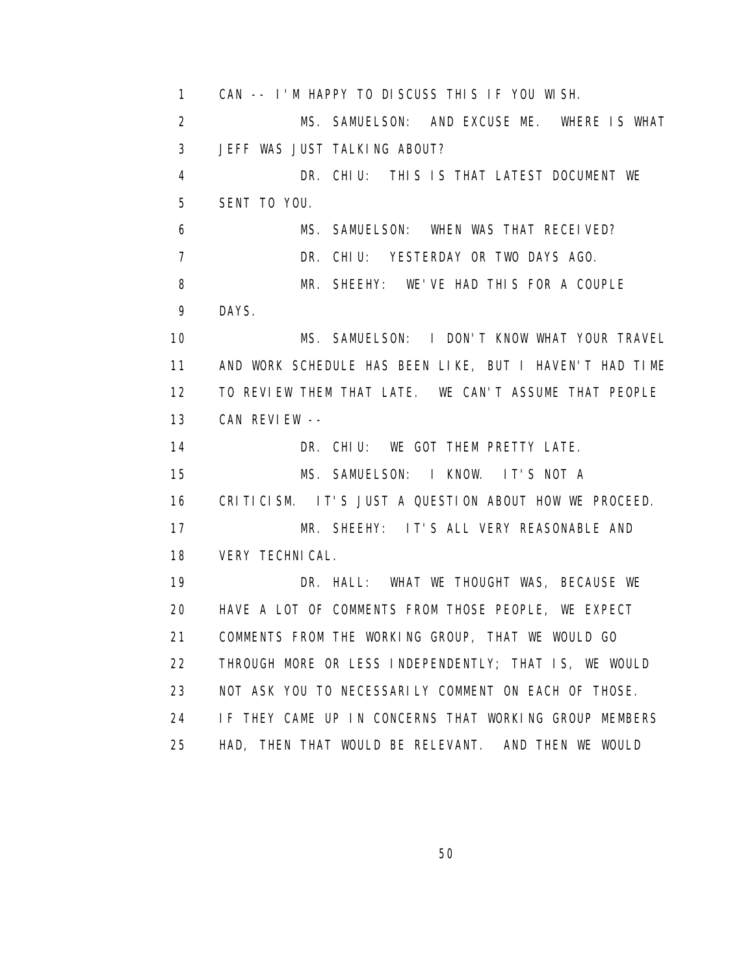1 CAN -- I'M HAPPY TO DISCUSS THIS IF YOU WISH. 2 MS. SAMUELSON: AND EXCUSE ME. WHERE IS WHAT 3 JEFF WAS JUST TALKING ABOUT? 4 DR. CHIU: THIS IS THAT LATEST DOCUMENT WE 5 SENT TO YOU. 6 MS. SAMUELSON: WHEN WAS THAT RECEIVED? 7 DR. CHIU: YESTERDAY OR TWO DAYS AGO. 8 MR. SHEEHY: WE'VE HAD THIS FOR A COUPLE 9 DAYS. 10 MS. SAMUELSON: I DON'T KNOW WHAT YOUR TRAVEL 11 AND WORK SCHEDULE HAS BEEN LIKE, BUT I HAVEN'T HAD TIME 12 TO REVIEW THEM THAT LATE. WE CAN'T ASSUME THAT PEOPLE 13 CAN REVIEW -- 14 DR. CHIU: WE GOT THEM PRETTY LATE. 15 MS. SAMUELSON: I KNOW. IT'S NOT A 16 CRITICISM. IT'S JUST A QUESTION ABOUT HOW WE PROCEED. 17 MR. SHEEHY: IT'S ALL VERY REASONABLE AND 18 VERY TECHNICAL. 19 **DR. HALL: WHAT WE THOUGHT WAS, BECAUSE WE**  20 HAVE A LOT OF COMMENTS FROM THOSE PEOPLE, WE EXPECT 21 COMMENTS FROM THE WORKING GROUP, THAT WE WOULD GO 22 THROUGH MORE OR LESS INDEPENDENTLY; THAT IS, WE WOULD 23 NOT ASK YOU TO NECESSARILY COMMENT ON EACH OF THOSE. 24 IF THEY CAME UP IN CONCERNS THAT WORKING GROUP MEMBERS 25 HAD, THEN THAT WOULD BE RELEVANT. AND THEN WE WOULD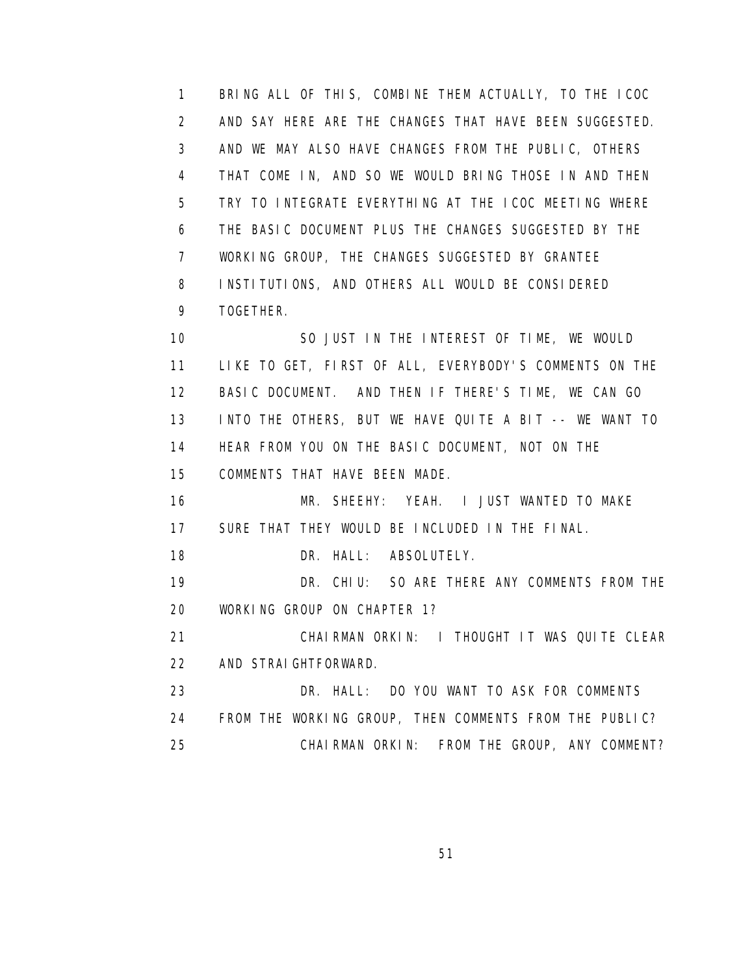1 BRING ALL OF THIS, COMBINE THEM ACTUALLY, TO THE ICOC 2 AND SAY HERE ARE THE CHANGES THAT HAVE BEEN SUGGESTED. 3 AND WE MAY ALSO HAVE CHANGES FROM THE PUBLIC, OTHERS 4 THAT COME IN, AND SO WE WOULD BRING THOSE IN AND THEN 5 TRY TO INTEGRATE EVERYTHING AT THE ICOC MEETING WHERE 6 THE BASIC DOCUMENT PLUS THE CHANGES SUGGESTED BY THE 7 WORKING GROUP, THE CHANGES SUGGESTED BY GRANTEE 8 INSTITUTIONS, AND OTHERS ALL WOULD BE CONSIDERED 9 TOGETHER.

 10 SO JUST IN THE INTEREST OF TIME, WE WOULD 11 LIKE TO GET, FIRST OF ALL, EVERYBODY'S COMMENTS ON THE 12 BASIC DOCUMENT. AND THEN IF THERE'S TIME, WE CAN GO 13 INTO THE OTHERS, BUT WE HAVE QUITE A BIT -- WE WANT TO 14 HEAR FROM YOU ON THE BASIC DOCUMENT, NOT ON THE 15 COMMENTS THAT HAVE BEEN MADE.

 16 MR. SHEEHY: YEAH. I JUST WANTED TO MAKE 17 SURE THAT THEY WOULD BE INCLUDED IN THE FINAL.

18 DR. HALL: ABSOLUTELY.

 19 DR. CHIU: SO ARE THERE ANY COMMENTS FROM THE 20 WORKING GROUP ON CHAPTER 1?

 21 CHAIRMAN ORKIN: I THOUGHT IT WAS QUITE CLEAR 22 AND STRAIGHTFORWARD.

 23 DR. HALL: DO YOU WANT TO ASK FOR COMMENTS 24 FROM THE WORKING GROUP, THEN COMMENTS FROM THE PUBLIC? 25 CHAIRMAN ORKIN: FROM THE GROUP, ANY COMMENT?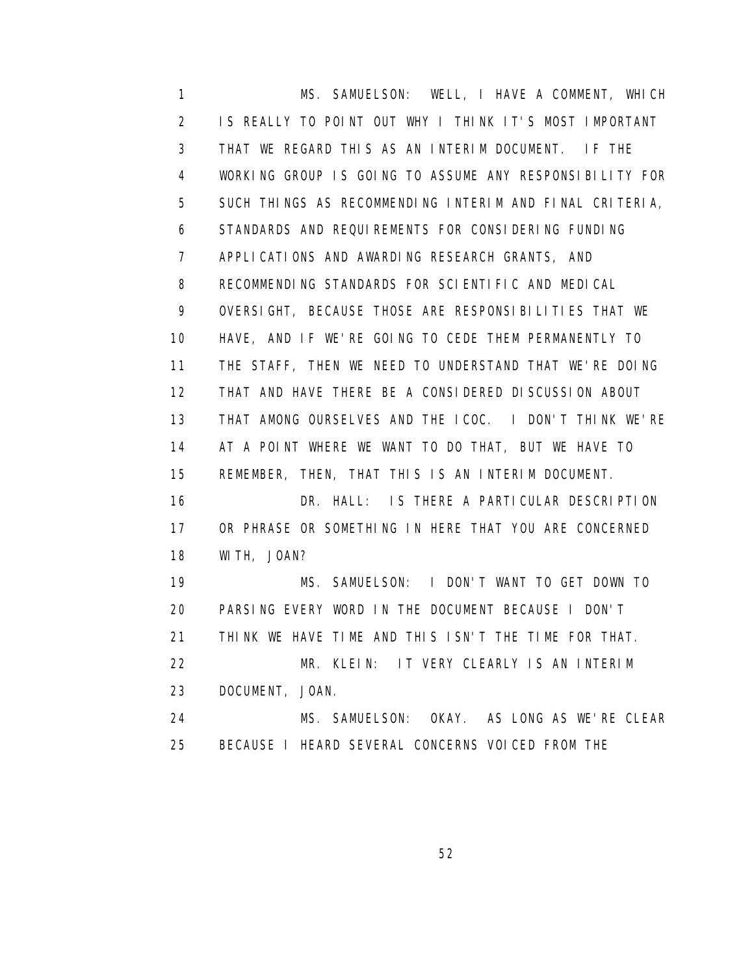1 MS. SAMUELSON: WELL, I HAVE A COMMENT, WHICH 2 IS REALLY TO POINT OUT WHY I THINK IT'S MOST IMPORTANT 3 THAT WE REGARD THIS AS AN INTERIM DOCUMENT. IF THE 4 WORKING GROUP IS GOING TO ASSUME ANY RESPONSIBILITY FOR 5 SUCH THINGS AS RECOMMENDING INTERIM AND FINAL CRITERIA, 6 STANDARDS AND REQUIREMENTS FOR CONSIDERING FUNDING 7 APPLICATIONS AND AWARDING RESEARCH GRANTS, AND 8 RECOMMENDING STANDARDS FOR SCIENTIFIC AND MEDICAL 9 OVERSIGHT, BECAUSE THOSE ARE RESPONSIBILITIES THAT WE 10 HAVE, AND IF WE'RE GOING TO CEDE THEM PERMANENTLY TO 11 THE STAFF, THEN WE NEED TO UNDERSTAND THAT WE'RE DOING 12 THAT AND HAVE THERE BE A CONSIDERED DISCUSSION ABOUT 13 THAT AMONG OURSELVES AND THE ICOC. I DON'T THINK WE'RE 14 AT A POINT WHERE WE WANT TO DO THAT, BUT WE HAVE TO 15 REMEMBER, THEN, THAT THIS IS AN INTERIM DOCUMENT. 16 DR. HALL: IS THERE A PARTICULAR DESCRIPTION 17 OR PHRASE OR SOMETHING IN HERE THAT YOU ARE CONCERNED 18 WITH, JOAN? 19 MS. SAMUELSON: I DON'T WANT TO GET DOWN TO 20 PARSING EVERY WORD IN THE DOCUMENT BECAUSE I DON'T 21 THINK WE HAVE TIME AND THIS ISN'T THE TIME FOR THAT. 22 MR. KLEIN: IT VERY CLEARLY IS AN INTERIM 23 DOCUMENT, JOAN. 24 MS. SAMUELSON: OKAY. AS LONG AS WE'RE CLEAR 25 BECAUSE I HEARD SEVERAL CONCERNS VOICED FROM THE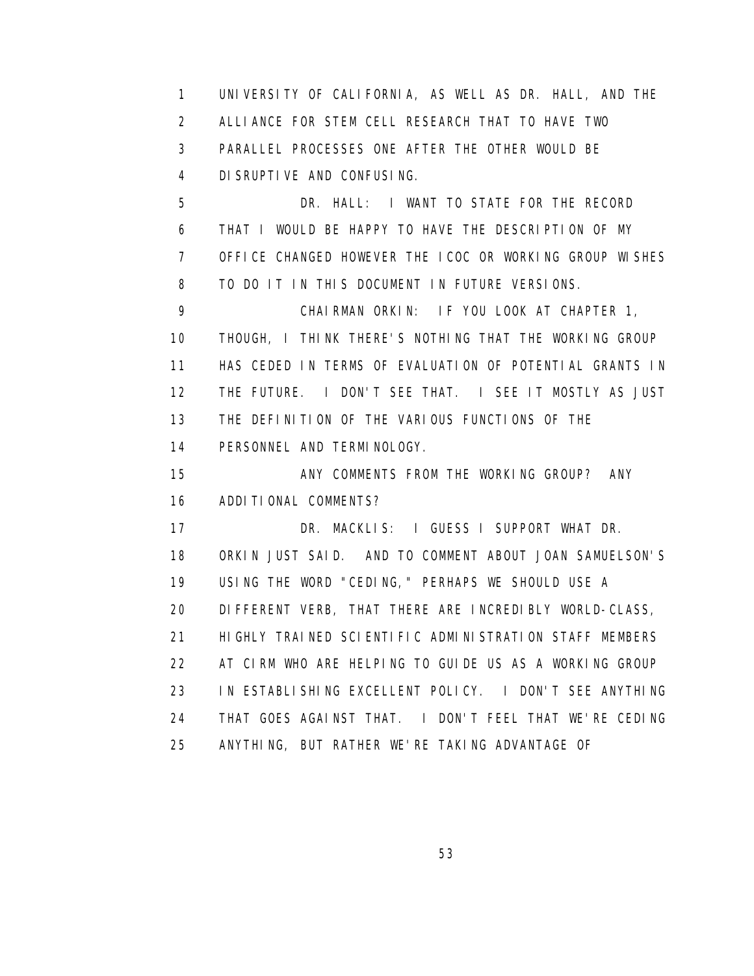1 UNIVERSITY OF CALIFORNIA, AS WELL AS DR. HALL, AND THE 2 ALLIANCE FOR STEM CELL RESEARCH THAT TO HAVE TWO 3 PARALLEL PROCESSES ONE AFTER THE OTHER WOULD BE 4 DISRUPTIVE AND CONFUSING.

 5 DR. HALL: I WANT TO STATE FOR THE RECORD 6 THAT I WOULD BE HAPPY TO HAVE THE DESCRIPTION OF MY 7 OFFICE CHANGED HOWEVER THE ICOC OR WORKING GROUP WISHES 8 TO DO IT IN THIS DOCUMENT IN FUTURE VERSIONS.

 9 CHAIRMAN ORKIN: IF YOU LOOK AT CHAPTER 1, 10 THOUGH, I THINK THERE'S NOTHING THAT THE WORKING GROUP 11 HAS CEDED IN TERMS OF EVALUATION OF POTENTIAL GRANTS IN 12 THE FUTURE. I DON'T SEE THAT. I SEE IT MOSTLY AS JUST 13 THE DEFINITION OF THE VARIOUS FUNCTIONS OF THE 14 PERSONNEL AND TERMINOLOGY.

15 **ANY COMMENTS FROM THE WORKING GROUP?** ANY 16 ADDITIONAL COMMENTS?

 17 DR. MACKLIS: I GUESS I SUPPORT WHAT DR. 18 ORKIN JUST SAID. AND TO COMMENT ABOUT JOAN SAMUELSON'S 19 USING THE WORD "CEDING," PERHAPS WE SHOULD USE A 20 DIFFERENT VERB, THAT THERE ARE INCREDIBLY WORLD-CLASS, 21 HIGHLY TRAINED SCIENTIFIC ADMINISTRATION STAFF MEMBERS 22 AT CIRM WHO ARE HELPING TO GUIDE US AS A WORKING GROUP 23 IN ESTABLISHING EXCELLENT POLICY. I DON'T SEE ANYTHING 24 THAT GOES AGAINST THAT. I DON'T FEEL THAT WE'RE CEDING 25 ANYTHING, BUT RATHER WE'RE TAKING ADVANTAGE OF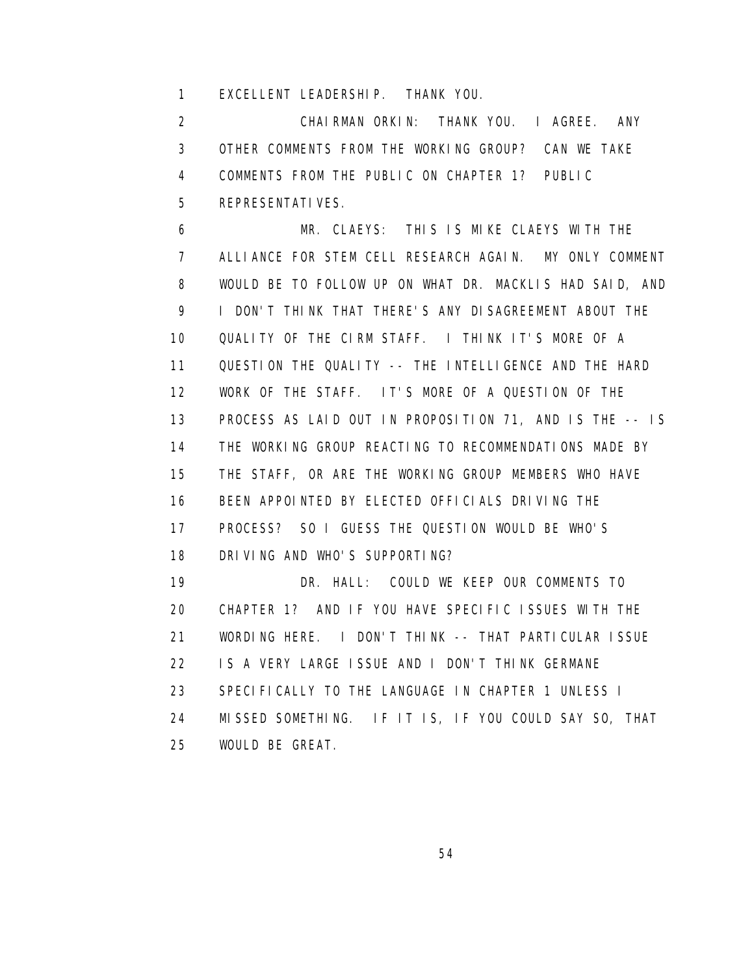1 EXCELLENT LEADERSHIP. THANK YOU.

 2 CHAIRMAN ORKIN: THANK YOU. I AGREE. ANY 3 OTHER COMMENTS FROM THE WORKING GROUP? CAN WE TAKE 4 COMMENTS FROM THE PUBLIC ON CHAPTER 1? PUBLIC 5 REPRESENTATIVES.

 6 MR. CLAEYS: THIS IS MIKE CLAEYS WITH THE 7 ALLIANCE FOR STEM CELL RESEARCH AGAIN. MY ONLY COMMENT 8 WOULD BE TO FOLLOW UP ON WHAT DR. MACKLIS HAD SAID, AND 9 I DON'T THINK THAT THERE'S ANY DISAGREEMENT ABOUT THE 10 QUALITY OF THE CIRM STAFF. I THINK IT'S MORE OF A 11 QUESTION THE QUALITY -- THE INTELLIGENCE AND THE HARD 12 WORK OF THE STAFF. IT'S MORE OF A QUESTION OF THE 13 PROCESS AS LAID OUT IN PROPOSITION 71, AND IS THE -- IS 14 THE WORKING GROUP REACTING TO RECOMMENDATIONS MADE BY 15 THE STAFF, OR ARE THE WORKING GROUP MEMBERS WHO HAVE 16 BEEN APPOINTED BY ELECTED OFFICIALS DRIVING THE 17 PROCESS? SO I GUESS THE QUESTION WOULD BE WHO'S 18 DRIVING AND WHO'S SUPPORTING? 19 DR. HALL: COULD WE KEEP OUR COMMENTS TO 20 CHAPTER 1? AND IF YOU HAVE SPECIFIC ISSUES WITH THE 21 WORDING HERE. I DON'T THINK -- THAT PARTICULAR ISSUE 22 IS A VERY LARGE ISSUE AND I DON'T THINK GERMANE 23 SPECIFICALLY TO THE LANGUAGE IN CHAPTER 1 UNLESS I 24 MISSED SOMETHING. IF IT IS, IF YOU COULD SAY SO, THAT 25 WOULD BE GREAT.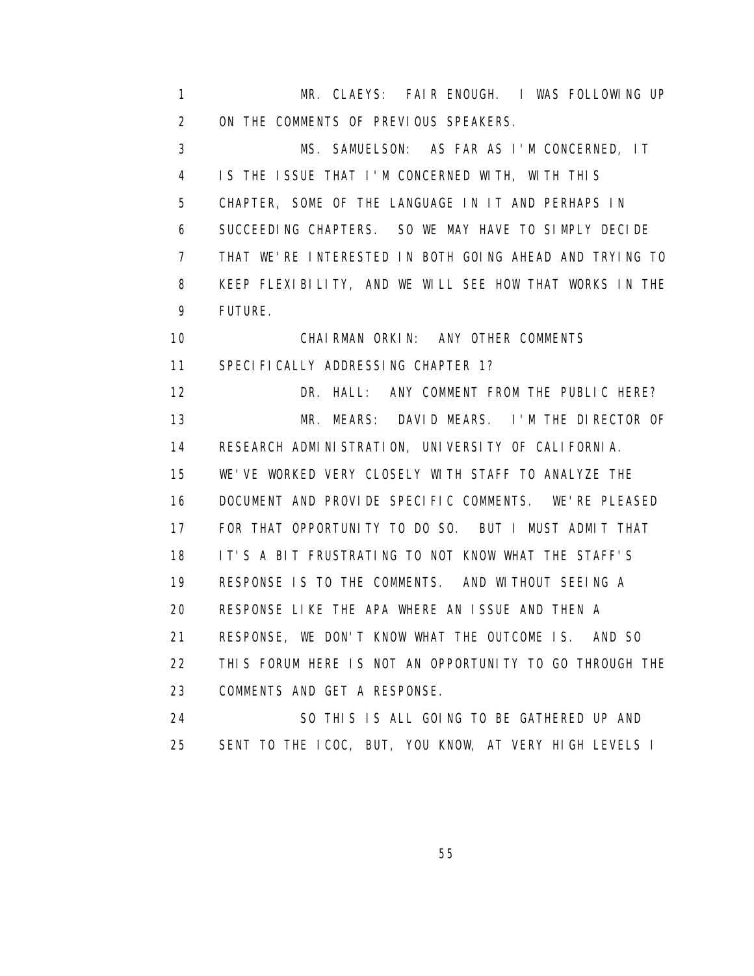1 MR. CLAEYS: FAIR ENOUGH. I WAS FOLLOWING UP 2 ON THE COMMENTS OF PREVIOUS SPEAKERS. 3 MS. SAMUELSON: AS FAR AS I'M CONCERNED, IT 4 IS THE ISSUE THAT I'M CONCERNED WITH, WITH THIS 5 CHAPTER, SOME OF THE LANGUAGE IN IT AND PERHAPS IN 6 SUCCEEDING CHAPTERS. SO WE MAY HAVE TO SIMPLY DECIDE 7 THAT WE'RE INTERESTED IN BOTH GOING AHEAD AND TRYING TO 8 KEEP FLEXIBILITY, AND WE WILL SEE HOW THAT WORKS IN THE 9 FUTURE. 10 CHAIRMAN ORKIN: ANY OTHER COMMENTS 11 SPECIFICALLY ADDRESSING CHAPTER 1? 12 DR. HALL: ANY COMMENT FROM THE PUBLIC HERE? 13 MR. MEARS: DAVID MEARS. I'M THE DIRECTOR OF 14 RESEARCH ADMINISTRATION, UNIVERSITY OF CALIFORNIA. 15 WE'VE WORKED VERY CLOSELY WITH STAFF TO ANALYZE THE 16 DOCUMENT AND PROVIDE SPECIFIC COMMENTS. WE'RE PLEASED 17 FOR THAT OPPORTUNITY TO DO SO. BUT I MUST ADMIT THAT 18 IT'S A BIT FRUSTRATING TO NOT KNOW WHAT THE STAFF'S 19 RESPONSE IS TO THE COMMENTS. AND WITHOUT SEEING A 20 RESPONSE LIKE THE APA WHERE AN ISSUE AND THEN A 21 RESPONSE, WE DON'T KNOW WHAT THE OUTCOME IS. AND SO 22 THIS FORUM HERE IS NOT AN OPPORTUNITY TO GO THROUGH THE 23 COMMENTS AND GET A RESPONSE. 24 SO THIS IS ALL GOING TO BE GATHERED UP AND 25 SENT TO THE ICOC, BUT, YOU KNOW, AT VERY HIGH LEVELS I

<u>55 September 2006 September 2006 September 2006 September 2006 September 2006 September 2006 September 2006 S</u>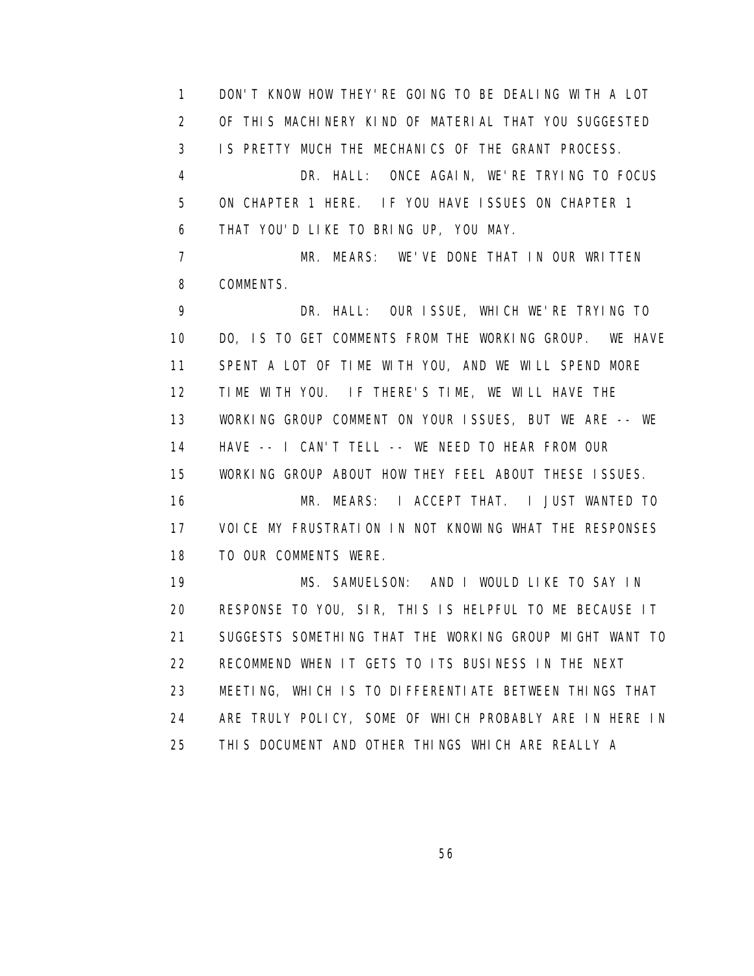1 DON'T KNOW HOW THEY'RE GOING TO BE DEALING WITH A LOT 2 OF THIS MACHINERY KIND OF MATERIAL THAT YOU SUGGESTED 3 IS PRETTY MUCH THE MECHANICS OF THE GRANT PROCESS. 4 DR. HALL: ONCE AGAIN, WE'RE TRYING TO FOCUS 5 ON CHAPTER 1 HERE. IF YOU HAVE ISSUES ON CHAPTER 1 6 THAT YOU'D LIKE TO BRING UP, YOU MAY. 7 MR. MEARS: WE'VE DONE THAT IN OUR WRITTEN 8 COMMENTS. 9 DR. HALL: OUR ISSUE, WHICH WE'RE TRYING TO 10 DO, IS TO GET COMMENTS FROM THE WORKING GROUP. WE HAVE 11 SPENT A LOT OF TIME WITH YOU, AND WE WILL SPEND MORE 12 TIME WITH YOU. IF THERE'S TIME, WE WILL HAVE THE 13 WORKING GROUP COMMENT ON YOUR ISSUES, BUT WE ARE -- WE 14 HAVE -- I CAN'T TELL -- WE NEED TO HEAR FROM OUR 15 WORKING GROUP ABOUT HOW THEY FEEL ABOUT THESE ISSUES. 16 MR. MEARS: I ACCEPT THAT. I JUST WANTED TO 17 VOICE MY FRUSTRATION IN NOT KNOWING WHAT THE RESPONSES 18 TO OUR COMMENTS WERE. 19 MS. SAMUELSON: AND I WOULD LIKE TO SAY IN 20 RESPONSE TO YOU, SIR, THIS IS HELPFUL TO ME BECAUSE IT 21 SUGGESTS SOMETHING THAT THE WORKING GROUP MIGHT WANT TO 22 RECOMMEND WHEN IT GETS TO ITS BUSINESS IN THE NEXT 23 MEETING, WHICH IS TO DIFFERENTIATE BETWEEN THINGS THAT 24 ARE TRULY POLICY, SOME OF WHICH PROBABLY ARE IN HERE IN 25 THIS DOCUMENT AND OTHER THINGS WHICH ARE REALLY A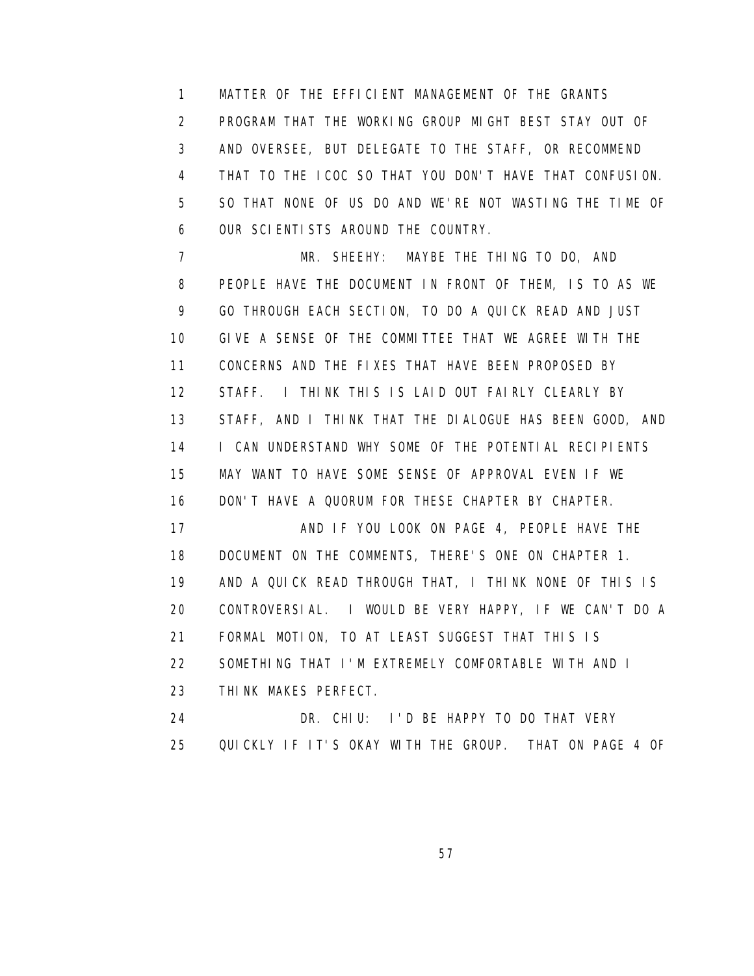1 MATTER OF THE EFFICIENT MANAGEMENT OF THE GRANTS 2 PROGRAM THAT THE WORKING GROUP MIGHT BEST STAY OUT OF 3 AND OVERSEE, BUT DELEGATE TO THE STAFF, OR RECOMMEND 4 THAT TO THE ICOC SO THAT YOU DON'T HAVE THAT CONFUSION. 5 SO THAT NONE OF US DO AND WE'RE NOT WASTING THE TIME OF 6 OUR SCIENTISTS AROUND THE COUNTRY.

 7 MR. SHEEHY: MAYBE THE THING TO DO, AND 8 PEOPLE HAVE THE DOCUMENT IN FRONT OF THEM, IS TO AS WE 9 GO THROUGH EACH SECTION, TO DO A QUICK READ AND JUST 10 GIVE A SENSE OF THE COMMITTEE THAT WE AGREE WITH THE 11 CONCERNS AND THE FIXES THAT HAVE BEEN PROPOSED BY 12 STAFF. I THINK THIS IS LAID OUT FAIRLY CLEARLY BY 13 STAFF, AND I THINK THAT THE DIALOGUE HAS BEEN GOOD, AND 14 I CAN UNDERSTAND WHY SOME OF THE POTENTIAL RECIPIENTS 15 MAY WANT TO HAVE SOME SENSE OF APPROVAL EVEN IF WE 16 DON'T HAVE A QUORUM FOR THESE CHAPTER BY CHAPTER. 17 AND IF YOU LOOK ON PAGE 4, PEOPLE HAVE THE 18 DOCUMENT ON THE COMMENTS, THERE'S ONE ON CHAPTER 1. 19 AND A QUICK READ THROUGH THAT, I THINK NONE OF THIS IS 20 CONTROVERSIAL. I WOULD BE VERY HAPPY, IF WE CAN'T DO A 21 FORMAL MOTION, TO AT LEAST SUGGEST THAT THIS IS 22 SOMETHING THAT I'M EXTREMELY COMFORTABLE WITH AND I 23 THINK MAKES PERFECT. 24 DR. CHIU: I'D BE HAPPY TO DO THAT VERY

25 QUICKLY IF IT'S OKAY WITH THE GROUP. THAT ON PAGE 4 OF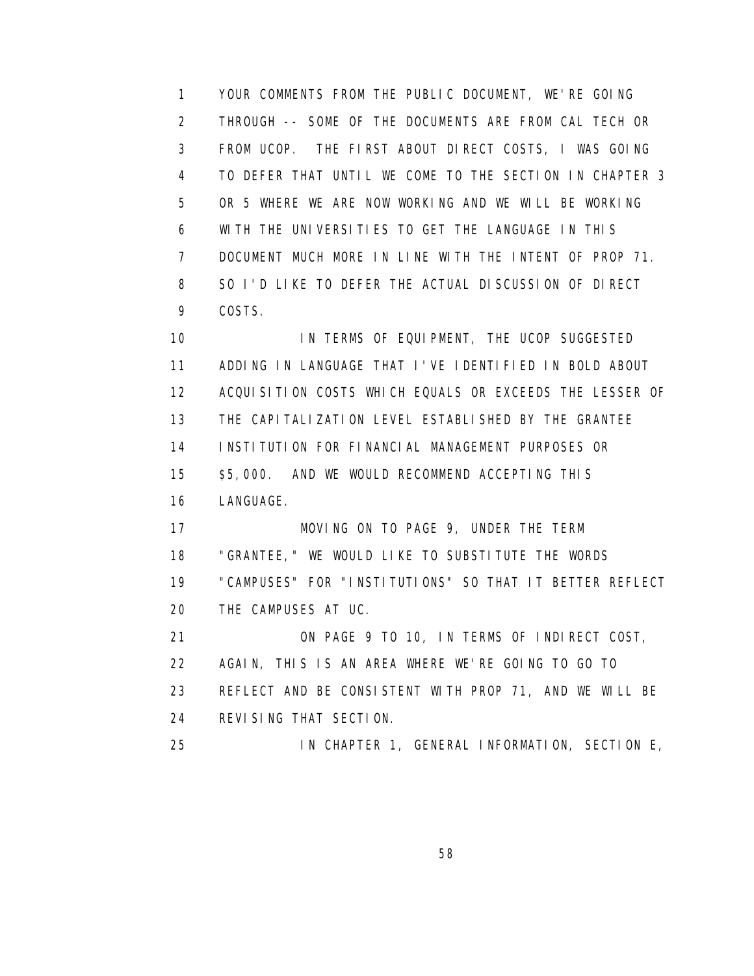1 YOUR COMMENTS FROM THE PUBLIC DOCUMENT, WE'RE GOING 2 THROUGH -- SOME OF THE DOCUMENTS ARE FROM CAL TECH OR 3 FROM UCOP. THE FIRST ABOUT DIRECT COSTS, I WAS GOING 4 TO DEFER THAT UNTIL WE COME TO THE SECTION IN CHAPTER 3 5 OR 5 WHERE WE ARE NOW WORKING AND WE WILL BE WORKING 6 WITH THE UNIVERSITIES TO GET THE LANGUAGE IN THIS 7 DOCUMENT MUCH MORE IN LINE WITH THE INTENT OF PROP 71. 8 SO I'D LIKE TO DEFER THE ACTUAL DISCUSSION OF DIRECT 9 COSTS.

 10 IN TERMS OF EQUIPMENT, THE UCOP SUGGESTED 11 ADDING IN LANGUAGE THAT I'VE IDENTIFIED IN BOLD ABOUT 12 ACQUISITION COSTS WHICH EQUALS OR EXCEEDS THE LESSER OF 13 THE CAPITALIZATION LEVEL ESTABLISHED BY THE GRANTEE 14 INSTITUTION FOR FINANCIAL MANAGEMENT PURPOSES OR 15 \$5,000. AND WE WOULD RECOMMEND ACCEPTING THIS 16 LANGUAGE. 17 MOVING ON TO PAGE 9, UNDER THE TERM 18 "GRANTEE," WE WOULD LIKE TO SUBSTITUTE THE WORDS 19 "CAMPUSES" FOR "INSTITUTIONS" SO THAT IT BETTER REFLECT 20 THE CAMPUSES AT UC. 21 ON PAGE 9 TO 10, IN TERMS OF INDIRECT COST, 22 AGAIN, THIS IS AN AREA WHERE WE'RE GOING TO GO TO 23 REFLECT AND BE CONSISTENT WITH PROP 71, AND WE WILL BE 24 REVISING THAT SECTION.

25 IN CHAPTER 1, GENERAL INFORMATION, SECTION E,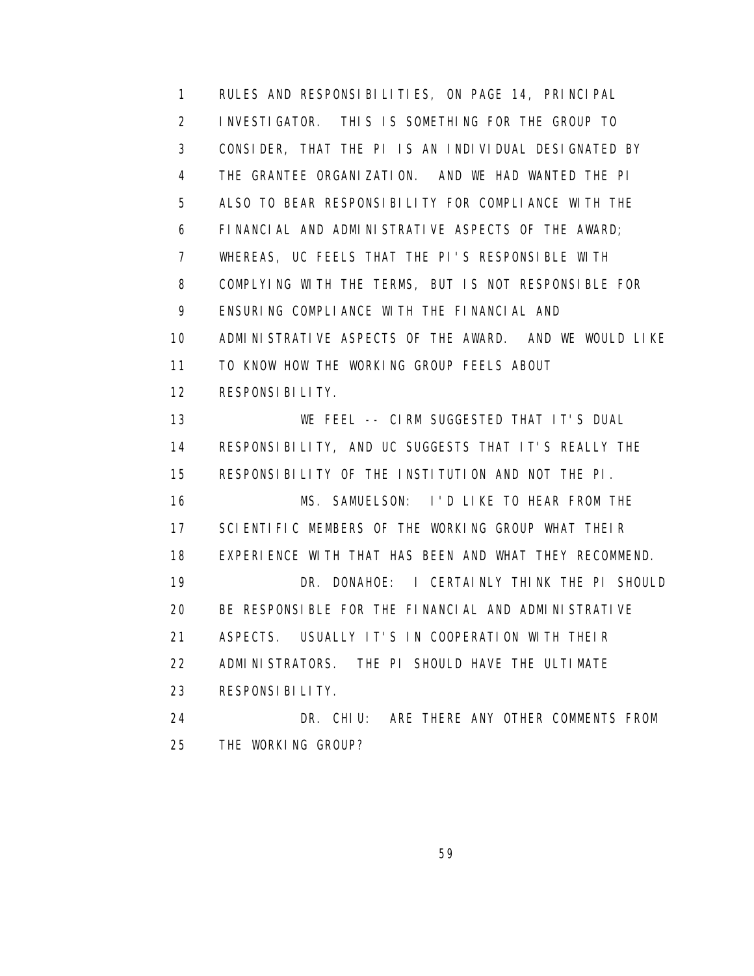1 RULES AND RESPONSIBILITIES, ON PAGE 14, PRINCIPAL 2 INVESTIGATOR. THIS IS SOMETHING FOR THE GROUP TO 3 CONSIDER, THAT THE PI IS AN INDIVIDUAL DESIGNATED BY 4 THE GRANTEE ORGANIZATION. AND WE HAD WANTED THE PI 5 ALSO TO BEAR RESPONSIBILITY FOR COMPLIANCE WITH THE 6 FINANCIAL AND ADMINISTRATIVE ASPECTS OF THE AWARD; 7 WHEREAS, UC FEELS THAT THE PI'S RESPONSIBLE WITH 8 COMPLYING WITH THE TERMS, BUT IS NOT RESPONSIBLE FOR 9 ENSURING COMPLIANCE WITH THE FINANCIAL AND 10 ADMINISTRATIVE ASPECTS OF THE AWARD. AND WE WOULD LIKE 11 TO KNOW HOW THE WORKING GROUP FEELS ABOUT 12 RESPONSIBILITY. 13 WE FEEL -- CIRM SUGGESTED THAT IT'S DUAL 14 RESPONSIBILITY, AND UC SUGGESTS THAT IT'S REALLY THE 15 RESPONSIBILITY OF THE INSTITUTION AND NOT THE PI. 16 MS. SAMUELSON: I'D LIKE TO HEAR FROM THE 17 SCIENTIFIC MEMBERS OF THE WORKING GROUP WHAT THEIR 18 EXPERIENCE WITH THAT HAS BEEN AND WHAT THEY RECOMMEND. 19 DR. DONAHOE: I CERTAINLY THINK THE PI SHOULD 20 BE RESPONSIBLE FOR THE FINANCIAL AND ADMINISTRATIVE 21 ASPECTS. USUALLY IT'S IN COOPERATION WITH THEIR 22 ADMINISTRATORS. THE PI SHOULD HAVE THE ULTIMATE 23 RESPONSIBILITY. 24 DR. CHIU: ARE THERE ANY OTHER COMMENTS FROM 25 THE WORKING GROUP?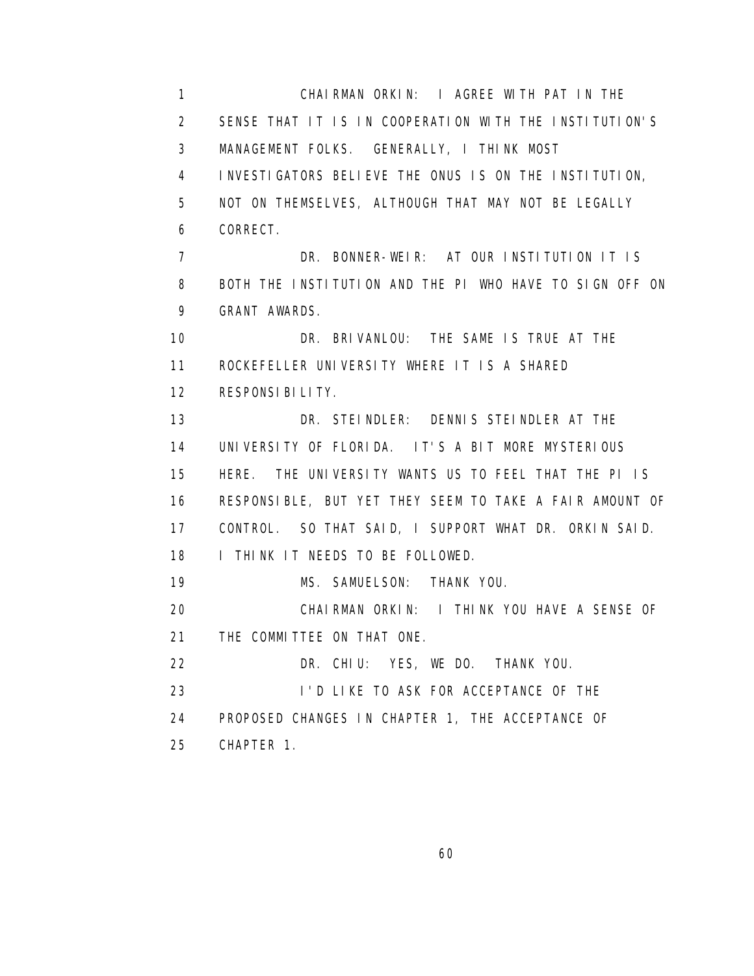1 CHAIRMAN ORKIN: I AGREE WITH PAT IN THE 2 SENSE THAT IT IS IN COOPERATION WITH THE INSTITUTION'S 3 MANAGEMENT FOLKS. GENERALLY, I THINK MOST 4 INVESTIGATORS BELIEVE THE ONUS IS ON THE INSTITUTION, 5 NOT ON THEMSELVES, ALTHOUGH THAT MAY NOT BE LEGALLY 6 CORRECT. 7 DR. BONNER-WEIR: AT OUR INSTITUTION IT IS 8 BOTH THE INSTITUTION AND THE PI WHO HAVE TO SIGN OFF ON 9 GRANT AWARDS. 10 DR. BRIVANLOU: THE SAME IS TRUE AT THE 11 ROCKEFELLER UNIVERSITY WHERE IT IS A SHARED 12 RESPONSIBILITY. 13 DR. STEINDLER: DENNIS STEINDLER AT THE 14 UNIVERSITY OF FLORIDA. IT'S A BIT MORE MYSTERIOUS 15 HERE. THE UNIVERSITY WANTS US TO FEEL THAT THE PI IS 16 RESPONSIBLE, BUT YET THEY SEEM TO TAKE A FAIR AMOUNT OF 17 CONTROL. SO THAT SAID, I SUPPORT WHAT DR. ORKIN SAID. 18 I THINK IT NEEDS TO BE FOLLOWED. 19 MS. SAMUELSON: THANK YOU. 20 CHAIRMAN ORKIN: I THINK YOU HAVE A SENSE OF 21 THE COMMITTEE ON THAT ONE. 22 DR. CHIU: YES, WE DO. THANK YOU. 23 I'D LIKE TO ASK FOR ACCEPTANCE OF THE 24 PROPOSED CHANGES IN CHAPTER 1, THE ACCEPTANCE OF 25 CHAPTER 1.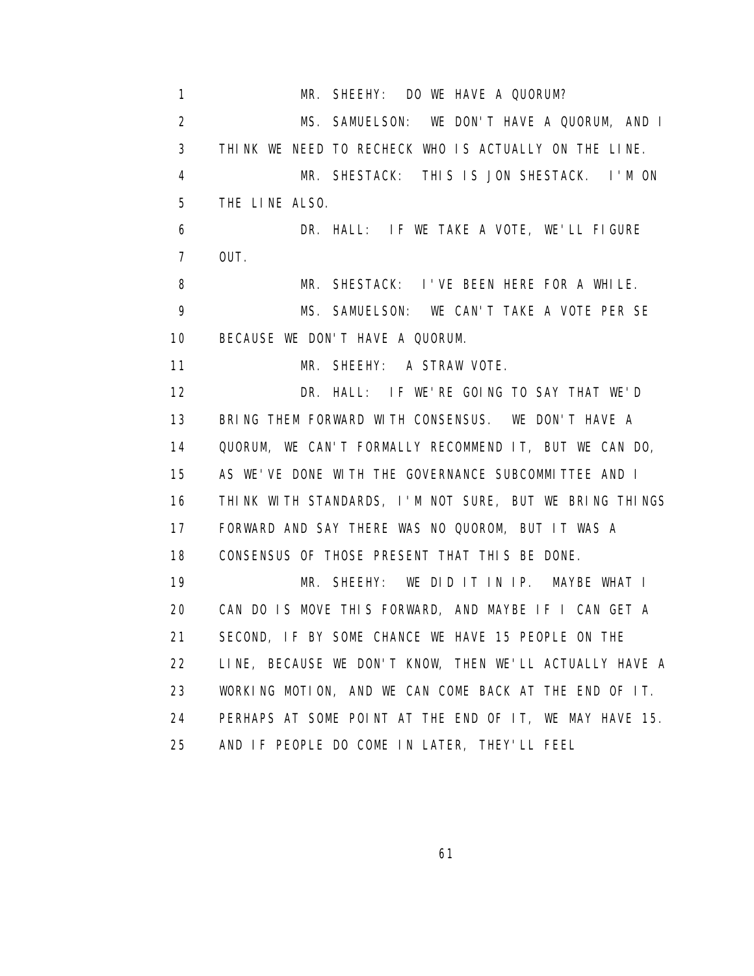1 MR. SHEEHY: DO WE HAVE A QUORUM? 2 MS. SAMUELSON: WE DON'T HAVE A QUORUM, AND I 3 THINK WE NEED TO RECHECK WHO IS ACTUALLY ON THE LINE. 4 MR. SHESTACK: THIS IS JON SHESTACK. I'M ON 5 THE LINE ALSO. 6 DR. HALL: IF WE TAKE A VOTE, WE'LL FIGURE 7 OUT. 8 MR. SHESTACK: I'VE BEEN HERE FOR A WHILE. 9 MS. SAMUELSON: WE CAN'T TAKE A VOTE PER SE 10 BECAUSE WE DON'T HAVE A QUORUM. 11 MR. SHEEHY: A STRAW VOTE. 12 DR. HALL: IF WE'RE GOING TO SAY THAT WE'D 13 BRING THEM FORWARD WITH CONSENSUS. WE DON'T HAVE A 14 QUORUM, WE CAN'T FORMALLY RECOMMEND IT, BUT WE CAN DO, 15 AS WE'VE DONE WITH THE GOVERNANCE SUBCOMMITTEE AND I 16 THINK WITH STANDARDS, I'M NOT SURE, BUT WE BRING THINGS 17 FORWARD AND SAY THERE WAS NO QUOROM, BUT IT WAS A 18 CONSENSUS OF THOSE PRESENT THAT THIS BE DONE. 19 MR. SHEEHY: WE DID IT IN IP. MAYBE WHAT I 20 CAN DO IS MOVE THIS FORWARD, AND MAYBE IF I CAN GET A 21 SECOND, IF BY SOME CHANCE WE HAVE 15 PEOPLE ON THE 22 LINE, BECAUSE WE DON'T KNOW, THEN WE'LL ACTUALLY HAVE A 23 WORKING MOTION, AND WE CAN COME BACK AT THE END OF IT. 24 PERHAPS AT SOME POINT AT THE END OF IT, WE MAY HAVE 15. 25 AND IF PEOPLE DO COME IN LATER, THEY'LL FEEL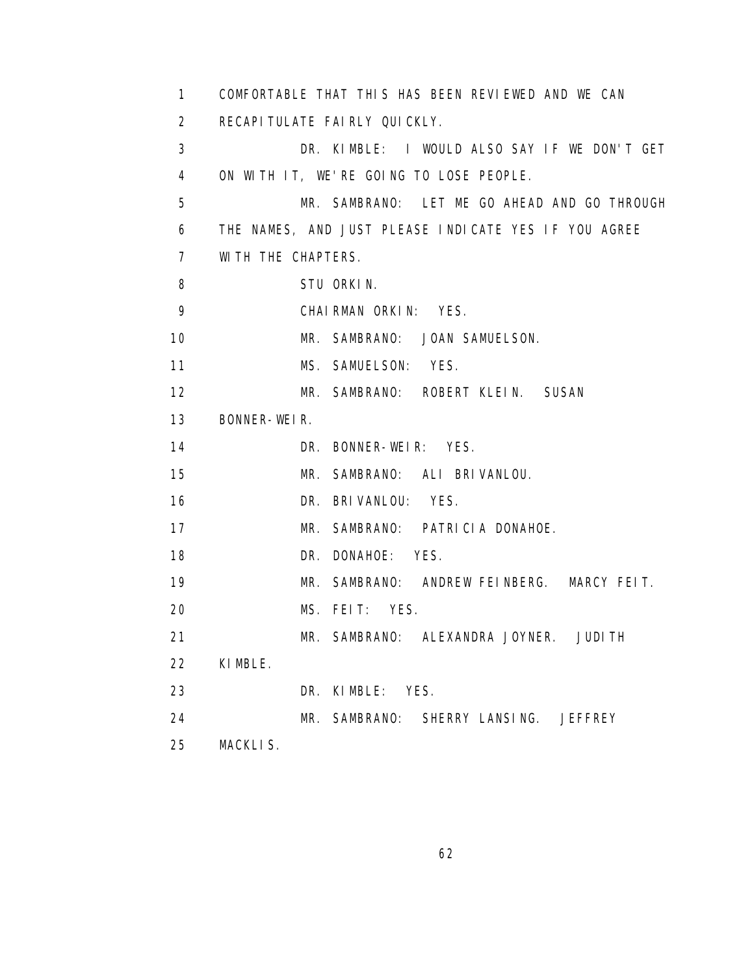| 1.             | COMFORTABLE THAT THIS HAS BEEN REVIEWED AND WE CAN   |
|----------------|------------------------------------------------------|
| 2              | RECAPI TULATE FAIRLY QUICKLY.                        |
| 3              | DR. KIMBLE: I WOULD ALSO SAY IF WE DON'T GET         |
| 4              | ON WITH IT, WE'RE GOING TO LOSE PEOPLE.              |
| 5              | MR. SAMBRANO: LET ME GO AHEAD AND GO THROUGH         |
| 6              | THE NAMES, AND JUST PLEASE INDICATE YES IF YOU AGREE |
| $\overline{7}$ | WITH THE CHAPTERS.                                   |
| 8              | STU ORKIN.                                           |
| 9              | CHAIRMAN ORKIN: YES.                                 |
| 10             | MR. SAMBRANO: JOAN SAMUELSON.                        |
| 11             | MS. SAMUELSON: YES.                                  |
| 12             | MR. SAMBRANO: ROBERT KLEIN. SUSAN                    |
| 13             | BONNER-WEIR.                                         |
| 14             | DR. BONNER-WEIR: YES.                                |
| 15             | MR. SAMBRANO: ALI BRIVANLOU.                         |
| 16             | DR. BRIVANLOU: YES.                                  |
| 17             | MR. SAMBRANO: PATRICIA DONAHOE.                      |
| 18             | DR. DONAHOE: YES.                                    |
| 19             | MR. SAMBRANO: ANDREW FEINBERG. MARCY FEIT.           |
| 20             | MS. FEIT: YES.                                       |
| 21             | MR. SAMBRANO: ALEXANDRA JOYNER. JUDITH               |
| 22             | KIMBLE.                                              |
| 23             | DR. KIMBLE: YES.                                     |
| 24             | MR. SAMBRANO: SHERRY LANSING. JEFFREY                |
| 25             | MACKLIS.                                             |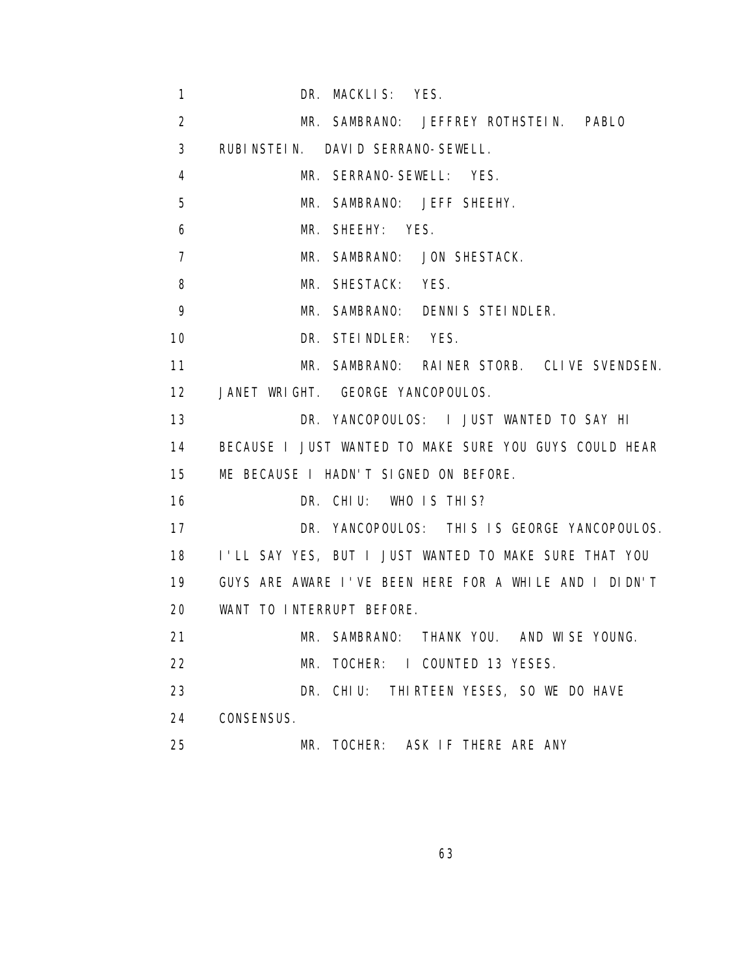1 DR. MACKLIS: YES. 2 MR. SAMBRANO: JEFFREY ROTHSTEIN. PABLO 3 RUBINSTEIN. DAVID SERRANO-SEWELL. 4 MR. SERRANO-SEWELL: YES. 5 MR. SAMBRANO: JEFF SHEEHY. 6 MR. SHEEHY: YES. 7 MR. SAMBRANO: JON SHESTACK. 8 MR. SHESTACK: YES. 9 MR. SAMBRANO: DENNIS STEINDLER. 10 DR. STEINDLER: YES. 11 MR. SAMBRANO: RAINER STORB. CLIVE SVENDSEN. 12 JANET WRIGHT. GEORGE YANCOPOULOS. 13 DR. YANCOPOULOS: I JUST WANTED TO SAY HI 14 BECAUSE I JUST WANTED TO MAKE SURE YOU GUYS COULD HEAR 15 ME BECAUSE I HADN'T SIGNED ON BEFORE. 16 DR. CHIU: WHO IS THIS? 17 DR. YANCOPOULOS: THIS IS GEORGE YANCOPOULOS. 18 I'LL SAY YES, BUT I JUST WANTED TO MAKE SURE THAT YOU 19 GUYS ARE AWARE I'VE BEEN HERE FOR A WHILE AND I DIDN'T 20 WANT TO INTERRUPT BEFORE. 21 MR. SAMBRANO: THANK YOU. AND WISE YOUNG. 22 MR. TOCHER: I COUNTED 13 YESES. 23 DR. CHIU: THIRTEEN YESES, SO WE DO HAVE 24 CONSENSUS. 25 MR. TOCHER: ASK IF THERE ARE ANY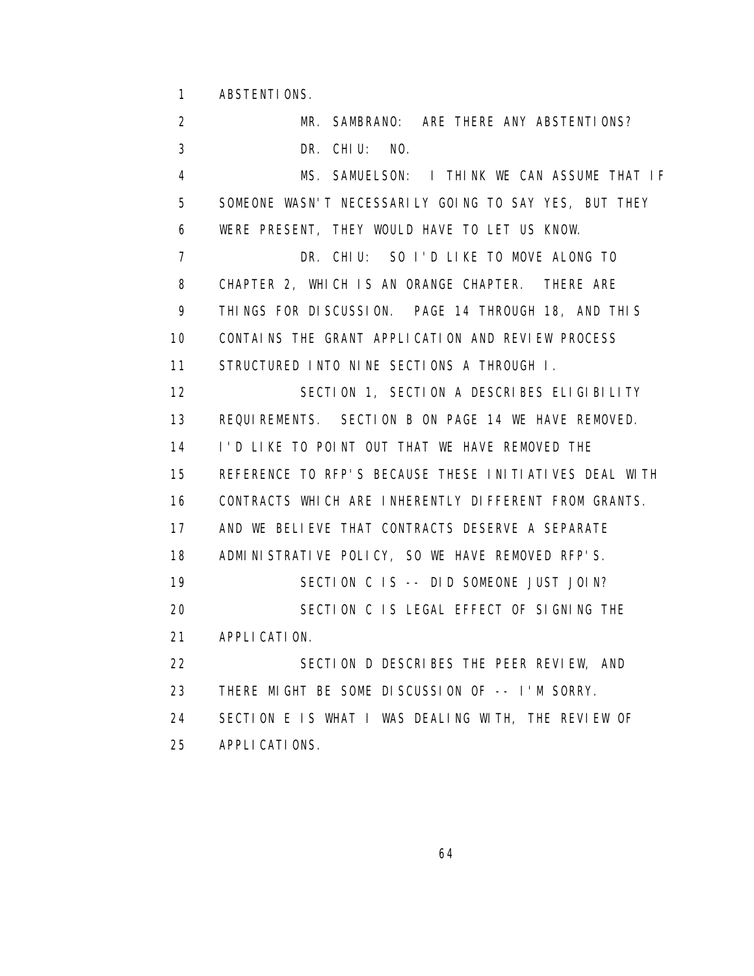1 ABSTENTIONS.

 2 MR. SAMBRANO: ARE THERE ANY ABSTENTIONS? 3 DR. CHIU: NO. 4 MS. SAMUELSON: I THINK WE CAN ASSUME THAT IF 5 SOMEONE WASN'T NECESSARILY GOING TO SAY YES, BUT THEY 6 WERE PRESENT, THEY WOULD HAVE TO LET US KNOW. 7 DR. CHIU: SO I'D LIKE TO MOVE ALONG TO 8 CHAPTER 2, WHICH IS AN ORANGE CHAPTER. THERE ARE 9 THINGS FOR DISCUSSION. PAGE 14 THROUGH 18, AND THIS 10 CONTAINS THE GRANT APPLICATION AND REVIEW PROCESS 11 STRUCTURED INTO NINE SECTIONS A THROUGH I. 12 SECTION 1, SECTION A DESCRIBES ELIGIBILITY 13 REQUIREMENTS. SECTION B ON PAGE 14 WE HAVE REMOVED. 14 I'D LIKE TO POINT OUT THAT WE HAVE REMOVED THE 15 REFERENCE TO RFP'S BECAUSE THESE INITIATIVES DEAL WITH 16 CONTRACTS WHICH ARE INHERENTLY DIFFERENT FROM GRANTS. 17 AND WE BELIEVE THAT CONTRACTS DESERVE A SEPARATE 18 ADMINISTRATIVE POLICY, SO WE HAVE REMOVED RFP'S. 19 SECTION C IS -- DID SOMEONE JUST JOIN? 20 SECTION C IS LEGAL EFFECT OF SIGNING THE 21 APPLICATION. 22 SECTION D DESCRIBES THE PEER REVIEW, AND 23 THERE MIGHT BE SOME DISCUSSION OF -- I'M SORRY. 24 SECTION E IS WHAT I WAS DEALING WITH, THE REVIEW OF 25 APPLICATIONS.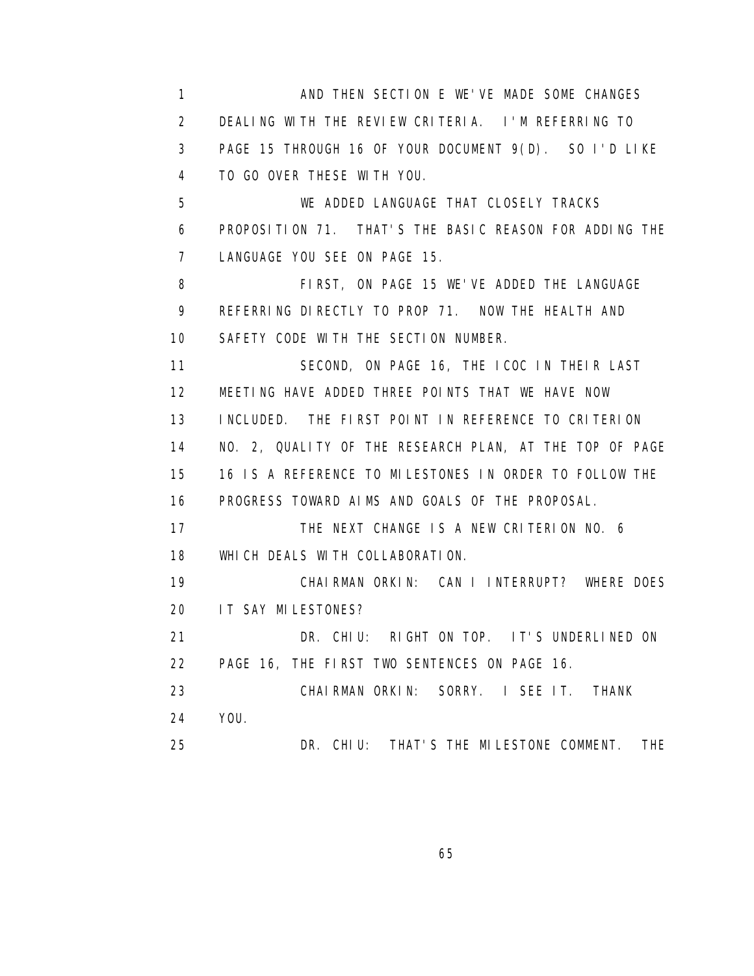1 AND THEN SECTION E WE'VE MADE SOME CHANGES 2 DEALING WITH THE REVIEW CRITERIA. I'M REFERRING TO 3 PAGE 15 THROUGH 16 OF YOUR DOCUMENT 9(D). SO I'D LIKE 4 TO GO OVER THESE WITH YOU. 5 WE ADDED LANGUAGE THAT CLOSELY TRACKS 6 PROPOSITION 71. THAT'S THE BASIC REASON FOR ADDING THE 7 LANGUAGE YOU SEE ON PAGE 15. 8 FIRST, ON PAGE 15 WE'VE ADDED THE LANGUAGE 9 REFERRING DIRECTLY TO PROP 71. NOW THE HEALTH AND 10 SAFETY CODE WITH THE SECTION NUMBER. 11 SECOND, ON PAGE 16, THE ICOC IN THEIR LAST 12 MEETING HAVE ADDED THREE POINTS THAT WE HAVE NOW 13 INCLUDED. THE FIRST POINT IN REFERENCE TO CRITERION 14 NO. 2, QUALITY OF THE RESEARCH PLAN, AT THE TOP OF PAGE 15 16 IS A REFERENCE TO MILESTONES IN ORDER TO FOLLOW THE 16 PROGRESS TOWARD AIMS AND GOALS OF THE PROPOSAL. 17 THE NEXT CHANGE IS A NEW CRITERION NO. 6 18 WHICH DEALS WITH COLLABORATION. 19 CHAIRMAN ORKIN: CAN I INTERRUPT? WHERE DOES 20 IT SAY MILESTONES? 21 DR. CHIU: RIGHT ON TOP. IT'S UNDERLINED ON 22 PAGE 16, THE FIRST TWO SENTENCES ON PAGE 16. 23 CHAIRMAN ORKIN: SORRY. I SEE IT. THANK 24 YOU. 25 DR. CHIU: THAT'S THE MILESTONE COMMENT. THE

 $\sim$  65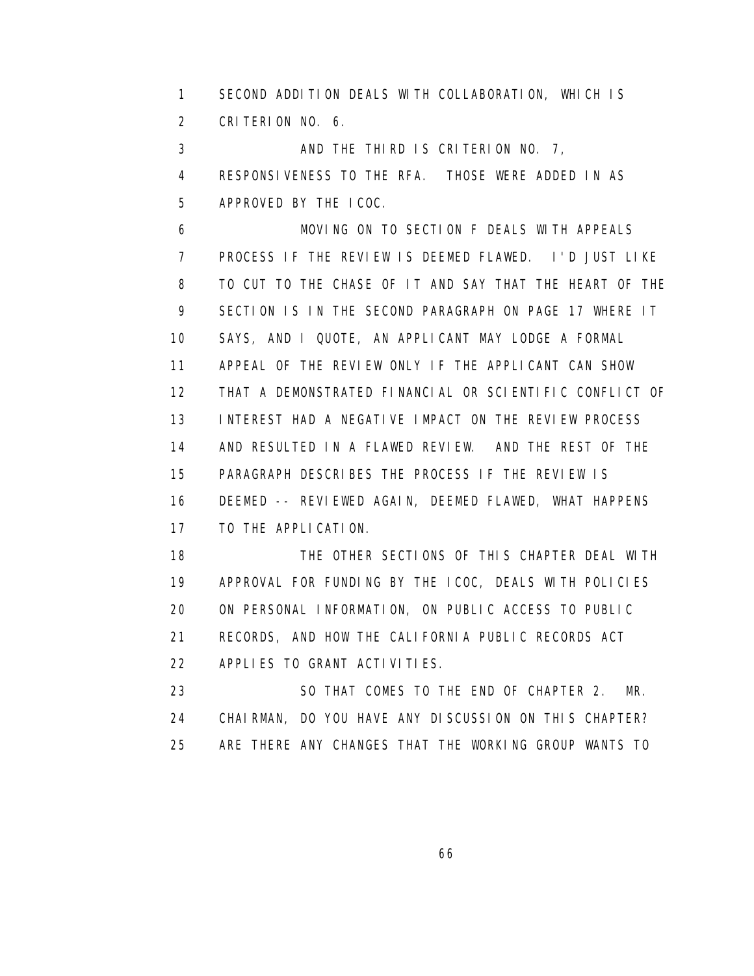1 SECOND ADDITION DEALS WITH COLLABORATION, WHICH IS 2 CRITERION NO. 6.

 3 AND THE THIRD IS CRITERION NO. 7, 4 RESPONSIVENESS TO THE RFA. THOSE WERE ADDED IN AS 5 APPROVED BY THE ICOC.

 6 MOVING ON TO SECTION F DEALS WITH APPEALS 7 PROCESS IF THE REVIEW IS DEEMED FLAWED. I'D JUST LIKE 8 TO CUT TO THE CHASE OF IT AND SAY THAT THE HEART OF THE 9 SECTION IS IN THE SECOND PARAGRAPH ON PAGE 17 WHERE IT 10 SAYS, AND I QUOTE, AN APPLICANT MAY LODGE A FORMAL 11 APPEAL OF THE REVIEW ONLY IF THE APPLICANT CAN SHOW 12 THAT A DEMONSTRATED FINANCIAL OR SCIENTIFIC CONFLICT OF 13 INTEREST HAD A NEGATIVE IMPACT ON THE REVIEW PROCESS 14 AND RESULTED IN A FLAWED REVIEW. AND THE REST OF THE 15 PARAGRAPH DESCRIBES THE PROCESS IF THE REVIEW IS 16 DEEMED -- REVIEWED AGAIN, DEEMED FLAWED, WHAT HAPPENS 17 TO THE APPLICATION.

 18 THE OTHER SECTIONS OF THIS CHAPTER DEAL WITH 19 APPROVAL FOR FUNDING BY THE ICOC, DEALS WITH POLICIES 20 ON PERSONAL INFORMATION, ON PUBLIC ACCESS TO PUBLIC 21 RECORDS, AND HOW THE CALIFORNIA PUBLIC RECORDS ACT 22 APPLIES TO GRANT ACTIVITIES.

 23 SO THAT COMES TO THE END OF CHAPTER 2. MR. 24 CHAIRMAN, DO YOU HAVE ANY DISCUSSION ON THIS CHAPTER? 25 ARE THERE ANY CHANGES THAT THE WORKING GROUP WANTS TO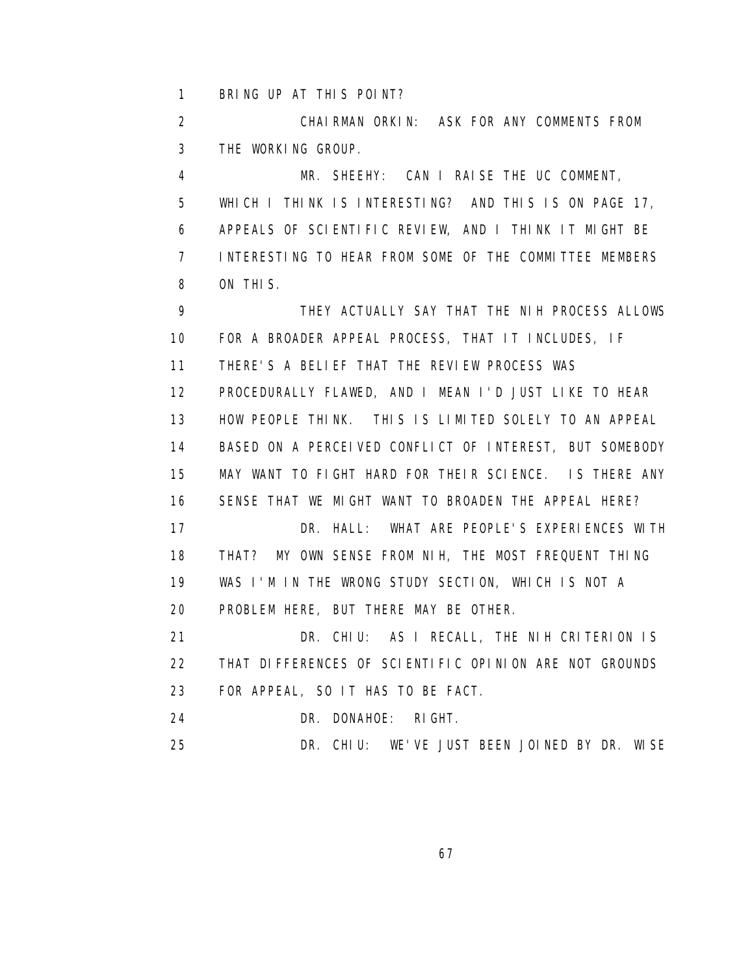1 BRING UP AT THIS POINT?

 2 CHAIRMAN ORKIN: ASK FOR ANY COMMENTS FROM 3 THE WORKING GROUP.

 4 MR. SHEEHY: CAN I RAISE THE UC COMMENT, 5 WHICH I THINK IS INTERESTING? AND THIS IS ON PAGE 17, 6 APPEALS OF SCIENTIFIC REVIEW, AND I THINK IT MIGHT BE 7 INTERESTING TO HEAR FROM SOME OF THE COMMITTEE MEMBERS 8 ON THIS.

 9 THEY ACTUALLY SAY THAT THE NIH PROCESS ALLOWS 10 FOR A BROADER APPEAL PROCESS, THAT IT INCLUDES, IF 11 THERE'S A BELIEF THAT THE REVIEW PROCESS WAS 12 PROCEDURALLY FLAWED, AND I MEAN I'D JUST LIKE TO HEAR 13 HOW PEOPLE THINK. THIS IS LIMITED SOLELY TO AN APPEAL 14 BASED ON A PERCEIVED CONFLICT OF INTEREST, BUT SOMEBODY 15 MAY WANT TO FIGHT HARD FOR THEIR SCIENCE. IS THERE ANY 16 SENSE THAT WE MIGHT WANT TO BROADEN THE APPEAL HERE? 17 DR. HALL: WHAT ARE PEOPLE'S EXPERIENCES WITH 18 THAT? MY OWN SENSE FROM NIH, THE MOST FREQUENT THING 19 WAS I'M IN THE WRONG STUDY SECTION, WHICH IS NOT A 20 PROBLEM HERE, BUT THERE MAY BE OTHER. 21 DR. CHIU: AS I RECALL, THE NIH CRITERION IS 22 THAT DIFFERENCES OF SCIENTIFIC OPINION ARE NOT GROUNDS

23 FOR APPEAL, SO IT HAS TO BE FACT.

24 DR. DONAHOE: RIGHT.

25 DR. CHIU: WE'VE JUST BEEN JOINED BY DR. WISE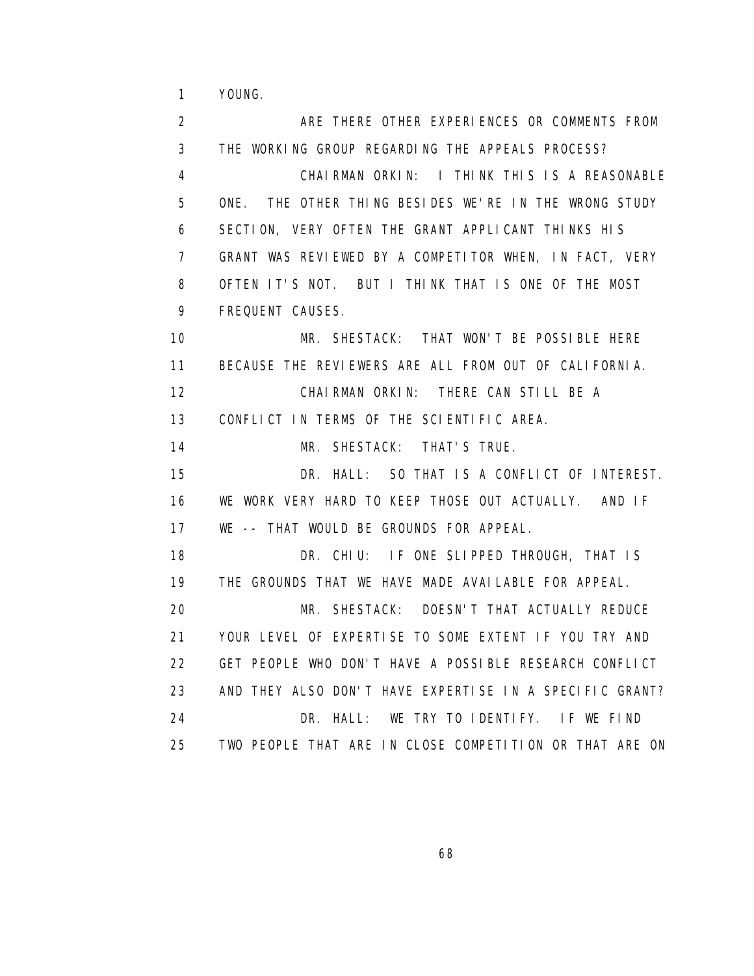1 YOUNG.

2 ARE THERE OTHER EXPERIENCES OR COMMENTS FROM 3 THE WORKING GROUP REGARDING THE APPEALS PROCESS? 4 CHAIRMAN ORKIN: I THINK THIS IS A REASONABLE 5 ONE. THE OTHER THING BESIDES WE'RE IN THE WRONG STUDY 6 SECTION, VERY OFTEN THE GRANT APPLICANT THINKS HIS 7 GRANT WAS REVIEWED BY A COMPETITOR WHEN, IN FACT, VERY 8 OFTEN IT'S NOT. BUT I THINK THAT IS ONE OF THE MOST 9 FREQUENT CAUSES. 10 MR. SHESTACK: THAT WON'T BE POSSIBLE HERE 11 BECAUSE THE REVIEWERS ARE ALL FROM OUT OF CALIFORNIA. 12 CHAIRMAN ORKIN: THERE CAN STILL BE A 13 CONFLICT IN TERMS OF THE SCIENTIFIC AREA. 14 MR. SHESTACK: THAT'S TRUE. 15 DR. HALL: SO THAT IS A CONFLICT OF INTEREST. 16 WE WORK VERY HARD TO KEEP THOSE OUT ACTUALLY. AND IF 17 WE -- THAT WOULD BE GROUNDS FOR APPEAL. 18 DR. CHIU: IF ONE SLIPPED THROUGH, THAT IS 19 THE GROUNDS THAT WE HAVE MADE AVAILABLE FOR APPEAL. 20 MR. SHESTACK: DOESN'T THAT ACTUALLY REDUCE 21 YOUR LEVEL OF EXPERTISE TO SOME EXTENT IF YOU TRY AND 22 GET PEOPLE WHO DON'T HAVE A POSSIBLE RESEARCH CONFLICT 23 AND THEY ALSO DON'T HAVE EXPERTISE IN A SPECIFIC GRANT? 24 DR. HALL: WE TRY TO IDENTIFY. IF WE FIND 25 TWO PEOPLE THAT ARE IN CLOSE COMPETITION OR THAT ARE ON

 $\sim$  68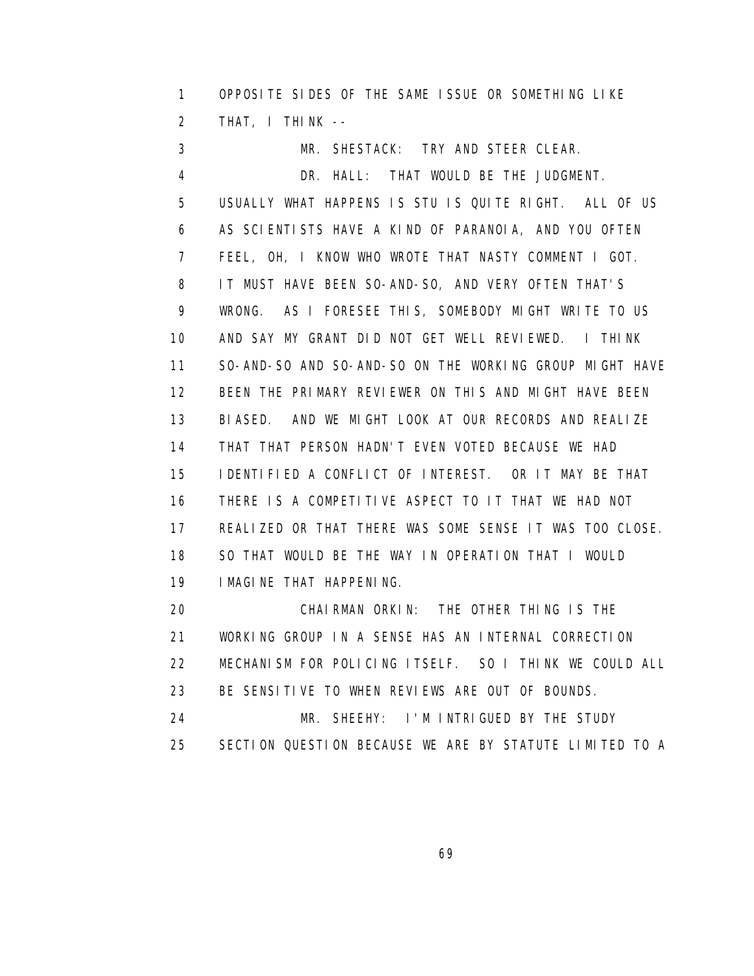1 OPPOSITE SIDES OF THE SAME ISSUE OR SOMETHING LIKE 2 THAT, I THINK --

 3 MR. SHESTACK: TRY AND STEER CLEAR. 4 DR. HALL: THAT WOULD BE THE JUDGMENT. 5 USUALLY WHAT HAPPENS IS STU IS QUITE RIGHT. ALL OF US 6 AS SCIENTISTS HAVE A KIND OF PARANOIA, AND YOU OFTEN 7 FEEL, OH, I KNOW WHO WROTE THAT NASTY COMMENT I GOT. 8 IT MUST HAVE BEEN SO-AND-SO, AND VERY OFTEN THAT'S 9 WRONG. AS I FORESEE THIS, SOMEBODY MIGHT WRITE TO US 10 AND SAY MY GRANT DID NOT GET WELL REVIEWED. I THINK 11 SO-AND-SO AND SO-AND-SO ON THE WORKING GROUP MIGHT HAVE 12 BEEN THE PRIMARY REVIEWER ON THIS AND MIGHT HAVE BEEN 13 BIASED. AND WE MIGHT LOOK AT OUR RECORDS AND REALIZE 14 THAT THAT PERSON HADN'T EVEN VOTED BECAUSE WE HAD 15 IDENTIFIED A CONFLICT OF INTEREST. OR IT MAY BE THAT 16 THERE IS A COMPETITIVE ASPECT TO IT THAT WE HAD NOT 17 REALIZED OR THAT THERE WAS SOME SENSE IT WAS TOO CLOSE. 18 SO THAT WOULD BE THE WAY IN OPERATION THAT I WOULD 19 IMAGINE THAT HAPPENING. 20 CHAIRMAN ORKIN: THE OTHER THING IS THE

 21 WORKING GROUP IN A SENSE HAS AN INTERNAL CORRECTION 22 MECHANISM FOR POLICING ITSELF. SO I THINK WE COULD ALL 23 BE SENSITIVE TO WHEN REVIEWS ARE OUT OF BOUNDS. 24 MR. SHEEHY: I'M INTRIGUED BY THE STUDY 25 SECTION QUESTION BECAUSE WE ARE BY STATUTE LIMITED TO A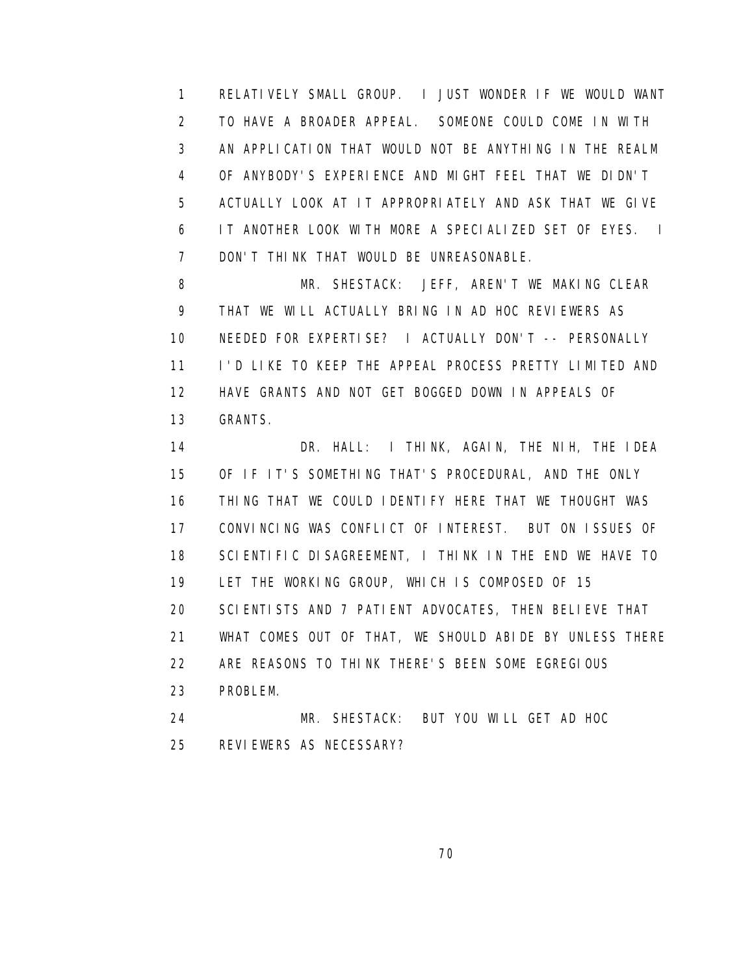1 RELATIVELY SMALL GROUP. I JUST WONDER IF WE WOULD WANT 2 TO HAVE A BROADER APPEAL. SOMEONE COULD COME IN WITH 3 AN APPLICATION THAT WOULD NOT BE ANYTHING IN THE REALM 4 OF ANYBODY'S EXPERIENCE AND MIGHT FEEL THAT WE DIDN'T 5 ACTUALLY LOOK AT IT APPROPRIATELY AND ASK THAT WE GIVE 6 IT ANOTHER LOOK WITH MORE A SPECIALIZED SET OF EYES. I 7 DON'T THINK THAT WOULD BE UNREASONABLE.

8 MR. SHESTACK: JEFF, AREN'T WE MAKING CLEAR 9 THAT WE WILL ACTUALLY BRING IN AD HOC REVIEWERS AS 10 NEEDED FOR EXPERTISE? I ACTUALLY DON'T -- PERSONALLY 11 I'D LIKE TO KEEP THE APPEAL PROCESS PRETTY LIMITED AND 12 HAVE GRANTS AND NOT GET BOGGED DOWN IN APPEALS OF 13 GRANTS.

 14 DR. HALL: I THINK, AGAIN, THE NIH, THE IDEA 15 OF IF IT'S SOMETHING THAT'S PROCEDURAL, AND THE ONLY 16 THING THAT WE COULD IDENTIFY HERE THAT WE THOUGHT WAS 17 CONVINCING WAS CONFLICT OF INTEREST. BUT ON ISSUES OF 18 SCIENTIFIC DISAGREEMENT, I THINK IN THE END WE HAVE TO 19 LET THE WORKING GROUP, WHICH IS COMPOSED OF 15 20 SCIENTISTS AND 7 PATIENT ADVOCATES, THEN BELIEVE THAT 21 WHAT COMES OUT OF THAT, WE SHOULD ABIDE BY UNLESS THERE 22 ARE REASONS TO THINK THERE'S BEEN SOME EGREGIOUS 23 PROBLEM. 24 MR. SHESTACK: BUT YOU WILL GET AD HOC

25 REVIEWERS AS NECESSARY?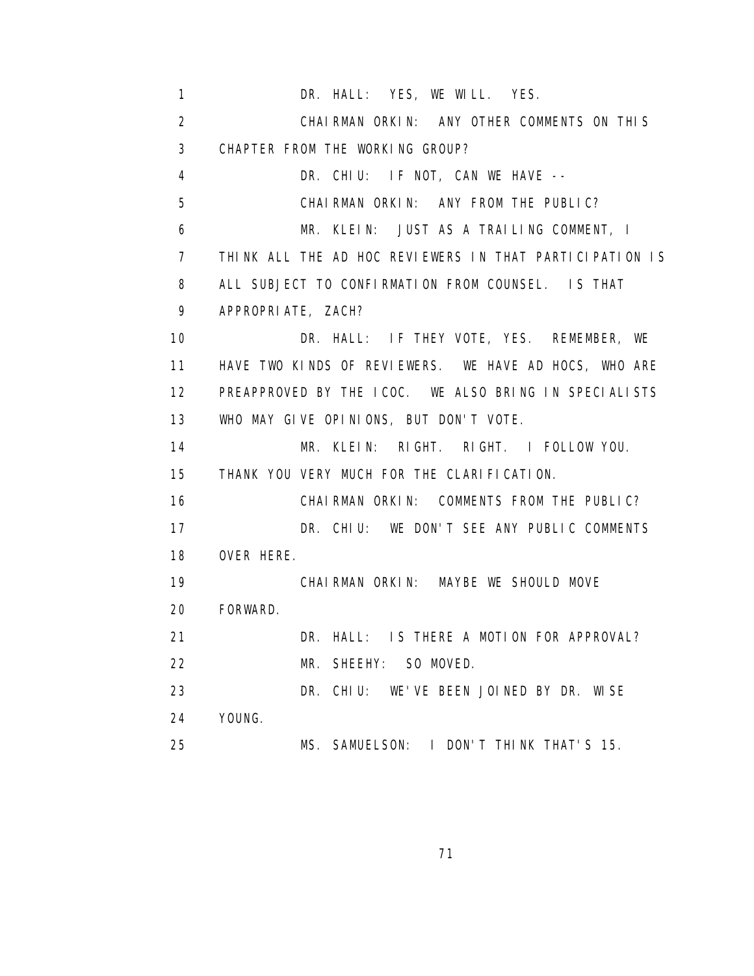1 DR. HALL: YES, WE WILL. YES. 2 CHAIRMAN ORKIN: ANY OTHER COMMENTS ON THIS 3 CHAPTER FROM THE WORKING GROUP? 4 DR. CHIU: IF NOT, CAN WE HAVE -- 5 CHAIRMAN ORKIN: ANY FROM THE PUBLIC? 6 MR. KLEIN: JUST AS A TRAILING COMMENT, I 7 THINK ALL THE AD HOC REVIEWERS IN THAT PARTICIPATION IS 8 ALL SUBJECT TO CONFIRMATION FROM COUNSEL. IS THAT 9 APPROPRIATE, ZACH? 10 DR. HALL: IF THEY VOTE, YES. REMEMBER, WE 11 HAVE TWO KINDS OF REVIEWERS. WE HAVE AD HOCS, WHO ARE 12 PREAPPROVED BY THE ICOC. WE ALSO BRING IN SPECIALISTS 13 WHO MAY GIVE OPINIONS, BUT DON'T VOTE. 14 MR. KLEIN: RIGHT. RIGHT. I FOLLOW YOU. 15 THANK YOU VERY MUCH FOR THE CLARIFICATION. 16 CHAIRMAN ORKIN: COMMENTS FROM THE PUBLIC? 17 DR. CHIU: WE DON'T SEE ANY PUBLIC COMMENTS 18 OVER HERE. 19 CHAIRMAN ORKIN: MAYBE WE SHOULD MOVE 20 FORWARD. 21 DR. HALL: IS THERE A MOTION FOR APPROVAL? 22 MR. SHEEHY: SO MOVED. 23 DR. CHIU: WE'VE BEEN JOINED BY DR. WISE 24 YOUNG. 25 MS. SAMUELSON: I DON'T THINK THAT'S 15.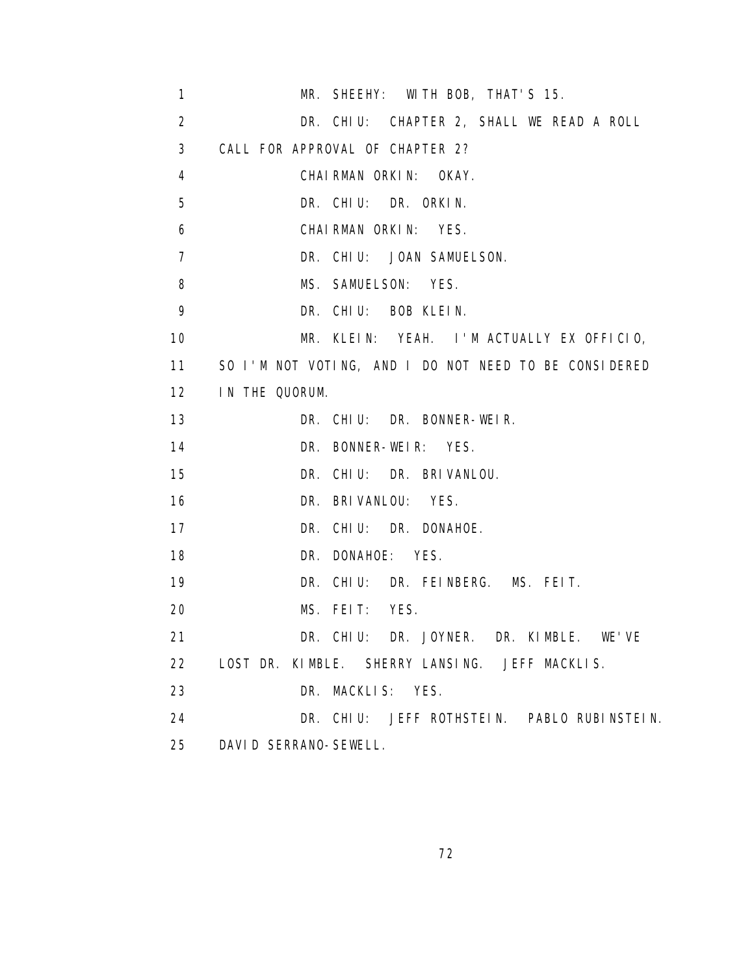| $\mathbf{1}$    | MR. SHEEHY: WITH BOB, THAT'S 15.                      |
|-----------------|-------------------------------------------------------|
| 2               | DR. CHIU: CHAPTER 2, SHALL WE READ A ROLL             |
| 3               | CALL FOR APPROVAL OF CHAPTER 2?                       |
| 4               | CHAI RMAN ORKIN:<br>OKAY.                             |
| 5               | DR. CHIU: DR. ORKIN.                                  |
| 6               | CHAI RMAN ORKIN:<br>YES.                              |
| $\overline{7}$  | DR. CHIU: JOAN SAMUELSON.                             |
| 8               | MS. SAMUELSON: YES.                                   |
| 9               | DR. CHIU: BOB KLEIN.                                  |
| 10              | MR. KLEIN: YEAH. I'M ACTUALLY EX OFFICIO,             |
| 11              | SO I'M NOT VOTING, AND I DO NOT NEED TO BE CONSIDERED |
| 12              | IN THE QUORUM.                                        |
| 13              | DR. CHIU: DR. BONNER-WEIR.                            |
| 14              | DR. BONNER-WEIR: YES.                                 |
| 15              | DR. CHIU: DR. BRIVANLOU.                              |
| 16              | DR. BRIVANLOU: YES.                                   |
| 17              | DR. CHIU: DR. DONAHOE.                                |
| 18              | DR. DONAHOE:<br>YES.                                  |
| 19              | DR. CHIU:<br>DR. FEINBERG. MS. FEIT.                  |
| 20              | MS. FEIT:<br>YES.                                     |
| 21              | DR. CHIU: DR. JOYNER. DR. KIMBLE.<br>WF'VF            |
| 22 <sub>2</sub> | LOST DR. KIMBLE. SHERRY LANSING. JEFF MACKLIS.        |
| 23              | DR. MACKLIS: YES.                                     |
| 24              | DR. CHIU: JEFF ROTHSTEIN. PABLO RUBINSTEIN.           |
| 25              | DAVID SERRANO-SEWELL.                                 |

<u>72</u>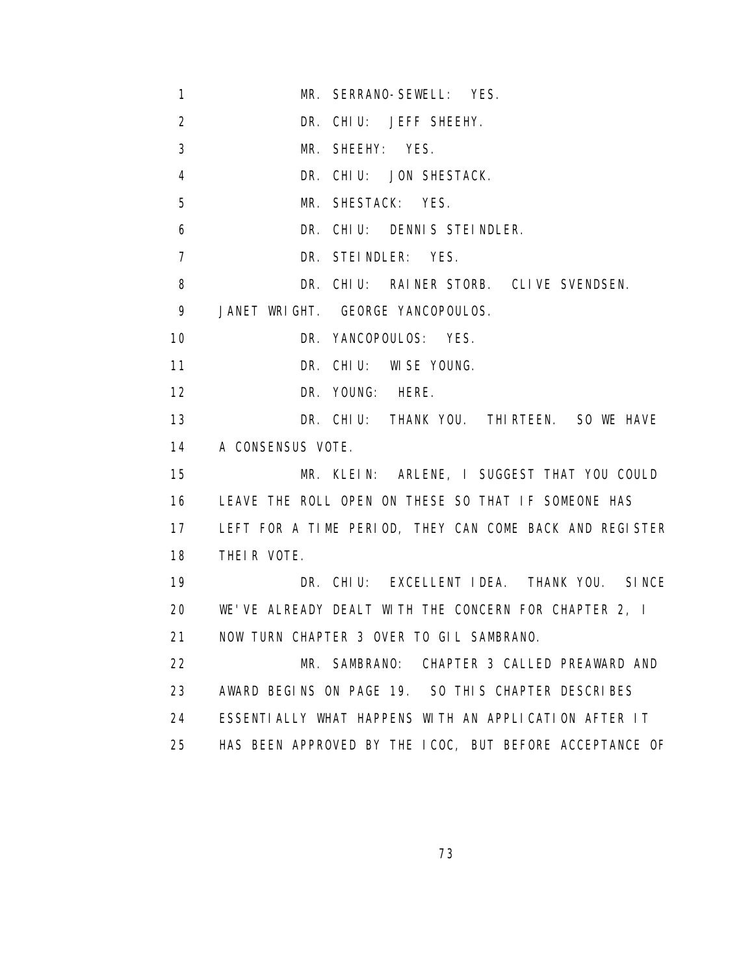- 1 MR. SERRANO-SEWELL: YES.
- 2 DR. CHIU: JEFF SHEEHY.
- 3 MR. SHEEHY: YES.
- 4 DR. CHIU: JON SHESTACK.
- 5 MR. SHESTACK: YES.
- 6 DR. CHIU: DENNIS STEINDLER.
- 7 DR. STEINDLER: YES.
- 8 DR. CHIU: RAINER STORB. CLIVE SVENDSEN.

9 JANET WRIGHT. GEORGE YANCOPOULOS.

10 DR. YANCOPOULOS: YES.

11 DR. CHIU: WISE YOUNG.

12 DR. YOUNG: HERE.

 13 DR. CHIU: THANK YOU. THIRTEEN. SO WE HAVE 14 A CONSENSUS VOTE.

 15 MR. KLEIN: ARLENE, I SUGGEST THAT YOU COULD 16 LEAVE THE ROLL OPEN ON THESE SO THAT IF SOMEONE HAS 17 LEFT FOR A TIME PERIOD, THEY CAN COME BACK AND REGISTER 18 THEIR VOTE.

 19 DR. CHIU: EXCELLENT IDEA. THANK YOU. SINCE 20 WE'VE ALREADY DEALT WITH THE CONCERN FOR CHAPTER 2, I 21 NOW TURN CHAPTER 3 OVER TO GIL SAMBRANO.

 22 MR. SAMBRANO: CHAPTER 3 CALLED PREAWARD AND 23 AWARD BEGINS ON PAGE 19. SO THIS CHAPTER DESCRIBES 24 ESSENTIALLY WHAT HAPPENS WITH AN APPLICATION AFTER IT 25 HAS BEEN APPROVED BY THE ICOC, BUT BEFORE ACCEPTANCE OF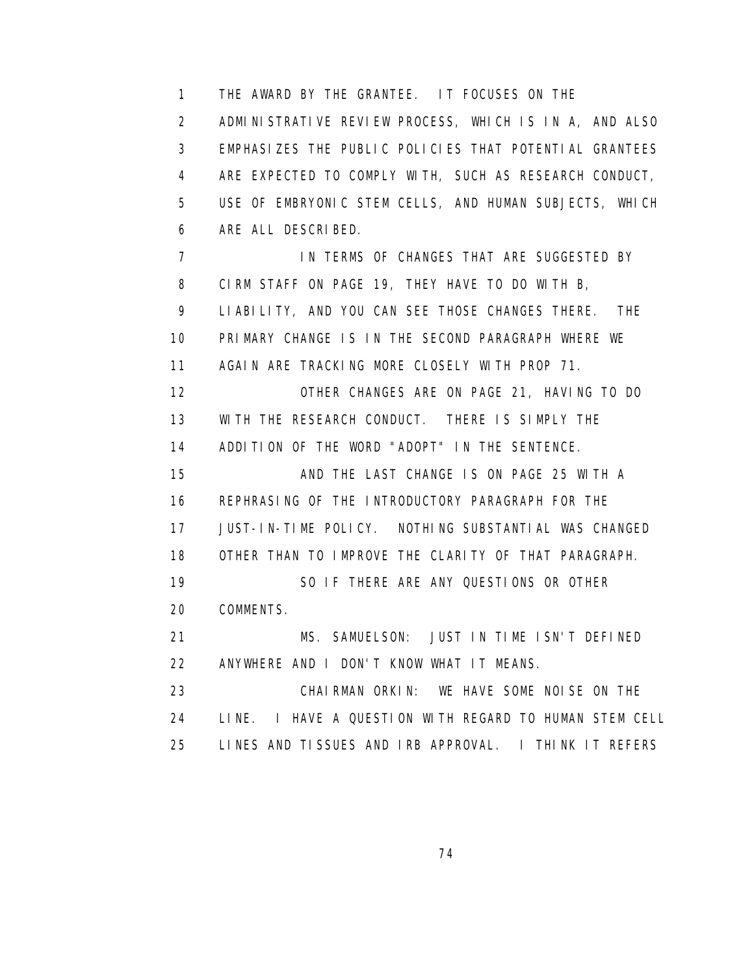1 THE AWARD BY THE GRANTEE. IT FOCUSES ON THE 2 ADMINISTRATIVE REVIEW PROCESS, WHICH IS IN A, AND ALSO 3 EMPHASIZES THE PUBLIC POLICIES THAT POTENTIAL GRANTEES 4 ARE EXPECTED TO COMPLY WITH, SUCH AS RESEARCH CONDUCT, 5 USE OF EMBRYONIC STEM CELLS, AND HUMAN SUBJECTS, WHICH 6 ARE ALL DESCRIBED. 7 IN TERMS OF CHANGES THAT ARE SUGGESTED BY 8 CIRM STAFF ON PAGE 19, THEY HAVE TO DO WITH B, 9 LIABILITY, AND YOU CAN SEE THOSE CHANGES THERE. THE 10 PRIMARY CHANGE IS IN THE SECOND PARAGRAPH WHERE WE 11 AGAIN ARE TRACKING MORE CLOSELY WITH PROP 71. 12 OTHER CHANGES ARE ON PAGE 21, HAVING TO DO 13 WITH THE RESEARCH CONDUCT. THERE IS SIMPLY THE 14 ADDITION OF THE WORD "ADOPT" IN THE SENTENCE. 15 AND THE LAST CHANGE IS ON PAGE 25 WITH A 16 REPHRASING OF THE INTRODUCTORY PARAGRAPH FOR THE

 17 JUST-IN-TIME POLICY. NOTHING SUBSTANTIAL WAS CHANGED 18 OTHER THAN TO IMPROVE THE CLARITY OF THAT PARAGRAPH. 19 SO IF THERE ARE ANY QUESTIONS OR OTHER

20 COMMENTS.

 21 MS. SAMUELSON: JUST IN TIME ISN'T DEFINED 22 ANYWHERE AND I DON'T KNOW WHAT IT MEANS.

 23 CHAIRMAN ORKIN: WE HAVE SOME NOISE ON THE 24 LINE. I HAVE A QUESTION WITH REGARD TO HUMAN STEM CELL 25 LINES AND TISSUES AND IRB APPROVAL. I THINK IT REFERS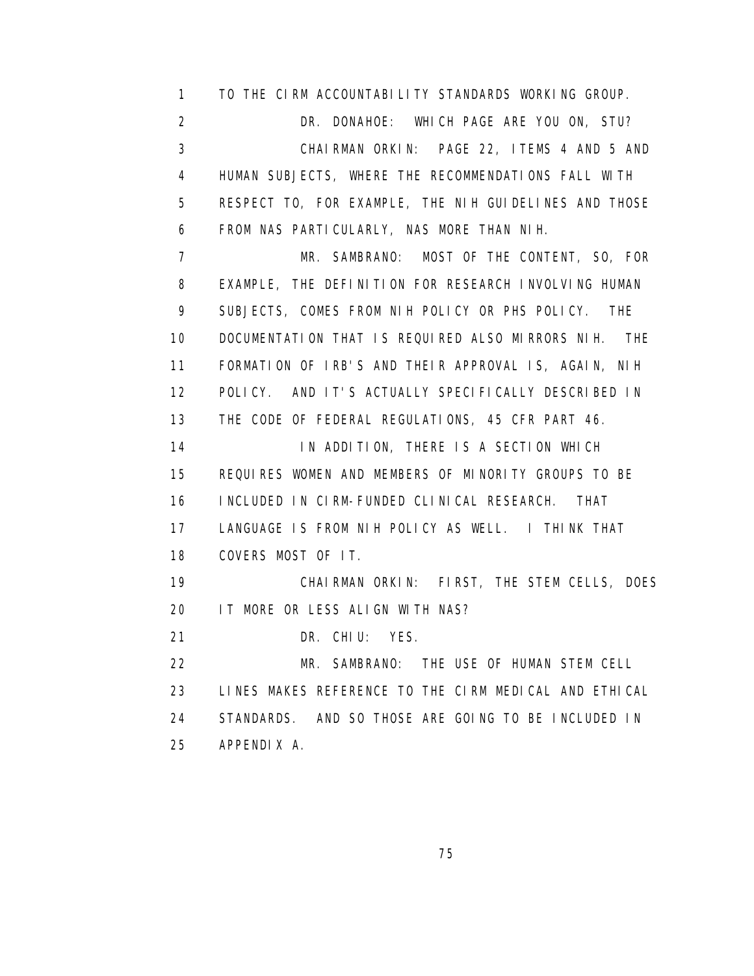1 TO THE CIRM ACCOUNTABILITY STANDARDS WORKING GROUP. 2 DR. DONAHOE: WHICH PAGE ARE YOU ON, STU? 3 CHAIRMAN ORKIN: PAGE 22, ITEMS 4 AND 5 AND 4 HUMAN SUBJECTS, WHERE THE RECOMMENDATIONS FALL WITH 5 RESPECT TO, FOR EXAMPLE, THE NIH GUIDELINES AND THOSE 6 FROM NAS PARTICULARLY, NAS MORE THAN NIH.

 7 MR. SAMBRANO: MOST OF THE CONTENT, SO, FOR 8 EXAMPLE, THE DEFINITION FOR RESEARCH INVOLVING HUMAN 9 SUBJECTS, COMES FROM NIH POLICY OR PHS POLICY. THE 10 DOCUMENTATION THAT IS REQUIRED ALSO MIRRORS NIH. THE 11 FORMATION OF IRB'S AND THEIR APPROVAL IS, AGAIN, NIH 12 POLICY. AND IT'S ACTUALLY SPECIFICALLY DESCRIBED IN 13 THE CODE OF FEDERAL REGULATIONS, 45 CFR PART 46. 14 IN ADDITION, THERE IS A SECTION WHICH 15 REQUIRES WOMEN AND MEMBERS OF MINORITY GROUPS TO BE

16 INCLUDED IN CIRM-FUNDED CLINICAL RESEARCH. THAT

 17 LANGUAGE IS FROM NIH POLICY AS WELL. I THINK THAT 18 COVERS MOST OF IT.

 19 CHAIRMAN ORKIN: FIRST, THE STEM CELLS, DOES 20 IT MORE OR LESS ALIGN WITH NAS?

21 DR. CHIU: YES.

 22 MR. SAMBRANO: THE USE OF HUMAN STEM CELL 23 LINES MAKES REFERENCE TO THE CIRM MEDICAL AND ETHICAL 24 STANDARDS. AND SO THOSE ARE GOING TO BE INCLUDED IN 25 APPENDIX A.

<u>75 and 2012 and 2013 and 2014 and 2014 and 2014 and 2014 and 2014 and 2014 and 2014 and 2014 and 2014 and 201</u>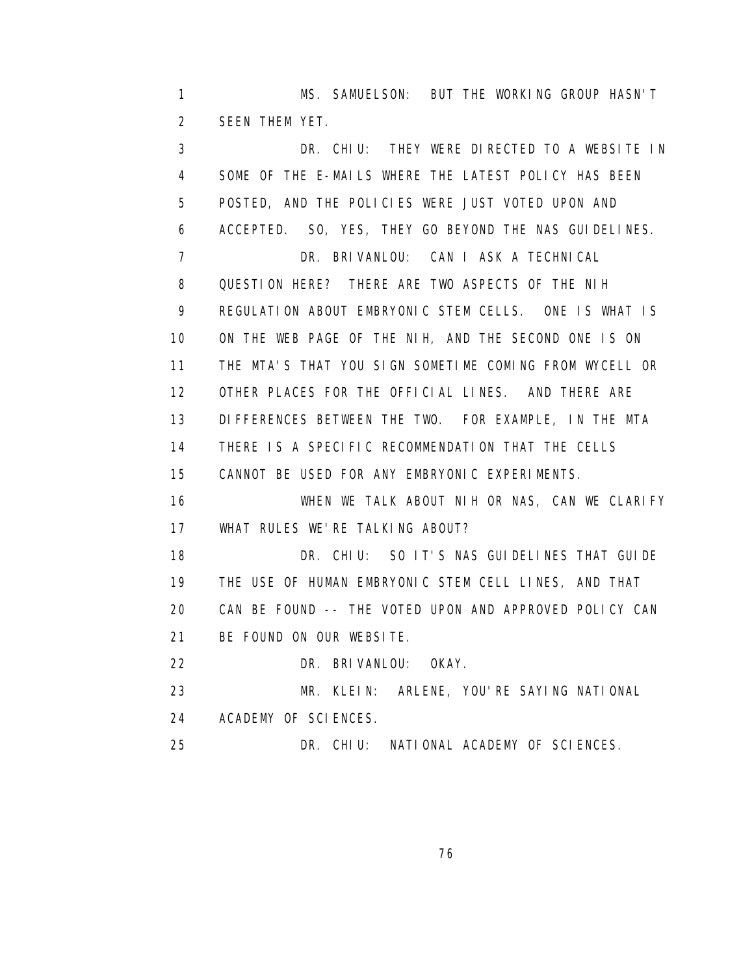1 MS. SAMUELSON: BUT THE WORKING GROUP HASN'T 2 SEEN THEM YET.

 3 DR. CHIU: THEY WERE DIRECTED TO A WEBSITE IN 4 SOME OF THE E-MAILS WHERE THE LATEST POLICY HAS BEEN 5 POSTED, AND THE POLICIES WERE JUST VOTED UPON AND 6 ACCEPTED. SO, YES, THEY GO BEYOND THE NAS GUIDELINES. 7 DR. BRIVANLOU: CAN I ASK A TECHNICAL 8 QUESTION HERE? THERE ARE TWO ASPECTS OF THE NIH 9 REGULATION ABOUT EMBRYONIC STEM CELLS. ONE IS WHAT IS 10 ON THE WEB PAGE OF THE NIH, AND THE SECOND ONE IS ON 11 THE MTA'S THAT YOU SIGN SOMETIME COMING FROM WYCELL OR 12 OTHER PLACES FOR THE OFFICIAL LINES. AND THERE ARE 13 DIFFERENCES BETWEEN THE TWO. FOR EXAMPLE, IN THE MTA 14 THERE IS A SPECIFIC RECOMMENDATION THAT THE CELLS 15 CANNOT BE USED FOR ANY EMBRYONIC EXPERIMENTS. 16 WHEN WE TALK ABOUT NIH OR NAS, CAN WE CLARIFY 17 WHAT RULES WE'RE TALKING ABOUT? 18 DR. CHIU: SO IT'S NAS GUIDELINES THAT GUIDE 19 THE USE OF HUMAN EMBRYONIC STEM CELL LINES, AND THAT 20 CAN BE FOUND -- THE VOTED UPON AND APPROVED POLICY CAN 21 BE FOUND ON OUR WEBSITE. 22 DR. BRIVANLOU: OKAY. 23 MR. KLEIN: ARLENE, YOU'RE SAYING NATIONAL 24 ACADEMY OF SCIENCES.

25 DR. CHIU: NATIONAL ACADEMY OF SCIENCES.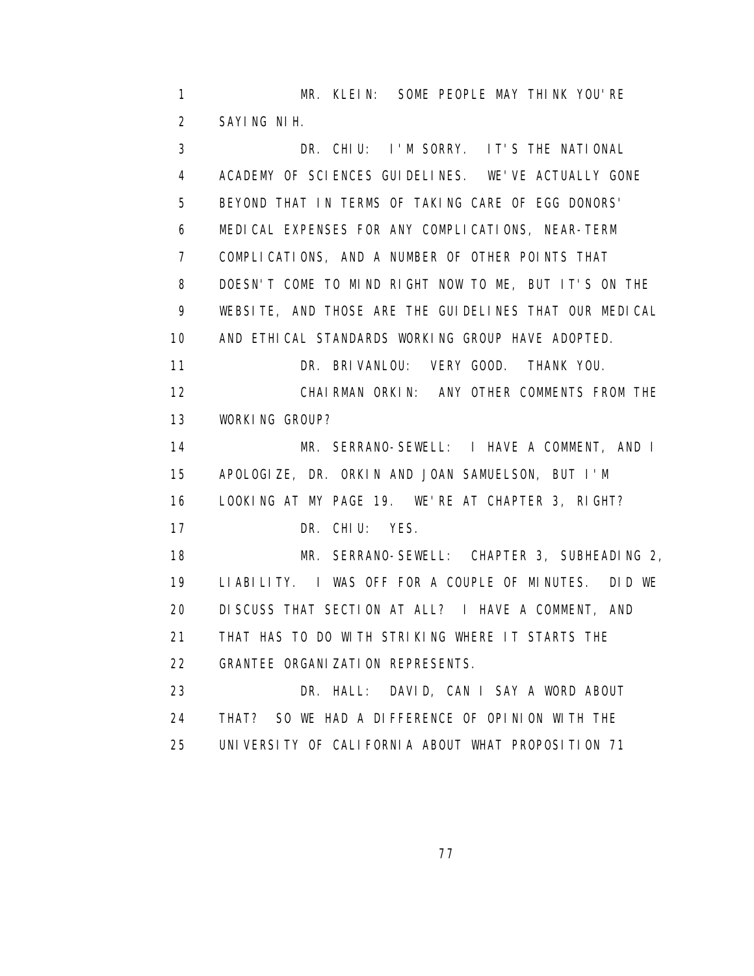1 MR. KLEIN: SOME PEOPLE MAY THINK YOU'RE 2 SAYING NIH.

 3 DR. CHIU: I'M SORRY. IT'S THE NATIONAL 4 ACADEMY OF SCIENCES GUIDELINES. WE'VE ACTUALLY GONE 5 BEYOND THAT IN TERMS OF TAKING CARE OF EGG DONORS' 6 MEDICAL EXPENSES FOR ANY COMPLICATIONS, NEAR-TERM 7 COMPLICATIONS, AND A NUMBER OF OTHER POINTS THAT 8 DOESN'T COME TO MIND RIGHT NOW TO ME, BUT IT'S ON THE 9 WEBSITE, AND THOSE ARE THE GUIDELINES THAT OUR MEDICAL 10 AND ETHICAL STANDARDS WORKING GROUP HAVE ADOPTED. 11 DR. BRIVANLOU: VERY GOOD. THANK YOU. 12 CHAIRMAN ORKIN: ANY OTHER COMMENTS FROM THE 13 WORKING GROUP? 14 MR. SERRANO-SEWELL: I HAVE A COMMENT, AND I 15 APOLOGIZE, DR. ORKIN AND JOAN SAMUELSON, BUT I'M 16 LOOKING AT MY PAGE 19. WE'RE AT CHAPTER 3, RIGHT? 17 DR. CHIU: YES. 18 MR. SERRANO-SEWELL: CHAPTER 3, SUBHEADING 2, 19 LIABILITY. I WAS OFF FOR A COUPLE OF MINUTES. DID WE 20 DISCUSS THAT SECTION AT ALL? I HAVE A COMMENT, AND 21 THAT HAS TO DO WITH STRIKING WHERE IT STARTS THE 22 GRANTEE ORGANIZATION REPRESENTS. 23 DR. HALL: DAVID, CAN I SAY A WORD ABOUT 24 THAT? SO WE HAD A DIFFERENCE OF OPINION WITH THE 25 UNIVERSITY OF CALIFORNIA ABOUT WHAT PROPOSITION 71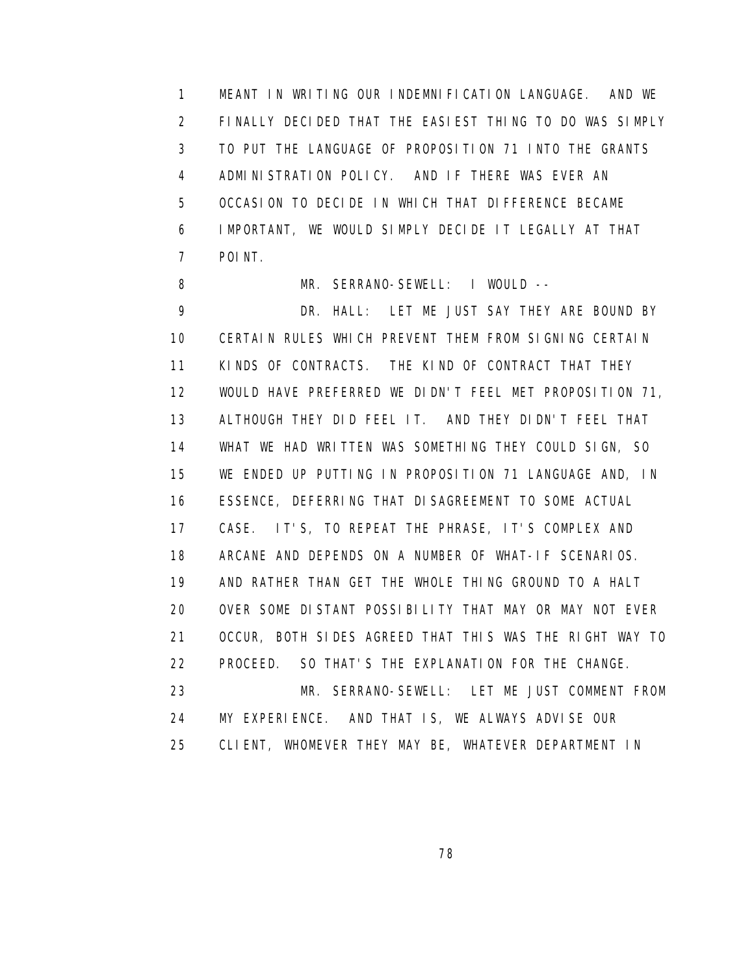1 MEANT IN WRITING OUR INDEMNIFICATION LANGUAGE. AND WE 2 FINALLY DECIDED THAT THE EASIEST THING TO DO WAS SIMPLY 3 TO PUT THE LANGUAGE OF PROPOSITION 71 INTO THE GRANTS 4 ADMINISTRATION POLICY. AND IF THERE WAS EVER AN 5 OCCASION TO DECIDE IN WHICH THAT DIFFERENCE BECAME 6 IMPORTANT, WE WOULD SIMPLY DECIDE IT LEGALLY AT THAT 7 POINT.

8 MR. SERRANO-SEWELL: I WOULD -- 9 DR. HALL: LET ME JUST SAY THEY ARE BOUND BY 10 CERTAIN RULES WHICH PREVENT THEM FROM SIGNING CERTAIN 11 KINDS OF CONTRACTS. THE KIND OF CONTRACT THAT THEY 12 WOULD HAVE PREFERRED WE DIDN'T FEEL MET PROPOSITION 71, 13 ALTHOUGH THEY DID FEEL IT. AND THEY DIDN'T FEEL THAT 14 WHAT WE HAD WRITTEN WAS SOMETHING THEY COULD SIGN, SO 15 WE ENDED UP PUTTING IN PROPOSITION 71 LANGUAGE AND, IN 16 ESSENCE, DEFERRING THAT DISAGREEMENT TO SOME ACTUAL 17 CASE. IT'S, TO REPEAT THE PHRASE, IT'S COMPLEX AND 18 ARCANE AND DEPENDS ON A NUMBER OF WHAT-IF SCENARIOS. 19 AND RATHER THAN GET THE WHOLE THING GROUND TO A HALT 20 OVER SOME DISTANT POSSIBILITY THAT MAY OR MAY NOT EVER 21 OCCUR, BOTH SIDES AGREED THAT THIS WAS THE RIGHT WAY TO 22 PROCEED. SO THAT'S THE EXPLANATION FOR THE CHANGE. 23 MR. SERRANO-SEWELL: LET ME JUST COMMENT FROM 24 MY EXPERIENCE. AND THAT IS, WE ALWAYS ADVISE OUR 25 CLIENT, WHOMEVER THEY MAY BE, WHATEVER DEPARTMENT IN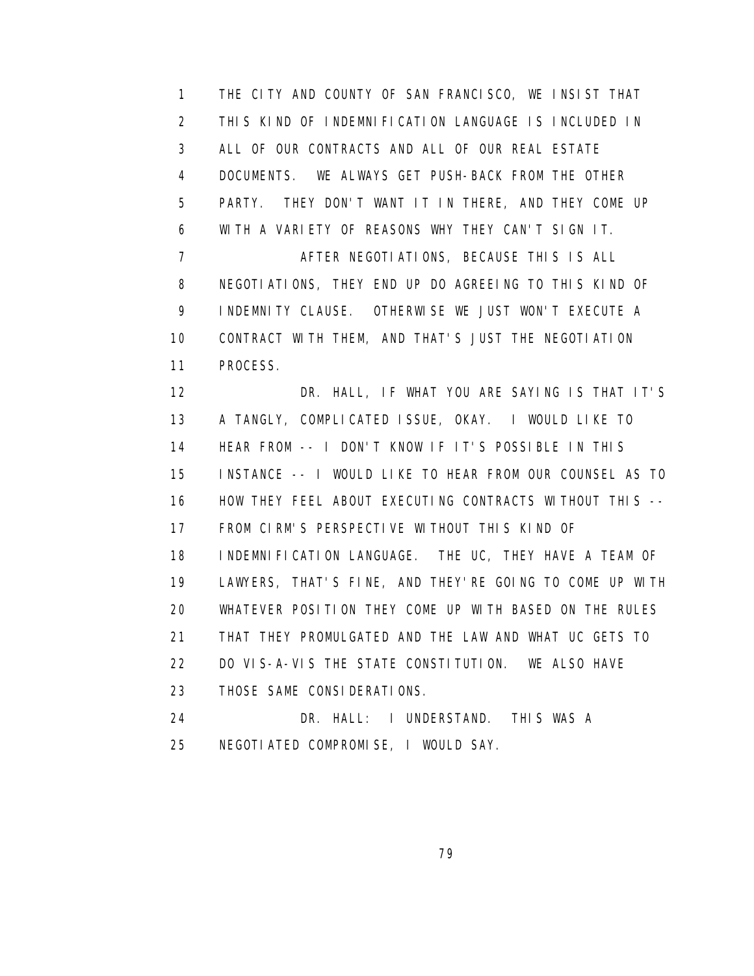1 THE CITY AND COUNTY OF SAN FRANCISCO, WE INSIST THAT 2 THIS KIND OF INDEMNIFICATION LANGUAGE IS INCLUDED IN 3 ALL OF OUR CONTRACTS AND ALL OF OUR REAL ESTATE 4 DOCUMENTS. WE ALWAYS GET PUSH-BACK FROM THE OTHER 5 PARTY. THEY DON'T WANT IT IN THERE, AND THEY COME UP 6 WITH A VARIETY OF REASONS WHY THEY CAN'T SIGN IT. 7 AFTER NEGOTIATIONS, BECAUSE THIS IS ALL 8 NEGOTIATIONS, THEY END UP DO AGREEING TO THIS KIND OF 9 INDEMNITY CLAUSE. OTHERWISE WE JUST WON'T EXECUTE A 10 CONTRACT WITH THEM, AND THAT'S JUST THE NEGOTIATION 11 PROCESS. 12 DR. HALL, IF WHAT YOU ARE SAYING IS THAT IT'S 13 A TANGLY, COMPLICATED ISSUE, OKAY. I WOULD LIKE TO 14 HEAR FROM -- I DON'T KNOW IF IT'S POSSIBLE IN THIS 15 INSTANCE -- I WOULD LIKE TO HEAR FROM OUR COUNSEL AS TO 16 HOW THEY FEEL ABOUT EXECUTING CONTRACTS WITHOUT THIS -- 17 FROM CIRM'S PERSPECTIVE WITHOUT THIS KIND OF 18 INDEMNIFICATION LANGUAGE. THE UC, THEY HAVE A TEAM OF 19 LAWYERS, THAT'S FINE, AND THEY'RE GOING TO COME UP WITH 20 WHATEVER POSITION THEY COME UP WITH BASED ON THE RULES 21 THAT THEY PROMULGATED AND THE LAW AND WHAT UC GETS TO 22 DO VIS-A-VIS THE STATE CONSTITUTION. WE ALSO HAVE 23 THOSE SAME CONSIDERATIONS. 24 DR. HALL: I UNDERSTAND. THIS WAS A 25 NEGOTIATED COMPROMISE, I WOULD SAY.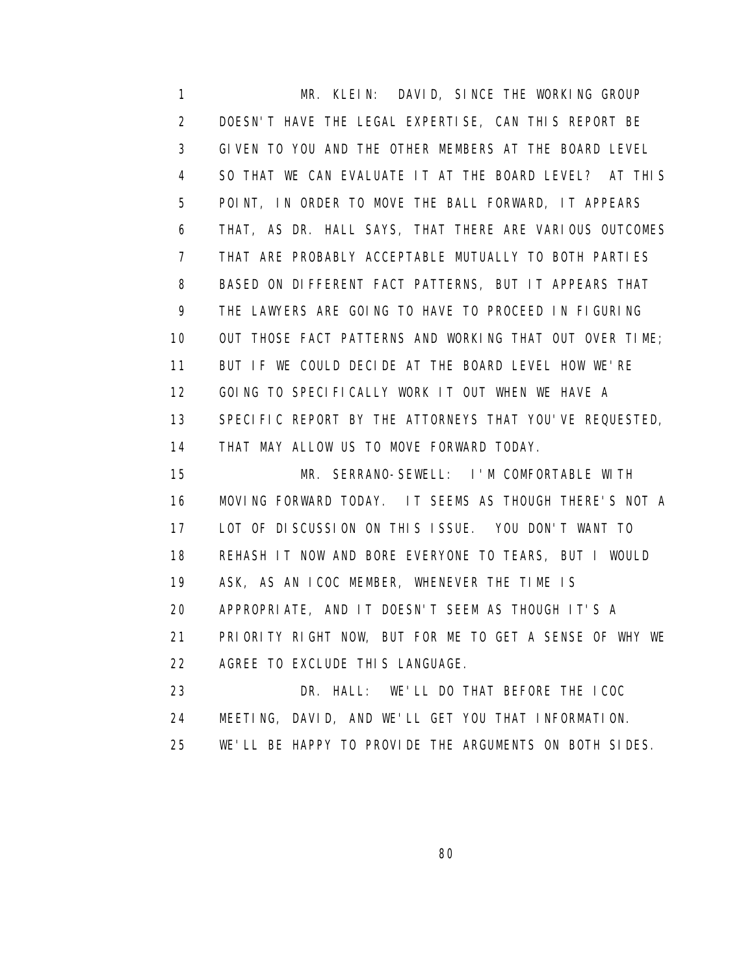1 MR. KLEIN: DAVID, SINCE THE WORKING GROUP 2 DOESN'T HAVE THE LEGAL EXPERTISE, CAN THIS REPORT BE 3 GIVEN TO YOU AND THE OTHER MEMBERS AT THE BOARD LEVEL 4 SO THAT WE CAN EVALUATE IT AT THE BOARD LEVEL? AT THIS 5 POINT, IN ORDER TO MOVE THE BALL FORWARD, IT APPEARS 6 THAT, AS DR. HALL SAYS, THAT THERE ARE VARIOUS OUTCOMES 7 THAT ARE PROBABLY ACCEPTABLE MUTUALLY TO BOTH PARTIES 8 BASED ON DIFFERENT FACT PATTERNS, BUT IT APPEARS THAT 9 THE LAWYERS ARE GOING TO HAVE TO PROCEED IN FIGURING 10 OUT THOSE FACT PATTERNS AND WORKING THAT OUT OVER TIME; 11 BUT IF WE COULD DECIDE AT THE BOARD LEVEL HOW WE'RE 12 GOING TO SPECIFICALLY WORK IT OUT WHEN WE HAVE A 13 SPECIFIC REPORT BY THE ATTORNEYS THAT YOU'VE REQUESTED, 14 THAT MAY ALLOW US TO MOVE FORWARD TODAY. 15 MR. SERRANO-SEWELL: I'M COMFORTABLE WITH

 16 MOVING FORWARD TODAY. IT SEEMS AS THOUGH THERE'S NOT A 17 LOT OF DISCUSSION ON THIS ISSUE. YOU DON'T WANT TO 18 REHASH IT NOW AND BORE EVERYONE TO TEARS, BUT I WOULD 19 ASK, AS AN ICOC MEMBER, WHENEVER THE TIME IS 20 APPROPRIATE, AND IT DOESN'T SEEM AS THOUGH IT'S A 21 PRIORITY RIGHT NOW, BUT FOR ME TO GET A SENSE OF WHY WE 22 AGREE TO EXCLUDE THIS LANGUAGE. 23 DR. HALL: WE'LL DO THAT BEFORE THE ICOC

 24 MEETING, DAVID, AND WE'LL GET YOU THAT INFORMATION. 25 WE'LL BE HAPPY TO PROVIDE THE ARGUMENTS ON BOTH SIDES.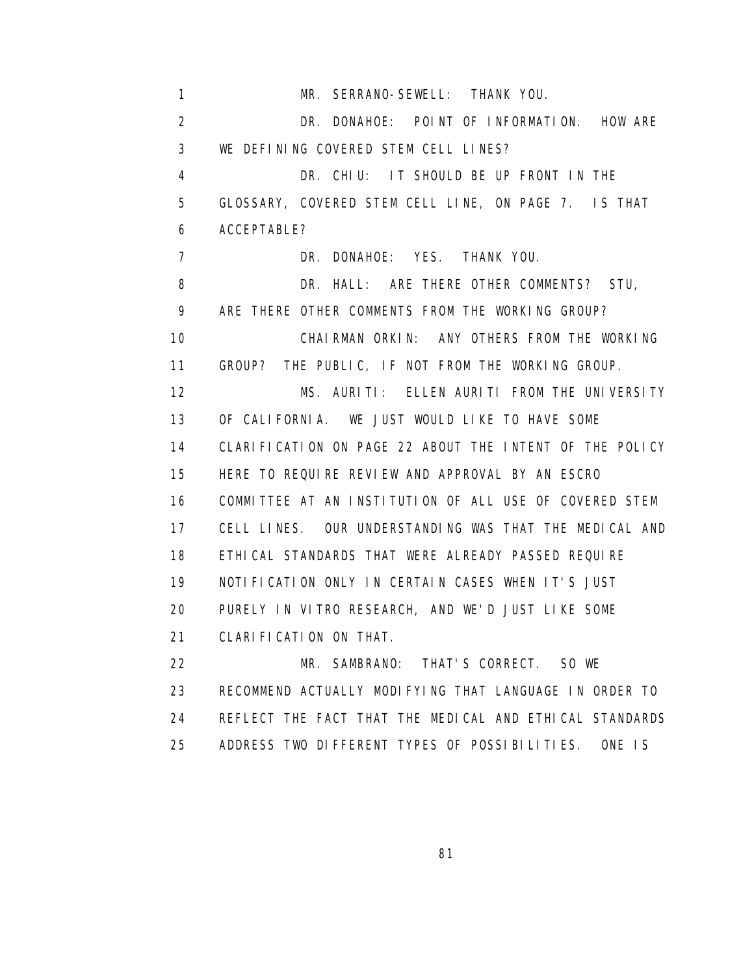1 MR. SERRANO-SEWELL: THANK YOU. 2 DR. DONAHOE: POINT OF INFORMATION. HOW ARE 3 WE DEFINING COVERED STEM CELL LINES? 4 DR. CHIU: IT SHOULD BE UP FRONT IN THE 5 GLOSSARY, COVERED STEM CELL LINE, ON PAGE 7. IS THAT 6 ACCEPTABLE? 7 DR. DONAHOE: YES. THANK YOU. 8 DR. HALL: ARE THERE OTHER COMMENTS? STU, 9 ARE THERE OTHER COMMENTS FROM THE WORKING GROUP? 10 CHAIRMAN ORKIN: ANY OTHERS FROM THE WORKING 11 GROUP? THE PUBLIC, IF NOT FROM THE WORKING GROUP. 12 MS. AURITI: ELLEN AURITI FROM THE UNIVERSITY 13 OF CALIFORNIA. WE JUST WOULD LIKE TO HAVE SOME 14 CLARIFICATION ON PAGE 22 ABOUT THE INTENT OF THE POLICY 15 HERE TO REQUIRE REVIEW AND APPROVAL BY AN ESCRO 16 COMMITTEE AT AN INSTITUTION OF ALL USE OF COVERED STEM 17 CELL LINES. OUR UNDERSTANDING WAS THAT THE MEDICAL AND 18 ETHICAL STANDARDS THAT WERE ALREADY PASSED REQUIRE 19 NOTIFICATION ONLY IN CERTAIN CASES WHEN IT'S JUST 20 PURELY IN VITRO RESEARCH, AND WE'D JUST LIKE SOME 21 CLARIFICATION ON THAT. 22 MR. SAMBRANO: THAT'S CORRECT. SO WE 23 RECOMMEND ACTUALLY MODIFYING THAT LANGUAGE IN ORDER TO 24 REFLECT THE FACT THAT THE MEDICAL AND ETHICAL STANDARDS 25 ADDRESS TWO DIFFERENT TYPES OF POSSIBILITIES. ONE IS

<u>and the state of the state of the state of the state of the state of the state of the state of the state of th</u>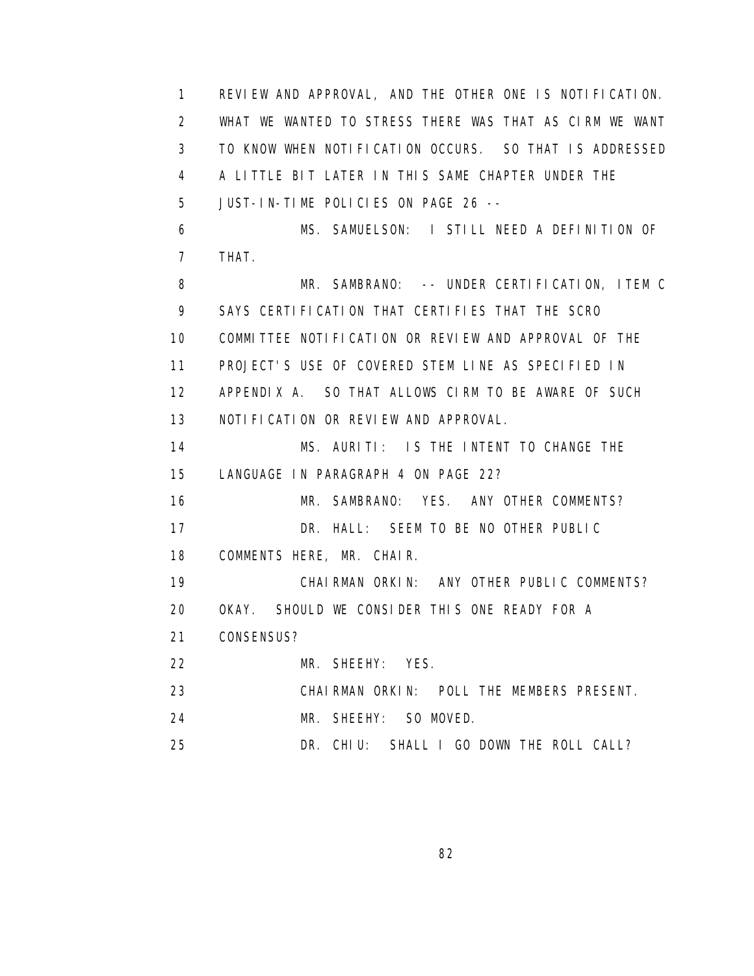1 REVIEW AND APPROVAL, AND THE OTHER ONE IS NOTIFICATION. 2 WHAT WE WANTED TO STRESS THERE WAS THAT AS CIRM WE WANT 3 TO KNOW WHEN NOTIFICATION OCCURS. SO THAT IS ADDRESSED 4 A LITTLE BIT LATER IN THIS SAME CHAPTER UNDER THE 5 JUST-IN-TIME POLICIES ON PAGE 26 -- 6 MS. SAMUELSON: I STILL NEED A DEFINITION OF 7 THAT. 8 MR. SAMBRANO: -- UNDER CERTIFICATION, ITEM C 9 SAYS CERTIFICATION THAT CERTIFIES THAT THE SCRO 10 COMMITTEE NOTIFICATION OR REVIEW AND APPROVAL OF THE 11 PROJECT'S USE OF COVERED STEM LINE AS SPECIFIED IN 12 APPENDIX A. SO THAT ALLOWS CIRM TO BE AWARE OF SUCH 13 NOTIFICATION OR REVIEW AND APPROVAL. 14 MS. AURITI: IS THE INTENT TO CHANGE THE 15 LANGUAGE IN PARAGRAPH 4 ON PAGE 22? 16 MR. SAMBRANO: YES. ANY OTHER COMMENTS? 17 DR. HALL: SEEM TO BE NO OTHER PUBLIC 18 COMMENTS HERE, MR. CHAIR. 19 CHAIRMAN ORKIN: ANY OTHER PUBLIC COMMENTS? 20 OKAY. SHOULD WE CONSIDER THIS ONE READY FOR A 21 CONSENSUS? 22 MR. SHEEHY: YES. 23 CHAIRMAN ORKIN: POLL THE MEMBERS PRESENT. 24 MR. SHEEHY: SO MOVED. 25 DR. CHIU: SHALL I GO DOWN THE ROLL CALL?

<u>82 and 2014 and 2014 and 2014 and 2014 and 2014 and 2014 and 2014 and 2014 and 2014 and 2014 and 2014 and 201</u>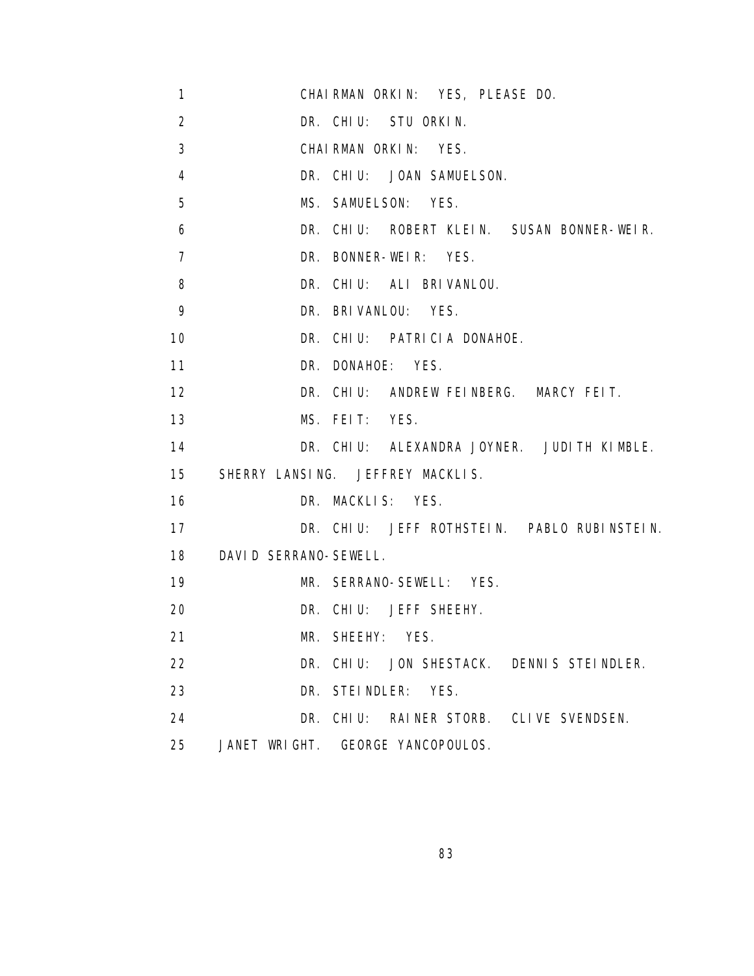- 1 CHAIRMAN ORKIN: YES, PLEASE DO.
- 2 DR. CHIU: STU ORKIN.
- 3 CHAIRMAN ORKIN: YES.
- 4 DR. CHIU: JOAN SAMUELSON.
- 5 MS. SAMUELSON: YES.
- 6 DR. CHIU: ROBERT KLEIN. SUSAN BONNER-WEIR.
- 7 DR. BONNER-WEIR: YES.
- 8 DR. CHIU: ALI BRIVANLOU.
- 9 DR. BRIVANLOU: YES.
- 10 DR. CHIU: PATRICIA DONAHOE.
- 11 DR. DONAHOE: YES.
- 12 DR. CHIU: ANDREW FEINBERG. MARCY FEIT.
- 13 MS. FEIT: YES.
- 14 DR. CHIU: ALEXANDRA JOYNER. JUDITH KIMBLE.
- 15 SHERRY LANSING. JEFFREY MACKLIS.

16 DR. MACKLIS: YES.

- 17 DR. CHIU: JEFF ROTHSTEIN. PABLO RUBINSTEIN.
- 18 DAVID SERRANO-SEWELL.
- 19 MR. SERRANO-SEWELL: YES.
- 20 DR. CHIU: JEFF SHEEHY.
- 21 MR. SHEEHY: YES.
- 22 DR. CHIU: JON SHESTACK. DENNIS STEINDLER.
- 23 DR. STEINDLER: YES.
- 24 DR. CHIU: RAINER STORB. CLIVE SVENDSEN.
- 25 JANET WRIGHT. GEORGE YANCOPOULOS.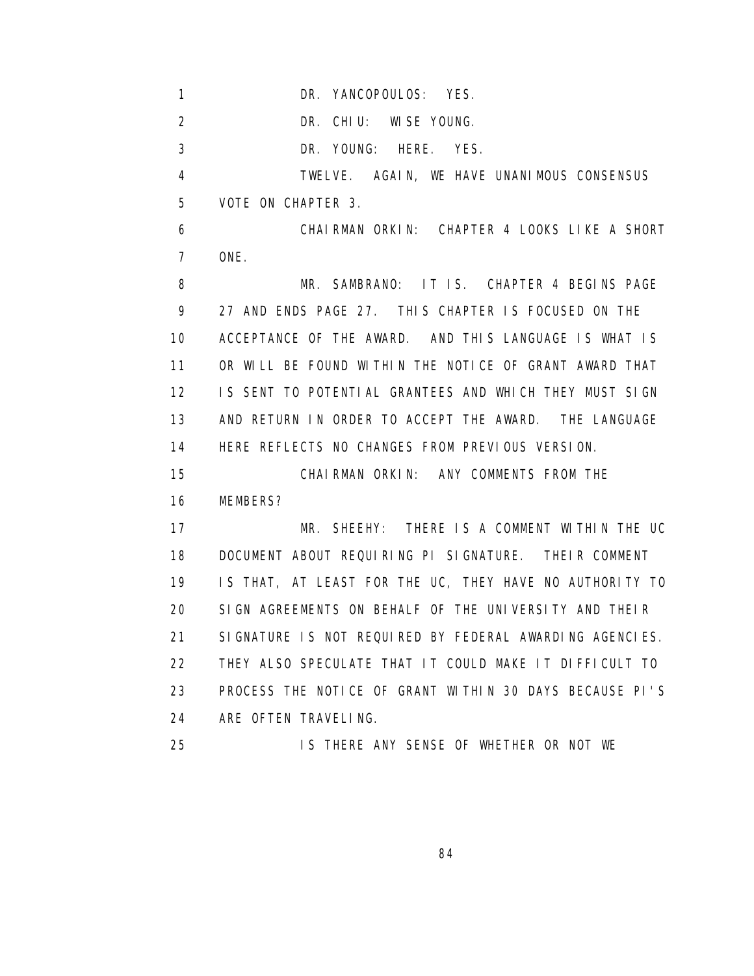1 DR. YANCOPOULOS: YES.

2 DR. CHIU: WISE YOUNG.

3 DR. YOUNG: HERE. YES.

 4 TWELVE. AGAIN, WE HAVE UNANIMOUS CONSENSUS 5 VOTE ON CHAPTER 3.

 6 CHAIRMAN ORKIN: CHAPTER 4 LOOKS LIKE A SHORT 7 ONE.

8 MR. SAMBRANO: IT IS. CHAPTER 4 BEGINS PAGE 9 27 AND ENDS PAGE 27. THIS CHAPTER IS FOCUSED ON THE 10 ACCEPTANCE OF THE AWARD. AND THIS LANGUAGE IS WHAT IS 11 OR WILL BE FOUND WITHIN THE NOTICE OF GRANT AWARD THAT 12 IS SENT TO POTENTIAL GRANTEES AND WHICH THEY MUST SIGN 13 AND RETURN IN ORDER TO ACCEPT THE AWARD. THE LANGUAGE 14 HERE REFLECTS NO CHANGES FROM PREVIOUS VERSION.

15 CHAIRMAN ORKIN: ANY COMMENTS FROM THE

16 MEMBERS?

 17 MR. SHEEHY: THERE IS A COMMENT WITHIN THE UC 18 DOCUMENT ABOUT REQUIRING PI SIGNATURE. THEIR COMMENT 19 IS THAT, AT LEAST FOR THE UC, THEY HAVE NO AUTHORITY TO 20 SIGN AGREEMENTS ON BEHALF OF THE UNIVERSITY AND THEIR 21 SIGNATURE IS NOT REQUIRED BY FEDERAL AWARDING AGENCIES. 22 THEY ALSO SPECULATE THAT IT COULD MAKE IT DIFFICULT TO 23 PROCESS THE NOTICE OF GRANT WITHIN 30 DAYS BECAUSE PI'S 24 ARE OFTEN TRAVELING.

25 IS THERE ANY SENSE OF WHETHER OR NOT WE

<u>84 and 2012 and 2013</u>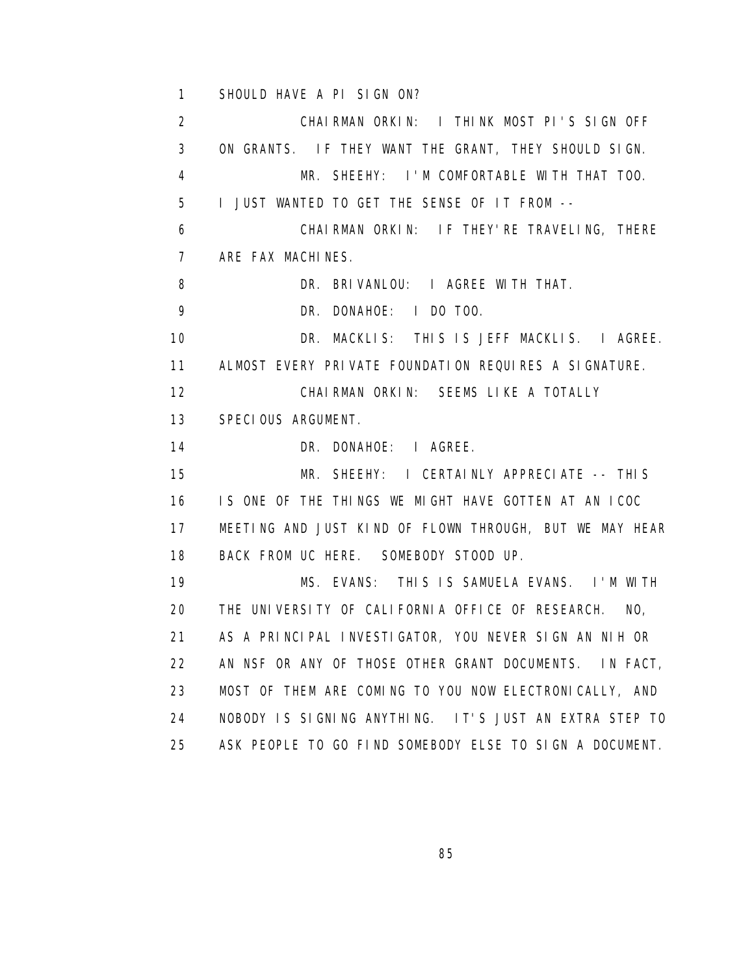1 SHOULD HAVE A PI SIGN ON?

 2 CHAIRMAN ORKIN: I THINK MOST PI'S SIGN OFF 3 ON GRANTS. IF THEY WANT THE GRANT, THEY SHOULD SIGN. 4 MR. SHEEHY: I'M COMFORTABLE WITH THAT TOO. 5 I JUST WANTED TO GET THE SENSE OF IT FROM -- 6 CHAIRMAN ORKIN: IF THEY'RE TRAVELING, THERE 7 ARE FAX MACHINES. 8 DR. BRIVANLOU: I AGREE WITH THAT. 9 DR. DONAHOE: I DO TOO. 10 DR. MACKLIS: THIS IS JEFF MACKLIS. I AGREE. 11 ALMOST EVERY PRIVATE FOUNDATION REQUIRES A SIGNATURE. 12 CHAIRMAN ORKIN: SEEMS LIKE A TOTALLY 13 SPECIOUS ARGUMENT. 14 DR. DONAHOE: I AGREE. 15 MR. SHEEHY: I CERTAINLY APPRECIATE -- THIS 16 IS ONE OF THE THINGS WE MIGHT HAVE GOTTEN AT AN ICOC 17 MEETING AND JUST KIND OF FLOWN THROUGH, BUT WE MAY HEAR 18 BACK FROM UC HERE. SOMEBODY STOOD UP. 19 MS. EVANS: THIS IS SAMUELA EVANS. I'M WITH 20 THE UNIVERSITY OF CALIFORNIA OFFICE OF RESEARCH. NO, 21 AS A PRINCIPAL INVESTIGATOR, YOU NEVER SIGN AN NIH OR 22 AN NSF OR ANY OF THOSE OTHER GRANT DOCUMENTS. IN FACT, 23 MOST OF THEM ARE COMING TO YOU NOW ELECTRONICALLY, AND 24 NOBODY IS SIGNING ANYTHING. IT'S JUST AN EXTRA STEP TO 25 ASK PEOPLE TO GO FIND SOMEBODY ELSE TO SIGN A DOCUMENT.

<u>85 and 200 million and 200 million and 200 million and 200 million and 200 million and 200 million and 200 mi</u>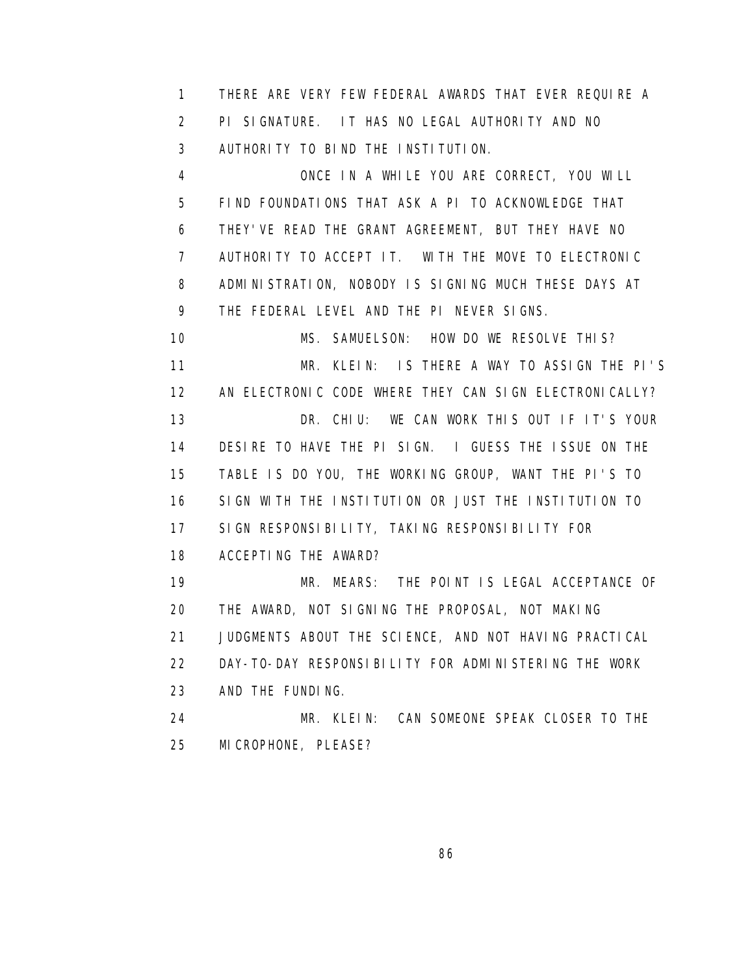1 THERE ARE VERY FEW FEDERAL AWARDS THAT EVER REQUIRE A 2 PI SIGNATURE. IT HAS NO LEGAL AUTHORITY AND NO 3 AUTHORITY TO BIND THE INSTITUTION.

 4 ONCE IN A WHILE YOU ARE CORRECT, YOU WILL 5 FIND FOUNDATIONS THAT ASK A PI TO ACKNOWLEDGE THAT 6 THEY'VE READ THE GRANT AGREEMENT, BUT THEY HAVE NO 7 AUTHORITY TO ACCEPT IT. WITH THE MOVE TO ELECTRONIC 8 ADMINISTRATION, NOBODY IS SIGNING MUCH THESE DAYS AT 9 THE FEDERAL LEVEL AND THE PI NEVER SIGNS.

 10 MS. SAMUELSON: HOW DO WE RESOLVE THIS? 11 MR. KLEIN: IS THERE A WAY TO ASSIGN THE PI'S 12 AN ELECTRONIC CODE WHERE THEY CAN SIGN ELECTRONICALLY? 13 DR. CHIU: WE CAN WORK THIS OUT IF IT'S YOUR 14 DESIRE TO HAVE THE PI SIGN. I GUESS THE ISSUE ON THE 15 TABLE IS DO YOU, THE WORKING GROUP, WANT THE PI'S TO 16 SIGN WITH THE INSTITUTION OR JUST THE INSTITUTION TO 17 SIGN RESPONSIBILITY, TAKING RESPONSIBILITY FOR 18 ACCEPTING THE AWARD? 19 MR. MEARS: THE POINT IS LEGAL ACCEPTANCE OF 20 THE AWARD, NOT SIGNING THE PROPOSAL, NOT MAKING 21 JUDGMENTS ABOUT THE SCIENCE, AND NOT HAVING PRACTICAL

22 DAY-TO-DAY RESPONSIBILITY FOR ADMINISTERING THE WORK

23 AND THE FUNDING.

 24 MR. KLEIN: CAN SOMEONE SPEAK CLOSER TO THE 25 MICROPHONE, PLEASE?

<u>86 and 2008 and 2008 and 2008 and 2008 and 2008 and 2008 and 2008 and 2008 and 2008 and 2008 and 2008 and 200</u>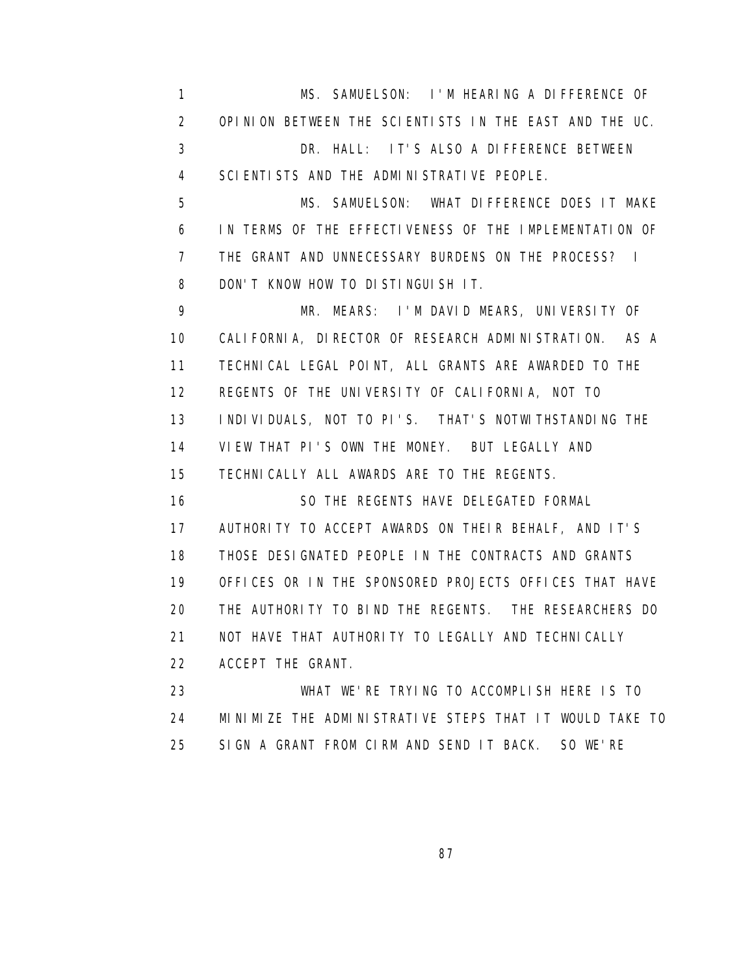1 MS. SAMUELSON: I'M HEARING A DIFFERENCE OF 2 OPINION BETWEEN THE SCIENTISTS IN THE EAST AND THE UC. 3 DR. HALL: IT'S ALSO A DIFFERENCE BETWEEN 4 SCIENTISTS AND THE ADMINISTRATIVE PEOPLE.

 5 MS. SAMUELSON: WHAT DIFFERENCE DOES IT MAKE 6 IN TERMS OF THE EFFECTIVENESS OF THE IMPLEMENTATION OF 7 THE GRANT AND UNNECESSARY BURDENS ON THE PROCESS? I 8 DON'T KNOW HOW TO DISTINGUISH IT.

 9 MR. MEARS: I'M DAVID MEARS, UNIVERSITY OF 10 CALIFORNIA, DIRECTOR OF RESEARCH ADMINISTRATION. AS A 11 TECHNICAL LEGAL POINT, ALL GRANTS ARE AWARDED TO THE 12 REGENTS OF THE UNIVERSITY OF CALIFORNIA, NOT TO 13 INDIVIDUALS, NOT TO PI'S. THAT'S NOTWITHSTANDING THE 14 VIEW THAT PI'S OWN THE MONEY. BUT LEGALLY AND 15 TECHNICALLY ALL AWARDS ARE TO THE REGENTS.

 16 SO THE REGENTS HAVE DELEGATED FORMAL 17 AUTHORITY TO ACCEPT AWARDS ON THEIR BEHALF, AND IT'S 18 THOSE DESIGNATED PEOPLE IN THE CONTRACTS AND GRANTS 19 OFFICES OR IN THE SPONSORED PROJECTS OFFICES THAT HAVE 20 THE AUTHORITY TO BIND THE REGENTS. THE RESEARCHERS DO 21 NOT HAVE THAT AUTHORITY TO LEGALLY AND TECHNICALLY 22 ACCEPT THE GRANT.

 23 WHAT WE'RE TRYING TO ACCOMPLISH HERE IS TO 24 MINIMIZE THE ADMINISTRATIVE STEPS THAT IT WOULD TAKE TO 25 SIGN A GRANT FROM CIRM AND SEND IT BACK. SO WE'RE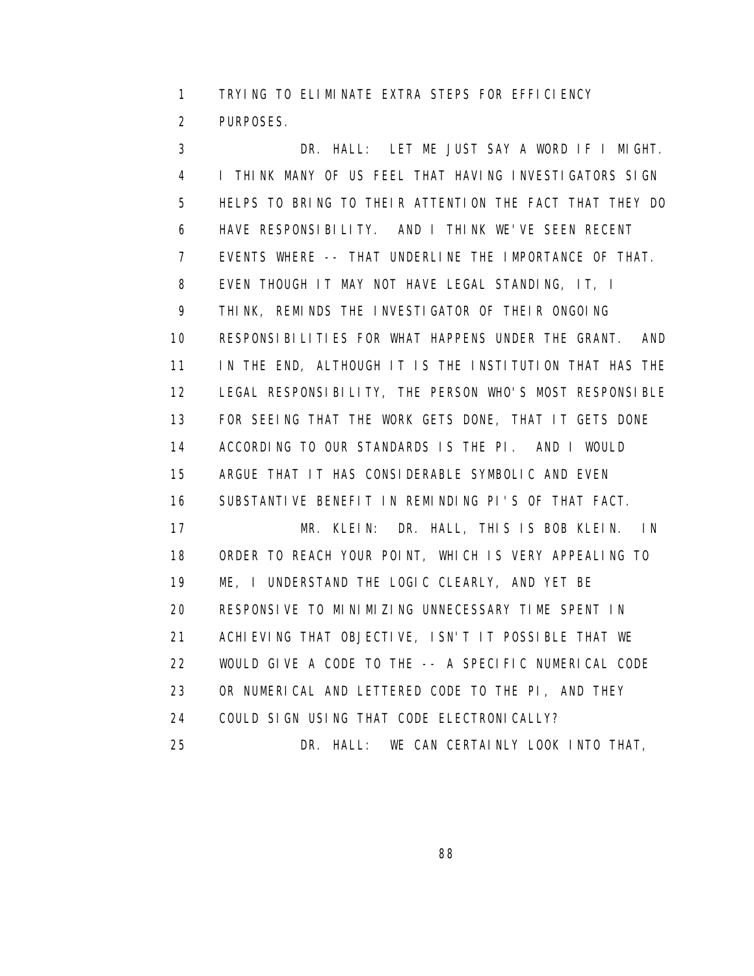1 TRYING TO ELIMINATE EXTRA STEPS FOR EFFICIENCY 2 PURPOSES.

 3 DR. HALL: LET ME JUST SAY A WORD IF I MIGHT. 4 I THINK MANY OF US FEEL THAT HAVING INVESTIGATORS SIGN 5 HELPS TO BRING TO THEIR ATTENTION THE FACT THAT THEY DO 6 HAVE RESPONSIBILITY. AND I THINK WE'VE SEEN RECENT 7 EVENTS WHERE -- THAT UNDERLINE THE IMPORTANCE OF THAT. 8 EVEN THOUGH IT MAY NOT HAVE LEGAL STANDING, IT, I 9 THINK, REMINDS THE INVESTIGATOR OF THEIR ONGOING 10 RESPONSIBILITIES FOR WHAT HAPPENS UNDER THE GRANT. AND 11 IN THE END, ALTHOUGH IT IS THE INSTITUTION THAT HAS THE 12 LEGAL RESPONSIBILITY, THE PERSON WHO'S MOST RESPONSIBLE 13 FOR SEEING THAT THE WORK GETS DONE, THAT IT GETS DONE 14 ACCORDING TO OUR STANDARDS IS THE PI. AND I WOULD 15 ARGUE THAT IT HAS CONSIDERABLE SYMBOLIC AND EVEN 16 SUBSTANTIVE BENEFIT IN REMINDING PI'S OF THAT FACT. 17 MR. KLEIN: DR. HALL, THIS IS BOB KLEIN. IN 18 ORDER TO REACH YOUR POINT, WHICH IS VERY APPEALING TO 19 ME, I UNDERSTAND THE LOGIC CLEARLY, AND YET BE 20 RESPONSIVE TO MINIMIZING UNNECESSARY TIME SPENT IN 21 ACHIEVING THAT OBJECTIVE, ISN'T IT POSSIBLE THAT WE 22 WOULD GIVE A CODE TO THE -- A SPECIFIC NUMERICAL CODE 23 OR NUMERICAL AND LETTERED CODE TO THE PI, AND THEY 24 COULD SIGN USING THAT CODE ELECTRONICALLY? 25 DR. HALL: WE CAN CERTAINLY LOOK INTO THAT,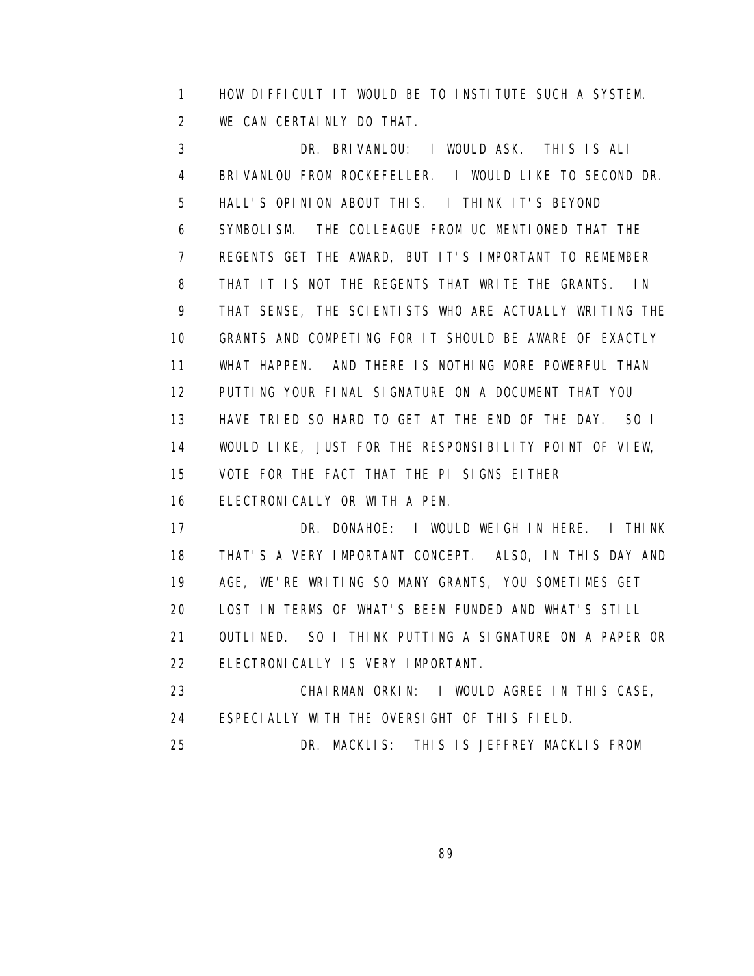1 HOW DIFFICULT IT WOULD BE TO INSTITUTE SUCH A SYSTEM. 2 WE CAN CERTAINLY DO THAT.

 3 DR. BRIVANLOU: I WOULD ASK. THIS IS ALI 4 BRIVANLOU FROM ROCKEFELLER. I WOULD LIKE TO SECOND DR. 5 HALL'S OPINION ABOUT THIS. I THINK IT'S BEYOND 6 SYMBOLISM. THE COLLEAGUE FROM UC MENTIONED THAT THE 7 REGENTS GET THE AWARD, BUT IT'S IMPORTANT TO REMEMBER 8 THAT IT IS NOT THE REGENTS THAT WRITE THE GRANTS. IN 9 THAT SENSE, THE SCIENTISTS WHO ARE ACTUALLY WRITING THE 10 GRANTS AND COMPETING FOR IT SHOULD BE AWARE OF EXACTLY 11 WHAT HAPPEN. AND THERE IS NOTHING MORE POWERFUL THAN 12 PUTTING YOUR FINAL SIGNATURE ON A DOCUMENT THAT YOU 13 HAVE TRIED SO HARD TO GET AT THE END OF THE DAY. SO I 14 WOULD LIKE, JUST FOR THE RESPONSIBILITY POINT OF VIEW, 15 VOTE FOR THE FACT THAT THE PI SIGNS EITHER 16 ELECTRONICALLY OR WITH A PEN. 17 DR. DONAHOE: I WOULD WEIGH IN HERE. I THINK

 18 THAT'S A VERY IMPORTANT CONCEPT. ALSO, IN THIS DAY AND 19 AGE, WE'RE WRITING SO MANY GRANTS, YOU SOMETIMES GET 20 LOST IN TERMS OF WHAT'S BEEN FUNDED AND WHAT'S STILL 21 OUTLINED. SO I THINK PUTTING A SIGNATURE ON A PAPER OR 22 ELECTRONICALLY IS VERY IMPORTANT. 23 CHAIRMAN ORKIN: I WOULD AGREE IN THIS CASE, 24 ESPECIALLY WITH THE OVERSIGHT OF THIS FIELD.

25 DR. MACKLIS: THIS IS JEFFREY MACKLIS FROM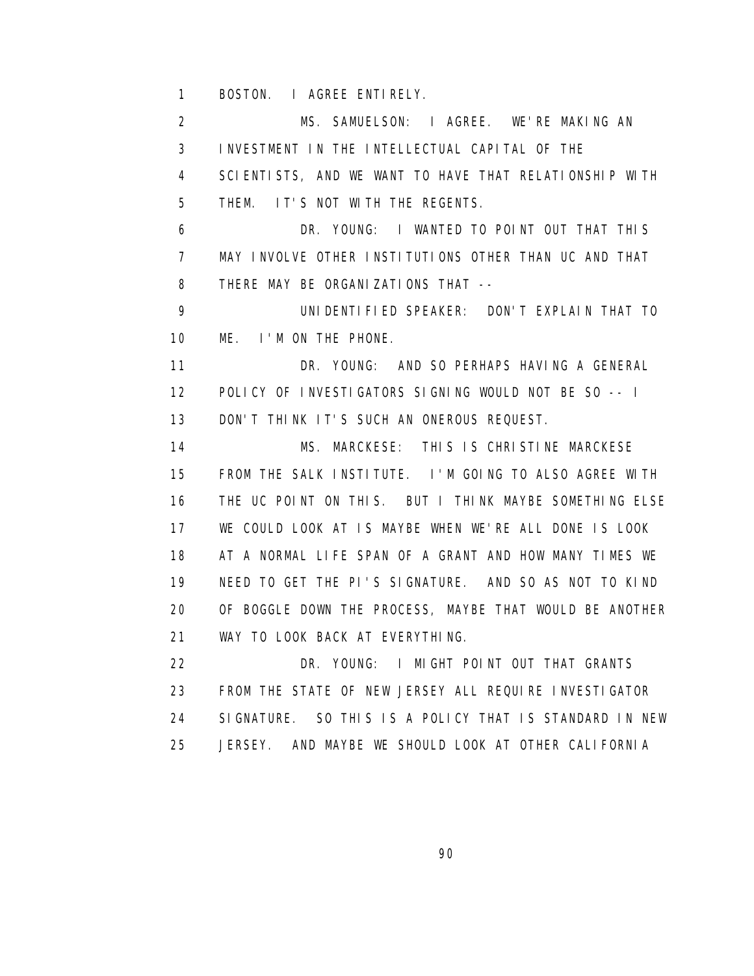1 BOSTON. I AGREE ENTIRELY.

 2 MS. SAMUELSON: I AGREE. WE'RE MAKING AN 3 INVESTMENT IN THE INTELLECTUAL CAPITAL OF THE 4 SCIENTISTS, AND WE WANT TO HAVE THAT RELATIONSHIP WITH 5 THEM. IT'S NOT WITH THE REGENTS. 6 DR. YOUNG: I WANTED TO POINT OUT THAT THIS 7 MAY INVOLVE OTHER INSTITUTIONS OTHER THAN UC AND THAT 8 THERE MAY BE ORGANIZATIONS THAT -- 9 UNIDENTIFIED SPEAKER: DON'T EXPLAIN THAT TO 10 ME. I'M ON THE PHONE. 11 DR. YOUNG: AND SO PERHAPS HAVING A GENERAL 12 POLICY OF INVESTIGATORS SIGNING WOULD NOT BE SO -- I 13 DON'T THINK IT'S SUCH AN ONEROUS REQUEST. 14 MS. MARCKESE: THIS IS CHRISTINE MARCKESE 15 FROM THE SALK INSTITUTE. I'M GOING TO ALSO AGREE WITH 16 THE UC POINT ON THIS. BUT I THINK MAYBE SOMETHING ELSE 17 WE COULD LOOK AT IS MAYBE WHEN WE'RE ALL DONE IS LOOK 18 AT A NORMAL LIFE SPAN OF A GRANT AND HOW MANY TIMES WE 19 NEED TO GET THE PI'S SIGNATURE. AND SO AS NOT TO KIND 20 OF BOGGLE DOWN THE PROCESS, MAYBE THAT WOULD BE ANOTHER 21 WAY TO LOOK BACK AT EVERYTHING. 22 DR. YOUNG: I MIGHT POINT OUT THAT GRANTS 23 FROM THE STATE OF NEW JERSEY ALL REQUIRE INVESTIGATOR 24 SIGNATURE. SO THIS IS A POLICY THAT IS STANDARD IN NEW

25 JERSEY. AND MAYBE WE SHOULD LOOK AT OTHER CALIFORNIA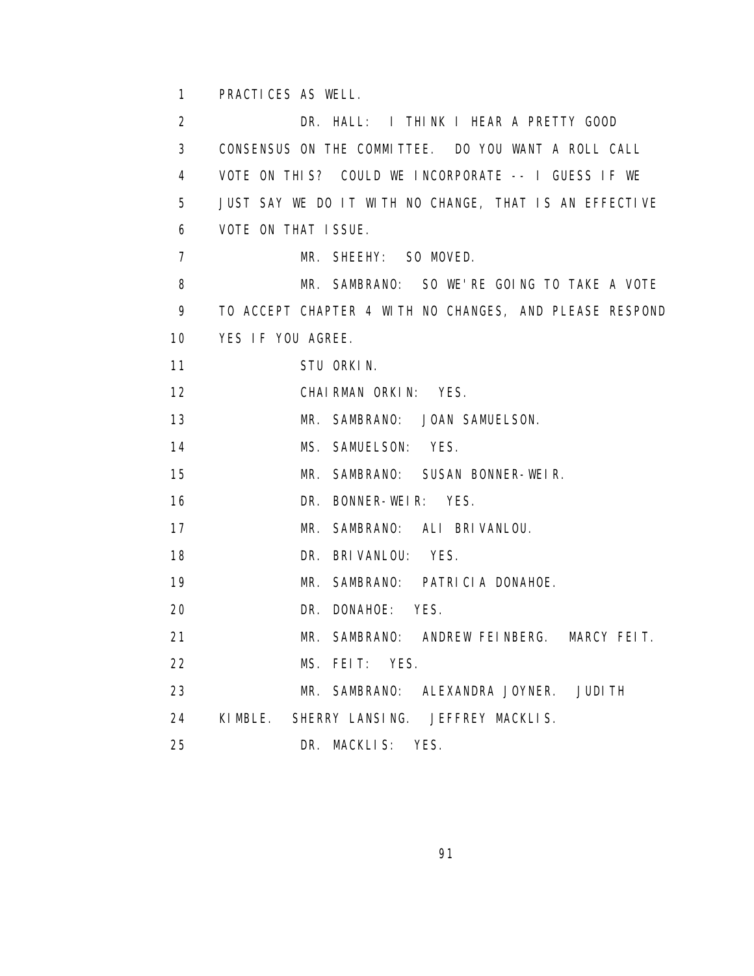1 PRACTICES AS WELL.

 2 DR. HALL: I THINK I HEAR A PRETTY GOOD 3 CONSENSUS ON THE COMMITTEE. DO YOU WANT A ROLL CALL 4 VOTE ON THIS? COULD WE INCORPORATE -- I GUESS IF WE 5 JUST SAY WE DO IT WITH NO CHANGE, THAT IS AN EFFECTIVE 6 VOTE ON THAT ISSUE. 7 MR. SHEEHY: SO MOVED. 8 MR. SAMBRANO: SO WE'RE GOING TO TAKE A VOTE 9 TO ACCEPT CHAPTER 4 WITH NO CHANGES, AND PLEASE RESPOND 10 YES IF YOU AGREE. 11 STU ORKIN. 12 CHAIRMAN ORKIN: YES. 13 MR. SAMBRANO: JOAN SAMUELSON. 14 MS. SAMUELSON: YES. 15 MR. SAMBRANO: SUSAN BONNER-WEIR. 16 DR. BONNER-WEIR: YES. 17 MR. SAMBRANO: ALI BRIVANLOU. 18 DR. BRIVANLOU: YES. 19 MR. SAMBRANO: PATRICIA DONAHOE. 20 DR. DONAHOE: YES. 21 MR. SAMBRANO: ANDREW FEINBERG. MARCY FEIT. 22 MS. FEIT: YES. 23 MR. SAMBRANO: ALEXANDRA JOYNER. JUDITH 24 KIMBLE. SHERRY LANSING. JEFFREY MACKLIS. 25 DR. MACKLIS: YES.

<u>91 - Johann Stein, amerikan pengaran pengaran pengaran pengaran pengaran pengaran pengaran pengaran pengaran</u>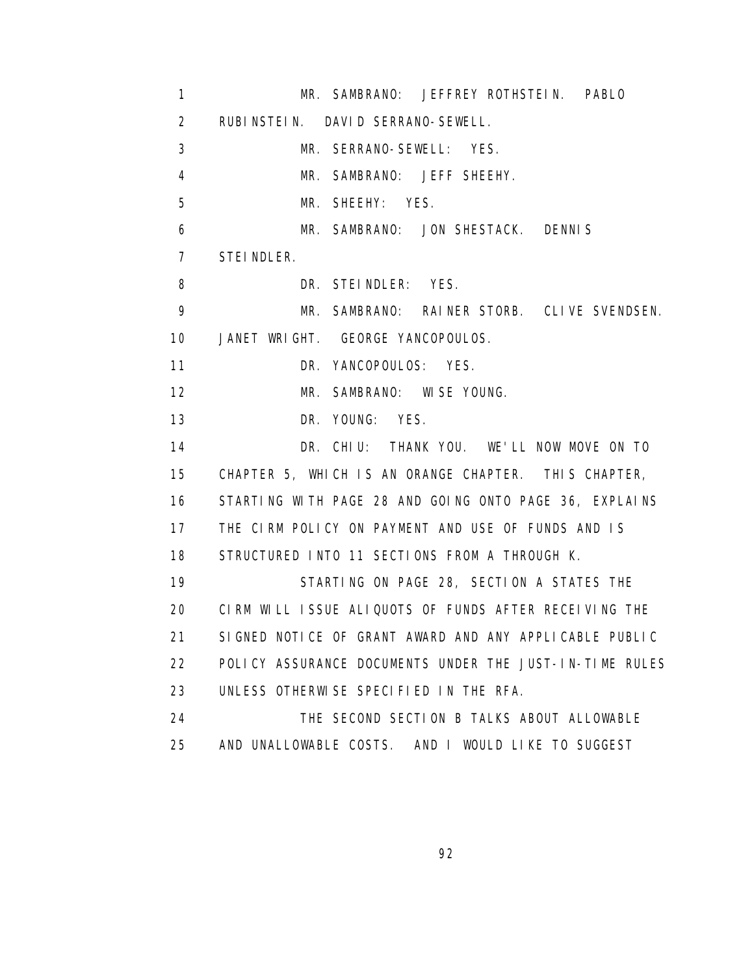1 MR. SAMBRANO: JEFFREY ROTHSTEIN. PABLO 2 RUBINSTEIN. DAVID SERRANO-SEWELL. 3 MR. SERRANO-SEWELL: YES. 4 MR. SAMBRANO: JEFF SHEEHY. 5 MR. SHEEHY: YES. 6 MR. SAMBRANO: JON SHESTACK. DENNIS 7 STEINDLER. 8 DR. STEINDLER: YES. 9 MR. SAMBRANO: RAINER STORB. CLIVE SVENDSEN. 10 JANET WRIGHT. GEORGE YANCOPOULOS. 11 DR. YANCOPOULOS: YES. 12 MR. SAMBRANO: WISE YOUNG. 13 DR. YOUNG: YES. 14 DR. CHIU: THANK YOU. WE'LL NOW MOVE ON TO 15 CHAPTER 5, WHICH IS AN ORANGE CHAPTER. THIS CHAPTER, 16 STARTING WITH PAGE 28 AND GOING ONTO PAGE 36, EXPLAINS 17 THE CIRM POLICY ON PAYMENT AND USE OF FUNDS AND IS 18 STRUCTURED INTO 11 SECTIONS FROM A THROUGH K. 19 STARTING ON PAGE 28, SECTION A STATES THE 20 CIRM WILL ISSUE ALIQUOTS OF FUNDS AFTER RECEIVING THE 21 SIGNED NOTICE OF GRANT AWARD AND ANY APPLICABLE PUBLIC 22 POLICY ASSURANCE DOCUMENTS UNDER THE JUST-IN-TIME RULES 23 UNLESS OTHERWISE SPECIFIED IN THE RFA. 24 THE SECOND SECTION B TALKS ABOUT ALLOWABLE 25 AND UNALLOWABLE COSTS. AND I WOULD LIKE TO SUGGEST

<u>92 and 2011 and 2012 and 2014 and 2014 and 2014 and 2014 and 2014 and 2014 and 2014 and 2014 and 2014 and 201</u>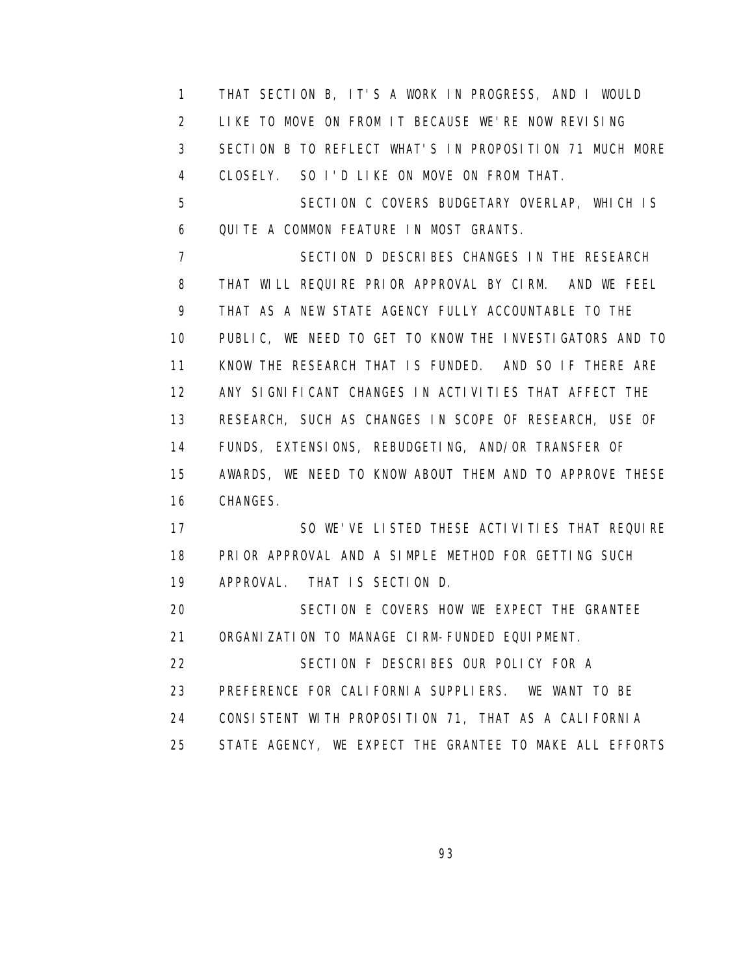1 THAT SECTION B, IT'S A WORK IN PROGRESS, AND I WOULD 2 LIKE TO MOVE ON FROM IT BECAUSE WE'RE NOW REVISING 3 SECTION B TO REFLECT WHAT'S IN PROPOSITION 71 MUCH MORE 4 CLOSELY. SO I'D LIKE ON MOVE ON FROM THAT. 5 SECTION C COVERS BUDGETARY OVERLAP, WHICH IS 6 QUITE A COMMON FEATURE IN MOST GRANTS. 7 SECTION D DESCRIBES CHANGES IN THE RESEARCH 8 THAT WILL REQUIRE PRIOR APPROVAL BY CIRM. AND WE FEEL 9 THAT AS A NEW STATE AGENCY FULLY ACCOUNTABLE TO THE 10 PUBLIC, WE NEED TO GET TO KNOW THE INVESTIGATORS AND TO 11 KNOW THE RESEARCH THAT IS FUNDED. AND SO IF THERE ARE 12 ANY SIGNIFICANT CHANGES IN ACTIVITIES THAT AFFECT THE 13 RESEARCH, SUCH AS CHANGES IN SCOPE OF RESEARCH, USE OF 14 FUNDS, EXTENSIONS, REBUDGETING, AND/OR TRANSFER OF 15 AWARDS, WE NEED TO KNOW ABOUT THEM AND TO APPROVE THESE 16 CHANGES. 17 SO WE'VE LISTED THESE ACTIVITIES THAT REQUIRE 18 PRIOR APPROVAL AND A SIMPLE METHOD FOR GETTING SUCH 19 APPROVAL. THAT IS SECTION D. 20 SECTION E COVERS HOW WE EXPECT THE GRANTEE 21 ORGANIZATION TO MANAGE CIRM-FUNDED EQUIPMENT. 22 SECTION F DESCRIBES OUR POLICY FOR A 23 PREFERENCE FOR CALIFORNIA SUPPLIERS. WE WANT TO BE 24 CONSISTENT WITH PROPOSITION 71, THAT AS A CALIFORNIA

25 STATE AGENCY, WE EXPECT THE GRANTEE TO MAKE ALL EFFORTS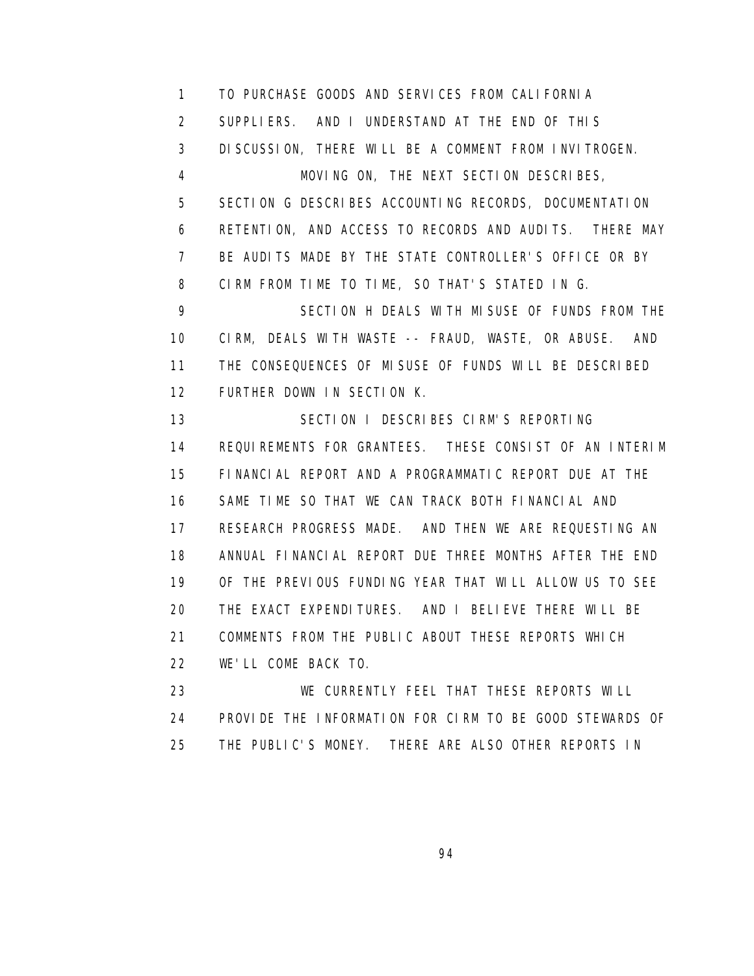1 TO PURCHASE GOODS AND SERVICES FROM CALIFORNIA 2 SUPPLIERS. AND I UNDERSTAND AT THE END OF THIS 3 DISCUSSION, THERE WILL BE A COMMENT FROM INVITROGEN. 4 MOVING ON, THE NEXT SECTION DESCRIBES, 5 SECTION G DESCRIBES ACCOUNTING RECORDS, DOCUMENTATION 6 RETENTION, AND ACCESS TO RECORDS AND AUDITS. THERE MAY 7 BE AUDITS MADE BY THE STATE CONTROLLER'S OFFICE OR BY 8 CIRM FROM TIME TO TIME, SO THAT'S STATED IN G. 9 SECTION H DEALS WITH MISUSE OF FUNDS FROM THE 10 CIRM, DEALS WITH WASTE -- FRAUD, WASTE, OR ABUSE. AND 11 THE CONSEQUENCES OF MISUSE OF FUNDS WILL BE DESCRIBED 12 FURTHER DOWN IN SECTION K. 13 SECTION I DESCRIBES CIRM'S REPORTING 14 REQUIREMENTS FOR GRANTEES. THESE CONSIST OF AN INTERIM 15 FINANCIAL REPORT AND A PROGRAMMATIC REPORT DUE AT THE 16 SAME TIME SO THAT WE CAN TRACK BOTH FINANCIAL AND 17 RESEARCH PROGRESS MADE. AND THEN WE ARE REQUESTING AN 18 ANNUAL FINANCIAL REPORT DUE THREE MONTHS AFTER THE END 19 OF THE PREVIOUS FUNDING YEAR THAT WILL ALLOW US TO SEE 20 THE EXACT EXPENDITURES. AND I BELIEVE THERE WILL BE 21 COMMENTS FROM THE PUBLIC ABOUT THESE REPORTS WHICH 22 WE'LL COME BACK TO. 23 WE CURRENTLY FEEL THAT THESE REPORTS WILL

 24 PROVIDE THE INFORMATION FOR CIRM TO BE GOOD STEWARDS OF 25 THE PUBLIC'S MONEY. THERE ARE ALSO OTHER REPORTS IN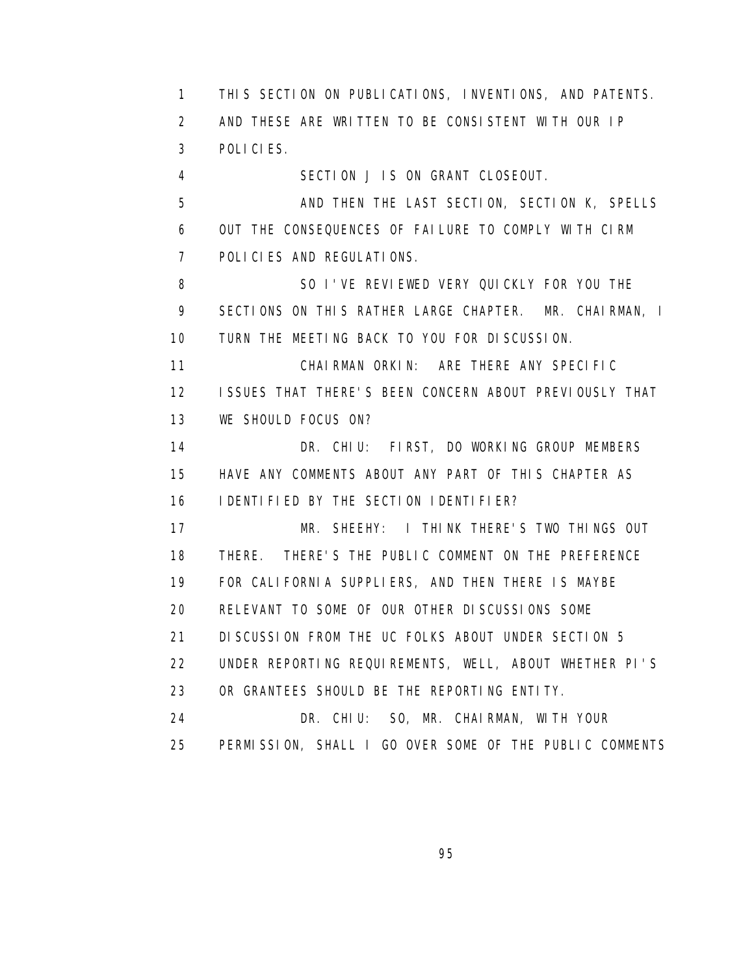1 THIS SECTION ON PUBLICATIONS, INVENTIONS, AND PATENTS. 2 AND THESE ARE WRITTEN TO BE CONSISTENT WITH OUR IP 3 POLICIES. 4 SECTION J IS ON GRANT CLOSEOUT. 5 AND THEN THE LAST SECTION, SECTION K, SPELLS 6 OUT THE CONSEQUENCES OF FAILURE TO COMPLY WITH CIRM 7 POLICIES AND REGULATIONS. 8 SO I'VE REVIEWED VERY QUICKLY FOR YOU THE 9 SECTIONS ON THIS RATHER LARGE CHAPTER. MR. CHAIRMAN, I 10 TURN THE MEETING BACK TO YOU FOR DISCUSSION. 11 CHAIRMAN ORKIN: ARE THERE ANY SPECIFIC 12 ISSUES THAT THERE'S BEEN CONCERN ABOUT PREVIOUSLY THAT 13 WE SHOULD FOCUS ON? 14 DR. CHIU: FIRST, DO WORKING GROUP MEMBERS 15 HAVE ANY COMMENTS ABOUT ANY PART OF THIS CHAPTER AS 16 IDENTIFIED BY THE SECTION IDENTIFIER? 17 MR. SHEEHY: I THINK THERE'S TWO THINGS OUT 18 THERE. THERE'S THE PUBLIC COMMENT ON THE PREFERENCE 19 FOR CALIFORNIA SUPPLIERS, AND THEN THERE IS MAYBE 20 RELEVANT TO SOME OF OUR OTHER DISCUSSIONS SOME 21 DISCUSSION FROM THE UC FOLKS ABOUT UNDER SECTION 5 22 UNDER REPORTING REQUIREMENTS, WELL, ABOUT WHETHER PI'S 23 OR GRANTEES SHOULD BE THE REPORTING ENTITY. 24 DR. CHIU: SO, MR. CHAIRMAN, WITH YOUR 25 PERMISSION, SHALL I GO OVER SOME OF THE PUBLIC COMMENTS

<u>95 and the state of the state of the state of the state of the state of the state of the state of the state of the state of the state of the state of the state of the state of the state of the state of the state of the st</u>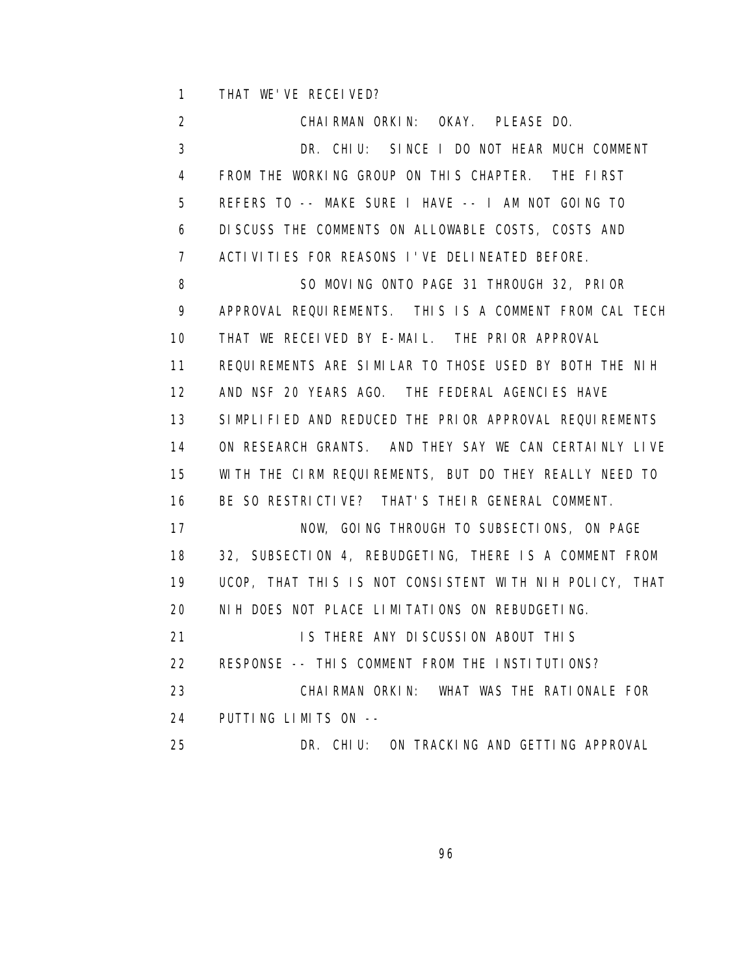1 THAT WE'VE RECEIVED?

 2 CHAIRMAN ORKIN: OKAY. PLEASE DO. 3 DR. CHIU: SINCE I DO NOT HEAR MUCH COMMENT 4 FROM THE WORKING GROUP ON THIS CHAPTER. THE FIRST 5 REFERS TO -- MAKE SURE I HAVE -- I AM NOT GOING TO 6 DISCUSS THE COMMENTS ON ALLOWABLE COSTS, COSTS AND 7 ACTIVITIES FOR REASONS I'VE DELINEATED BEFORE. 8 SO MOVING ONTO PAGE 31 THROUGH 32, PRIOR 9 APPROVAL REQUIREMENTS. THIS IS A COMMENT FROM CAL TECH 10 THAT WE RECEIVED BY E-MAIL. THE PRIOR APPROVAL 11 REQUIREMENTS ARE SIMILAR TO THOSE USED BY BOTH THE NIH 12 AND NSF 20 YEARS AGO. THE FEDERAL AGENCIES HAVE 13 SIMPLIFIED AND REDUCED THE PRIOR APPROVAL REQUIREMENTS 14 ON RESEARCH GRANTS. AND THEY SAY WE CAN CERTAINLY LIVE 15 WITH THE CIRM REQUIREMENTS, BUT DO THEY REALLY NEED TO 16 BE SO RESTRICTIVE? THAT'S THEIR GENERAL COMMENT. 17 NOW, GOING THROUGH TO SUBSECTIONS, ON PAGE 18 32, SUBSECTION 4, REBUDGETING, THERE IS A COMMENT FROM 19 UCOP, THAT THIS IS NOT CONSISTENT WITH NIH POLICY, THAT 20 NIH DOES NOT PLACE LIMITATIONS ON REBUDGETING. 21 **IS THERE ANY DISCUSSION ABOUT THIS**  22 RESPONSE -- THIS COMMENT FROM THE INSTITUTIONS? 23 CHAIRMAN ORKIN: WHAT WAS THE RATIONALE FOR 24 PUTTING LIMITS ON -- 25 DR. CHIU: ON TRACKING AND GETTING APPROVAL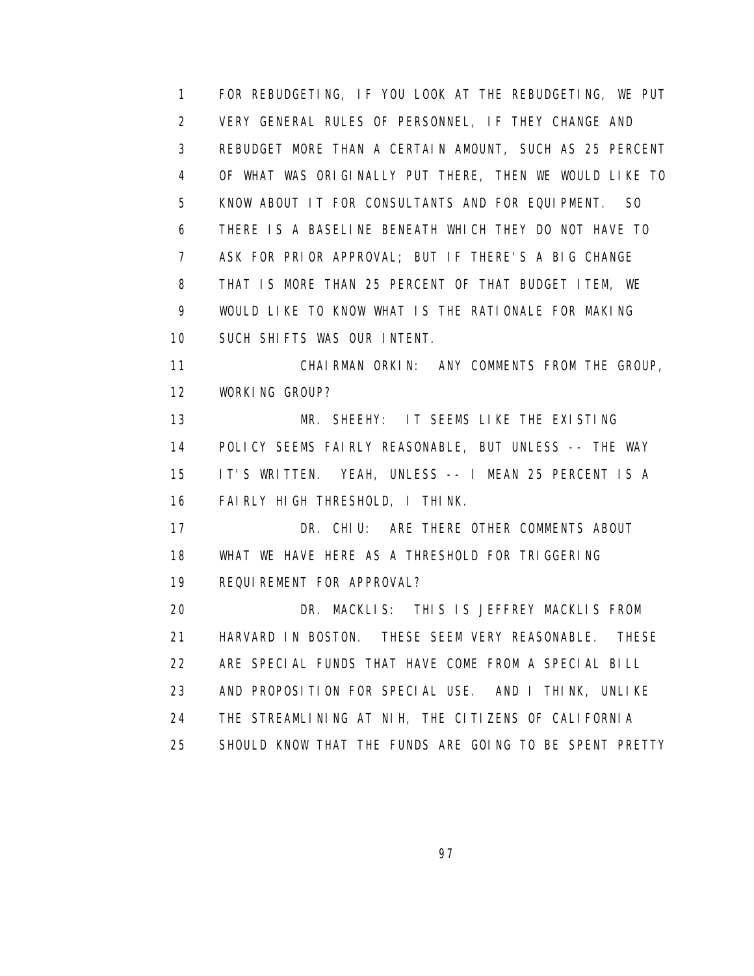1 FOR REBUDGETING, IF YOU LOOK AT THE REBUDGETING, WE PUT 2 VERY GENERAL RULES OF PERSONNEL, IF THEY CHANGE AND 3 REBUDGET MORE THAN A CERTAIN AMOUNT, SUCH AS 25 PERCENT 4 OF WHAT WAS ORIGINALLY PUT THERE, THEN WE WOULD LIKE TO 5 KNOW ABOUT IT FOR CONSULTANTS AND FOR EQUIPMENT. SO 6 THERE IS A BASELINE BENEATH WHICH THEY DO NOT HAVE TO 7 ASK FOR PRIOR APPROVAL; BUT IF THERE'S A BIG CHANGE 8 THAT IS MORE THAN 25 PERCENT OF THAT BUDGET ITEM, WE 9 WOULD LIKE TO KNOW WHAT IS THE RATIONALE FOR MAKING 10 SUCH SHIFTS WAS OUR INTENT. 11 CHAIRMAN ORKIN: ANY COMMENTS FROM THE GROUP, 12 WORKING GROUP? 13 MR. SHEEHY: IT SEEMS LIKE THE EXISTING 14 POLICY SEEMS FAIRLY REASONABLE, BUT UNLESS -- THE WAY 15 IT'S WRITTEN. YEAH, UNLESS -- I MEAN 25 PERCENT IS A 16 FAIRLY HIGH THRESHOLD, I THINK. 17 DR. CHIU: ARE THERE OTHER COMMENTS ABOUT 18 WHAT WE HAVE HERE AS A THRESHOLD FOR TRIGGERING 19 REQUIREMENT FOR APPROVAL? 20 DR. MACKLIS: THIS IS JEFFREY MACKLIS FROM 21 HARVARD IN BOSTON. THESE SEEM VERY REASONABLE. THESE 22 ARE SPECIAL FUNDS THAT HAVE COME FROM A SPECIAL BILL 23 AND PROPOSITION FOR SPECIAL USE. AND I THINK, UNLIKE 24 THE STREAMLINING AT NIH, THE CITIZENS OF CALIFORNIA 25 SHOULD KNOW THAT THE FUNDS ARE GOING TO BE SPENT PRETTY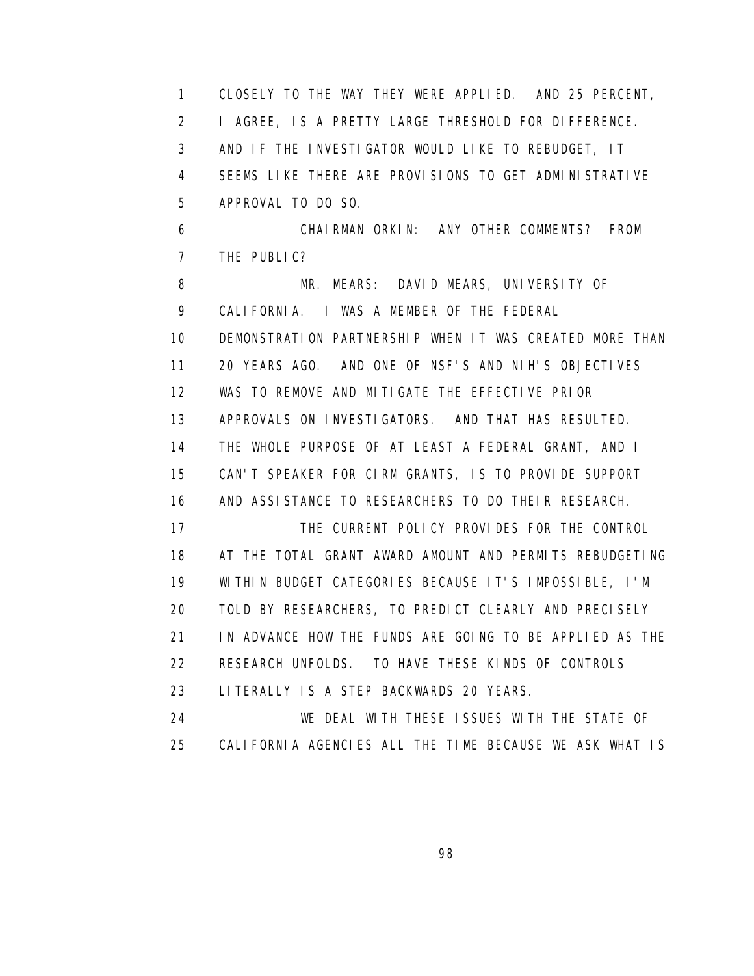1 CLOSELY TO THE WAY THEY WERE APPLIED. AND 25 PERCENT, 2 I AGREE, IS A PRETTY LARGE THRESHOLD FOR DIFFERENCE. 3 AND IF THE INVESTIGATOR WOULD LIKE TO REBUDGET, IT 4 SEEMS LIKE THERE ARE PROVISIONS TO GET ADMINISTRATIVE 5 APPROVAL TO DO SO. 6 CHAIRMAN ORKIN: ANY OTHER COMMENTS? FROM 7 THE PUBLIC? 8 MR. MEARS: DAVID MEARS, UNIVERSITY OF 9 CALIFORNIA. I WAS A MEMBER OF THE FEDERAL 10 DEMONSTRATION PARTNERSHIP WHEN IT WAS CREATED MORE THAN 11 20 YEARS AGO. AND ONE OF NSF'S AND NIH'S OBJECTIVES 12 WAS TO REMOVE AND MITIGATE THE EFFECTIVE PRIOR 13 APPROVALS ON INVESTIGATORS. AND THAT HAS RESULTED. 14 THE WHOLE PURPOSE OF AT LEAST A FEDERAL GRANT, AND I 15 CAN'T SPEAKER FOR CIRM GRANTS, IS TO PROVIDE SUPPORT 16 AND ASSISTANCE TO RESEARCHERS TO DO THEIR RESEARCH. 17 THE CURRENT POLICY PROVIDES FOR THE CONTROL 18 AT THE TOTAL GRANT AWARD AMOUNT AND PERMITS REBUDGETING 19 WITHIN BUDGET CATEGORIES BECAUSE IT'S IMPOSSIBLE, I'M 20 TOLD BY RESEARCHERS, TO PREDICT CLEARLY AND PRECISELY 21 IN ADVANCE HOW THE FUNDS ARE GOING TO BE APPLIED AS THE 22 RESEARCH UNFOLDS. TO HAVE THESE KINDS OF CONTROLS 23 LITERALLY IS A STEP BACKWARDS 20 YEARS. 24 WE DEAL WITH THESE ISSUES WITH THE STATE OF 25 CALIFORNIA AGENCIES ALL THE TIME BECAUSE WE ASK WHAT IS

e de la construcción de la construcción de la construcción de la construcción de la construcción de la constru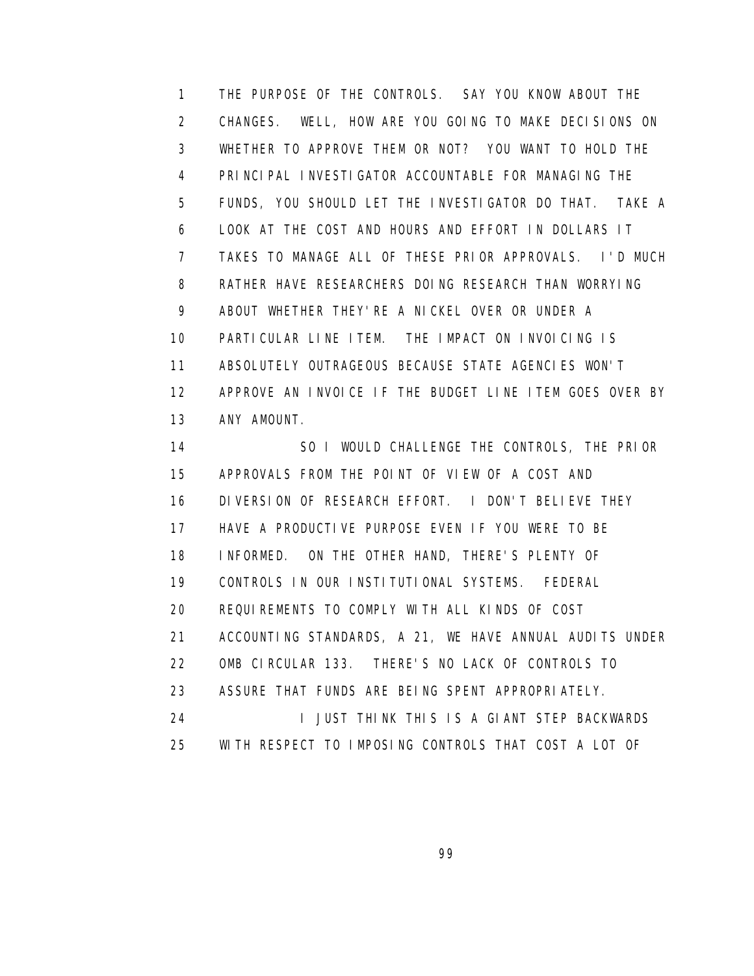1 THE PURPOSE OF THE CONTROLS. SAY YOU KNOW ABOUT THE 2 CHANGES. WELL, HOW ARE YOU GOING TO MAKE DECISIONS ON 3 WHETHER TO APPROVE THEM OR NOT? YOU WANT TO HOLD THE 4 PRINCIPAL INVESTIGATOR ACCOUNTABLE FOR MANAGING THE 5 FUNDS, YOU SHOULD LET THE INVESTIGATOR DO THAT. TAKE A 6 LOOK AT THE COST AND HOURS AND EFFORT IN DOLLARS IT 7 TAKES TO MANAGE ALL OF THESE PRIOR APPROVALS. I'D MUCH 8 RATHER HAVE RESEARCHERS DOING RESEARCH THAN WORRYING 9 ABOUT WHETHER THEY'RE A NICKEL OVER OR UNDER A 10 PARTICULAR LINE ITEM. THE IMPACT ON INVOICING IS 11 ABSOLUTELY OUTRAGEOUS BECAUSE STATE AGENCIES WON'T 12 APPROVE AN INVOICE IF THE BUDGET LINE ITEM GOES OVER BY 13 ANY AMOUNT.

14 SO I WOULD CHALLENGE THE CONTROLS, THE PRIOR 15 APPROVALS FROM THE POINT OF VIEW OF A COST AND 16 DIVERSION OF RESEARCH EFFORT. I DON'T BELIEVE THEY 17 HAVE A PRODUCTIVE PURPOSE EVEN IF YOU WERE TO BE 18 INFORMED. ON THE OTHER HAND, THERE'S PLENTY OF 19 CONTROLS IN OUR INSTITUTIONAL SYSTEMS. FEDERAL 20 REQUIREMENTS TO COMPLY WITH ALL KINDS OF COST 21 ACCOUNTING STANDARDS, A 21, WE HAVE ANNUAL AUDITS UNDER 22 OMB CIRCULAR 133. THERE'S NO LACK OF CONTROLS TO 23 ASSURE THAT FUNDS ARE BEING SPENT APPROPRIATELY. 24 I JUST THINK THIS IS A GIANT STEP BACKWARDS 25 WITH RESPECT TO IMPOSING CONTROLS THAT COST A LOT OF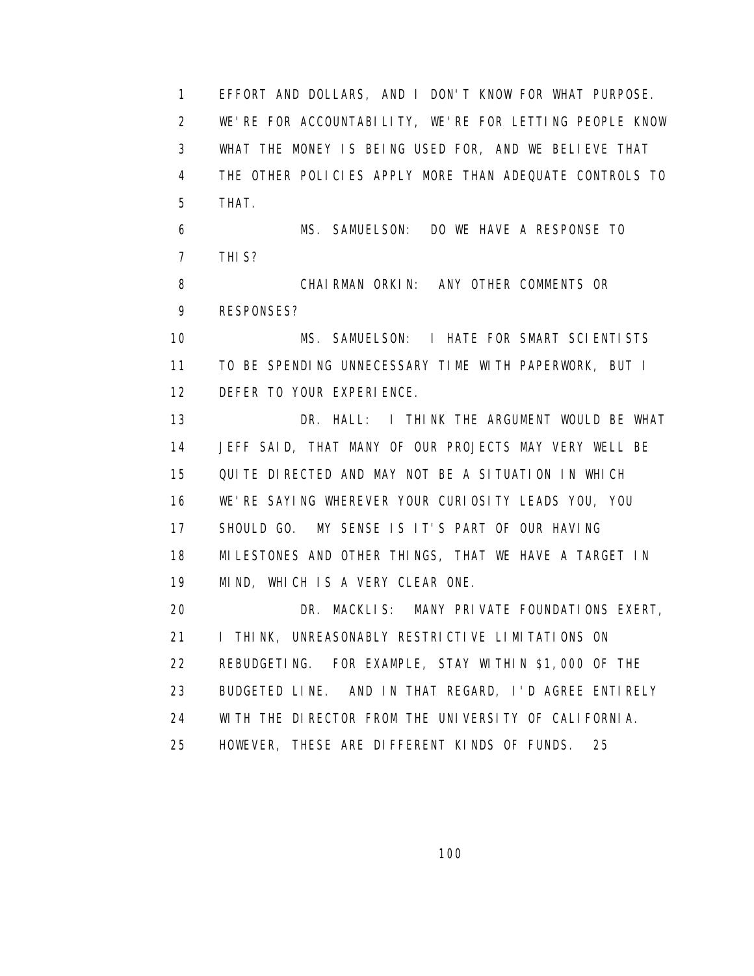1 EFFORT AND DOLLARS, AND I DON'T KNOW FOR WHAT PURPOSE. 2 WE'RE FOR ACCOUNTABILITY, WE'RE FOR LETTING PEOPLE KNOW 3 WHAT THE MONEY IS BEING USED FOR, AND WE BELIEVE THAT 4 THE OTHER POLICIES APPLY MORE THAN ADEQUATE CONTROLS TO 5 THAT. 6 MS. SAMUELSON: DO WE HAVE A RESPONSE TO 7 THIS? 8 CHAIRMAN ORKIN: ANY OTHER COMMENTS OR 9 RESPONSES? 10 MS. SAMUELSON: I HATE FOR SMART SCIENTISTS 11 TO BE SPENDING UNNECESSARY TIME WITH PAPERWORK, BUT I 12 DEFER TO YOUR EXPERIENCE. 13 DR. HALL: I THINK THE ARGUMENT WOULD BE WHAT 14 JEFF SAID, THAT MANY OF OUR PROJECTS MAY VERY WELL BE 15 QUITE DIRECTED AND MAY NOT BE A SITUATION IN WHICH 16 WE'RE SAYING WHEREVER YOUR CURIOSITY LEADS YOU, YOU 17 SHOULD GO. MY SENSE IS IT'S PART OF OUR HAVING 18 MILESTONES AND OTHER THINGS, THAT WE HAVE A TARGET IN 19 MIND, WHICH IS A VERY CLEAR ONE. 20 DR. MACKLIS: MANY PRIVATE FOUNDATIONS EXERT, 21 **I THINK, UNREASONABLY RESTRICTIVE LIMITATIONS ON**  22 REBUDGETING. FOR EXAMPLE, STAY WITHIN \$1,000 OF THE 23 BUDGETED LINE. AND IN THAT REGARD, I'D AGREE ENTIRELY 24 WITH THE DIRECTOR FROM THE UNIVERSITY OF CALIFORNIA. 25 HOWEVER, THESE ARE DIFFERENT KINDS OF FUNDS. 25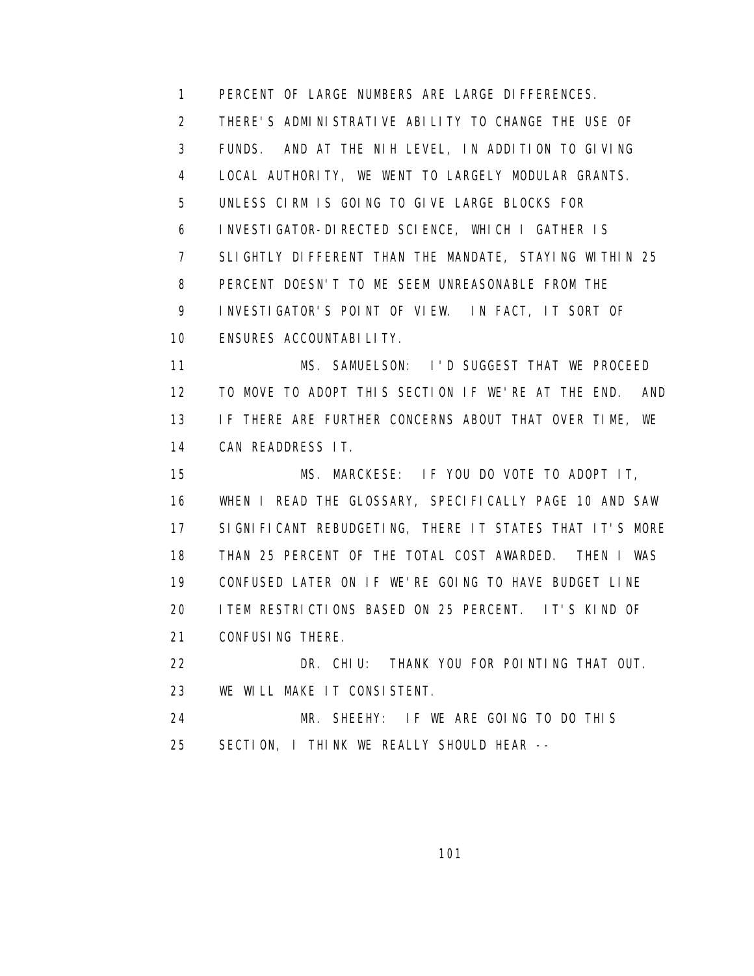1 PERCENT OF LARGE NUMBERS ARE LARGE DIFFERENCES. 2 THERE'S ADMINISTRATIVE ABILITY TO CHANGE THE USE OF 3 FUNDS. AND AT THE NIH LEVEL, IN ADDITION TO GIVING 4 LOCAL AUTHORITY, WE WENT TO LARGELY MODULAR GRANTS. 5 UNLESS CIRM IS GOING TO GIVE LARGE BLOCKS FOR 6 INVESTIGATOR-DIRECTED SCIENCE, WHICH I GATHER IS 7 SLIGHTLY DIFFERENT THAN THE MANDATE, STAYING WITHIN 25 8 PERCENT DOESN'T TO ME SEEM UNREASONABLE FROM THE 9 INVESTIGATOR'S POINT OF VIEW. IN FACT, IT SORT OF 10 ENSURES ACCOUNTABILITY.

 11 MS. SAMUELSON: I'D SUGGEST THAT WE PROCEED 12 TO MOVE TO ADOPT THIS SECTION IF WE'RE AT THE END. AND 13 IF THERE ARE FURTHER CONCERNS ABOUT THAT OVER TIME, WE 14 CAN READDRESS IT.

 15 MS. MARCKESE: IF YOU DO VOTE TO ADOPT IT, 16 WHEN I READ THE GLOSSARY, SPECIFICALLY PAGE 10 AND SAW 17 SIGNIFICANT REBUDGETING, THERE IT STATES THAT IT'S MORE 18 THAN 25 PERCENT OF THE TOTAL COST AWARDED. THEN I WAS 19 CONFUSED LATER ON IF WE'RE GOING TO HAVE BUDGET LINE 20 ITEM RESTRICTIONS BASED ON 25 PERCENT. IT'S KIND OF 21 CONFUSING THERE.

 22 DR. CHIU: THANK YOU FOR POINTING THAT OUT. 23 WE WILL MAKE IT CONSISTENT.

 24 MR. SHEEHY: IF WE ARE GOING TO DO THIS 25 SECTION, I THINK WE REALLY SHOULD HEAR --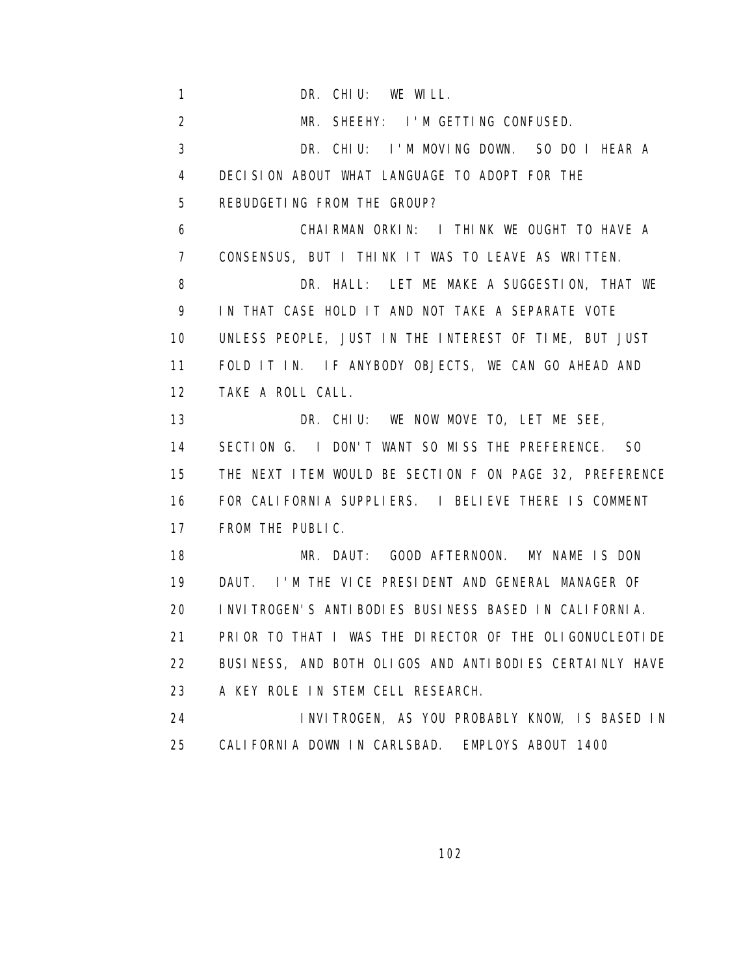1 DR. CHIU: WE WILL. 2 MR. SHEEHY: I'M GETTING CONFUSED. 3 DR. CHIU: I'M MOVING DOWN. SO DO I HEAR A 4 DECISION ABOUT WHAT LANGUAGE TO ADOPT FOR THE 5 REBUDGETING FROM THE GROUP? 6 CHAIRMAN ORKIN: I THINK WE OUGHT TO HAVE A 7 CONSENSUS, BUT I THINK IT WAS TO LEAVE AS WRITTEN. 8 DR. HALL: LET ME MAKE A SUGGESTION, THAT WE 9 IN THAT CASE HOLD IT AND NOT TAKE A SEPARATE VOTE 10 UNLESS PEOPLE, JUST IN THE INTEREST OF TIME, BUT JUST 11 FOLD IT IN. IF ANYBODY OBJECTS, WE CAN GO AHEAD AND 12 TAKE A ROLL CALL. 13 DR. CHIU: WE NOW MOVE TO, LET ME SEE, 14 SECTION G. I DON'T WANT SO MISS THE PREFERENCE. SO 15 THE NEXT ITEM WOULD BE SECTION F ON PAGE 32, PREFERENCE 16 FOR CALIFORNIA SUPPLIERS. I BELIEVE THERE IS COMMENT 17 FROM THE PUBLIC. 18 MR. DAUT: GOOD AFTERNOON. MY NAME IS DON 19 DAUT. I'M THE VICE PRESIDENT AND GENERAL MANAGER OF 20 INVITROGEN'S ANTIBODIES BUSINESS BASED IN CALIFORNIA. 21 PRIOR TO THAT I WAS THE DIRECTOR OF THE OLIGONUCLEOTIDE 22 BUSINESS, AND BOTH OLIGOS AND ANTIBODIES CERTAINLY HAVE 23 A KEY ROLE IN STEM CELL RESEARCH. 24 INVITROGEN, AS YOU PROBABLY KNOW, IS BASED IN 25 CALIFORNIA DOWN IN CARLSBAD. EMPLOYS ABOUT 1400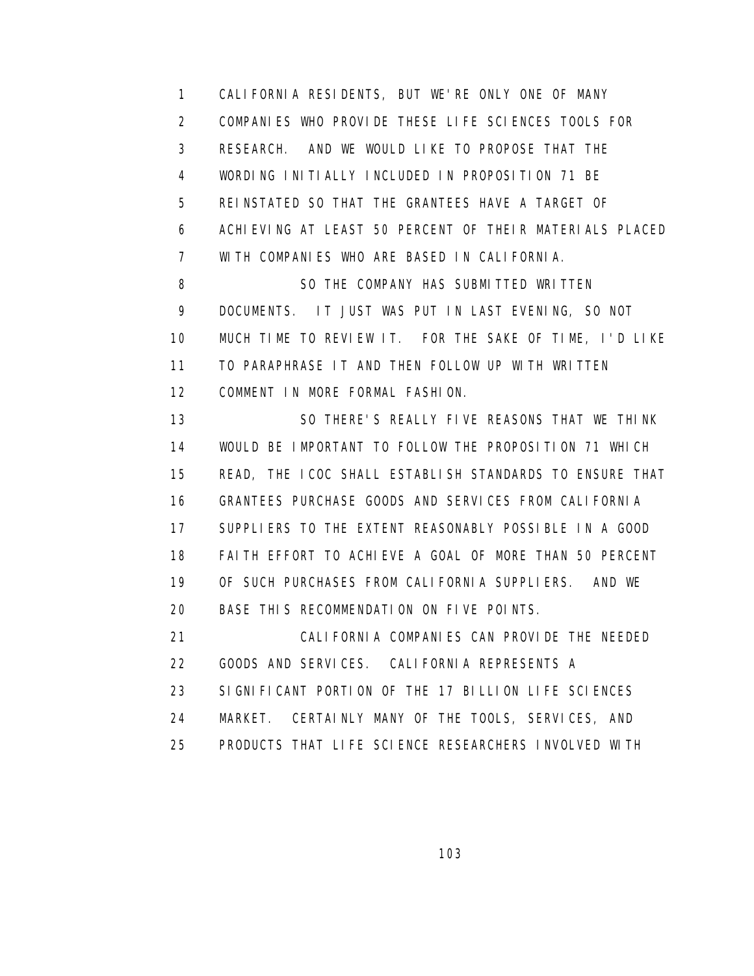1 CALIFORNIA RESIDENTS, BUT WE'RE ONLY ONE OF MANY 2 COMPANIES WHO PROVIDE THESE LIFE SCIENCES TOOLS FOR 3 RESEARCH. AND WE WOULD LIKE TO PROPOSE THAT THE 4 WORDING INITIALLY INCLUDED IN PROPOSITION 71 BE 5 REINSTATED SO THAT THE GRANTEES HAVE A TARGET OF 6 ACHIEVING AT LEAST 50 PERCENT OF THEIR MATERIALS PLACED 7 WITH COMPANIES WHO ARE BASED IN CALIFORNIA. 8 SO THE COMPANY HAS SUBMITTED WRITTEN 9 DOCUMENTS. IT JUST WAS PUT IN LAST EVENING, SO NOT 10 MUCH TIME TO REVIEW IT. FOR THE SAKE OF TIME, I'D LIKE 11 TO PARAPHRASE IT AND THEN FOLLOW UP WITH WRITTEN

12 COMMENT IN MORE FORMAL FASHION.

 13 SO THERE'S REALLY FIVE REASONS THAT WE THINK 14 WOULD BE IMPORTANT TO FOLLOW THE PROPOSITION 71 WHICH 15 READ, THE ICOC SHALL ESTABLISH STANDARDS TO ENSURE THAT 16 GRANTEES PURCHASE GOODS AND SERVICES FROM CALIFORNIA 17 SUPPLIERS TO THE EXTENT REASONABLY POSSIBLE IN A GOOD 18 FAITH EFFORT TO ACHIEVE A GOAL OF MORE THAN 50 PERCENT 19 OF SUCH PURCHASES FROM CALIFORNIA SUPPLIERS. AND WE 20 BASE THIS RECOMMENDATION ON FIVE POINTS.

 21 CALIFORNIA COMPANIES CAN PROVIDE THE NEEDED 22 GOODS AND SERVICES. CALIFORNIA REPRESENTS A 23 SIGNIFICANT PORTION OF THE 17 BILLION LIFE SCIENCES 24 MARKET. CERTAINLY MANY OF THE TOOLS, SERVICES, AND 25 PRODUCTS THAT LIFE SCIENCE RESEARCHERS INVOLVED WITH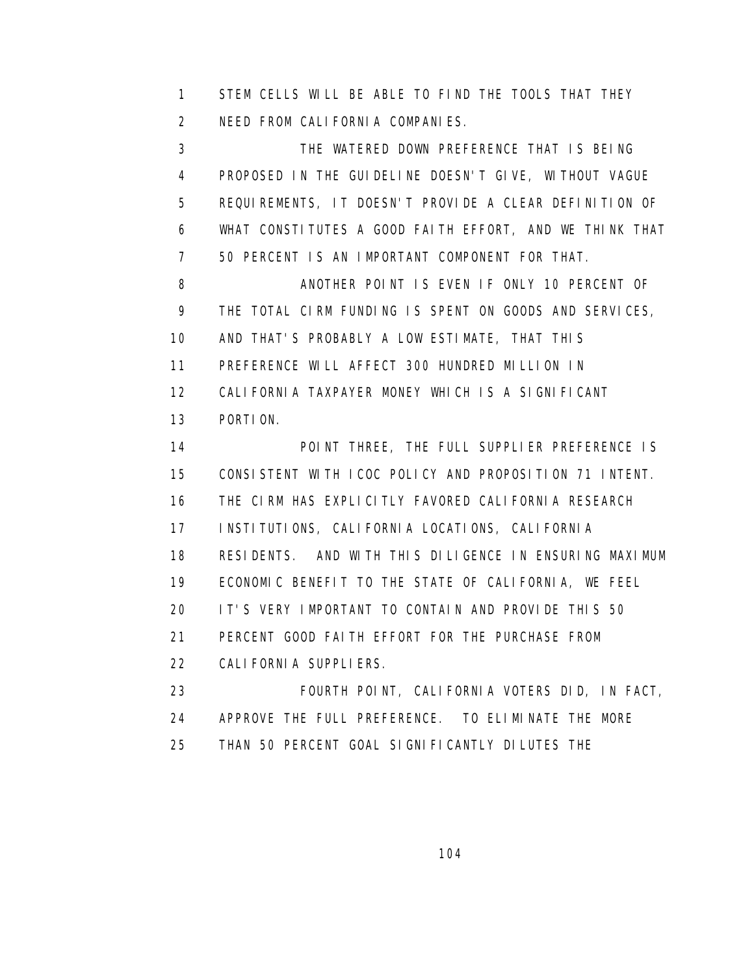1 STEM CELLS WILL BE ABLE TO FIND THE TOOLS THAT THEY 2 NEED FROM CALIFORNIA COMPANIES.

 3 THE WATERED DOWN PREFERENCE THAT IS BEING 4 PROPOSED IN THE GUIDELINE DOESN'T GIVE, WITHOUT VAGUE 5 REQUIREMENTS, IT DOESN'T PROVIDE A CLEAR DEFINITION OF 6 WHAT CONSTITUTES A GOOD FAITH EFFORT, AND WE THINK THAT 7 50 PERCENT IS AN IMPORTANT COMPONENT FOR THAT.

8 ANOTHER POINT IS EVEN IF ONLY 10 PERCENT OF 9 THE TOTAL CIRM FUNDING IS SPENT ON GOODS AND SERVICES, 10 AND THAT'S PROBABLY A LOW ESTIMATE, THAT THIS 11 PREFERENCE WILL AFFECT 300 HUNDRED MILLION IN 12 CALIFORNIA TAXPAYER MONEY WHICH IS A SIGNIFICANT

13 PORTION.

 14 POINT THREE, THE FULL SUPPLIER PREFERENCE IS 15 CONSISTENT WITH ICOC POLICY AND PROPOSITION 71 INTENT. 16 THE CIRM HAS EXPLICITLY FAVORED CALIFORNIA RESEARCH 17 INSTITUTIONS, CALIFORNIA LOCATIONS, CALIFORNIA 18 RESIDENTS. AND WITH THIS DILIGENCE IN ENSURING MAXIMUM 19 ECONOMIC BENEFIT TO THE STATE OF CALIFORNIA, WE FEEL 20 IT'S VERY IMPORTANT TO CONTAIN AND PROVIDE THIS 50 21 PERCENT GOOD FAITH EFFORT FOR THE PURCHASE FROM 22 CALIFORNIA SUPPLIERS.

 23 FOURTH POINT, CALIFORNIA VOTERS DID, IN FACT, 24 APPROVE THE FULL PREFERENCE. TO ELIMINATE THE MORE 25 THAN 50 PERCENT GOAL SIGNIFICANTLY DILUTES THE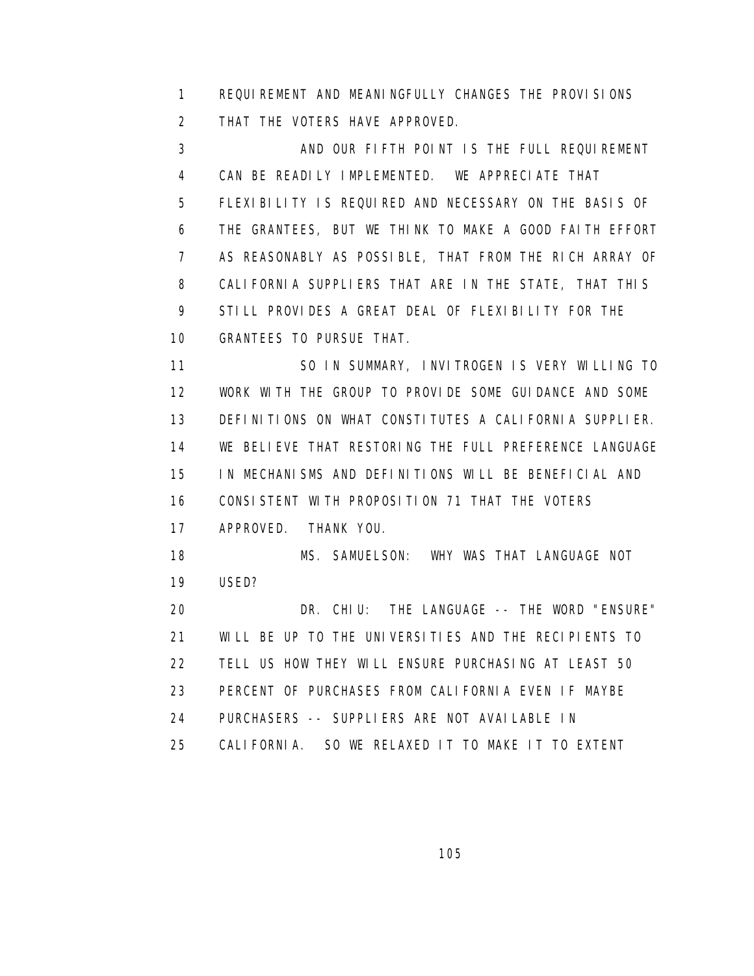1 REQUIREMENT AND MEANINGFULLY CHANGES THE PROVISIONS 2 THAT THE VOTERS HAVE APPROVED.

 3 AND OUR FIFTH POINT IS THE FULL REQUIREMENT 4 CAN BE READILY IMPLEMENTED. WE APPRECIATE THAT 5 FLEXIBILITY IS REQUIRED AND NECESSARY ON THE BASIS OF 6 THE GRANTEES, BUT WE THINK TO MAKE A GOOD FAITH EFFORT 7 AS REASONABLY AS POSSIBLE, THAT FROM THE RICH ARRAY OF 8 CALIFORNIA SUPPLIERS THAT ARE IN THE STATE, THAT THIS 9 STILL PROVIDES A GREAT DEAL OF FLEXIBILITY FOR THE 10 GRANTEES TO PURSUE THAT.

 11 SO IN SUMMARY, INVITROGEN IS VERY WILLING TO 12 WORK WITH THE GROUP TO PROVIDE SOME GUIDANCE AND SOME 13 DEFINITIONS ON WHAT CONSTITUTES A CALIFORNIA SUPPLIER. 14 WE BELIEVE THAT RESTORING THE FULL PREFERENCE LANGUAGE 15 IN MECHANISMS AND DEFINITIONS WILL BE BENEFICIAL AND 16 CONSISTENT WITH PROPOSITION 71 THAT THE VOTERS 17 APPROVED. THANK YOU. 18 MS. SAMUELSON: WHY WAS THAT LANGUAGE NOT 19 USED? 20 DR. CHIU: THE LANGUAGE -- THE WORD "ENSURE" 21 WILL BE UP TO THE UNIVERSITIES AND THE RECIPIENTS TO

22 TELL US HOW THEY WILL ENSURE PURCHASING AT LEAST 50

23 PERCENT OF PURCHASES FROM CALIFORNIA EVEN IF MAYBE

- 24 PURCHASERS -- SUPPLIERS ARE NOT AVAILABLE IN
- 25 CALIFORNIA. SO WE RELAXED IT TO MAKE IT TO EXTENT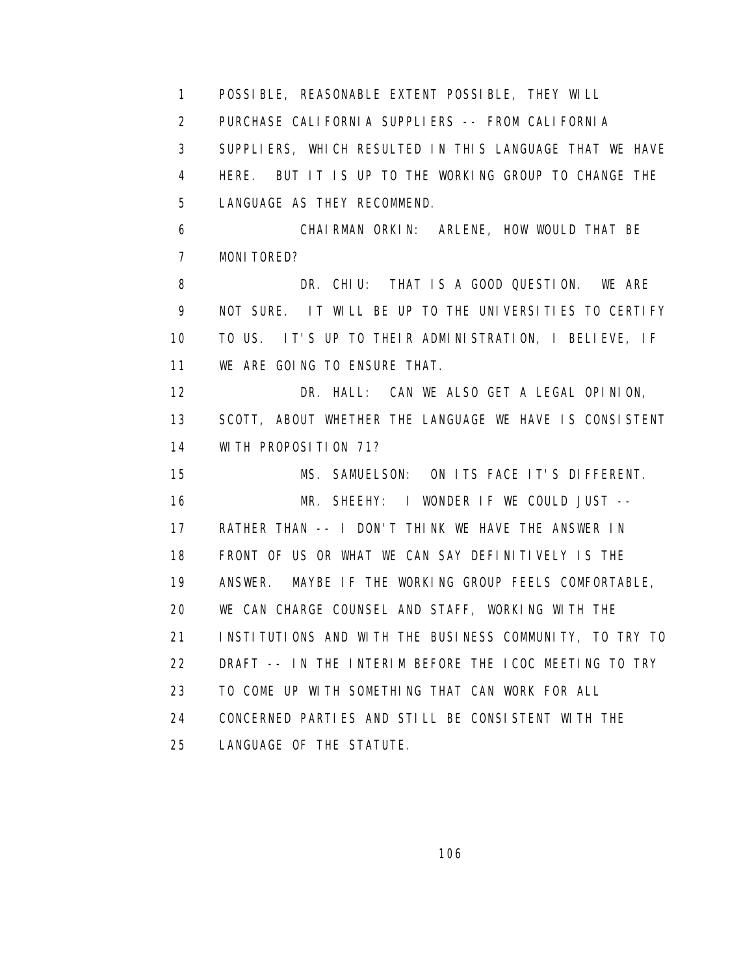1 POSSIBLE, REASONABLE EXTENT POSSIBLE, THEY WILL 2 PURCHASE CALIFORNIA SUPPLIERS -- FROM CALIFORNIA 3 SUPPLIERS, WHICH RESULTED IN THIS LANGUAGE THAT WE HAVE 4 HERE. BUT IT IS UP TO THE WORKING GROUP TO CHANGE THE 5 LANGUAGE AS THEY RECOMMEND. 6 CHAIRMAN ORKIN: ARLENE, HOW WOULD THAT BE 7 MONITORED? 8 DR. CHIU: THAT IS A GOOD QUESTION. WE ARE 9 NOT SURE. IT WILL BE UP TO THE UNIVERSITIES TO CERTIFY 10 TO US. IT'S UP TO THEIR ADMINISTRATION, I BELIEVE, IF 11 WE ARE GOING TO ENSURE THAT. 12 DR. HALL: CAN WE ALSO GET A LEGAL OPINION, 13 SCOTT, ABOUT WHETHER THE LANGUAGE WE HAVE IS CONSISTENT 14 WITH PROPOSITION 71? 15 MS. SAMUELSON: ON ITS FACE IT'S DIFFERENT. 16 MR. SHEEHY: I WONDER IF WE COULD JUST -- 17 RATHER THAN -- I DON'T THINK WE HAVE THE ANSWER IN 18 FRONT OF US OR WHAT WE CAN SAY DEFINITIVELY IS THE 19 ANSWER. MAYBE IF THE WORKING GROUP FEELS COMFORTABLE, 20 WE CAN CHARGE COUNSEL AND STAFF, WORKING WITH THE 21 INSTITUTIONS AND WITH THE BUSINESS COMMUNITY, TO TRY TO 22 DRAFT -- IN THE INTERIM BEFORE THE ICOC MEETING TO TRY 23 TO COME UP WITH SOMETHING THAT CAN WORK FOR ALL 24 CONCERNED PARTIES AND STILL BE CONSISTENT WITH THE 25 LANGUAGE OF THE STATUTE.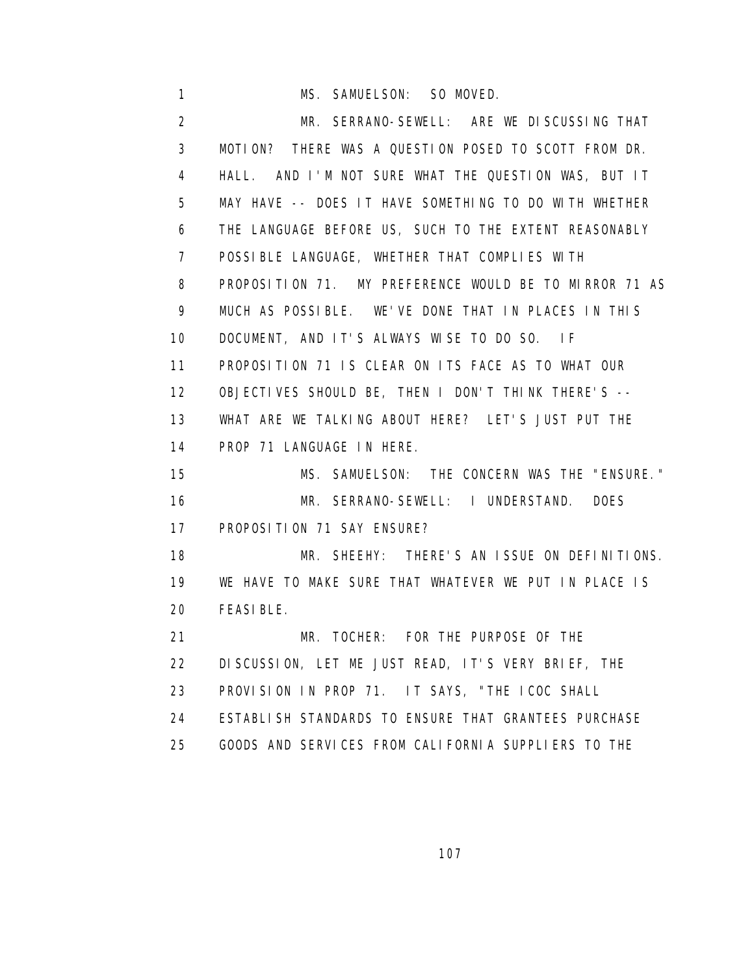1 MS. SAMUELSON: SO MOVED. 2 MR. SERRANO-SEWELL: ARE WE DISCUSSING THAT 3 MOTION? THERE WAS A QUESTION POSED TO SCOTT FROM DR. 4 HALL. AND I'M NOT SURE WHAT THE QUESTION WAS, BUT IT 5 MAY HAVE -- DOES IT HAVE SOMETHING TO DO WITH WHETHER 6 THE LANGUAGE BEFORE US, SUCH TO THE EXTENT REASONABLY 7 POSSIBLE LANGUAGE, WHETHER THAT COMPLIES WITH 8 PROPOSITION 71. MY PREFERENCE WOULD BE TO MIRROR 71 AS 9 MUCH AS POSSIBLE. WE'VE DONE THAT IN PLACES IN THIS 10 DOCUMENT, AND IT'S ALWAYS WISE TO DO SO. IF 11 PROPOSITION 71 IS CLEAR ON ITS FACE AS TO WHAT OUR 12 OBJECTIVES SHOULD BE, THEN I DON'T THINK THERE'S -- 13 WHAT ARE WE TALKING ABOUT HERE? LET'S JUST PUT THE 14 PROP 71 LANGUAGE IN HERE. 15 MS. SAMUELSON: THE CONCERN WAS THE "ENSURE." 16 MR. SERRANO-SEWELL: I UNDERSTAND. DOES 17 PROPOSITION 71 SAY ENSURE? 18 MR. SHEEHY: THERE'S AN ISSUE ON DEFINITIONS. 19 WE HAVE TO MAKE SURE THAT WHATEVER WE PUT IN PLACE IS 20 FEASIBLE. 21 MR. TOCHER: FOR THE PURPOSE OF THE 22 DISCUSSION, LET ME JUST READ, IT'S VERY BRIEF, THE 23 PROVISION IN PROP 71. IT SAYS, "THE ICOC SHALL 24 ESTABLISH STANDARDS TO ENSURE THAT GRANTEES PURCHASE 25 GOODS AND SERVICES FROM CALIFORNIA SUPPLIERS TO THE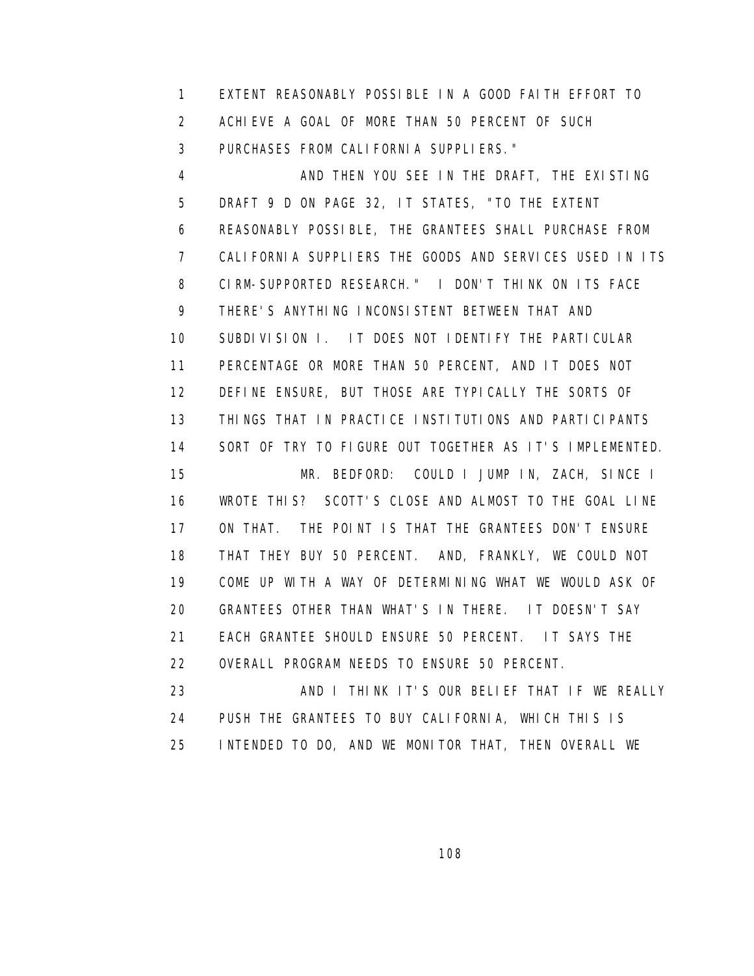1 EXTENT REASONABLY POSSIBLE IN A GOOD FAITH EFFORT TO 2 ACHIEVE A GOAL OF MORE THAN 50 PERCENT OF SUCH 3 PURCHASES FROM CALIFORNIA SUPPLIERS."

4 AND THEN YOU SEE IN THE DRAFT, THE EXISTING 5 DRAFT 9 D ON PAGE 32, IT STATES, "TO THE EXTENT 6 REASONABLY POSSIBLE, THE GRANTEES SHALL PURCHASE FROM 7 CALIFORNIA SUPPLIERS THE GOODS AND SERVICES USED IN ITS 8 CIRM-SUPPORTED RESEARCH." I DON'T THINK ON ITS FACE 9 THERE'S ANYTHING INCONSISTENT BETWEEN THAT AND 10 SUBDIVISION I. IT DOES NOT IDENTIFY THE PARTICULAR 11 PERCENTAGE OR MORE THAN 50 PERCENT, AND IT DOES NOT 12 DEFINE ENSURE, BUT THOSE ARE TYPICALLY THE SORTS OF 13 THINGS THAT IN PRACTICE INSTITUTIONS AND PARTICIPANTS 14 SORT OF TRY TO FIGURE OUT TOGETHER AS IT'S IMPLEMENTED. 15 MR. BEDFORD: COULD I JUMP IN, ZACH, SINCE I 16 WROTE THIS? SCOTT'S CLOSE AND ALMOST TO THE GOAL LINE 17 ON THAT. THE POINT IS THAT THE GRANTEES DON'T ENSURE 18 THAT THEY BUY 50 PERCENT. AND, FRANKLY, WE COULD NOT 19 COME UP WITH A WAY OF DETERMINING WHAT WE WOULD ASK OF 20 GRANTEES OTHER THAN WHAT'S IN THERE. IT DOESN'T SAY 21 EACH GRANTEE SHOULD ENSURE 50 PERCENT. IT SAYS THE 22 OVERALL PROGRAM NEEDS TO ENSURE 50 PERCENT. 23 AND I THINK IT'S OUR BELIEF THAT IF WE REALLY

 24 PUSH THE GRANTEES TO BUY CALIFORNIA, WHICH THIS IS 25 INTENDED TO DO, AND WE MONITOR THAT, THEN OVERALL WE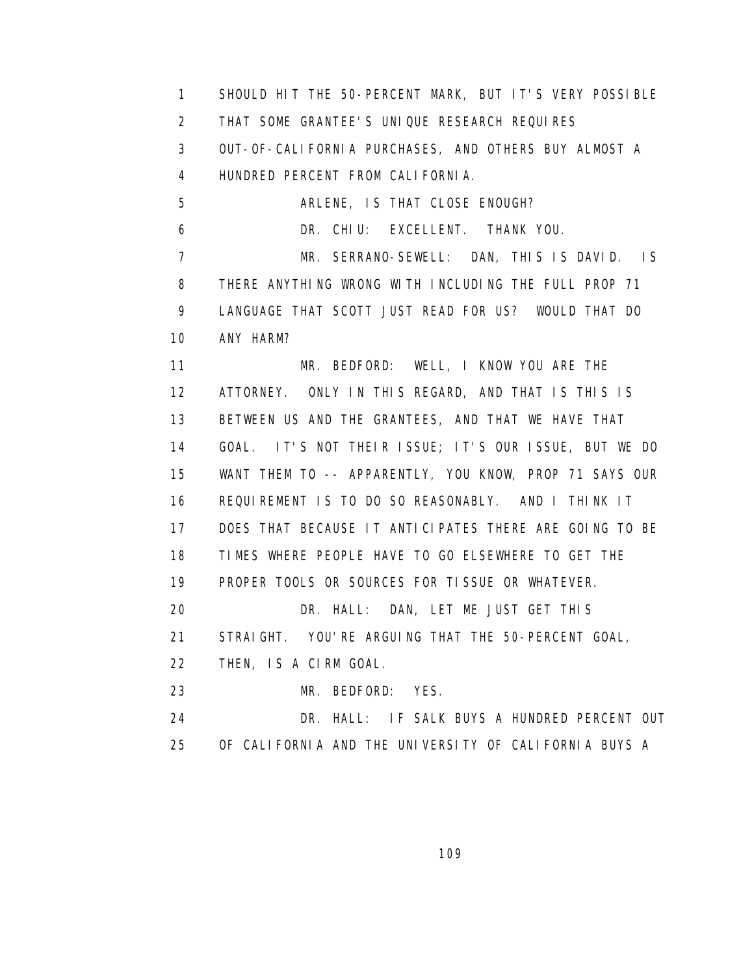1 SHOULD HIT THE 50-PERCENT MARK, BUT IT'S VERY POSSIBLE 2 THAT SOME GRANTEE'S UNIQUE RESEARCH REQUIRES 3 OUT-OF-CALIFORNIA PURCHASES, AND OTHERS BUY ALMOST A 4 HUNDRED PERCENT FROM CALIFORNIA. 5 ARLENE, IS THAT CLOSE ENOUGH? 6 DR. CHIU: EXCELLENT. THANK YOU. 7 MR. SERRANO-SEWELL: DAN, THIS IS DAVID. IS 8 THERE ANYTHING WRONG WITH INCLUDING THE FULL PROP 71 9 LANGUAGE THAT SCOTT JUST READ FOR US? WOULD THAT DO 10 ANY HARM? 11 MR. BEDFORD: WELL, I KNOW YOU ARE THE 12 ATTORNEY. ONLY IN THIS REGARD, AND THAT IS THIS IS 13 BETWEEN US AND THE GRANTEES, AND THAT WE HAVE THAT 14 GOAL. IT'S NOT THEIR ISSUE; IT'S OUR ISSUE, BUT WE DO 15 WANT THEM TO -- APPARENTLY, YOU KNOW, PROP 71 SAYS OUR 16 REQUIREMENT IS TO DO SO REASONABLY. AND I THINK IT 17 DOES THAT BECAUSE IT ANTICIPATES THERE ARE GOING TO BE 18 TIMES WHERE PEOPLE HAVE TO GO ELSEWHERE TO GET THE 19 PROPER TOOLS OR SOURCES FOR TISSUE OR WHATEVER. 20 DR. HALL: DAN, LET ME JUST GET THIS 21 STRAIGHT. YOU'RE ARGUING THAT THE 50-PERCENT GOAL, 22 THEN, IS A CIRM GOAL. 23 MR. BEDFORD: YES. 24 DR. HALL: IF SALK BUYS A HUNDRED PERCENT OUT 25 OF CALIFORNIA AND THE UNIVERSITY OF CALIFORNIA BUYS A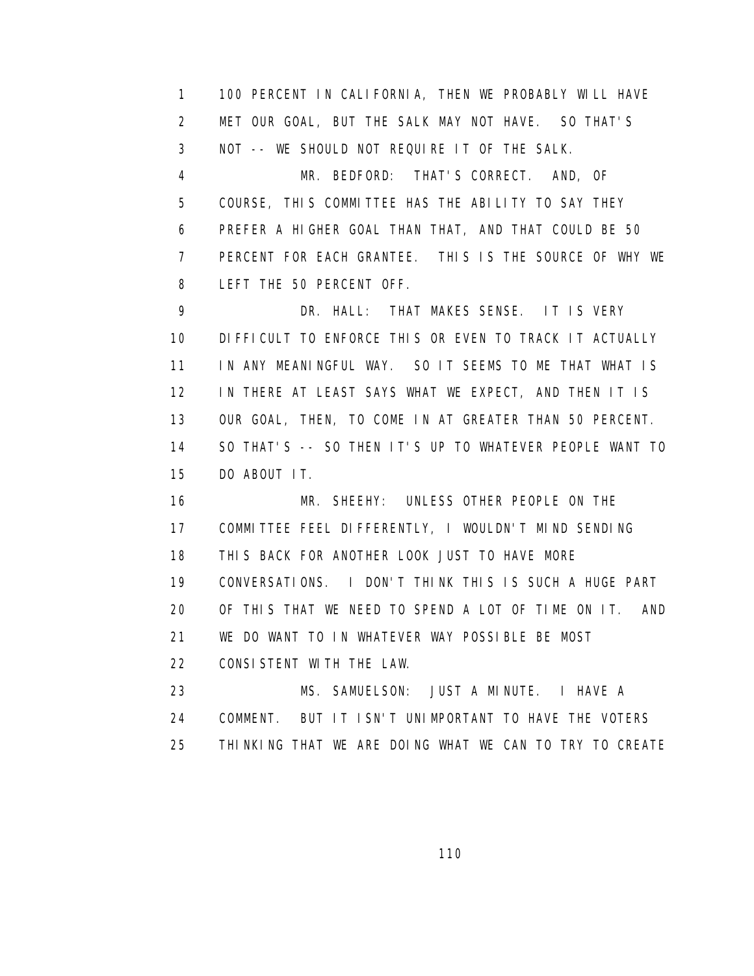1 100 PERCENT IN CALIFORNIA, THEN WE PROBABLY WILL HAVE 2 MET OUR GOAL, BUT THE SALK MAY NOT HAVE. SO THAT'S 3 NOT -- WE SHOULD NOT REQUIRE IT OF THE SALK. 4 MR. BEDFORD: THAT'S CORRECT. AND, OF 5 COURSE, THIS COMMITTEE HAS THE ABILITY TO SAY THEY 6 PREFER A HIGHER GOAL THAN THAT, AND THAT COULD BE 50 7 PERCENT FOR EACH GRANTEE. THIS IS THE SOURCE OF WHY WE 8 LEFT THE 50 PERCENT OFF. 9 DR. HALL: THAT MAKES SENSE. IT IS VERY 10 DIFFICULT TO ENFORCE THIS OR EVEN TO TRACK IT ACTUALLY 11 IN ANY MEANINGFUL WAY. SO IT SEEMS TO ME THAT WHAT IS

 12 IN THERE AT LEAST SAYS WHAT WE EXPECT, AND THEN IT IS 13 OUR GOAL, THEN, TO COME IN AT GREATER THAN 50 PERCENT. 14 SO THAT'S -- SO THEN IT'S UP TO WHATEVER PEOPLE WANT TO 15 DO ABOUT IT.

 16 MR. SHEEHY: UNLESS OTHER PEOPLE ON THE 17 COMMITTEE FEEL DIFFERENTLY, I WOULDN'T MIND SENDING 18 THIS BACK FOR ANOTHER LOOK JUST TO HAVE MORE 19 CONVERSATIONS. I DON'T THINK THIS IS SUCH A HUGE PART 20 OF THIS THAT WE NEED TO SPEND A LOT OF TIME ON IT. AND 21 WE DO WANT TO IN WHATEVER WAY POSSIBLE BE MOST 22 CONSISTENT WITH THE LAW. 23 MS. SAMUELSON: JUST A MINUTE. I HAVE A

 24 COMMENT. BUT IT ISN'T UNIMPORTANT TO HAVE THE VOTERS 25 THINKING THAT WE ARE DOING WHAT WE CAN TO TRY TO CREATE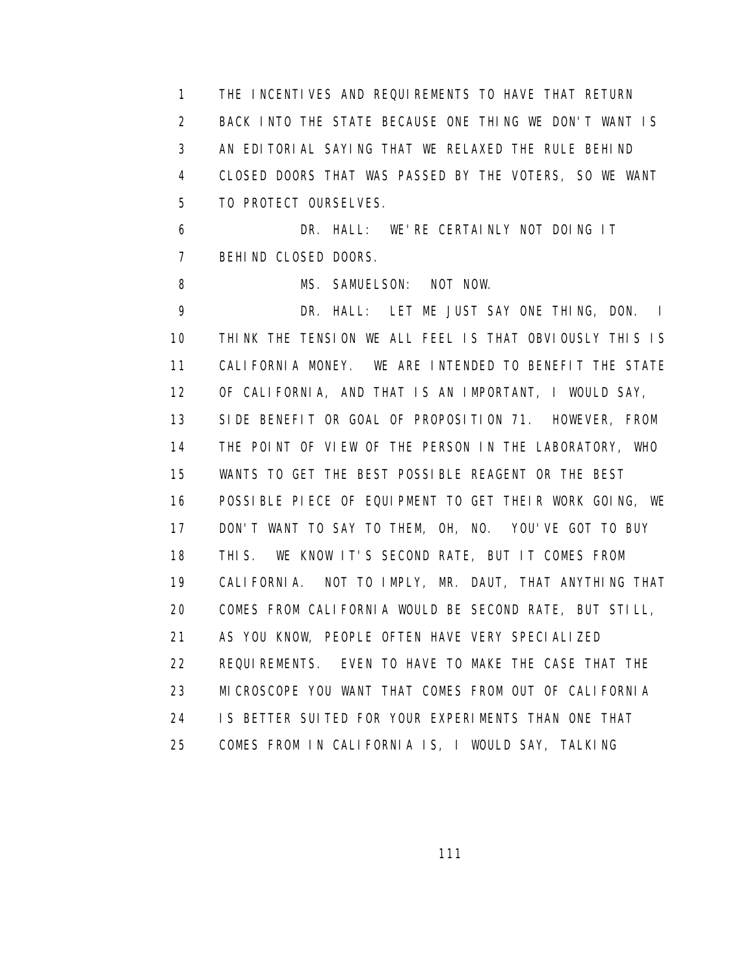1 THE INCENTIVES AND REQUIREMENTS TO HAVE THAT RETURN 2 BACK INTO THE STATE BECAUSE ONE THING WE DON'T WANT IS 3 AN EDITORIAL SAYING THAT WE RELAXED THE RULE BEHIND 4 CLOSED DOORS THAT WAS PASSED BY THE VOTERS, SO WE WANT 5 TO PROTECT OURSELVES.

 6 DR. HALL: WE'RE CERTAINLY NOT DOING IT 7 BEHIND CLOSED DOORS.

8 MS. SAMUELSON: NOT NOW.

 9 DR. HALL: LET ME JUST SAY ONE THING, DON. I 10 THINK THE TENSION WE ALL FEEL IS THAT OBVIOUSLY THIS IS 11 CALIFORNIA MONEY. WE ARE INTENDED TO BENEFIT THE STATE 12 OF CALIFORNIA, AND THAT IS AN IMPORTANT, I WOULD SAY, 13 SIDE BENEFIT OR GOAL OF PROPOSITION 71. HOWEVER, FROM 14 THE POINT OF VIEW OF THE PERSON IN THE LABORATORY, WHO 15 WANTS TO GET THE BEST POSSIBLE REAGENT OR THE BEST 16 POSSIBLE PIECE OF EQUIPMENT TO GET THEIR WORK GOING, WE 17 DON'T WANT TO SAY TO THEM, OH, NO. YOU'VE GOT TO BUY 18 THIS. WE KNOW IT'S SECOND RATE, BUT IT COMES FROM 19 CALIFORNIA. NOT TO IMPLY, MR. DAUT, THAT ANYTHING THAT 20 COMES FROM CALIFORNIA WOULD BE SECOND RATE, BUT STILL, 21 AS YOU KNOW, PEOPLE OFTEN HAVE VERY SPECIALIZED 22 REQUIREMENTS. EVEN TO HAVE TO MAKE THE CASE THAT THE 23 MICROSCOPE YOU WANT THAT COMES FROM OUT OF CALIFORNIA 24 IS BETTER SUITED FOR YOUR EXPERIMENTS THAN ONE THAT 25 COMES FROM IN CALIFORNIA IS, I WOULD SAY, TALKING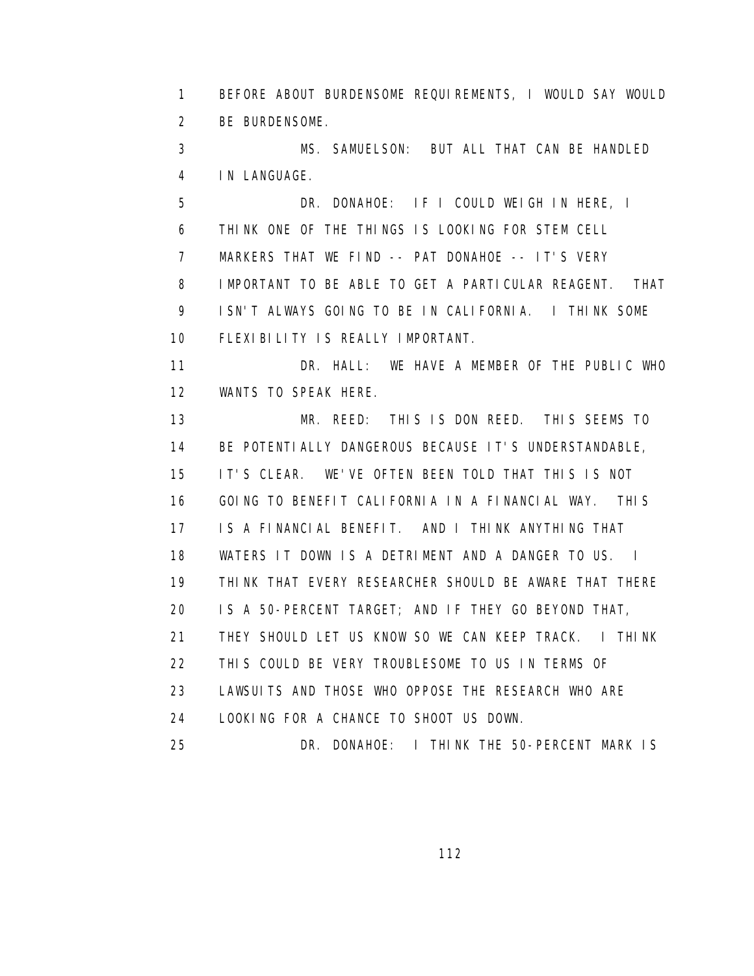1 BEFORE ABOUT BURDENSOME REQUIREMENTS, I WOULD SAY WOULD 2 BE BURDENSOME.

 3 MS. SAMUELSON: BUT ALL THAT CAN BE HANDLED 4 IN LANGUAGE.

 5 DR. DONAHOE: IF I COULD WEIGH IN HERE, I 6 THINK ONE OF THE THINGS IS LOOKING FOR STEM CELL 7 MARKERS THAT WE FIND -- PAT DONAHOE -- IT'S VERY 8 IMPORTANT TO BE ABLE TO GET A PARTICULAR REAGENT. THAT 9 ISN'T ALWAYS GOING TO BE IN CALIFORNIA. I THINK SOME 10 FLEXIBILITY IS REALLY IMPORTANT.

11 DR. HALL: WE HAVE A MEMBER OF THE PUBLIC WHO 12 WANTS TO SPEAK HERE.

 13 MR. REED: THIS IS DON REED. THIS SEEMS TO 14 BE POTENTIALLY DANGEROUS BECAUSE IT'S UNDERSTANDABLE, 15 IT'S CLEAR. WE'VE OFTEN BEEN TOLD THAT THIS IS NOT 16 GOING TO BENEFIT CALIFORNIA IN A FINANCIAL WAY. THIS 17 IS A FINANCIAL BENEFIT. AND I THINK ANYTHING THAT 18 WATERS IT DOWN IS A DETRIMENT AND A DANGER TO US. I 19 THINK THAT EVERY RESEARCHER SHOULD BE AWARE THAT THERE 20 IS A 50-PERCENT TARGET; AND IF THEY GO BEYOND THAT, 21 THEY SHOULD LET US KNOW SO WE CAN KEEP TRACK. I THINK 22 THIS COULD BE VERY TROUBLESOME TO US IN TERMS OF 23 LAWSUITS AND THOSE WHO OPPOSE THE RESEARCH WHO ARE 24 LOOKING FOR A CHANCE TO SHOOT US DOWN. 25 DR. DONAHOE: I THINK THE 50-PERCENT MARK IS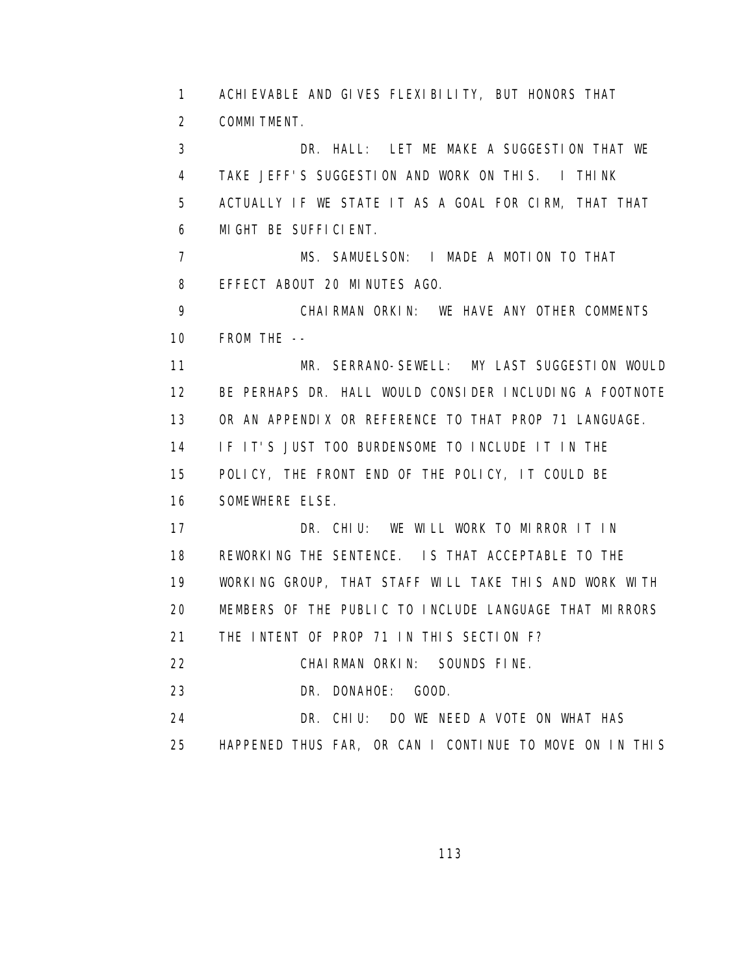1 ACHIEVABLE AND GIVES FLEXIBILITY, BUT HONORS THAT 2 COMMITMENT.

 3 DR. HALL: LET ME MAKE A SUGGESTION THAT WE 4 TAKE JEFF'S SUGGESTION AND WORK ON THIS. I THINK 5 ACTUALLY IF WE STATE IT AS A GOAL FOR CIRM, THAT THAT 6 MIGHT BE SUFFICIENT.

 7 MS. SAMUELSON: I MADE A MOTION TO THAT 8 EFFECT ABOUT 20 MINUTES AGO.

 9 CHAIRMAN ORKIN: WE HAVE ANY OTHER COMMENTS 10 FROM THE --

 11 MR. SERRANO-SEWELL: MY LAST SUGGESTION WOULD 12 BE PERHAPS DR. HALL WOULD CONSIDER INCLUDING A FOOTNOTE 13 OR AN APPENDIX OR REFERENCE TO THAT PROP 71 LANGUAGE. 14 IF IT'S JUST TOO BURDENSOME TO INCLUDE IT IN THE 15 POLICY, THE FRONT END OF THE POLICY, IT COULD BE 16 SOMEWHERE ELSE. 17 DR. CHIU: WE WILL WORK TO MIRROR IT IN

 18 REWORKING THE SENTENCE. IS THAT ACCEPTABLE TO THE 19 WORKING GROUP, THAT STAFF WILL TAKE THIS AND WORK WITH 20 MEMBERS OF THE PUBLIC TO INCLUDE LANGUAGE THAT MIRRORS 21 THE INTENT OF PROP 71 IN THIS SECTION F?

22 CHAIRMAN ORKIN: SOUNDS FINE.

23 DR. DONAHOE: GOOD.

24 DR. CHIU: DO WE NEED A VOTE ON WHAT HAS

25 HAPPENED THUS FAR, OR CAN I CONTINUE TO MOVE ON IN THIS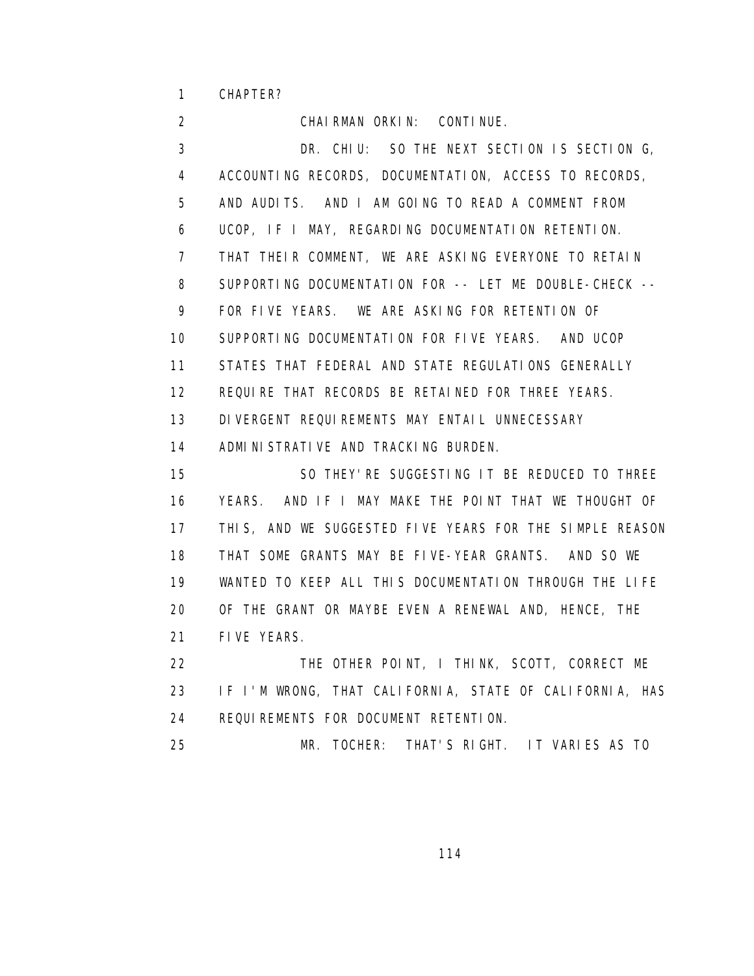1 CHAPTER?

 2 CHAIRMAN ORKIN: CONTINUE. 3 DR. CHIU: SO THE NEXT SECTION IS SECTION G, 4 ACCOUNTING RECORDS, DOCUMENTATION, ACCESS TO RECORDS, 5 AND AUDITS. AND I AM GOING TO READ A COMMENT FROM 6 UCOP, IF I MAY, REGARDING DOCUMENTATION RETENTION. 7 THAT THEIR COMMENT, WE ARE ASKING EVERYONE TO RETAIN 8 SUPPORTING DOCUMENTATION FOR -- LET ME DOUBLE-CHECK -- 9 FOR FIVE YEARS. WE ARE ASKING FOR RETENTION OF 10 SUPPORTING DOCUMENTATION FOR FIVE YEARS. AND UCOP 11 STATES THAT FEDERAL AND STATE REGULATIONS GENERALLY 12 REQUIRE THAT RECORDS BE RETAINED FOR THREE YEARS. 13 DIVERGENT REQUIREMENTS MAY ENTAIL UNNECESSARY 14 ADMINISTRATIVE AND TRACKING BURDEN. 15 SO THEY'RE SUGGESTING IT BE REDUCED TO THREE 16 YEARS. AND IF I MAY MAKE THE POINT THAT WE THOUGHT OF 17 THIS, AND WE SUGGESTED FIVE YEARS FOR THE SIMPLE REASON 18 THAT SOME GRANTS MAY BE FIVE-YEAR GRANTS. AND SO WE 19 WANTED TO KEEP ALL THIS DOCUMENTATION THROUGH THE LIFE 20 OF THE GRANT OR MAYBE EVEN A RENEWAL AND, HENCE, THE 21 FIVE YEARS. 22 THE OTHER POINT, I THINK, SCOTT, CORRECT ME 23 IF I'M WRONG, THAT CALIFORNIA, STATE OF CALIFORNIA, HAS 24 REQUIREMENTS FOR DOCUMENT RETENTION.

25 MR. TOCHER: THAT'S RIGHT. IT VARIES AS TO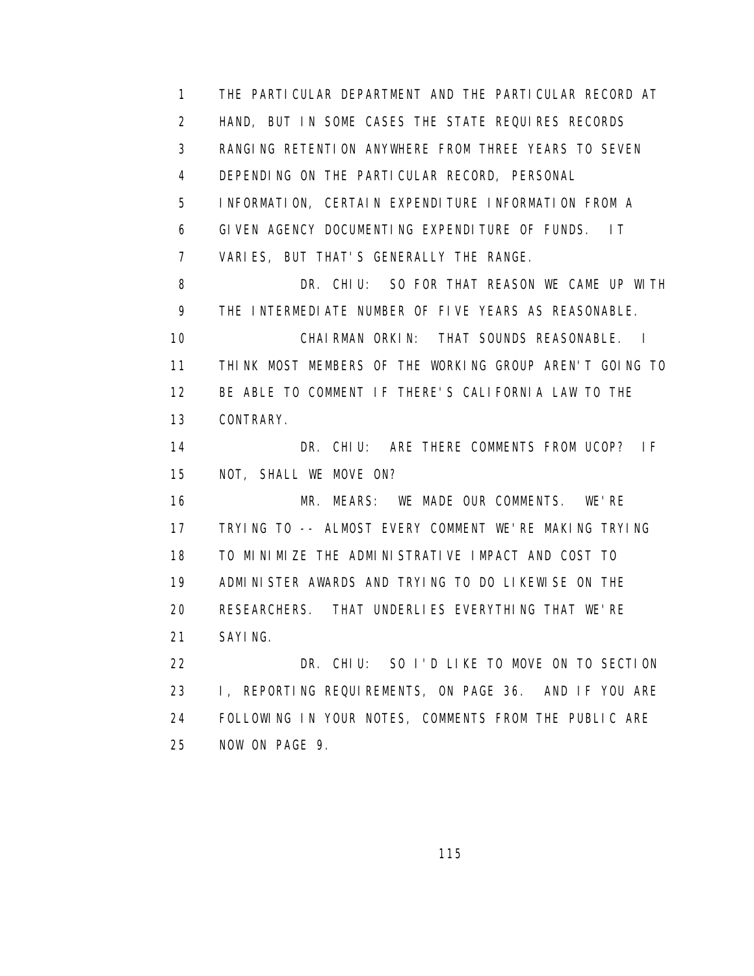1 THE PARTICULAR DEPARTMENT AND THE PARTICULAR RECORD AT 2 HAND, BUT IN SOME CASES THE STATE REQUIRES RECORDS 3 RANGING RETENTION ANYWHERE FROM THREE YEARS TO SEVEN 4 DEPENDING ON THE PARTICULAR RECORD, PERSONAL 5 INFORMATION, CERTAIN EXPENDITURE INFORMATION FROM A 6 GIVEN AGENCY DOCUMENTING EXPENDITURE OF FUNDS. IT 7 VARIES, BUT THAT'S GENERALLY THE RANGE. 8 **DR. CHIU:** SO FOR THAT REASON WE CAME UP WITH 9 THE INTERMEDIATE NUMBER OF FIVE YEARS AS REASONABLE. 10 CHAIRMAN ORKIN: THAT SOUNDS REASONABLE. I 11 THINK MOST MEMBERS OF THE WORKING GROUP AREN'T GOING TO 12 BE ABLE TO COMMENT IF THERE'S CALIFORNIA LAW TO THE 13 CONTRARY. 14 DR. CHIU: ARE THERE COMMENTS FROM UCOP? IF 15 NOT, SHALL WE MOVE ON? 16 MR. MEARS: WE MADE OUR COMMENTS. WE'RE 17 TRYING TO -- ALMOST EVERY COMMENT WE'RE MAKING TRYING 18 TO MINIMIZE THE ADMINISTRATIVE IMPACT AND COST TO 19 ADMINISTER AWARDS AND TRYING TO DO LIKEWISE ON THE 20 RESEARCHERS. THAT UNDERLIES EVERYTHING THAT WE'RE 21 SAYING. 22 DR. CHIU: SO I'D LIKE TO MOVE ON TO SECTION 23 I, REPORTING REQUIREMENTS, ON PAGE 36. AND IF YOU ARE 24 FOLLOWING IN YOUR NOTES, COMMENTS FROM THE PUBLIC ARE

25 NOW ON PAGE 9.

<u>115 - Andrea Stein, Amerikaansk politiker (</u>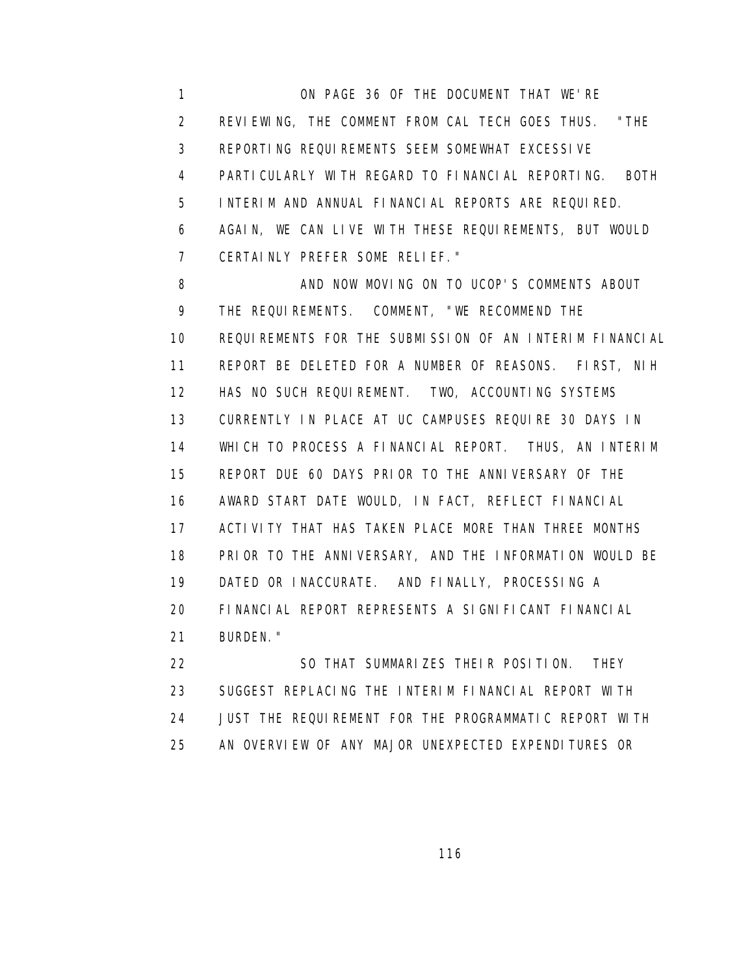1 ON PAGE 36 OF THE DOCUMENT THAT WE'RE 2 REVIEWING, THE COMMENT FROM CAL TECH GOES THUS. "THE 3 REPORTING REQUIREMENTS SEEM SOMEWHAT EXCESSIVE 4 PARTICULARLY WITH REGARD TO FINANCIAL REPORTING. BOTH 5 INTERIM AND ANNUAL FINANCIAL REPORTS ARE REQUIRED. 6 AGAIN, WE CAN LIVE WITH THESE REQUIREMENTS, BUT WOULD 7 CERTAINLY PREFER SOME RELIEF."

8 AND NOW MOVING ON TO UCOP'S COMMENTS ABOUT 9 THE REQUIREMENTS. COMMENT, "WE RECOMMEND THE 10 REQUIREMENTS FOR THE SUBMISSION OF AN INTERIM FINANCIAL 11 REPORT BE DELETED FOR A NUMBER OF REASONS. FIRST, NIH 12 HAS NO SUCH REQUIREMENT. TWO, ACCOUNTING SYSTEMS 13 CURRENTLY IN PLACE AT UC CAMPUSES REQUIRE 30 DAYS IN 14 WHICH TO PROCESS A FINANCIAL REPORT. THUS, AN INTERIM 15 REPORT DUE 60 DAYS PRIOR TO THE ANNIVERSARY OF THE 16 AWARD START DATE WOULD, IN FACT, REFLECT FINANCIAL 17 ACTIVITY THAT HAS TAKEN PLACE MORE THAN THREE MONTHS 18 PRIOR TO THE ANNIVERSARY, AND THE INFORMATION WOULD BE 19 DATED OR INACCURATE. AND FINALLY, PROCESSING A 20 FINANCIAL REPORT REPRESENTS A SIGNIFICANT FINANCIAL 21 BURDEN."

 22 SO THAT SUMMARIZES THEIR POSITION. THEY 23 SUGGEST REPLACING THE INTERIM FINANCIAL REPORT WITH 24 JUST THE REQUIREMENT FOR THE PROGRAMMATIC REPORT WITH 25 AN OVERVIEW OF ANY MAJOR UNEXPECTED EXPENDITURES OR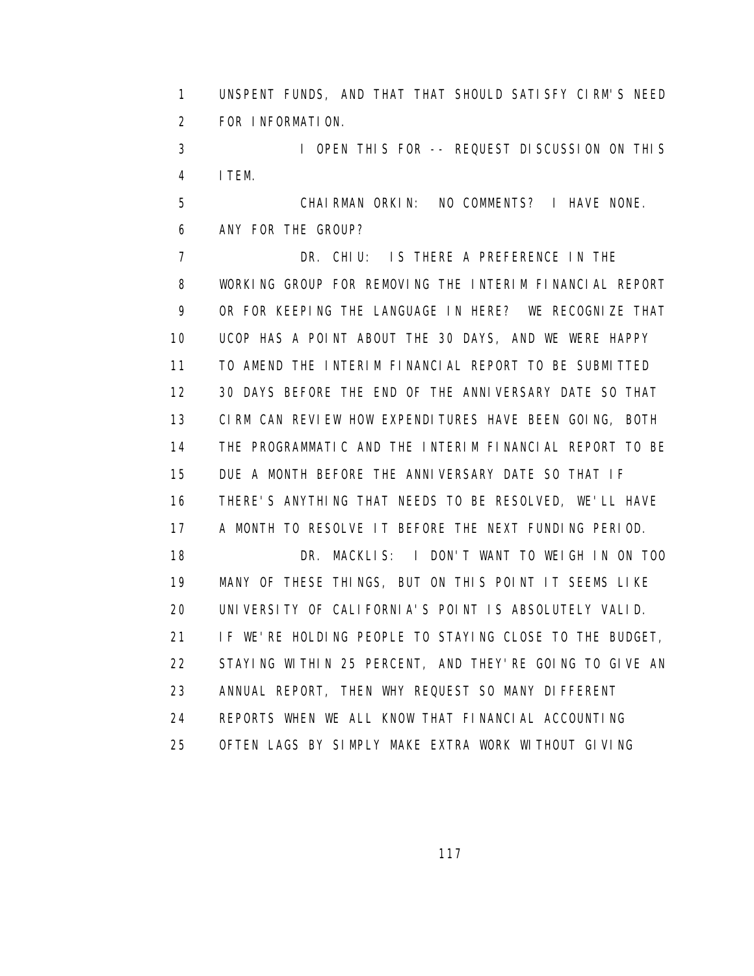1 UNSPENT FUNDS, AND THAT THAT SHOULD SATISFY CIRM'S NEED 2 FOR INFORMATION.

 3 I OPEN THIS FOR -- REQUEST DISCUSSION ON THIS 4 ITEM.

 5 CHAIRMAN ORKIN: NO COMMENTS? I HAVE NONE. 6 ANY FOR THE GROUP?

 7 DR. CHIU: IS THERE A PREFERENCE IN THE 8 WORKING GROUP FOR REMOVING THE INTERIM FINANCIAL REPORT 9 OR FOR KEEPING THE LANGUAGE IN HERE? WE RECOGNIZE THAT 10 UCOP HAS A POINT ABOUT THE 30 DAYS, AND WE WERE HAPPY 11 TO AMEND THE INTERIM FINANCIAL REPORT TO BE SUBMITTED 12 30 DAYS BEFORE THE END OF THE ANNIVERSARY DATE SO THAT 13 CIRM CAN REVIEW HOW EXPENDITURES HAVE BEEN GOING, BOTH 14 THE PROGRAMMATIC AND THE INTERIM FINANCIAL REPORT TO BE 15 DUE A MONTH BEFORE THE ANNIVERSARY DATE SO THAT IF 16 THERE'S ANYTHING THAT NEEDS TO BE RESOLVED, WE'LL HAVE 17 A MONTH TO RESOLVE IT BEFORE THE NEXT FUNDING PERIOD. 18 DR. MACKLIS: I DON'T WANT TO WEIGH IN ON TOO 19 MANY OF THESE THINGS, BUT ON THIS POINT IT SEEMS LIKE 20 UNIVERSITY OF CALIFORNIA'S POINT IS ABSOLUTELY VALID. 21 IF WE'RE HOLDING PEOPLE TO STAYING CLOSE TO THE BUDGET, 22 STAYING WITHIN 25 PERCENT, AND THEY'RE GOING TO GIVE AN 23 ANNUAL REPORT, THEN WHY REQUEST SO MANY DIFFERENT 24 REPORTS WHEN WE ALL KNOW THAT FINANCIAL ACCOUNTING 25 OFTEN LAGS BY SIMPLY MAKE EXTRA WORK WITHOUT GIVING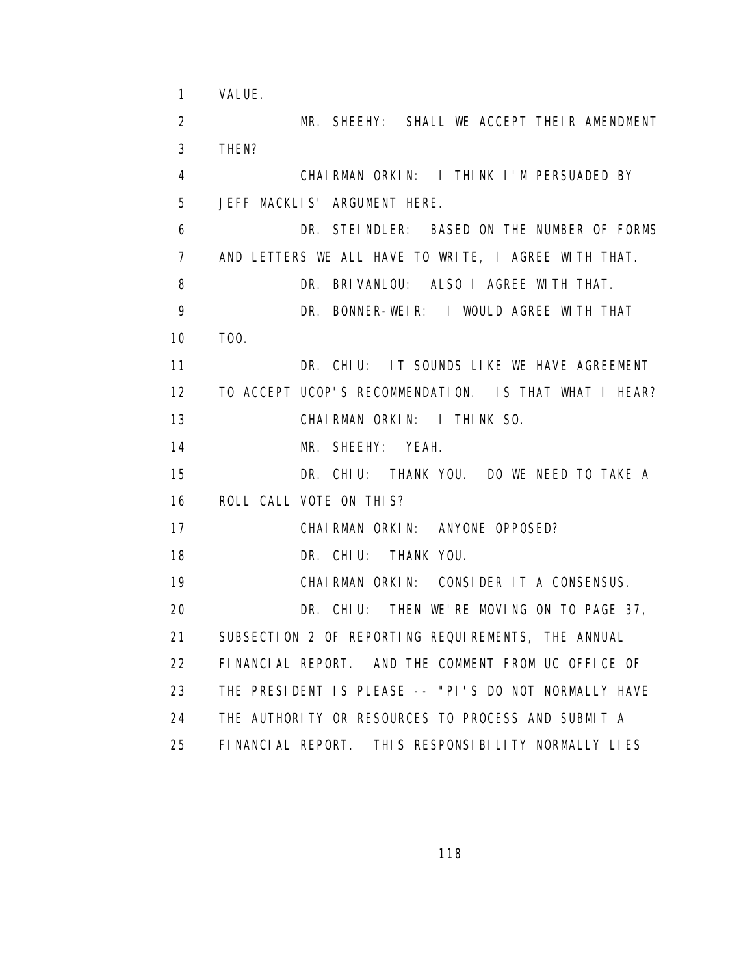1 VALUE. 2 MR. SHEEHY: SHALL WE ACCEPT THEIR AMENDMENT 3 THEN? 4 CHAIRMAN ORKIN: I THINK I'M PERSUADED BY 5 JEFF MACKLIS' ARGUMENT HERE. 6 DR. STEINDLER: BASED ON THE NUMBER OF FORMS 7 AND LETTERS WE ALL HAVE TO WRITE, I AGREE WITH THAT. 8 DR. BRIVANLOU: ALSO I AGREE WITH THAT. 9 DR. BONNER-WEIR: I WOULD AGREE WITH THAT 10 TOO. 11 DR. CHIU: IT SOUNDS LIKE WE HAVE AGREEMENT 12 TO ACCEPT UCOP'S RECOMMENDATION. IS THAT WHAT I HEAR? 13 CHAIRMAN ORKIN: I THINK SO. 14 MR. SHEEHY: YEAH. 15 DR. CHIU: THANK YOU. DO WE NEED TO TAKE A 16 ROLL CALL VOTE ON THIS? 17 CHAIRMAN ORKIN: ANYONE OPPOSED? 18 DR. CHIU: THANK YOU. 19 CHAIRMAN ORKIN: CONSIDER IT A CONSENSUS. 20 DR. CHIU: THEN WE'RE MOVING ON TO PAGE 37, 21 SUBSECTION 2 OF REPORTING REQUIREMENTS, THE ANNUAL 22 FINANCIAL REPORT. AND THE COMMENT FROM UC OFFICE OF 23 THE PRESIDENT IS PLEASE -- "PI'S DO NOT NORMALLY HAVE 24 THE AUTHORITY OR RESOURCES TO PROCESS AND SUBMIT A 25 FINANCIAL REPORT. THIS RESPONSIBILITY NORMALLY LIES

<u>118 - Andrea Stein, Amerikaansk politiker (</u>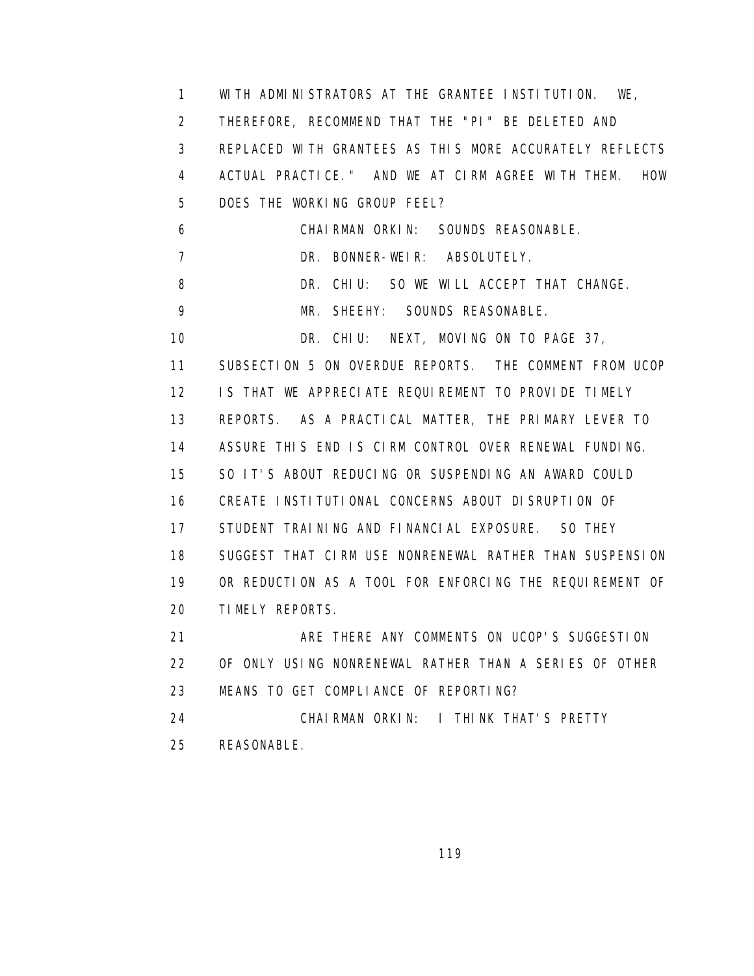1 WITH ADMINISTRATORS AT THE GRANTEE INSTITUTION. WE, 2 THEREFORE, RECOMMEND THAT THE "PI" BE DELETED AND 3 REPLACED WITH GRANTEES AS THIS MORE ACCURATELY REFLECTS 4 ACTUAL PRACTICE." AND WE AT CIRM AGREE WITH THEM. HOW 5 DOES THE WORKING GROUP FEEL? 6 CHAIRMAN ORKIN: SOUNDS REASONABLE. 7 DR. BONNER-WEIR: ABSOLUTELY. 8 DR. CHIU: SO WE WILL ACCEPT THAT CHANGE. 9 MR. SHEEHY: SOUNDS REASONABLE. 10 DR. CHIU: NEXT, MOVING ON TO PAGE 37, 11 SUBSECTION 5 ON OVERDUE REPORTS. THE COMMENT FROM UCOP 12 IS THAT WE APPRECIATE REQUIREMENT TO PROVIDE TIMELY 13 REPORTS. AS A PRACTICAL MATTER, THE PRIMARY LEVER TO 14 ASSURE THIS END IS CIRM CONTROL OVER RENEWAL FUNDING. 15 SO IT'S ABOUT REDUCING OR SUSPENDING AN AWARD COULD 16 CREATE INSTITUTIONAL CONCERNS ABOUT DISRUPTION OF 17 STUDENT TRAINING AND FINANCIAL EXPOSURE. SO THEY 18 SUGGEST THAT CIRM USE NONRENEWAL RATHER THAN SUSPENSION 19 OR REDUCTION AS A TOOL FOR ENFORCING THE REQUIREMENT OF 20 TIMELY REPORTS. 21 ARE THERE ANY COMMENTS ON UCOP'S SUGGESTION 22 OF ONLY USING NONRENEWAL RATHER THAN A SERIES OF OTHER 23 MEANS TO GET COMPLIANCE OF REPORTING? 24 CHAIRMAN ORKIN: I THINK THAT'S PRETTY 25 REASONABLE.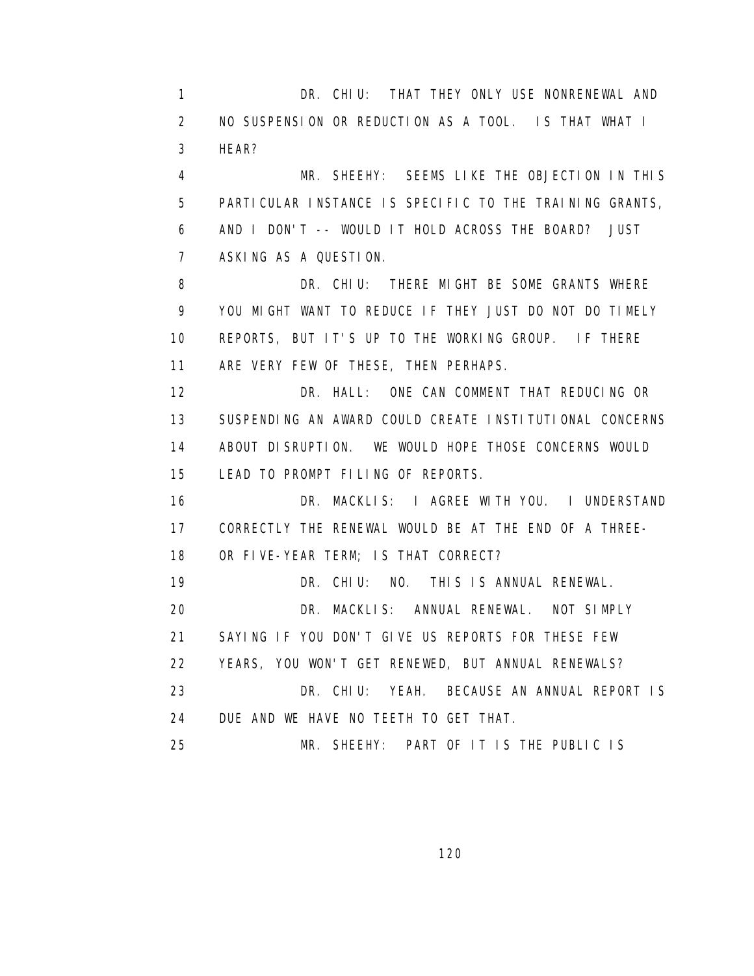1 DR. CHIU: THAT THEY ONLY USE NONRENEWAL AND 2 NO SUSPENSION OR REDUCTION AS A TOOL. IS THAT WHAT I 3 HEAR?

 4 MR. SHEEHY: SEEMS LIKE THE OBJECTION IN THIS 5 PARTICULAR INSTANCE IS SPECIFIC TO THE TRAINING GRANTS, 6 AND I DON'T -- WOULD IT HOLD ACROSS THE BOARD? JUST 7 ASKING AS A QUESTION.

8 DR. CHIU: THERE MIGHT BE SOME GRANTS WHERE 9 YOU MIGHT WANT TO REDUCE IF THEY JUST DO NOT DO TIMELY 10 REPORTS, BUT IT'S UP TO THE WORKING GROUP. IF THERE 11 ARE VERY FEW OF THESE, THEN PERHAPS.

 12 DR. HALL: ONE CAN COMMENT THAT REDUCING OR 13 SUSPENDING AN AWARD COULD CREATE INSTITUTIONAL CONCERNS 14 ABOUT DISRUPTION. WE WOULD HOPE THOSE CONCERNS WOULD 15 LEAD TO PROMPT FILING OF REPORTS.

 16 DR. MACKLIS: I AGREE WITH YOU. I UNDERSTAND 17 CORRECTLY THE RENEWAL WOULD BE AT THE END OF A THREE- 18 OR FIVE-YEAR TERM; IS THAT CORRECT?

19 DR. CHIU: NO. THIS IS ANNUAL RENEWAL.

20 DR. MACKLIS: ANNUAL RENEWAL. NOT SIMPLY

21 SAYING IF YOU DON'T GIVE US REPORTS FOR THESE FEW

22 YEARS, YOU WON'T GET RENEWED, BUT ANNUAL RENEWALS?

 23 DR. CHIU: YEAH. BECAUSE AN ANNUAL REPORT IS 24 DUE AND WE HAVE NO TEETH TO GET THAT.

25 MR. SHEEHY: PART OF IT IS THE PUBLIC IS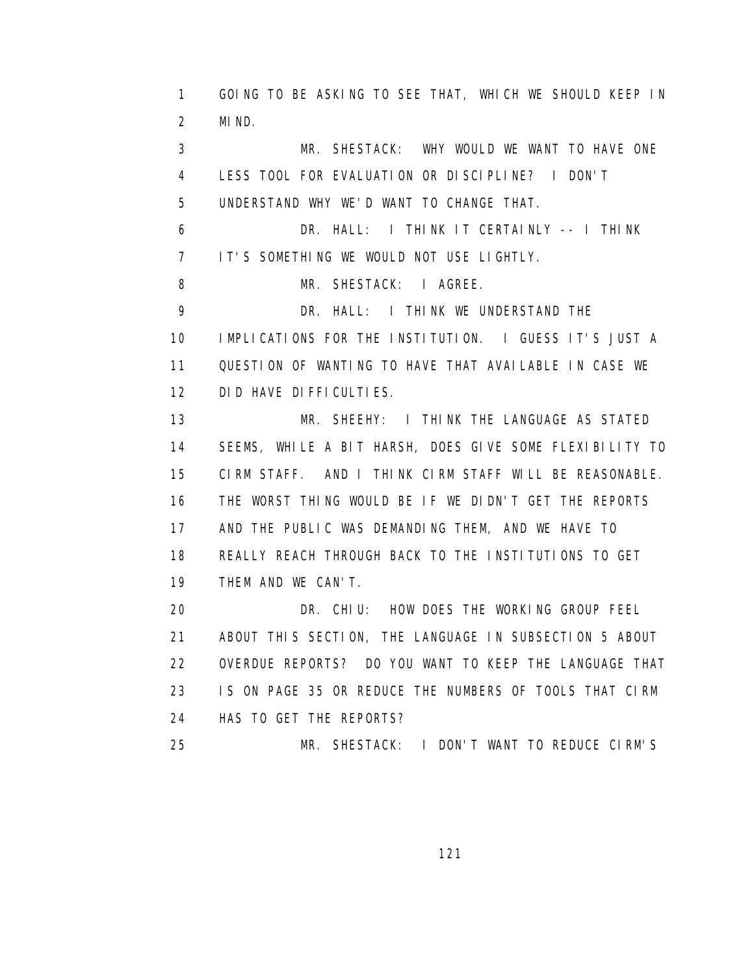1 GOING TO BE ASKING TO SEE THAT, WHICH WE SHOULD KEEP IN 2 MIND. 3 MR. SHESTACK: WHY WOULD WE WANT TO HAVE ONE 4 LESS TOOL FOR EVALUATION OR DISCIPLINE? I DON'T 5 UNDERSTAND WHY WE'D WANT TO CHANGE THAT. 6 DR. HALL: I THINK IT CERTAINLY -- I THINK 7 IT'S SOMETHING WE WOULD NOT USE LIGHTLY. 8 MR. SHESTACK: I AGREE. 9 DR. HALL: I THINK WE UNDERSTAND THE 10 IMPLICATIONS FOR THE INSTITUTION. I GUESS IT'S JUST A 11 QUESTION OF WANTING TO HAVE THAT AVAILABLE IN CASE WE 12 DID HAVE DIFFICULTIES. 13 MR. SHEEHY: I THINK THE LANGUAGE AS STATED 14 SEEMS, WHILE A BIT HARSH, DOES GIVE SOME FLEXIBILITY TO 15 CIRM STAFF. AND I THINK CIRM STAFF WILL BE REASONABLE. 16 THE WORST THING WOULD BE IF WE DIDN'T GET THE REPORTS 17 AND THE PUBLIC WAS DEMANDING THEM, AND WE HAVE TO 18 REALLY REACH THROUGH BACK TO THE INSTITUTIONS TO GET 19 THEM AND WE CAN'T. 20 DR. CHIU: HOW DOES THE WORKING GROUP FEEL 21 ABOUT THIS SECTION, THE LANGUAGE IN SUBSECTION 5 ABOUT 22 OVERDUE REPORTS? DO YOU WANT TO KEEP THE LANGUAGE THAT 23 IS ON PAGE 35 OR REDUCE THE NUMBERS OF TOOLS THAT CIRM 24 HAS TO GET THE REPORTS? 25 MR. SHESTACK: I DON'T WANT TO REDUCE CIRM'S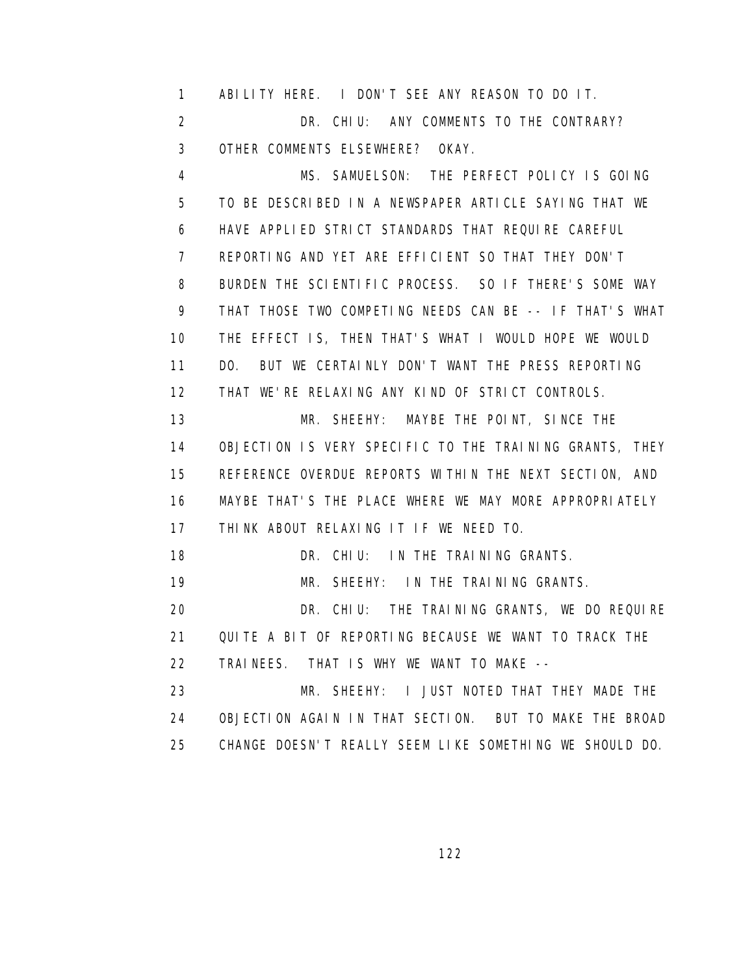1 ABILITY HERE. I DON'T SEE ANY REASON TO DO IT. 2 DR. CHIU: ANY COMMENTS TO THE CONTRARY? 3 OTHER COMMENTS ELSEWHERE? OKAY.

 4 MS. SAMUELSON: THE PERFECT POLICY IS GOING 5 TO BE DESCRIBED IN A NEWSPAPER ARTICLE SAYING THAT WE 6 HAVE APPLIED STRICT STANDARDS THAT REQUIRE CAREFUL 7 REPORTING AND YET ARE EFFICIENT SO THAT THEY DON'T 8 BURDEN THE SCIENTIFIC PROCESS. SO IF THERE'S SOME WAY 9 THAT THOSE TWO COMPETING NEEDS CAN BE -- IF THAT'S WHAT 10 THE EFFECT IS, THEN THAT'S WHAT I WOULD HOPE WE WOULD 11 DO. BUT WE CERTAINLY DON'T WANT THE PRESS REPORTING 12 THAT WE'RE RELAXING ANY KIND OF STRICT CONTROLS.

 13 MR. SHEEHY: MAYBE THE POINT, SINCE THE 14 OBJECTION IS VERY SPECIFIC TO THE TRAINING GRANTS, THEY 15 REFERENCE OVERDUE REPORTS WITHIN THE NEXT SECTION, AND 16 MAYBE THAT'S THE PLACE WHERE WE MAY MORE APPROPRIATELY 17 THINK ABOUT RELAXING IT IF WE NEED TO.

18 DR. CHIU: IN THE TRAINING GRANTS.

19 MR. SHEEHY: IN THE TRAINING GRANTS.

 20 DR. CHIU: THE TRAINING GRANTS, WE DO REQUIRE 21 QUITE A BIT OF REPORTING BECAUSE WE WANT TO TRACK THE 22 TRAINEES. THAT IS WHY WE WANT TO MAKE --

 23 MR. SHEEHY: I JUST NOTED THAT THEY MADE THE 24 OBJECTION AGAIN IN THAT SECTION. BUT TO MAKE THE BROAD 25 CHANGE DOESN'T REALLY SEEM LIKE SOMETHING WE SHOULD DO.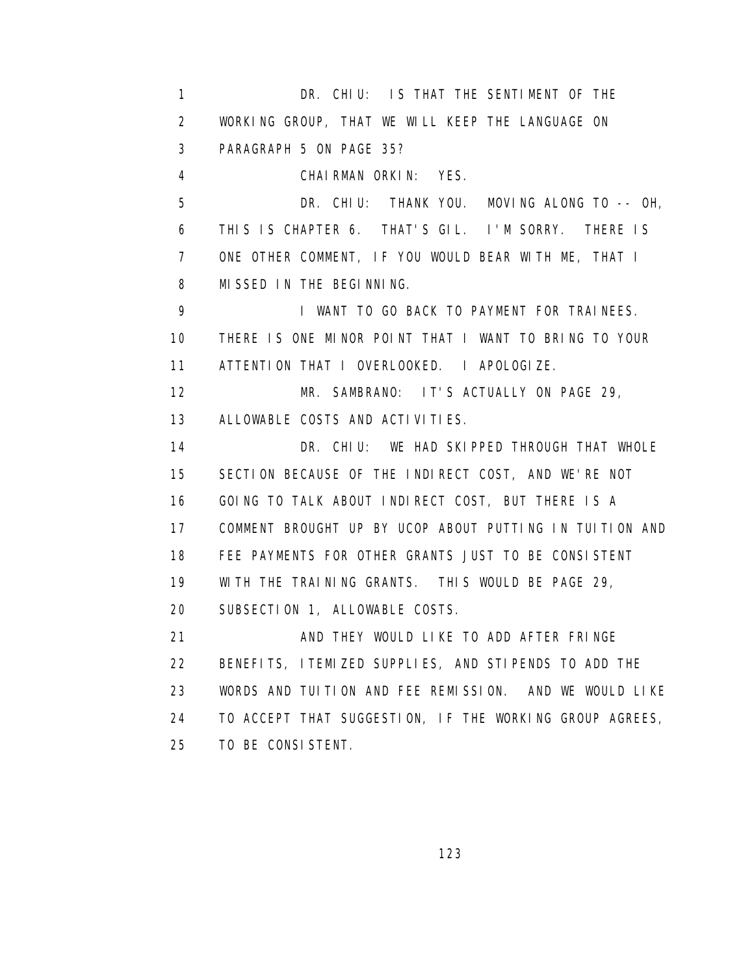1 DR. CHIU: IS THAT THE SENTIMENT OF THE 2 WORKING GROUP, THAT WE WILL KEEP THE LANGUAGE ON 3 PARAGRAPH 5 ON PAGE 35? 4 CHAIRMAN ORKIN: YES. 5 DR. CHIU: THANK YOU. MOVING ALONG TO -- OH, 6 THIS IS CHAPTER 6. THAT'S GIL. I'M SORRY. THERE IS 7 ONE OTHER COMMENT, IF YOU WOULD BEAR WITH ME, THAT I 8 MISSED IN THE BEGINNING. 9 I WANT TO GO BACK TO PAYMENT FOR TRAINEES. 10 THERE IS ONE MINOR POINT THAT I WANT TO BRING TO YOUR 11 ATTENTION THAT I OVERLOOKED. I APOLOGIZE. 12 MR. SAMBRANO: IT'S ACTUALLY ON PAGE 29, 13 ALLOWABLE COSTS AND ACTIVITIES. 14 DR. CHIU: WE HAD SKIPPED THROUGH THAT WHOLE 15 SECTION BECAUSE OF THE INDIRECT COST, AND WE'RE NOT 16 GOING TO TALK ABOUT INDIRECT COST, BUT THERE IS A 17 COMMENT BROUGHT UP BY UCOP ABOUT PUTTING IN TUITION AND 18 FEE PAYMENTS FOR OTHER GRANTS JUST TO BE CONSISTENT 19 WITH THE TRAINING GRANTS. THIS WOULD BE PAGE 29, 20 SUBSECTION 1, ALLOWABLE COSTS. 21 AND THEY WOULD LIKE TO ADD AFTER FRINGE 22 BENEFITS, ITEMIZED SUPPLIES, AND STIPENDS TO ADD THE 23 WORDS AND TUITION AND FEE REMISSION. AND WE WOULD LIKE 24 TO ACCEPT THAT SUGGESTION, IF THE WORKING GROUP AGREES, 25 TO BE CONSISTENT.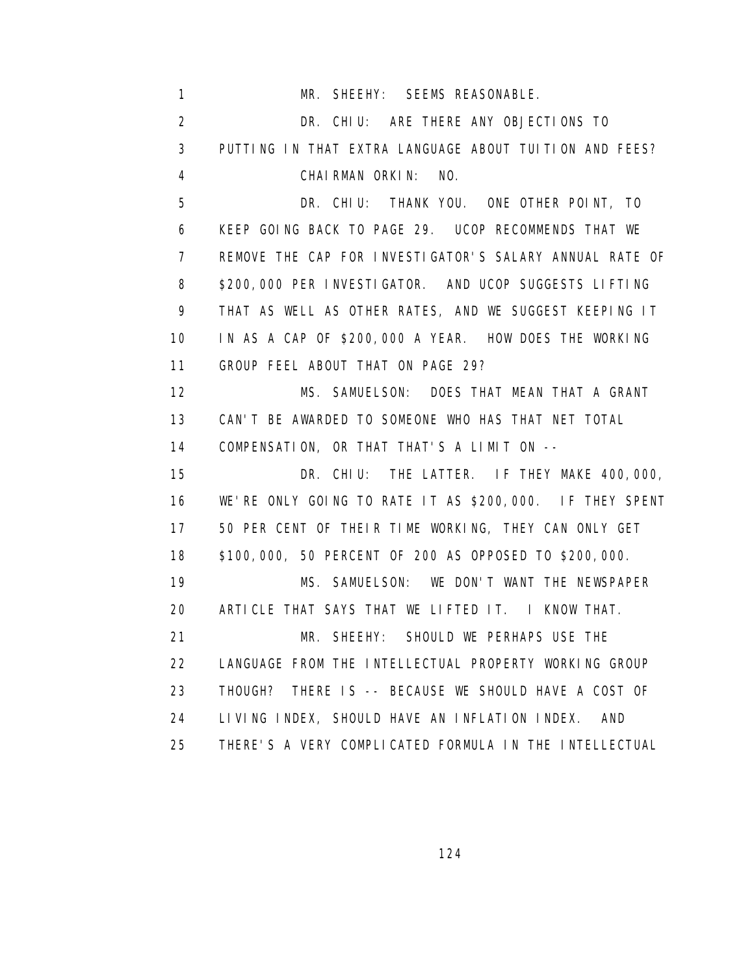| $\mathbf{1}$   | MR. SHEEHY: SEEMS REASONABLE.                               |
|----------------|-------------------------------------------------------------|
| 2              | DR. CHIU: ARE THERE ANY OBJECTIONS TO                       |
| 3              | PUTTING IN THAT EXTRA LANGUAGE ABOUT TUITION AND FEES?      |
| 4              | CHAIRMAN ORKIN: NO.                                         |
| 5              | DR. CHIU: THANK YOU. ONE OTHER POINT, TO                    |
| 6              | KEEP GOING BACK TO PAGE 29. UCOP RECOMMENDS THAT WE         |
| $\overline{7}$ | REMOVE THE CAP FOR INVESTIGATOR'S SALARY ANNUAL RATE OF     |
| 8              | \$200,000 PER INVESTIGATOR. AND UCOP SUGGESTS LIFTING       |
| 9              | THAT AS WELL AS OTHER RATES, AND WE SUGGEST KEEPING IT      |
| 10             | IN AS A CAP OF \$200,000 A YEAR. HOW DOES THE WORKING       |
| 11             | GROUP FEEL ABOUT THAT ON PAGE 29?                           |
| 12             | MS. SAMUELSON: DOES THAT MEAN THAT A GRANT                  |
| 13             | CAN'T BE AWARDED TO SOMEONE WHO HAS THAT NET TOTAL          |
| 14             | COMPENSATION, OR THAT THAT'S A LIMIT ON --                  |
| 15             | DR. CHIU: THE LATTER. IF THEY MAKE 400,000,                 |
| 16             | WE'RE ONLY GOING TO RATE IT AS \$200,000. IF THEY SPENT     |
| 17             | 50 PER CENT OF THEIR TIME WORKING, THEY CAN ONLY GET        |
| 18             | \$100,000, 50 PERCENT OF 200 AS OPPOSED TO \$200,000.       |
| 19             | MS. SAMUELSON: WE DON'T WANT THE NEWSPAPER                  |
| 20             | ARTICLE THAT SAYS THAT WE LIFTED IT. I KNOW THAT.           |
| 21             | MR. SHEEHY: SHOULD WE PERHAPS USE THE                       |
| 22             | LANGUAGE FROM THE INTELLECTUAL PROPERTY WORKING GROUP       |
| 23             | THOUGH? THERE IS -- BECAUSE WE SHOULD HAVE A COST OF        |
| 24             | LIVING INDEX, SHOULD HAVE AN INFLATION INDEX.<br><b>AND</b> |
| 25             | THERE'S A VERY COMPLICATED FORMULA IN THE INTELLECTUAL      |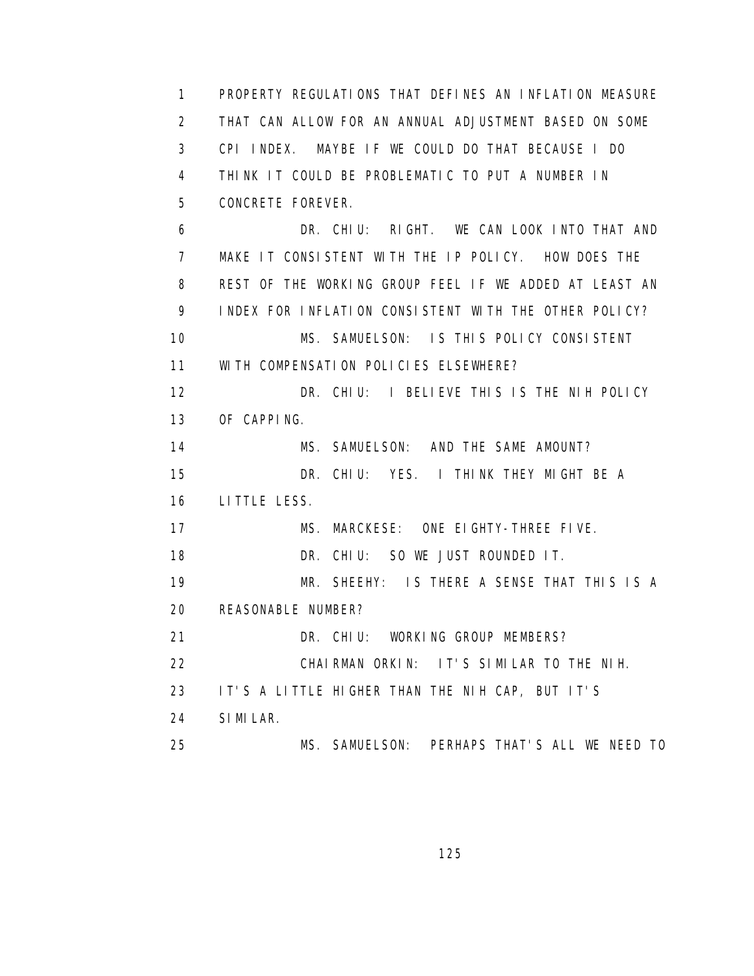1 PROPERTY REGULATIONS THAT DEFINES AN INFLATION MEASURE 2 THAT CAN ALLOW FOR AN ANNUAL ADJUSTMENT BASED ON SOME 3 CPI INDEX. MAYBE IF WE COULD DO THAT BECAUSE I DO 4 THINK IT COULD BE PROBLEMATIC TO PUT A NUMBER IN 5 CONCRETE FOREVER. 6 DR. CHIU: RIGHT. WE CAN LOOK INTO THAT AND 7 MAKE IT CONSISTENT WITH THE IP POLICY. HOW DOES THE 8 REST OF THE WORKING GROUP FEEL IF WE ADDED AT LEAST AN 9 INDEX FOR INFLATION CONSISTENT WITH THE OTHER POLICY? 10 MS. SAMUELSON: IS THIS POLICY CONSISTENT 11 WITH COMPENSATION POLICIES ELSEWHERE? 12 DR. CHIU: I BELIEVE THIS IS THE NIH POLICY 13 OF CAPPING. 14 MS. SAMUELSON: AND THE SAME AMOUNT? 15 DR. CHIU: YES. I THINK THEY MIGHT BE A 16 LITTLE LESS. 17 MS. MARCKESE: ONE EIGHTY-THREE FIVE. 18 DR. CHIU: SO WE JUST ROUNDED IT. 19 MR. SHEEHY: IS THERE A SENSE THAT THIS IS A 20 REASONABLE NUMBER? 21 DR. CHIU: WORKING GROUP MEMBERS? 22 CHAIRMAN ORKIN: IT'S SIMILAR TO THE NIH. 23 IT'S A LITTLE HIGHER THAN THE NIH CAP, BUT IT'S 24 SIMILAR. 25 MS. SAMUELSON: PERHAPS THAT'S ALL WE NEED TO

<u>125 - Johann Stein, Amerikaansk politiker (</u>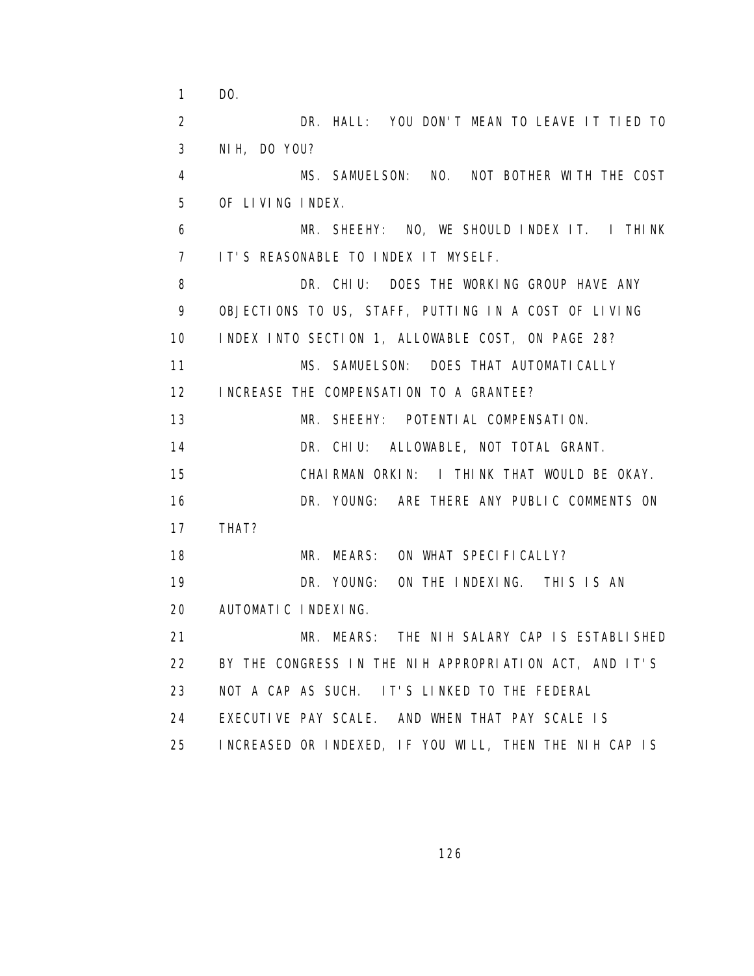1 DO. 2 DR. HALL: YOU DON'T MEAN TO LEAVE IT TIED TO 3 NIH, DO YOU? 4 MS. SAMUELSON: NO. NOT BOTHER WITH THE COST 5 OF LIVING INDEX. 6 MR. SHEEHY: NO, WE SHOULD INDEX IT. I THINK 7 IT'S REASONABLE TO INDEX IT MYSELF. 8 DR. CHIU: DOES THE WORKING GROUP HAVE ANY 9 OBJECTIONS TO US, STAFF, PUTTING IN A COST OF LIVING 10 INDEX INTO SECTION 1, ALLOWABLE COST, ON PAGE 28? 11 MS. SAMUELSON: DOES THAT AUTOMATICALLY 12 INCREASE THE COMPENSATION TO A GRANTEE? 13 MR. SHEEHY: POTENTIAL COMPENSATION. 14 DR. CHIU: ALLOWABLE, NOT TOTAL GRANT. 15 CHAIRMAN ORKIN: I THINK THAT WOULD BE OKAY. 16 DR. YOUNG: ARE THERE ANY PUBLIC COMMENTS ON 17 THAT? 18 MR. MEARS: ON WHAT SPECIFICALLY? 19 DR. YOUNG: ON THE INDEXING. THIS IS AN 20 AUTOMATIC INDEXING. 21 MR. MEARS: THE NIH SALARY CAP IS ESTABLISHED 22 BY THE CONGRESS IN THE NIH APPROPRIATION ACT, AND IT'S 23 NOT A CAP AS SUCH. IT'S LINKED TO THE FEDERAL 24 EXECUTIVE PAY SCALE. AND WHEN THAT PAY SCALE IS 25 INCREASED OR INDEXED, IF YOU WILL, THEN THE NIH CAP IS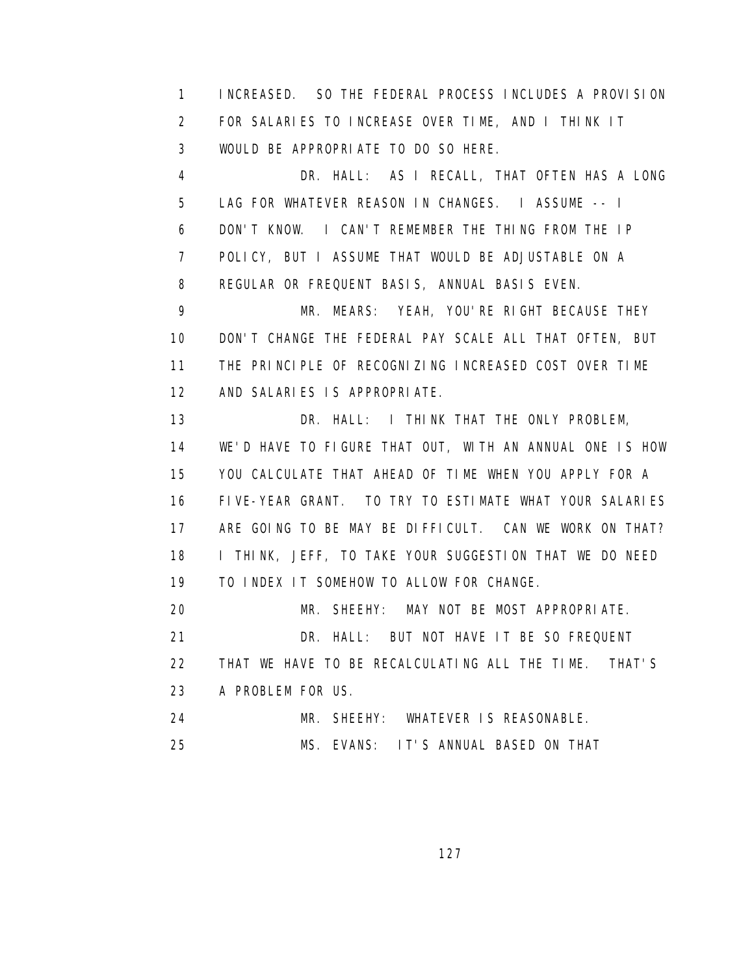1 INCREASED. SO THE FEDERAL PROCESS INCLUDES A PROVISION 2 FOR SALARIES TO INCREASE OVER TIME, AND I THINK IT 3 WOULD BE APPROPRIATE TO DO SO HERE.

 4 DR. HALL: AS I RECALL, THAT OFTEN HAS A LONG 5 LAG FOR WHATEVER REASON IN CHANGES. I ASSUME -- I 6 DON'T KNOW. I CAN'T REMEMBER THE THING FROM THE IP 7 POLICY, BUT I ASSUME THAT WOULD BE ADJUSTABLE ON A 8 REGULAR OR FREQUENT BASIS, ANNUAL BASIS EVEN.

 9 MR. MEARS: YEAH, YOU'RE RIGHT BECAUSE THEY 10 DON'T CHANGE THE FEDERAL PAY SCALE ALL THAT OFTEN, BUT 11 THE PRINCIPLE OF RECOGNIZING INCREASED COST OVER TIME 12 AND SALARIES IS APPROPRIATE.

13 **DR. HALL:** I THINK THAT THE ONLY PROBLEM, 14 WE'D HAVE TO FIGURE THAT OUT, WITH AN ANNUAL ONE IS HOW 15 YOU CALCULATE THAT AHEAD OF TIME WHEN YOU APPLY FOR A 16 FIVE-YEAR GRANT. TO TRY TO ESTIMATE WHAT YOUR SALARIES 17 ARE GOING TO BE MAY BE DIFFICULT. CAN WE WORK ON THAT? 18 I THINK, JEFF, TO TAKE YOUR SUGGESTION THAT WE DO NEED 19 TO INDEX IT SOMEHOW TO ALLOW FOR CHANGE.

20 MR. SHEEHY: MAY NOT BE MOST APPROPRIATE.

21 DR. HALL: BUT NOT HAVE IT BE SO FREQUENT

 22 THAT WE HAVE TO BE RECALCULATING ALL THE TIME. THAT'S 23 A PROBLEM FOR US.

24 MR. SHEEHY: WHATEVER IS REASONABLE.

25 MS. EVANS: IT'S ANNUAL BASED ON THAT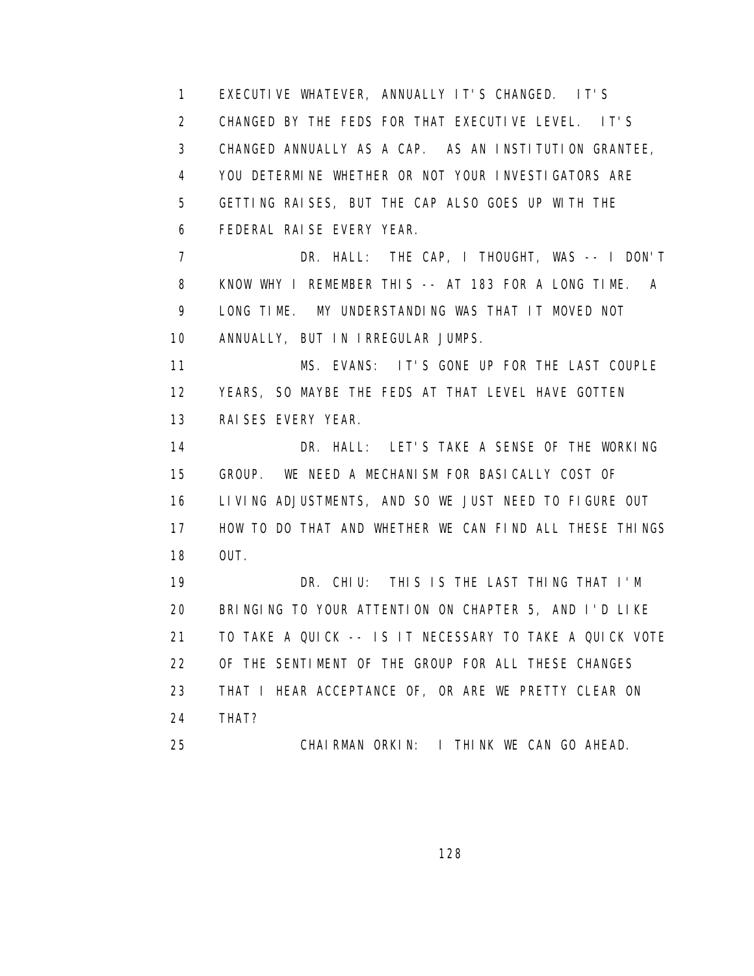1 EXECUTIVE WHATEVER, ANNUALLY IT'S CHANGED. IT'S 2 CHANGED BY THE FEDS FOR THAT EXECUTIVE LEVEL. IT'S 3 CHANGED ANNUALLY AS A CAP. AS AN INSTITUTION GRANTEE, 4 YOU DETERMINE WHETHER OR NOT YOUR INVESTIGATORS ARE 5 GETTING RAISES, BUT THE CAP ALSO GOES UP WITH THE 6 FEDERAL RAISE EVERY YEAR. 7 DR. HALL: THE CAP, I THOUGHT, WAS -- I DON'T 8 KNOW WHY I REMEMBER THIS -- AT 183 FOR A LONG TIME. A 9 LONG TIME. MY UNDERSTANDING WAS THAT IT MOVED NOT 10 ANNUALLY, BUT IN IRREGULAR JUMPS. 11 MS. EVANS: IT'S GONE UP FOR THE LAST COUPLE 12 YEARS, SO MAYBE THE FEDS AT THAT LEVEL HAVE GOTTEN 13 RAISES EVERY YEAR. 14 DR. HALL: LET'S TAKE A SENSE OF THE WORKING 15 GROUP. WE NEED A MECHANISM FOR BASICALLY COST OF 16 LIVING ADJUSTMENTS, AND SO WE JUST NEED TO FIGURE OUT 17 HOW TO DO THAT AND WHETHER WE CAN FIND ALL THESE THINGS 18 OUT. 19 DR. CHIU: THIS IS THE LAST THING THAT I'M 20 BRINGING TO YOUR ATTENTION ON CHAPTER 5, AND I'D LIKE 21 TO TAKE A QUICK -- IS IT NECESSARY TO TAKE A QUICK VOTE 22 OF THE SENTIMENT OF THE GROUP FOR ALL THESE CHANGES 23 THAT I HEAR ACCEPTANCE OF, OR ARE WE PRETTY CLEAR ON 24 THAT? 25 CHAIRMAN ORKIN: I THINK WE CAN GO AHEAD.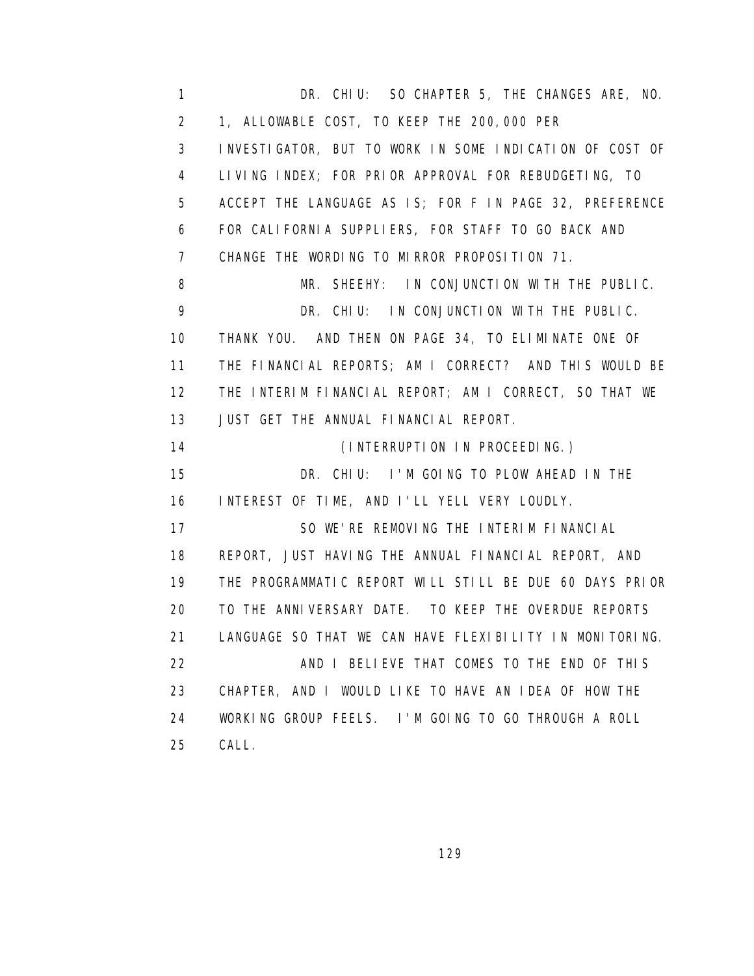1 DR. CHIU: SO CHAPTER 5, THE CHANGES ARE, NO. 2 1, ALLOWABLE COST, TO KEEP THE 200,000 PER 3 INVESTIGATOR, BUT TO WORK IN SOME INDICATION OF COST OF 4 LIVING INDEX; FOR PRIOR APPROVAL FOR REBUDGETING, TO 5 ACCEPT THE LANGUAGE AS IS; FOR F IN PAGE 32, PREFERENCE 6 FOR CALIFORNIA SUPPLIERS, FOR STAFF TO GO BACK AND 7 CHANGE THE WORDING TO MIRROR PROPOSITION 71. 8 MR. SHEEHY: IN CONJUNCTION WITH THE PUBLIC. 9 DR. CHIU: IN CONJUNCTION WITH THE PUBLIC. 10 THANK YOU. AND THEN ON PAGE 34, TO ELIMINATE ONE OF 11 THE FINANCIAL REPORTS; AM I CORRECT? AND THIS WOULD BE 12 THE INTERIM FINANCIAL REPORT; AM I CORRECT, SO THAT WE 13 JUST GET THE ANNUAL FINANCIAL REPORT. 14 (INTERRUPTION IN PROCEEDING.) 15 DR. CHIU: I'M GOING TO PLOW AHEAD IN THE 16 INTEREST OF TIME, AND I'LL YELL VERY LOUDLY. 17 SO WE'RE REMOVING THE INTERIM FINANCIAL 18 REPORT, JUST HAVING THE ANNUAL FINANCIAL REPORT, AND 19 THE PROGRAMMATIC REPORT WILL STILL BE DUE 60 DAYS PRIOR 20 TO THE ANNIVERSARY DATE. TO KEEP THE OVERDUE REPORTS 21 LANGUAGE SO THAT WE CAN HAVE FLEXIBILITY IN MONITORING. 22 **AND I BELIEVE THAT COMES TO THE END OF THIS**  23 CHAPTER, AND I WOULD LIKE TO HAVE AN IDEA OF HOW THE 24 WORKING GROUP FEELS. I'M GOING TO GO THROUGH A ROLL 25 CALL.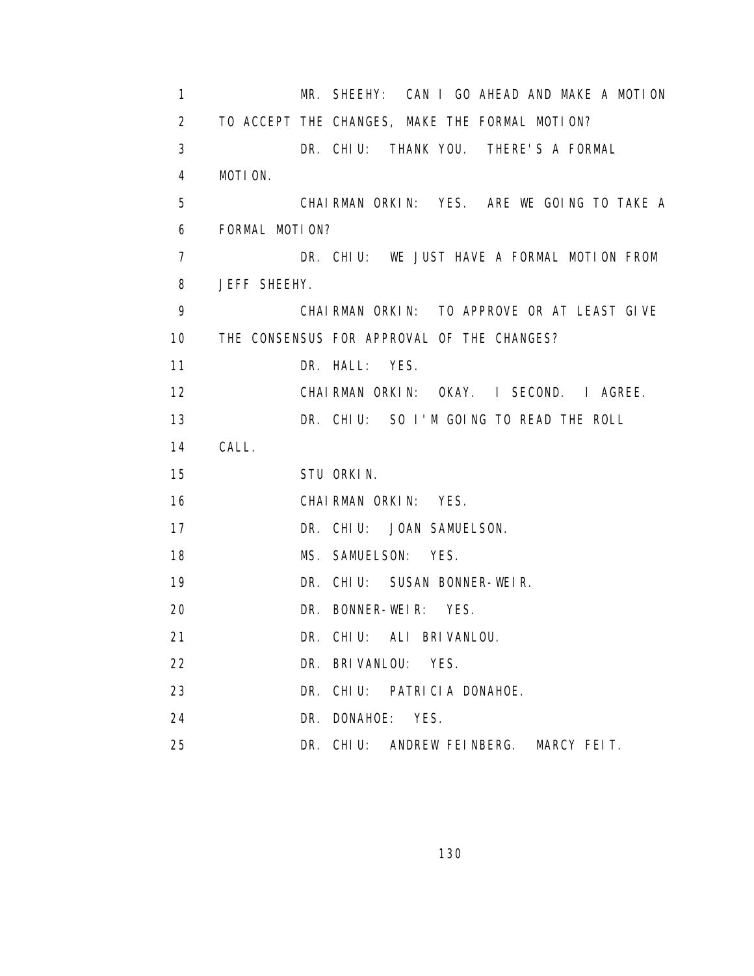| 1              |                                            |                              | MR. SHEEHY: CAN I GO AHEAD AND MAKE A MOTION   |
|----------------|--------------------------------------------|------------------------------|------------------------------------------------|
| $\overline{2}$ |                                            |                              | TO ACCEPT THE CHANGES, MAKE THE FORMAL MOTION? |
| 3              |                                            |                              | DR. CHIU: THANK YOU. THERE'S A FORMAL          |
| 4              | MOTION.                                    |                              |                                                |
| 5              |                                            |                              | CHAIRMAN ORKIN: YES. ARE WE GOING TO TAKE A    |
| 6              | FORMAL MOTION?                             |                              |                                                |
| $\overline{7}$ |                                            |                              | DR. CHIU: WE JUST HAVE A FORMAL MOTION FROM    |
| 8              | JEFF SHEEHY.                               |                              |                                                |
| 9              |                                            |                              | CHAIRMAN ORKIN: TO APPROVE OR AT LEAST GIVE    |
| 10             | THE CONSENSUS FOR APPROVAL OF THE CHANGES? |                              |                                                |
| 11             |                                            | DR. HALL: YES.               |                                                |
| 12             |                                            |                              | CHAIRMAN ORKIN: OKAY. I SECOND. I AGREE.       |
| 13             |                                            |                              | DR. CHIU: SO I'M GOING TO READ THE ROLL        |
| 14             | CALL.                                      |                              |                                                |
| 15             |                                            | STU ORKIN.                   |                                                |
| 16             |                                            | CHAIRMAN ORKIN: YES.         |                                                |
| 17             |                                            | DR. CHIU: JOAN SAMUELSON.    |                                                |
| 18             |                                            | MS. SAMUELSON: YES.          |                                                |
| 19             |                                            | DR. CHIU: SUSAN BONNER-WEIR. |                                                |
| 20             |                                            | DR. BONNER-WEIR: YES.        |                                                |
| 21             |                                            | DR. CHIU: ALI BRIVANLOU.     |                                                |
| 22             |                                            | DR. BRIVANLOU: YES.          |                                                |
| 23             |                                            | DR. CHIU: PATRICIA DONAHOE.  |                                                |
| 24             |                                            | DR. DONAHOE: YES.            |                                                |
| 25             |                                            | DR. CHIU: ANDREW FEINBERG.   | MARCY FEIT.                                    |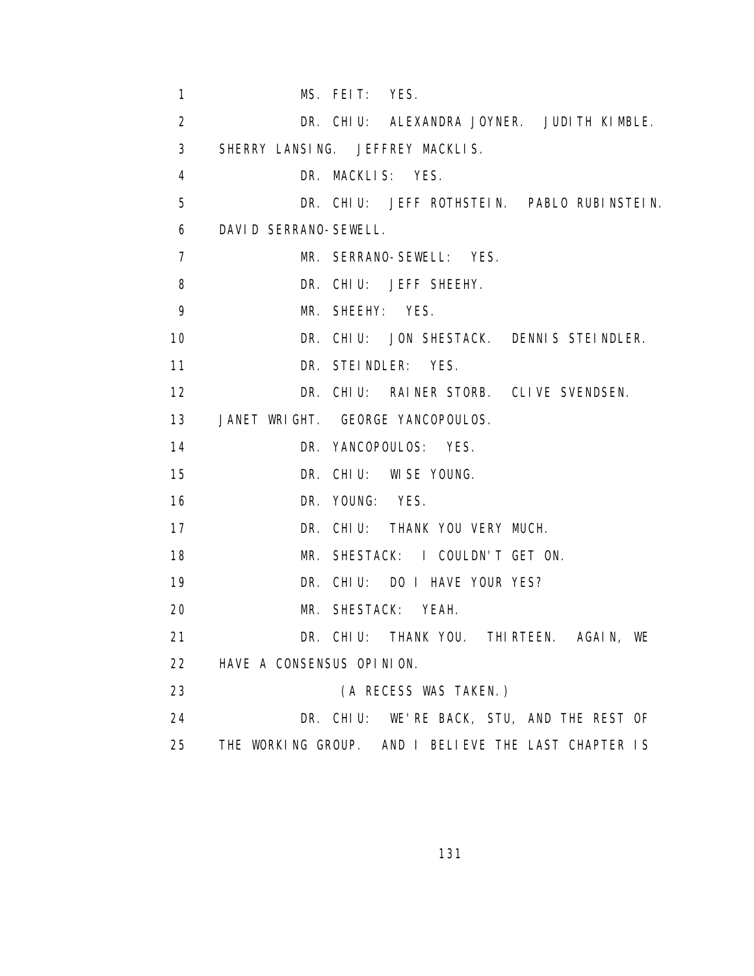| $\mathbf{1}$   | MS. FEIT: YES.                                       |
|----------------|------------------------------------------------------|
| 2              | DR. CHIU: ALEXANDRA JOYNER. JUDITH KIMBLE.           |
| 3              | SHERRY LANSING. JEFFREY MACKLIS.                     |
| 4              | DR. MACKLIS: YES.                                    |
| 5              | DR. CHIU: JEFF ROTHSTEIN. PABLO RUBINSTEIN.          |
| 6              | DAVID SERRANO-SEWELL.                                |
| $\overline{7}$ | MR. SERRANO-SEWELL: YES.                             |
| 8              | DR. CHIU: JEFF SHEEHY.                               |
| 9              | MR. SHEEHY: YES.                                     |
| 10             | DR. CHIU: JON SHESTACK. DENNIS STEINDLER.            |
| 11             | DR. STEINDLER: YES.                                  |
| 12             | DR. CHIU: RAINER STORB. CLIVE SVENDSEN.              |
| 13             | JANET WRIGHT. GEORGE YANCOPOULOS.                    |
| 14             | DR. YANCOPOULOS: YES.                                |
| 15             | DR. CHIU: WISE YOUNG.                                |
| 16             | DR. YOUNG: YES.                                      |
| 17             | DR. CHIU: THANK YOU VERY MUCH.                       |
| 18             | MR. SHESTACK: I COULDN'T GET ON.                     |
| 19             | DR. CHIU: DO I HAVE YOUR YES?                        |
| 20             | MR. SHESTACK: YEAH.                                  |
| 21             | DR. CHIU: THANK YOU. THIRTEEN. AGAIN, WE             |
| 22             | HAVE A CONSENSUS OPINION.                            |
| 23             | (A RECESS WAS TAKEN.)                                |
| 24             | DR. CHIU: WE'RE BACK, STU, AND THE REST OF           |
| 25             | THE WORKING GROUP. AND I BELIEVE THE LAST CHAPTER IS |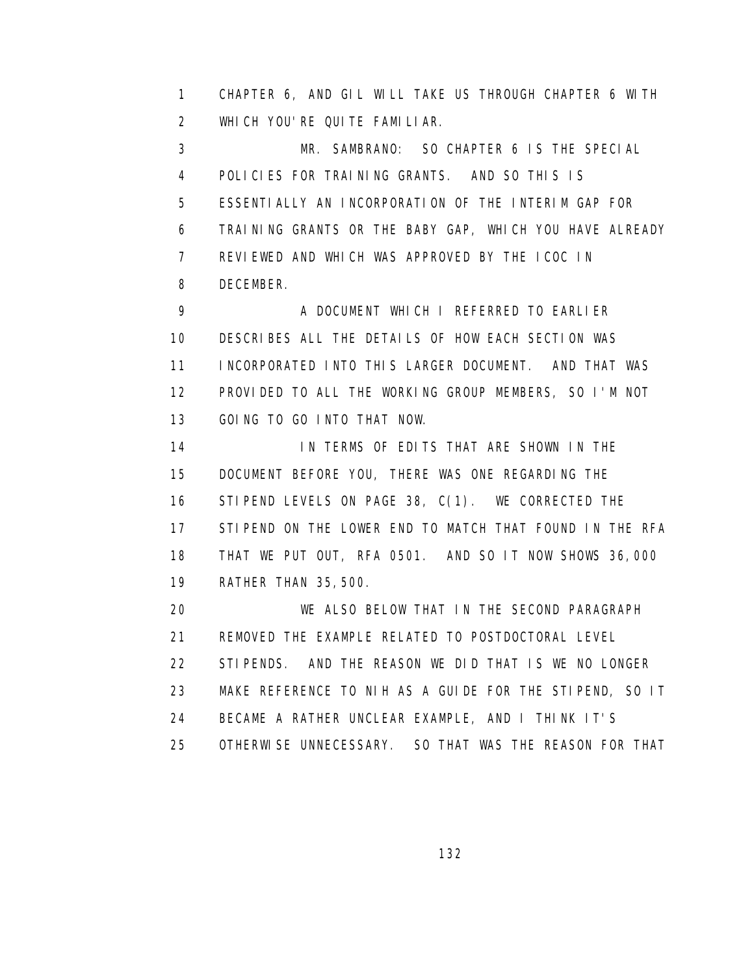1 CHAPTER 6, AND GIL WILL TAKE US THROUGH CHAPTER 6 WITH 2 WHICH YOU'RE QUITE FAMILIAR.

 3 MR. SAMBRANO: SO CHAPTER 6 IS THE SPECIAL 4 POLICIES FOR TRAINING GRANTS. AND SO THIS IS 5 ESSENTIALLY AN INCORPORATION OF THE INTERIM GAP FOR 6 TRAINING GRANTS OR THE BABY GAP, WHICH YOU HAVE ALREADY 7 REVIEWED AND WHICH WAS APPROVED BY THE ICOC IN 8 DECEMBER.

 9 A DOCUMENT WHICH I REFERRED TO EARLIER 10 DESCRIBES ALL THE DETAILS OF HOW EACH SECTION WAS 11 INCORPORATED INTO THIS LARGER DOCUMENT. AND THAT WAS 12 PROVIDED TO ALL THE WORKING GROUP MEMBERS, SO I'M NOT 13 GOING TO GO INTO THAT NOW.

14 IN TERMS OF EDITS THAT ARE SHOWN IN THE 15 DOCUMENT BEFORE YOU, THERE WAS ONE REGARDING THE 16 STIPEND LEVELS ON PAGE 38, C(1). WE CORRECTED THE 17 STIPEND ON THE LOWER END TO MATCH THAT FOUND IN THE RFA 18 THAT WE PUT OUT, RFA 0501. AND SO IT NOW SHOWS 36,000 19 RATHER THAN 35,500.

 20 WE ALSO BELOW THAT IN THE SECOND PARAGRAPH 21 REMOVED THE EXAMPLE RELATED TO POSTDOCTORAL LEVEL 22 STIPENDS. AND THE REASON WE DID THAT IS WE NO LONGER 23 MAKE REFERENCE TO NIH AS A GUIDE FOR THE STIPEND, SO IT 24 BECAME A RATHER UNCLEAR EXAMPLE, AND I THINK IT'S 25 OTHERWISE UNNECESSARY. SO THAT WAS THE REASON FOR THAT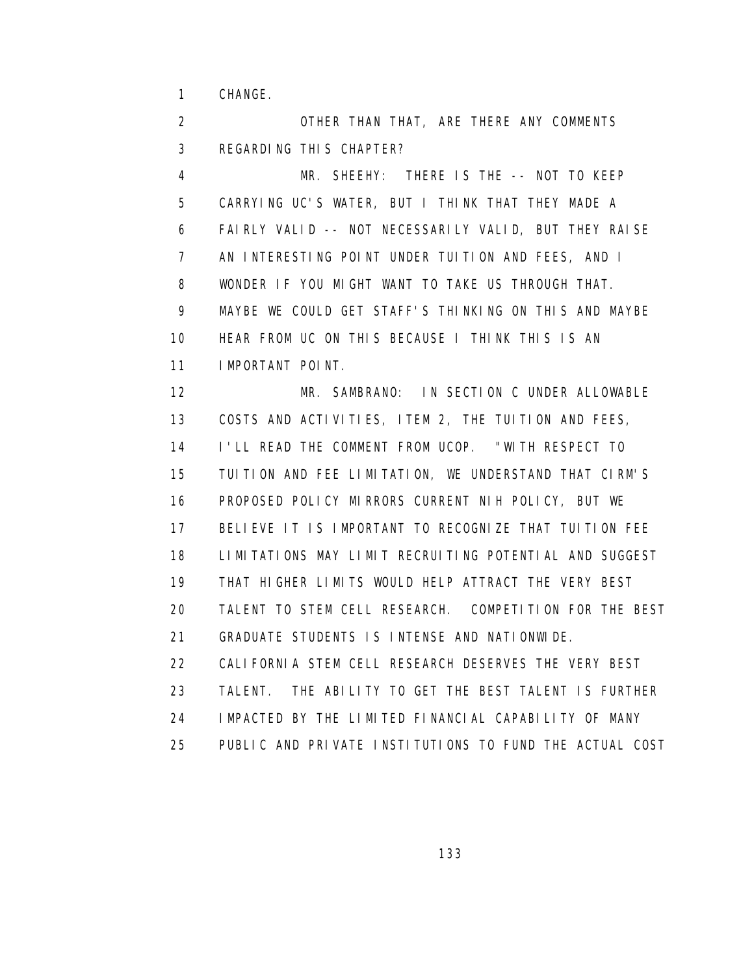1 CHANGE.

 2 OTHER THAN THAT, ARE THERE ANY COMMENTS 3 REGARDING THIS CHAPTER? 4 MR. SHEEHY: THERE IS THE -- NOT TO KEEP 5 CARRYING UC'S WATER, BUT I THINK THAT THEY MADE A 6 FAIRLY VALID -- NOT NECESSARILY VALID, BUT THEY RAISE 7 AN INTERESTING POINT UNDER TUITION AND FEES, AND I 8 WONDER IF YOU MIGHT WANT TO TAKE US THROUGH THAT. 9 MAYBE WE COULD GET STAFF'S THINKING ON THIS AND MAYBE 10 HEAR FROM UC ON THIS BECAUSE I THINK THIS IS AN 11 IMPORTANT POINT. 12 MR. SAMBRANO: IN SECTION C UNDER ALLOWABLE 13 COSTS AND ACTIVITIES, ITEM 2, THE TUITION AND FEES, 14 I'LL READ THE COMMENT FROM UCOP. "WITH RESPECT TO 15 TUITION AND FEE LIMITATION, WE UNDERSTAND THAT CIRM'S 16 PROPOSED POLICY MIRRORS CURRENT NIH POLICY, BUT WE 17 BELIEVE IT IS IMPORTANT TO RECOGNIZE THAT TUITION FEE 18 LIMITATIONS MAY LIMIT RECRUITING POTENTIAL AND SUGGEST 19 THAT HIGHER LIMITS WOULD HELP ATTRACT THE VERY BEST 20 TALENT TO STEM CELL RESEARCH. COMPETITION FOR THE BEST 21 GRADUATE STUDENTS IS INTENSE AND NATIONWIDE. 22 CALIFORNIA STEM CELL RESEARCH DESERVES THE VERY BEST 23 TALENT. THE ABILITY TO GET THE BEST TALENT IS FURTHER 24 IMPACTED BY THE LIMITED FINANCIAL CAPABILITY OF MANY 25 PUBLIC AND PRIVATE INSTITUTIONS TO FUND THE ACTUAL COST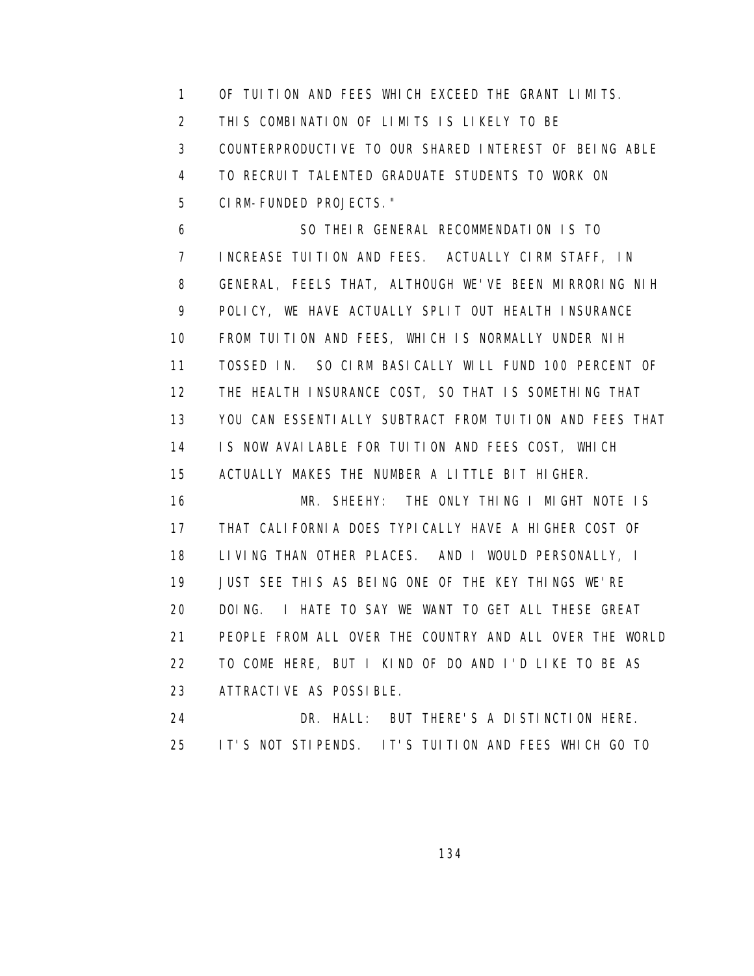1 OF TUITION AND FEES WHICH EXCEED THE GRANT LIMITS. 2 THIS COMBINATION OF LIMITS IS LIKELY TO BE 3 COUNTERPRODUCTIVE TO OUR SHARED INTEREST OF BEING ABLE 4 TO RECRUIT TALENTED GRADUATE STUDENTS TO WORK ON 5 CIRM-FUNDED PROJECTS."

 6 SO THEIR GENERAL RECOMMENDATION IS TO 7 INCREASE TUITION AND FEES. ACTUALLY CIRM STAFF, IN 8 GENERAL, FEELS THAT, ALTHOUGH WE'VE BEEN MIRRORING NIH 9 POLICY, WE HAVE ACTUALLY SPLIT OUT HEALTH INSURANCE 10 FROM TUITION AND FEES, WHICH IS NORMALLY UNDER NIH 11 TOSSED IN. SO CIRM BASICALLY WILL FUND 100 PERCENT OF 12 THE HEALTH INSURANCE COST, SO THAT IS SOMETHING THAT 13 YOU CAN ESSENTIALLY SUBTRACT FROM TUITION AND FEES THAT 14 IS NOW AVAILABLE FOR TUITION AND FEES COST, WHICH 15 ACTUALLY MAKES THE NUMBER A LITTLE BIT HIGHER.

 16 MR. SHEEHY: THE ONLY THING I MIGHT NOTE IS 17 THAT CALIFORNIA DOES TYPICALLY HAVE A HIGHER COST OF 18 LIVING THAN OTHER PLACES. AND I WOULD PERSONALLY, I 19 JUST SEE THIS AS BEING ONE OF THE KEY THINGS WE'RE 20 DOING. I HATE TO SAY WE WANT TO GET ALL THESE GREAT 21 PEOPLE FROM ALL OVER THE COUNTRY AND ALL OVER THE WORLD 22 TO COME HERE, BUT I KIND OF DO AND I'D LIKE TO BE AS 23 ATTRACTIVE AS POSSIBLE.

 24 DR. HALL: BUT THERE'S A DISTINCTION HERE. 25 IT'S NOT STIPENDS. IT'S TUITION AND FEES WHICH GO TO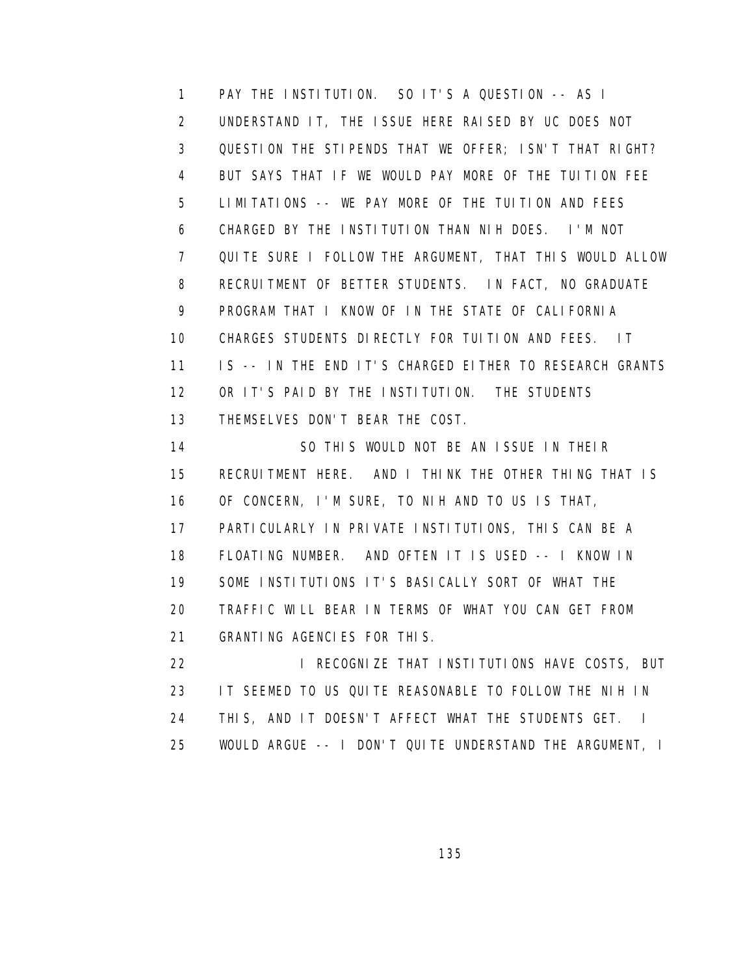1 PAY THE INSTITUTION. SO IT'S A QUESTION -- AS I 2 UNDERSTAND IT, THE ISSUE HERE RAISED BY UC DOES NOT 3 QUESTION THE STIPENDS THAT WE OFFER; ISN'T THAT RIGHT? 4 BUT SAYS THAT IF WE WOULD PAY MORE OF THE TUITION FEE 5 LIMITATIONS -- WE PAY MORE OF THE TUITION AND FEES 6 CHARGED BY THE INSTITUTION THAN NIH DOES. I'M NOT 7 QUITE SURE I FOLLOW THE ARGUMENT, THAT THIS WOULD ALLOW 8 RECRUITMENT OF BETTER STUDENTS. IN FACT, NO GRADUATE 9 PROGRAM THAT I KNOW OF IN THE STATE OF CALIFORNIA 10 CHARGES STUDENTS DIRECTLY FOR TUITION AND FEES. IT 11 IS -- IN THE END IT'S CHARGED EITHER TO RESEARCH GRANTS 12 OR IT'S PAID BY THE INSTITUTION. THE STUDENTS 13 THEMSELVES DON'T BEAR THE COST.

 14 SO THIS WOULD NOT BE AN ISSUE IN THEIR 15 RECRUITMENT HERE. AND I THINK THE OTHER THING THAT IS 16 OF CONCERN, I'M SURE, TO NIH AND TO US IS THAT, 17 PARTICULARLY IN PRIVATE INSTITUTIONS, THIS CAN BE A 18 FLOATING NUMBER. AND OFTEN IT IS USED -- I KNOW IN 19 SOME INSTITUTIONS IT'S BASICALLY SORT OF WHAT THE 20 TRAFFIC WILL BEAR IN TERMS OF WHAT YOU CAN GET FROM 21 GRANTING AGENCIES FOR THIS. 22 **I RECOGNIZE THAT INSTITUTIONS HAVE COSTS, BUT** 

 23 IT SEEMED TO US QUITE REASONABLE TO FOLLOW THE NIH IN 24 THIS, AND IT DOESN'T AFFECT WHAT THE STUDENTS GET. I 25 WOULD ARGUE -- I DON'T QUITE UNDERSTAND THE ARGUMENT, I

<u>135 - Andrea Stein, Amerikaansk politiker (</u>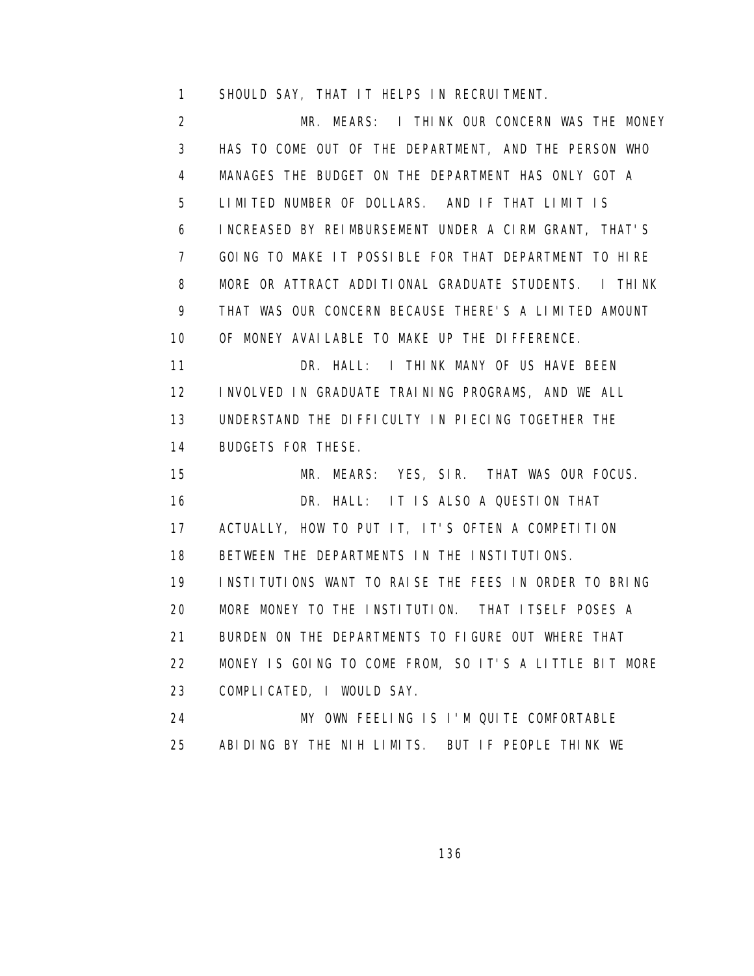1 SHOULD SAY, THAT IT HELPS IN RECRUITMENT.

 2 MR. MEARS: I THINK OUR CONCERN WAS THE MONEY 3 HAS TO COME OUT OF THE DEPARTMENT, AND THE PERSON WHO 4 MANAGES THE BUDGET ON THE DEPARTMENT HAS ONLY GOT A 5 LIMITED NUMBER OF DOLLARS. AND IF THAT LIMIT IS 6 INCREASED BY REIMBURSEMENT UNDER A CIRM GRANT, THAT'S 7 GOING TO MAKE IT POSSIBLE FOR THAT DEPARTMENT TO HIRE 8 MORE OR ATTRACT ADDITIONAL GRADUATE STUDENTS. I THINK 9 THAT WAS OUR CONCERN BECAUSE THERE'S A LIMITED AMOUNT 10 OF MONEY AVAILABLE TO MAKE UP THE DIFFERENCE. 11 DR. HALL: I THINK MANY OF US HAVE BEEN 12 INVOLVED IN GRADUATE TRAINING PROGRAMS, AND WE ALL 13 UNDERSTAND THE DIFFICULTY IN PIECING TOGETHER THE 14 BUDGETS FOR THESE. 15 MR. MEARS: YES, SIR. THAT WAS OUR FOCUS. 16 DR. HALL: IT IS ALSO A QUESTION THAT 17 ACTUALLY, HOW TO PUT IT, IT'S OFTEN A COMPETITION 18 BETWEEN THE DEPARTMENTS IN THE INSTITUTIONS. 19 INSTITUTIONS WANT TO RAISE THE FEES IN ORDER TO BRING 20 MORE MONEY TO THE INSTITUTION. THAT ITSELF POSES A 21 BURDEN ON THE DEPARTMENTS TO FIGURE OUT WHERE THAT 22 MONEY IS GOING TO COME FROM, SO IT'S A LITTLE BIT MORE 23 COMPLICATED, I WOULD SAY. 24 MY OWN FEELING IS I'M QUITE COMFORTABLE 25 ABIDING BY THE NIH LIMITS. BUT IF PEOPLE THINK WE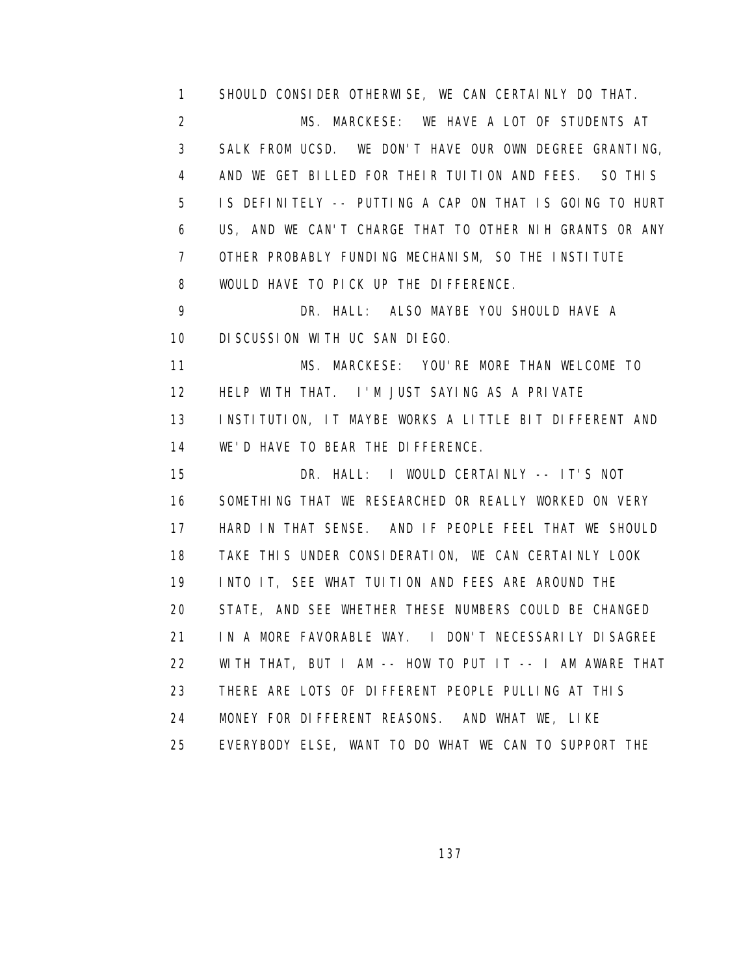1 SHOULD CONSIDER OTHERWISE, WE CAN CERTAINLY DO THAT. 2 MS. MARCKESE: WE HAVE A LOT OF STUDENTS AT 3 SALK FROM UCSD. WE DON'T HAVE OUR OWN DEGREE GRANTING, 4 AND WE GET BILLED FOR THEIR TUITION AND FEES. SO THIS 5 IS DEFINITELY -- PUTTING A CAP ON THAT IS GOING TO HURT 6 US, AND WE CAN'T CHARGE THAT TO OTHER NIH GRANTS OR ANY 7 OTHER PROBABLY FUNDING MECHANISM, SO THE INSTITUTE 8 WOULD HAVE TO PICK UP THE DIFFERENCE.

 9 DR. HALL: ALSO MAYBE YOU SHOULD HAVE A 10 DISCUSSION WITH UC SAN DIEGO.

 11 MS. MARCKESE: YOU'RE MORE THAN WELCOME TO 12 HELP WITH THAT. I'M JUST SAYING AS A PRIVATE 13 INSTITUTION, IT MAYBE WORKS A LITTLE BIT DIFFERENT AND 14 WE'D HAVE TO BEAR THE DIFFERENCE.

 15 DR. HALL: I WOULD CERTAINLY -- IT'S NOT 16 SOMETHING THAT WE RESEARCHED OR REALLY WORKED ON VERY 17 HARD IN THAT SENSE. AND IF PEOPLE FEEL THAT WE SHOULD 18 TAKE THIS UNDER CONSIDERATION, WE CAN CERTAINLY LOOK 19 INTO IT, SEE WHAT TUITION AND FEES ARE AROUND THE 20 STATE, AND SEE WHETHER THESE NUMBERS COULD BE CHANGED 21 IN A MORE FAVORABLE WAY. I DON'T NECESSARILY DISAGREE 22 WITH THAT, BUT I AM -- HOW TO PUT IT -- I AM AWARE THAT 23 THERE ARE LOTS OF DIFFERENT PEOPLE PULLING AT THIS 24 MONEY FOR DIFFERENT REASONS. AND WHAT WE, LIKE 25 EVERYBODY ELSE, WANT TO DO WHAT WE CAN TO SUPPORT THE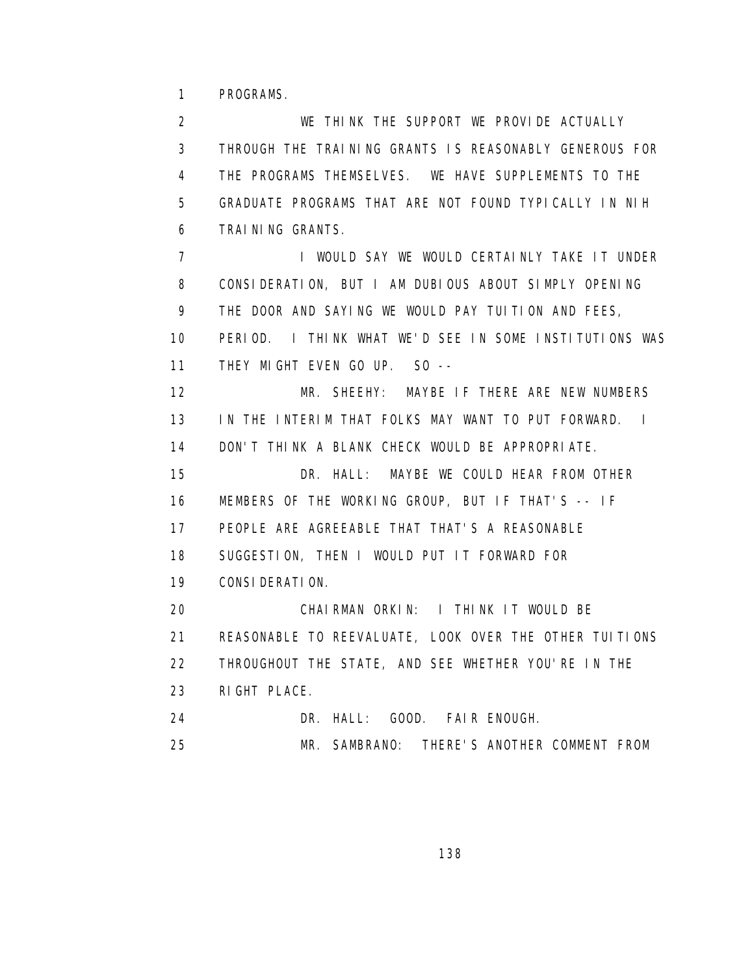1 PROGRAMS.

 2 WE THINK THE SUPPORT WE PROVIDE ACTUALLY 3 THROUGH THE TRAINING GRANTS IS REASONABLY GENEROUS FOR 4 THE PROGRAMS THEMSELVES. WE HAVE SUPPLEMENTS TO THE 5 GRADUATE PROGRAMS THAT ARE NOT FOUND TYPICALLY IN NIH 6 TRAINING GRANTS. **7** I WOULD SAY WE WOULD CERTAINLY TAKE IT UNDER 8 CONSIDERATION, BUT I AM DUBIOUS ABOUT SIMPLY OPENING 9 THE DOOR AND SAYING WE WOULD PAY TUITION AND FEES, 10 PERIOD. I THINK WHAT WE'D SEE IN SOME INSTITUTIONS WAS 11 THEY MIGHT EVEN GO UP. SO -- 12 MR. SHEEHY: MAYBE IF THERE ARE NEW NUMBERS 13 IN THE INTERIM THAT FOLKS MAY WANT TO PUT FORWARD. I 14 DON'T THINK A BLANK CHECK WOULD BE APPROPRIATE. 15 DR. HALL: MAYBE WE COULD HEAR FROM OTHER 16 MEMBERS OF THE WORKING GROUP, BUT IF THAT'S -- IF 17 PEOPLE ARE AGREEABLE THAT THAT'S A REASONABLE 18 SUGGESTION, THEN I WOULD PUT IT FORWARD FOR 19 CONSIDERATION. 20 CHAIRMAN ORKIN: I THINK IT WOULD BE 21 REASONABLE TO REEVALUATE, LOOK OVER THE OTHER TUITIONS 22 THROUGHOUT THE STATE, AND SEE WHETHER YOU'RE IN THE 23 RIGHT PLACE. 24 DR. HALL: GOOD. FAIR ENOUGH. 25 MR. SAMBRANO: THERE'S ANOTHER COMMENT FROM

<u>138 - Andrea Stein, amerikan ing kabupatèn Ing Pangalang Barat Barat Barat Barat Barat Barat Barat Barat Bara</u>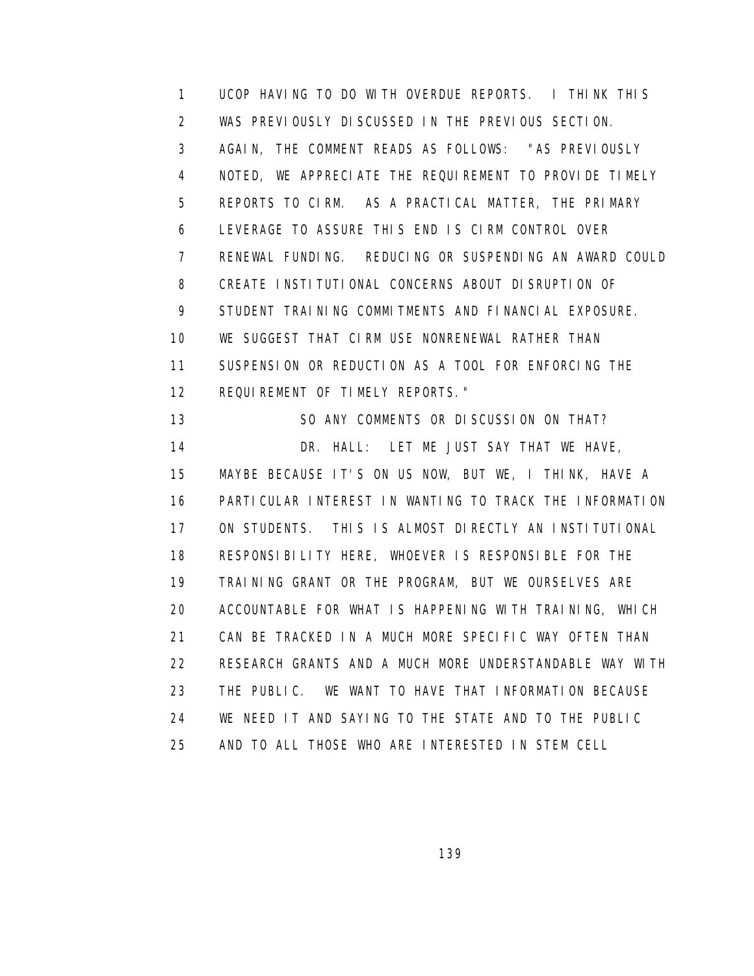1 UCOP HAVING TO DO WITH OVERDUE REPORTS. I THINK THIS 2 WAS PREVIOUSLY DISCUSSED IN THE PREVIOUS SECTION. 3 AGAIN, THE COMMENT READS AS FOLLOWS: "AS PREVIOUSLY 4 NOTED, WE APPRECIATE THE REQUIREMENT TO PROVIDE TIMELY 5 REPORTS TO CIRM. AS A PRACTICAL MATTER, THE PRIMARY 6 LEVERAGE TO ASSURE THIS END IS CIRM CONTROL OVER 7 RENEWAL FUNDING. REDUCING OR SUSPENDING AN AWARD COULD 8 CREATE INSTITUTIONAL CONCERNS ABOUT DISRUPTION OF 9 STUDENT TRAINING COMMITMENTS AND FINANCIAL EXPOSURE. 10 WE SUGGEST THAT CIRM USE NONRENEWAL RATHER THAN 11 SUSPENSION OR REDUCTION AS A TOOL FOR ENFORCING THE 12 REQUIREMENT OF TIMELY REPORTS." 13 SO ANY COMMENTS OR DISCUSSION ON THAT? 14 DR. HALL: LET ME JUST SAY THAT WE HAVE, 15 MAYBE BECAUSE IT'S ON US NOW, BUT WE, I THINK, HAVE A 16 PARTICULAR INTEREST IN WANTING TO TRACK THE INFORMATION 17 ON STUDENTS. THIS IS ALMOST DIRECTLY AN INSTITUTIONAL 18 RESPONSIBILITY HERE, WHOEVER IS RESPONSIBLE FOR THE 19 TRAINING GRANT OR THE PROGRAM, BUT WE OURSELVES ARE

20 ACCOUNTABLE FOR WHAT IS HAPPENING WITH TRAINING, WHICH

21 CAN BE TRACKED IN A MUCH MORE SPECIFIC WAY OFTEN THAN

23 THE PUBLIC. WE WANT TO HAVE THAT INFORMATION BECAUSE

22 RESEARCH GRANTS AND A MUCH MORE UNDERSTANDABLE WAY WITH

 24 WE NEED IT AND SAYING TO THE STATE AND TO THE PUBLIC 25 AND TO ALL THOSE WHO ARE INTERESTED IN STEM CELL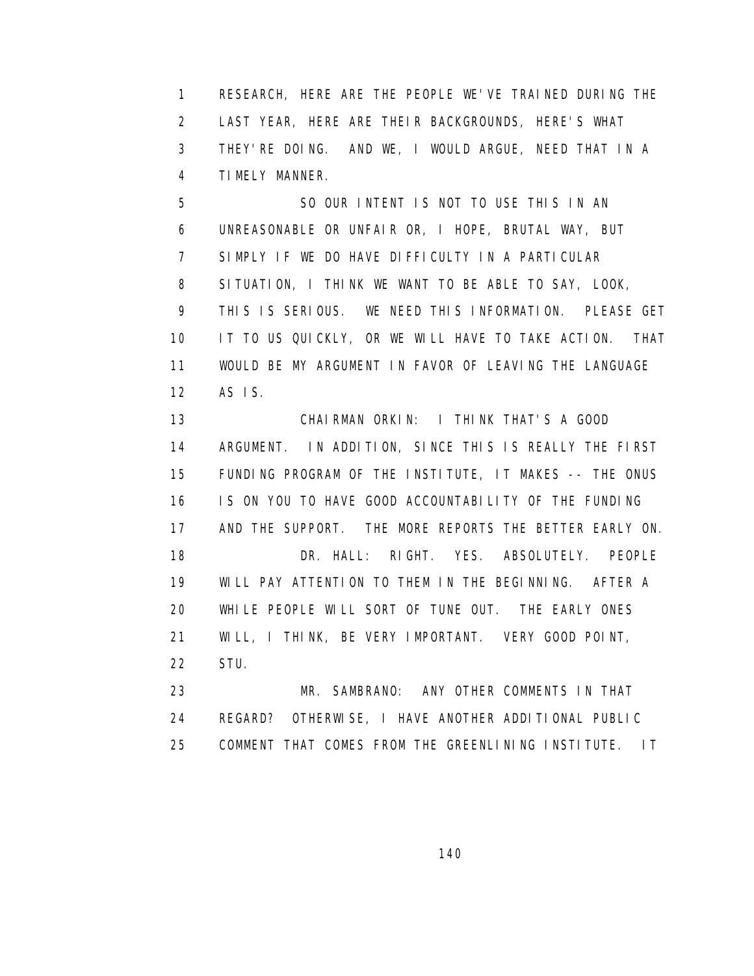1 RESEARCH, HERE ARE THE PEOPLE WE'VE TRAINED DURING THE 2 LAST YEAR, HERE ARE THEIR BACKGROUNDS, HERE'S WHAT 3 THEY'RE DOING. AND WE, I WOULD ARGUE, NEED THAT IN A 4 TIMELY MANNER.

 5 SO OUR INTENT IS NOT TO USE THIS IN AN 6 UNREASONABLE OR UNFAIR OR, I HOPE, BRUTAL WAY, BUT 7 SIMPLY IF WE DO HAVE DIFFICULTY IN A PARTICULAR 8 SITUATION, I THINK WE WANT TO BE ABLE TO SAY, LOOK, 9 THIS IS SERIOUS. WE NEED THIS INFORMATION. PLEASE GET 10 IT TO US QUICKLY, OR WE WILL HAVE TO TAKE ACTION. THAT 11 WOULD BE MY ARGUMENT IN FAVOR OF LEAVING THE LANGUAGE 12 AS IS.

 13 CHAIRMAN ORKIN: I THINK THAT'S A GOOD 14 ARGUMENT. IN ADDITION, SINCE THIS IS REALLY THE FIRST 15 FUNDING PROGRAM OF THE INSTITUTE, IT MAKES -- THE ONUS 16 IS ON YOU TO HAVE GOOD ACCOUNTABILITY OF THE FUNDING 17 AND THE SUPPORT. THE MORE REPORTS THE BETTER EARLY ON. 18 DR. HALL: RIGHT. YES. ABSOLUTELY. PEOPLE 19 WILL PAY ATTENTION TO THEM IN THE BEGINNING. AFTER A 20 WHILE PEOPLE WILL SORT OF TUNE OUT. THE EARLY ONES 21 WILL, I THINK, BE VERY IMPORTANT. VERY GOOD POINT, 22 STU.

 23 MR. SAMBRANO: ANY OTHER COMMENTS IN THAT 24 REGARD? OTHERWISE, I HAVE ANOTHER ADDITIONAL PUBLIC 25 COMMENT THAT COMES FROM THE GREENLINING INSTITUTE. IT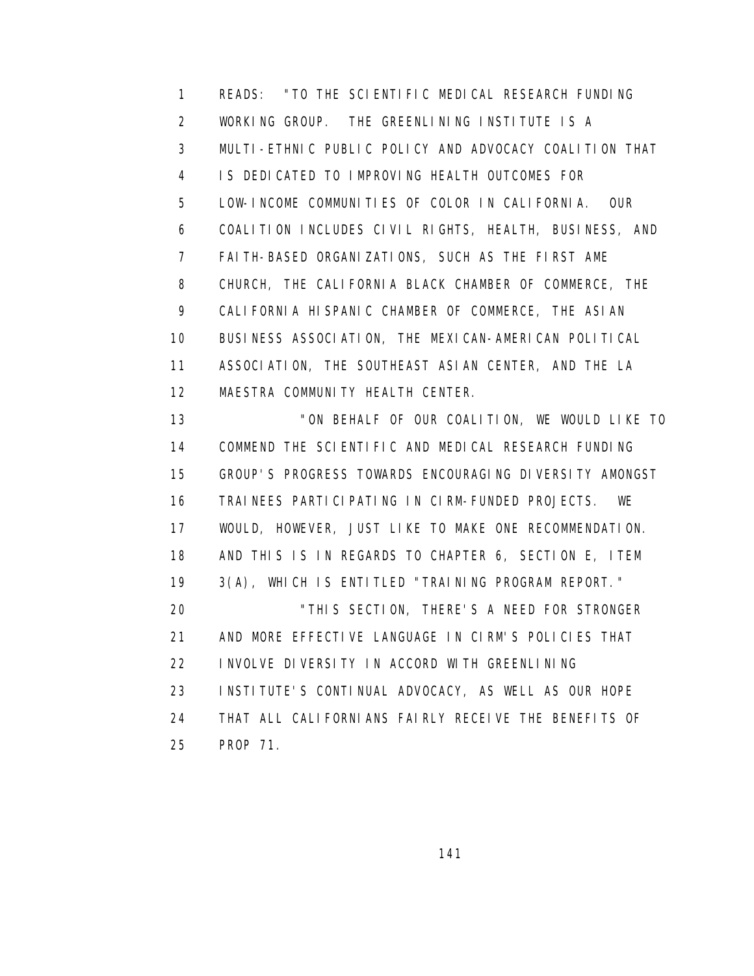1 READS: "TO THE SCIENTIFIC MEDICAL RESEARCH FUNDING 2 WORKING GROUP. THE GREENLINING INSTITUTE IS A 3 MULTI-ETHNIC PUBLIC POLICY AND ADVOCACY COALITION THAT 4 IS DEDICATED TO IMPROVING HEALTH OUTCOMES FOR 5 LOW-INCOME COMMUNITIES OF COLOR IN CALIFORNIA. OUR 6 COALITION INCLUDES CIVIL RIGHTS, HEALTH, BUSINESS, AND 7 FAITH-BASED ORGANIZATIONS, SUCH AS THE FIRST AME 8 CHURCH, THE CALIFORNIA BLACK CHAMBER OF COMMERCE, THE 9 CALIFORNIA HISPANIC CHAMBER OF COMMERCE, THE ASIAN 10 BUSINESS ASSOCIATION, THE MEXICAN-AMERICAN POLITICAL 11 ASSOCIATION, THE SOUTHEAST ASIAN CENTER, AND THE LA 12 MAESTRA COMMUNITY HEALTH CENTER. 13 "ON BEHALF OF OUR COALITION, WE WOULD LIKE TO 14 COMMEND THE SCIENTIFIC AND MEDICAL RESEARCH FUNDING 15 GROUP'S PROGRESS TOWARDS ENCOURAGING DIVERSITY AMONGST

 16 TRAINEES PARTICIPATING IN CIRM-FUNDED PROJECTS. WE 17 WOULD, HOWEVER, JUST LIKE TO MAKE ONE RECOMMENDATION. 18 AND THIS IS IN REGARDS TO CHAPTER 6, SECTION E, ITEM 19 3(A), WHICH IS ENTITLED "TRAINING PROGRAM REPORT." 20 "THIS SECTION, THERE'S A NEED FOR STRONGER 21 AND MORE EFFECTIVE LANGUAGE IN CIRM'S POLICIES THAT 22 INVOLVE DIVERSITY IN ACCORD WITH GREENLINING 23 INSTITUTE'S CONTINUAL ADVOCACY, AS WELL AS OUR HOPE 24 THAT ALL CALIFORNIANS FAIRLY RECEIVE THE BENEFITS OF 25 PROP 71.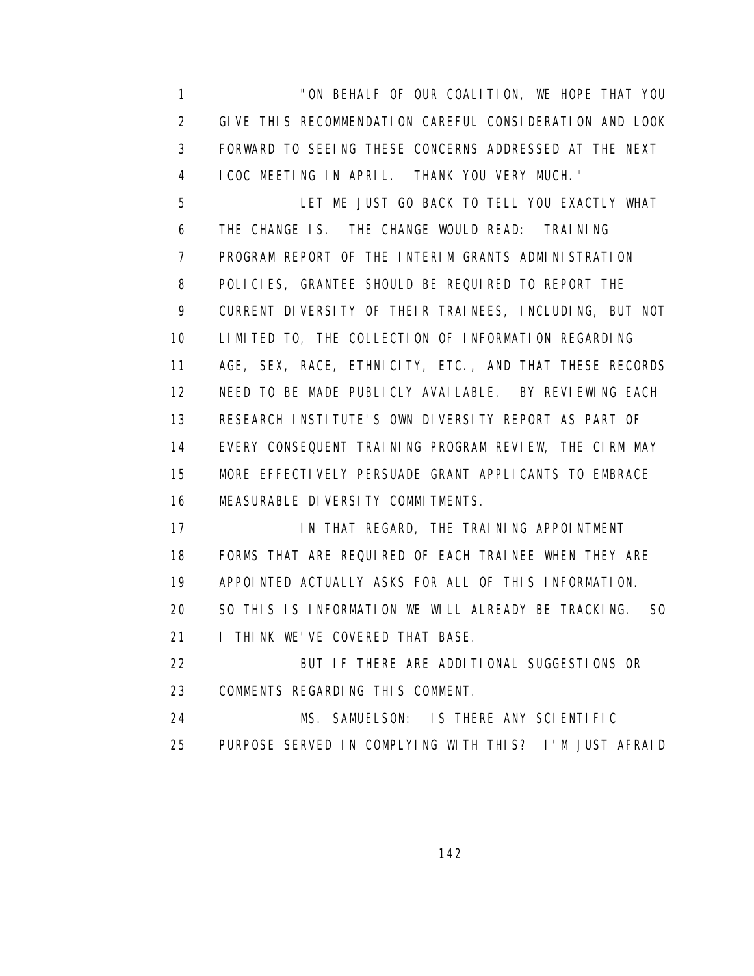1 "ON BEHALF OF OUR COALITION, WE HOPE THAT YOU 2 GIVE THIS RECOMMENDATION CAREFUL CONSIDERATION AND LOOK 3 FORWARD TO SEEING THESE CONCERNS ADDRESSED AT THE NEXT 4 ICOC MEETING IN APRIL. THANK YOU VERY MUCH." 5 LET ME JUST GO BACK TO TELL YOU EXACTLY WHAT 6 THE CHANGE IS. THE CHANGE WOULD READ: TRAINING 7 PROGRAM REPORT OF THE INTERIM GRANTS ADMINISTRATION 8 POLICIES, GRANTEE SHOULD BE REQUIRED TO REPORT THE 9 CURRENT DIVERSITY OF THEIR TRAINEES, INCLUDING, BUT NOT 10 LIMITED TO, THE COLLECTION OF INFORMATION REGARDING 11 AGE, SEX, RACE, ETHNICITY, ETC., AND THAT THESE RECORDS 12 NEED TO BE MADE PUBLICLY AVAILABLE. BY REVIEWING EACH

 13 RESEARCH INSTITUTE'S OWN DIVERSITY REPORT AS PART OF 14 EVERY CONSEQUENT TRAINING PROGRAM REVIEW, THE CIRM MAY 15 MORE EFFECTIVELY PERSUADE GRANT APPLICANTS TO EMBRACE 16 MEASURABLE DIVERSITY COMMITMENTS.

17 IN THAT REGARD, THE TRAINING APPOINTMENT 18 FORMS THAT ARE REQUIRED OF EACH TRAINEE WHEN THEY ARE 19 APPOINTED ACTUALLY ASKS FOR ALL OF THIS INFORMATION. 20 SO THIS IS INFORMATION WE WILL ALREADY BE TRACKING. SO 21 **I THINK WE'VE COVERED THAT BASE.** 

 22 BUT IF THERE ARE ADDITIONAL SUGGESTIONS OR 23 COMMENTS REGARDING THIS COMMENT.

 24 MS. SAMUELSON: IS THERE ANY SCIENTIFIC 25 PURPOSE SERVED IN COMPLYING WITH THIS? I'M JUST AFRAID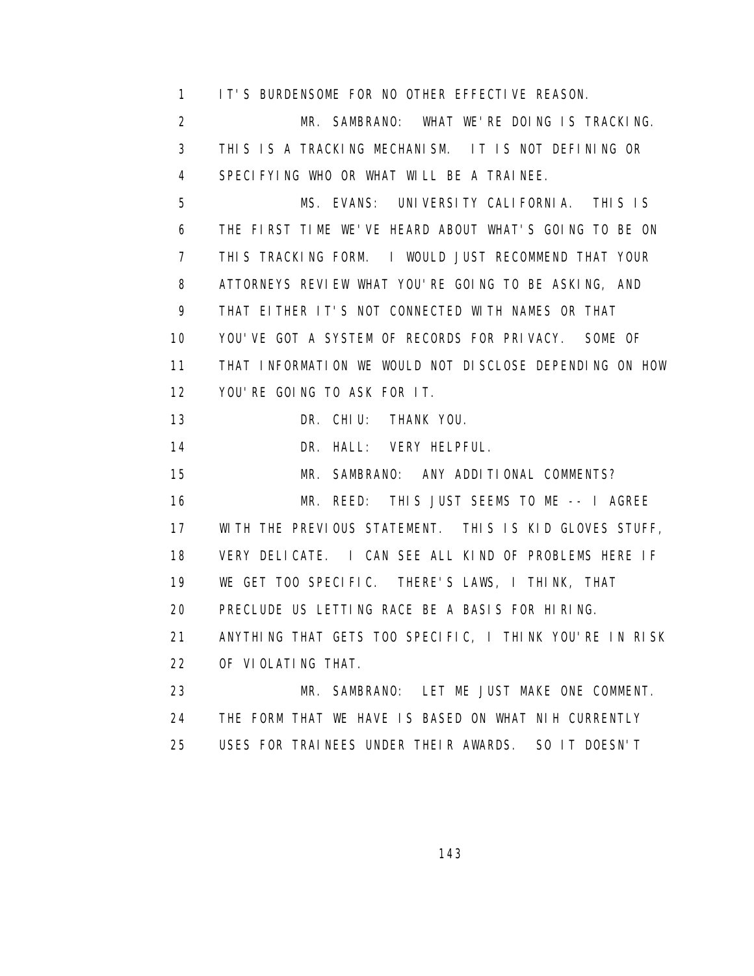1 IT'S BURDENSOME FOR NO OTHER EFFECTIVE REASON.

 2 MR. SAMBRANO: WHAT WE'RE DOING IS TRACKING. 3 THIS IS A TRACKING MECHANISM. IT IS NOT DEFINING OR 4 SPECIFYING WHO OR WHAT WILL BE A TRAINEE.

 5 MS. EVANS: UNIVERSITY CALIFORNIA. THIS IS 6 THE FIRST TIME WE'VE HEARD ABOUT WHAT'S GOING TO BE ON 7 THIS TRACKING FORM. I WOULD JUST RECOMMEND THAT YOUR 8 ATTORNEYS REVIEW WHAT YOU'RE GOING TO BE ASKING, AND 9 THAT EITHER IT'S NOT CONNECTED WITH NAMES OR THAT 10 YOU'VE GOT A SYSTEM OF RECORDS FOR PRIVACY. SOME OF 11 THAT INFORMATION WE WOULD NOT DISCLOSE DEPENDING ON HOW 12 YOU'RE GOING TO ASK FOR IT.

13 DR. CHIU: THANK YOU.

14 DR. HALL: VERY HELPFUL.

15 MR. SAMBRANO: ANY ADDITIONAL COMMENTS?

 16 MR. REED: THIS JUST SEEMS TO ME -- I AGREE 17 WITH THE PREVIOUS STATEMENT. THIS IS KID GLOVES STUFF, 18 VERY DELICATE. I CAN SEE ALL KIND OF PROBLEMS HERE IF 19 WE GET TOO SPECIFIC. THERE'S LAWS, I THINK, THAT 20 PRECLUDE US LETTING RACE BE A BASIS FOR HIRING. 21 ANYTHING THAT GETS TOO SPECIFIC, I THINK YOU'RE IN RISK 22 OF VIOLATING THAT.

 23 MR. SAMBRANO: LET ME JUST MAKE ONE COMMENT. 24 THE FORM THAT WE HAVE IS BASED ON WHAT NIH CURRENTLY 25 USES FOR TRAINEES UNDER THEIR AWARDS. SO IT DOESN'T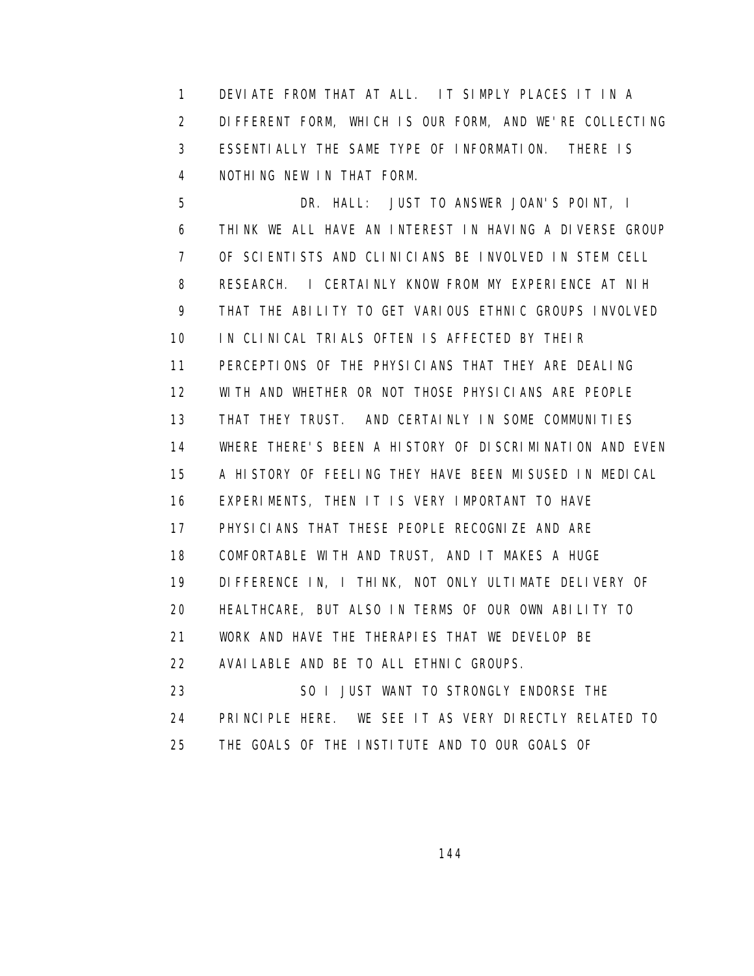1 DEVIATE FROM THAT AT ALL. IT SIMPLY PLACES IT IN A 2 DIFFERENT FORM, WHICH IS OUR FORM, AND WE'RE COLLECTING 3 ESSENTIALLY THE SAME TYPE OF INFORMATION. THERE IS 4 NOTHING NEW IN THAT FORM.

 5 DR. HALL: JUST TO ANSWER JOAN'S POINT, I 6 THINK WE ALL HAVE AN INTEREST IN HAVING A DIVERSE GROUP 7 OF SCIENTISTS AND CLINICIANS BE INVOLVED IN STEM CELL 8 RESEARCH. I CERTAINLY KNOW FROM MY EXPERIENCE AT NIH 9 THAT THE ABILITY TO GET VARIOUS ETHNIC GROUPS INVOLVED 10 IN CLINICAL TRIALS OFTEN IS AFFECTED BY THEIR 11 PERCEPTIONS OF THE PHYSICIANS THAT THEY ARE DEALING 12 WITH AND WHETHER OR NOT THOSE PHYSICIANS ARE PEOPLE 13 THAT THEY TRUST. AND CERTAINLY IN SOME COMMUNITIES 14 WHERE THERE'S BEEN A HISTORY OF DISCRIMINATION AND EVEN 15 A HISTORY OF FEELING THEY HAVE BEEN MISUSED IN MEDICAL 16 EXPERIMENTS, THEN IT IS VERY IMPORTANT TO HAVE 17 PHYSICIANS THAT THESE PEOPLE RECOGNIZE AND ARE 18 COMFORTABLE WITH AND TRUST, AND IT MAKES A HUGE 19 DIFFERENCE IN, I THINK, NOT ONLY ULTIMATE DELIVERY OF 20 HEALTHCARE, BUT ALSO IN TERMS OF OUR OWN ABILITY TO 21 WORK AND HAVE THE THERAPIES THAT WE DEVELOP BE 22 AVAILABLE AND BE TO ALL ETHNIC GROUPS. 23 SO I JUST WANT TO STRONGLY ENDORSE THE 24 PRINCIPLE HERE. WE SEE IT AS VERY DIRECTLY RELATED TO 25 THE GOALS OF THE INSTITUTE AND TO OUR GOALS OF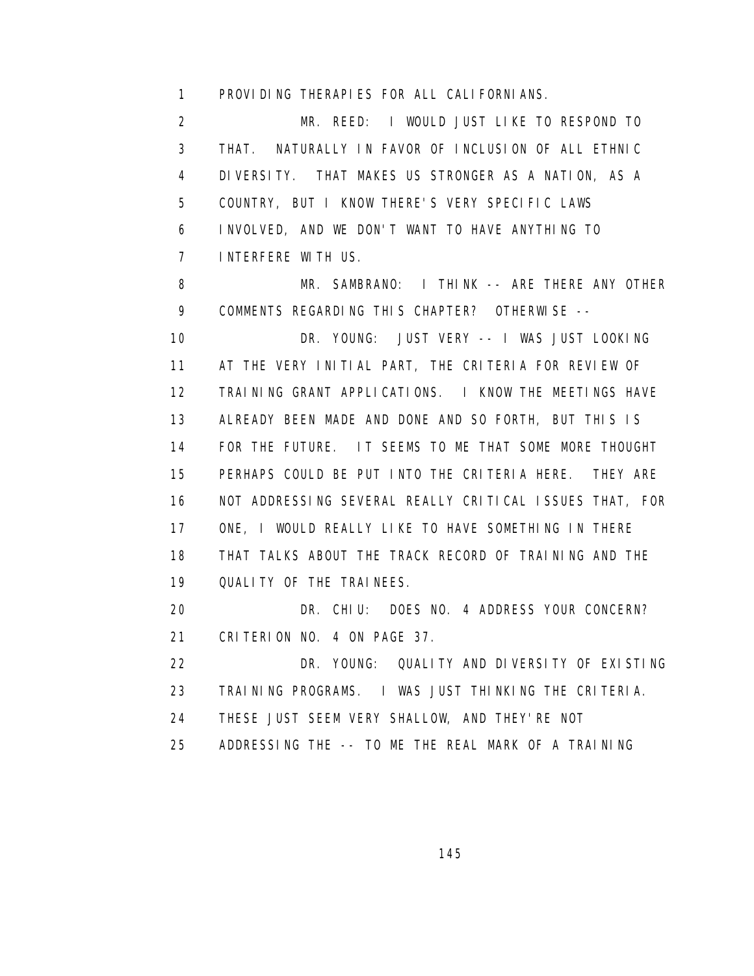1 PROVIDING THERAPIES FOR ALL CALIFORNIANS.

 2 MR. REED: I WOULD JUST LIKE TO RESPOND TO 3 THAT. NATURALLY IN FAVOR OF INCLUSION OF ALL ETHNIC 4 DIVERSITY. THAT MAKES US STRONGER AS A NATION, AS A 5 COUNTRY, BUT I KNOW THERE'S VERY SPECIFIC LAWS 6 INVOLVED, AND WE DON'T WANT TO HAVE ANYTHING TO 7 INTERFERE WITH US.

 8 MR. SAMBRANO: I THINK -- ARE THERE ANY OTHER 9 COMMENTS REGARDING THIS CHAPTER? OTHERWISE -- 10 DR. YOUNG: JUST VERY -- I WAS JUST LOOKING 11 AT THE VERY INITIAL PART, THE CRITERIA FOR REVIEW OF 12 TRAINING GRANT APPLICATIONS. I KNOW THE MEETINGS HAVE 13 ALREADY BEEN MADE AND DONE AND SO FORTH, BUT THIS IS 14 FOR THE FUTURE. IT SEEMS TO ME THAT SOME MORE THOUGHT 15 PERHAPS COULD BE PUT INTO THE CRITERIA HERE. THEY ARE 16 NOT ADDRESSING SEVERAL REALLY CRITICAL ISSUES THAT, FOR 17 ONE, I WOULD REALLY LIKE TO HAVE SOMETHING IN THERE 18 THAT TALKS ABOUT THE TRACK RECORD OF TRAINING AND THE 19 QUALITY OF THE TRAINEES. 20 DR. CHIU: DOES NO. 4 ADDRESS YOUR CONCERN? 21 CRITERION NO. 4 ON PAGE 37.

 22 DR. YOUNG: QUALITY AND DIVERSITY OF EXISTING 23 TRAINING PROGRAMS. I WAS JUST THINKING THE CRITERIA. 24 THESE JUST SEEM VERY SHALLOW, AND THEY'RE NOT

25 ADDRESSING THE -- TO ME THE REAL MARK OF A TRAINING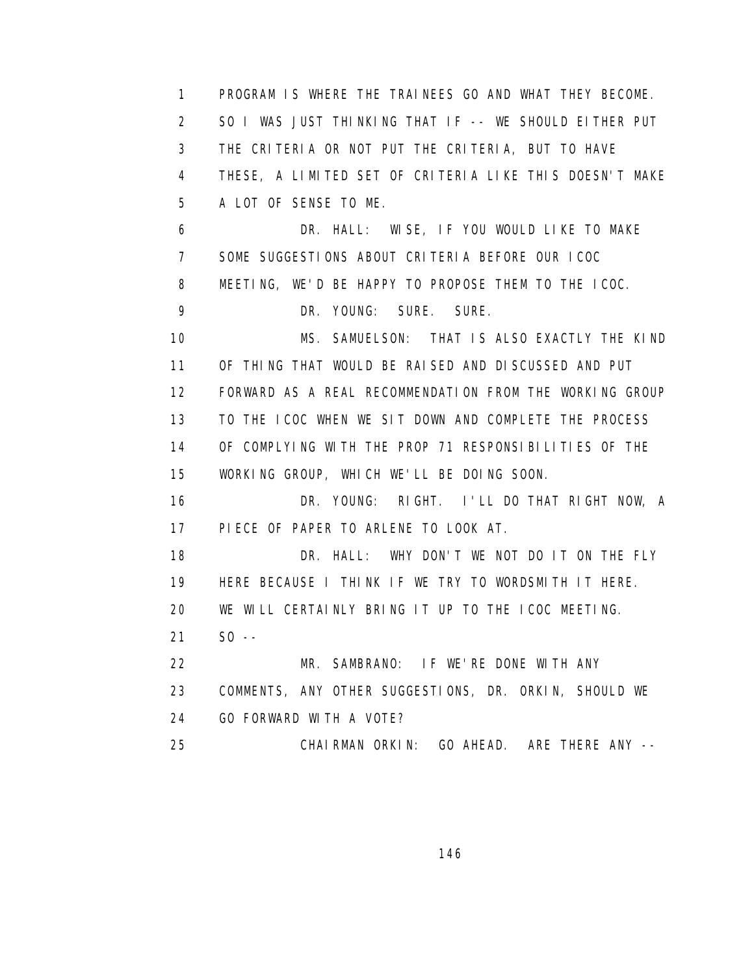1 PROGRAM IS WHERE THE TRAINEES GO AND WHAT THEY BECOME. 2 SO I WAS JUST THINKING THAT IF -- WE SHOULD EITHER PUT 3 THE CRITERIA OR NOT PUT THE CRITERIA, BUT TO HAVE 4 THESE, A LIMITED SET OF CRITERIA LIKE THIS DOESN'T MAKE 5 A LOT OF SENSE TO ME. 6 DR. HALL: WISE, IF YOU WOULD LIKE TO MAKE 7 SOME SUGGESTIONS ABOUT CRITERIA BEFORE OUR ICOC 8 MEETING, WE'D BE HAPPY TO PROPOSE THEM TO THE ICOC. 9 DR. YOUNG: SURE. SURE. 10 MS. SAMUELSON: THAT IS ALSO EXACTLY THE KIND 11 OF THING THAT WOULD BE RAISED AND DISCUSSED AND PUT 12 FORWARD AS A REAL RECOMMENDATION FROM THE WORKING GROUP 13 TO THE ICOC WHEN WE SIT DOWN AND COMPLETE THE PROCESS 14 OF COMPLYING WITH THE PROP 71 RESPONSIBILITIES OF THE 15 WORKING GROUP, WHICH WE'LL BE DOING SOON. 16 DR. YOUNG: RIGHT. I'LL DO THAT RIGHT NOW, A 17 PIECE OF PAPER TO ARLENE TO LOOK AT. 18 DR. HALL: WHY DON'T WE NOT DO IT ON THE FLY 19 HERE BECAUSE I THINK IF WE TRY TO WORDSMITH IT HERE. 20 WE WILL CERTAINLY BRING IT UP TO THE ICOC MEETING. 21 SO -- 22 MR. SAMBRANO: IF WE'RE DONE WITH ANY 23 COMMENTS, ANY OTHER SUGGESTIONS, DR. ORKIN, SHOULD WE 24 GO FORWARD WITH A VOTE? 25 CHAIRMAN ORKIN: GO AHEAD. ARE THERE ANY --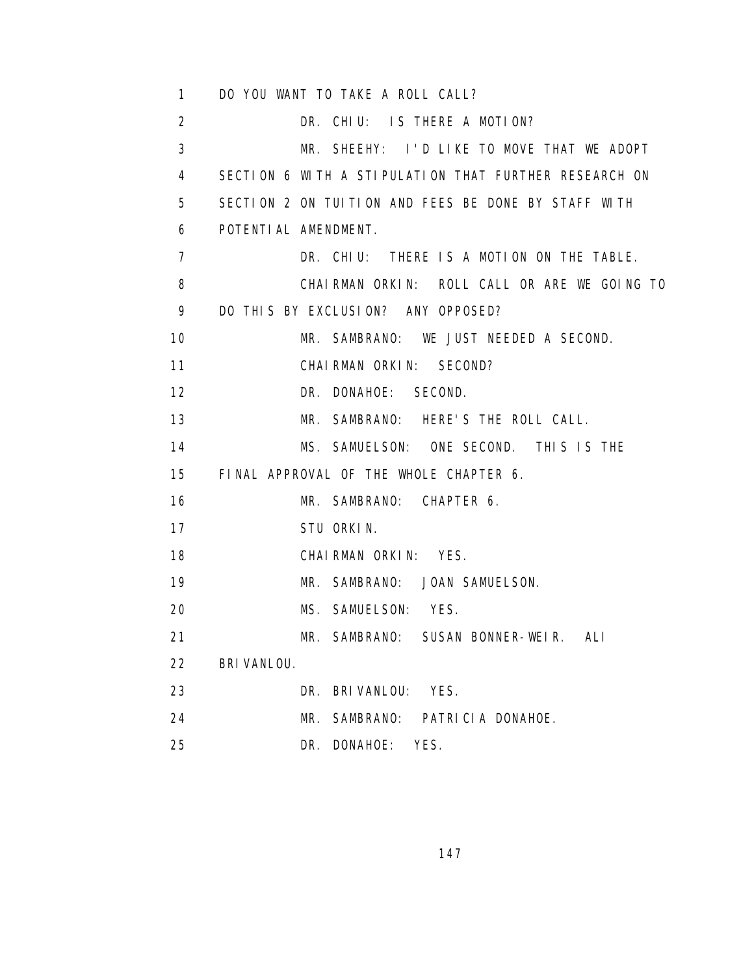1 DO YOU WANT TO TAKE A ROLL CALL? 2 DR. CHIU: IS THERE A MOTION? 3 MR. SHEEHY: I'D LIKE TO MOVE THAT WE ADOPT 4 SECTION 6 WITH A STIPULATION THAT FURTHER RESEARCH ON 5 SECTION 2 ON TUITION AND FEES BE DONE BY STAFF WITH 6 POTENTIAL AMENDMENT. 7 DR. CHIU: THERE IS A MOTION ON THE TABLE. 8 CHAIRMAN ORKIN: ROLL CALL OR ARE WE GOING TO 9 DO THIS BY EXCLUSION? ANY OPPOSED? 10 MR. SAMBRANO: WE JUST NEEDED A SECOND. 11 CHAIRMAN ORKIN: SECOND? 12 DR. DONAHOE: SECOND. 13 MR. SAMBRANO: HERE'S THE ROLL CALL. 14 MS. SAMUELSON: ONE SECOND. THIS IS THE 15 FINAL APPROVAL OF THE WHOLE CHAPTER 6. 16 MR. SAMBRANO: CHAPTER 6. 17 STU ORKIN. 18 CHAIRMAN ORKIN: YES. 19 MR. SAMBRANO: JOAN SAMUELSON. 20 MS. SAMUELSON: YES. 21 MR. SAMBRANO: SUSAN BONNER-WEIR. ALI 22 BRIVANLOU. 23 DR. BRIVANLOU: YES. 24 MR. SAMBRANO: PATRICIA DONAHOE. 25 DR. DONAHOE: YES.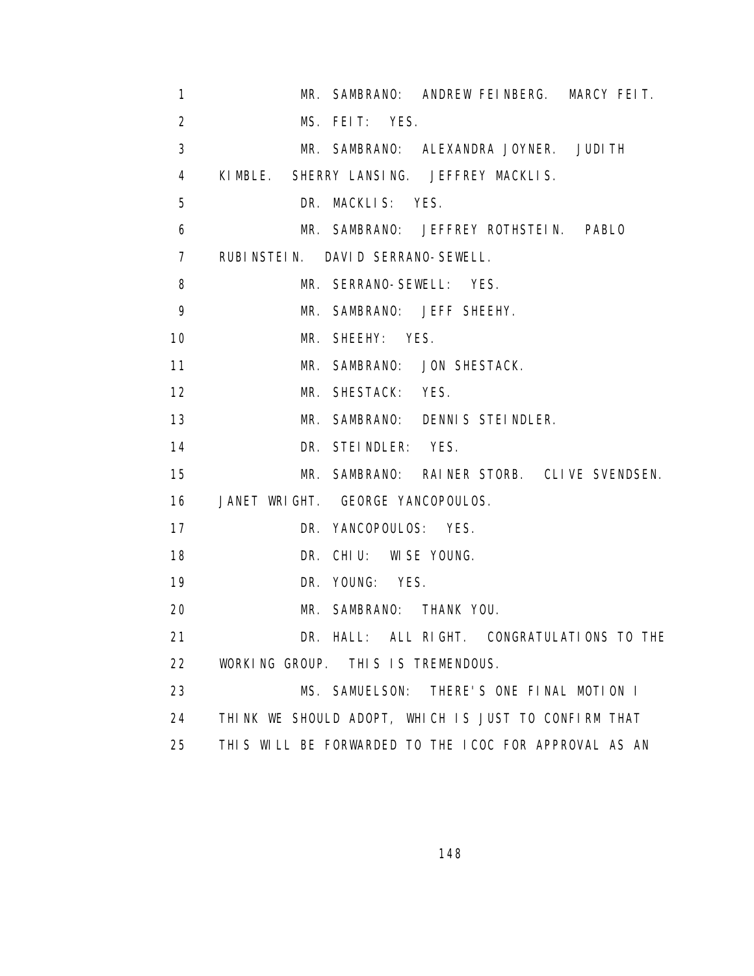| $\mathbf{1}$   | MR. SAMBRANO: ANDREW FEINBERG. MARCY FEIT.            |
|----------------|-------------------------------------------------------|
| $\overline{2}$ | MS. FEIT: YES.                                        |
| 3              | MR. SAMBRANO: ALEXANDRA JOYNER. JUDITH                |
| $\overline{4}$ | KIMBLE. SHERRY LANSING. JEFFREY MACKLIS.              |
| 5              | DR. MACKLIS: YES.                                     |
| 6              | MR. SAMBRANO: JEFFREY ROTHSTEIN. PABLO                |
| $\overline{7}$ | RUBINSTEIN. DAVID SERRANO-SEWELL.                     |
| 8              | MR. SERRANO-SEWELL: YES.                              |
| 9              | MR. SAMBRANO: JEFF SHEEHY.                            |
| 10             | MR. SHEEHY: YES.                                      |
| 11             | MR. SAMBRANO: JON SHESTACK.                           |
| 12             | MR. SHESTACK: YES.                                    |
| 13             | MR. SAMBRANO: DENNIS STEINDLER.                       |
| 14             | DR. STEINDLER: YES.                                   |
| 15             | MR. SAMBRANO: RAINER STORB. CLIVE SVENDSEN.           |
| 16             | JANET WRIGHT. GEORGE YANCOPOULOS.                     |
| 17             | DR. YANCOPOULOS: YES.                                 |
| 18             | DR. CHIU: WISE YOUNG.                                 |
| 19             | DR. YOUNG: YES.                                       |
| 20             | MR. SAMBRANO: THANK YOU.                              |
| 21             | DR. HALL: ALL RIGHT. CONGRATULATIONS TO THE           |
| 22             | WORKING GROUP. THIS IS TREMENDOUS.                    |
| 23             | MS. SAMUELSON:<br>THERE'S ONE FINAL MOTION I          |
| 24             | THINK WE SHOULD ADOPT, WHICH IS JUST TO CONFIRM THAT  |
| 25             | THIS WILL BE FORWARDED TO THE ICOC FOR APPROVAL AS AN |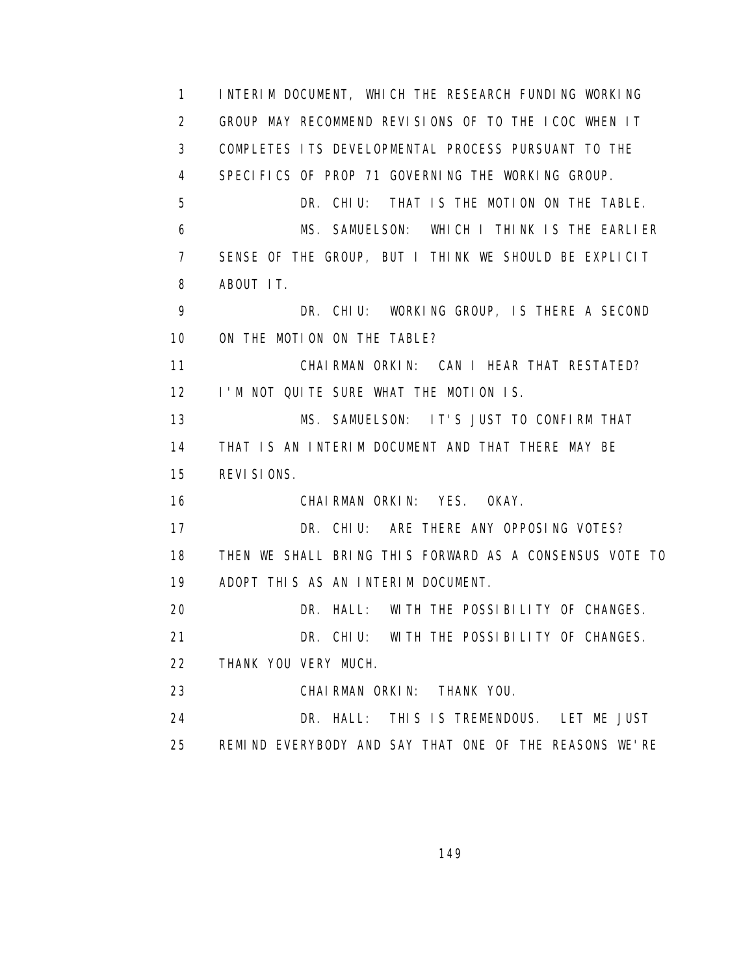1 INTERIM DOCUMENT, WHICH THE RESEARCH FUNDING WORKING 2 GROUP MAY RECOMMEND REVISIONS OF TO THE ICOC WHEN IT 3 COMPLETES ITS DEVELOPMENTAL PROCESS PURSUANT TO THE 4 SPECIFICS OF PROP 71 GOVERNING THE WORKING GROUP. 5 DR. CHIU: THAT IS THE MOTION ON THE TABLE. 6 MS. SAMUELSON: WHICH I THINK IS THE EARLIER 7 SENSE OF THE GROUP, BUT I THINK WE SHOULD BE EXPLICIT 8 ABOUT IT. 9 DR. CHIU: WORKING GROUP, IS THERE A SECOND 10 ON THE MOTION ON THE TABLE? 11 CHAIRMAN ORKIN: CAN I HEAR THAT RESTATED? 12 I'M NOT QUITE SURE WHAT THE MOTION IS. 13 MS. SAMUELSON: IT'S JUST TO CONFIRM THAT 14 THAT IS AN INTERIM DOCUMENT AND THAT THERE MAY BE 15 REVISIONS. 16 CHAIRMAN ORKIN: YES. OKAY. 17 DR. CHIU: ARE THERE ANY OPPOSING VOTES? 18 THEN WE SHALL BRING THIS FORWARD AS A CONSENSUS VOTE TO 19 ADOPT THIS AS AN INTERIM DOCUMENT. 20 DR. HALL: WITH THE POSSIBILITY OF CHANGES. 21 DR. CHIU: WITH THE POSSIBILITY OF CHANGES. 22 THANK YOU VERY MUCH. 23 CHAIRMAN ORKIN: THANK YOU. 24 DR. HALL: THIS IS TREMENDOUS. LET ME JUST 25 REMIND EVERYBODY AND SAY THAT ONE OF THE REASONS WE'RE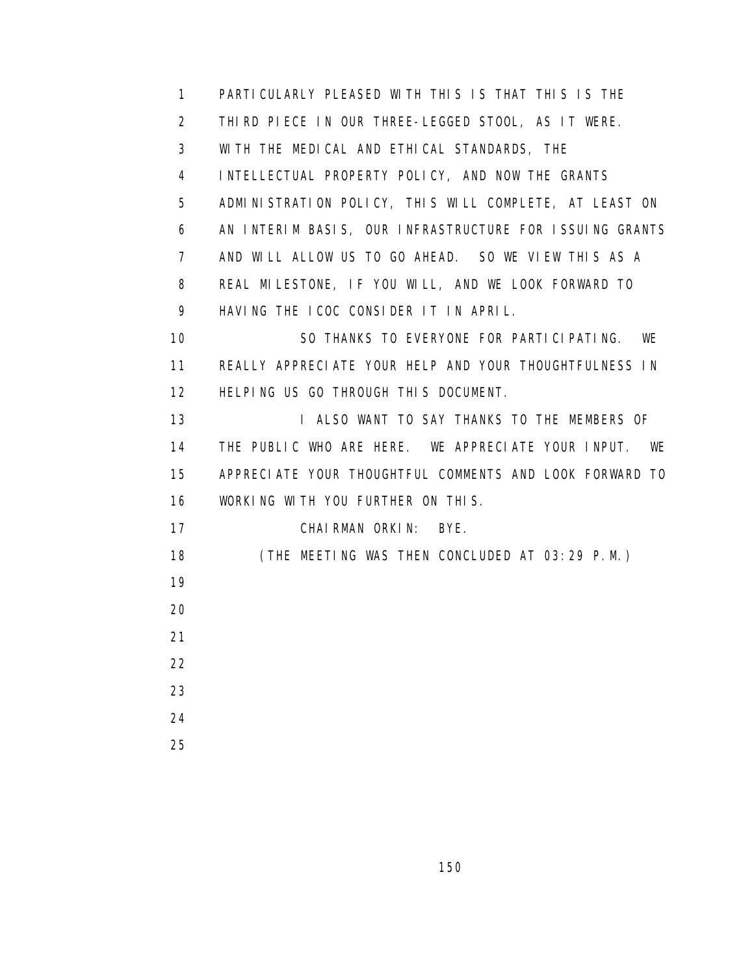1 PARTICULARLY PLEASED WITH THIS IS THAT THIS IS THE 2 THIRD PIECE IN OUR THREE-LEGGED STOOL, AS IT WERE. 3 WITH THE MEDICAL AND ETHICAL STANDARDS, THE 4 INTELLECTUAL PROPERTY POLICY, AND NOW THE GRANTS 5 ADMINISTRATION POLICY, THIS WILL COMPLETE, AT LEAST ON 6 AN INTERIM BASIS, OUR INFRASTRUCTURE FOR ISSUING GRANTS 7 AND WILL ALLOW US TO GO AHEAD. SO WE VIEW THIS AS A 8 REAL MILESTONE, IF YOU WILL, AND WE LOOK FORWARD TO 9 HAVING THE ICOC CONSIDER IT IN APRIL. 10 SO THANKS TO EVERYONE FOR PARTICIPATING. WE 11 REALLY APPRECIATE YOUR HELP AND YOUR THOUGHTFULNESS IN 12 HELPING US GO THROUGH THIS DOCUMENT. 13 **I ALSO WANT TO SAY THANKS TO THE MEMBERS OF**  14 THE PUBLIC WHO ARE HERE. WE APPRECIATE YOUR INPUT. WE 15 APPRECIATE YOUR THOUGHTFUL COMMENTS AND LOOK FORWARD TO 16 WORKING WITH YOU FURTHER ON THIS. 17 CHAIRMAN ORKIN: BYE. 18 (THE MEETING WAS THEN CONCLUDED AT 03:29 P.M.) 19 20 21 22 23 24 25